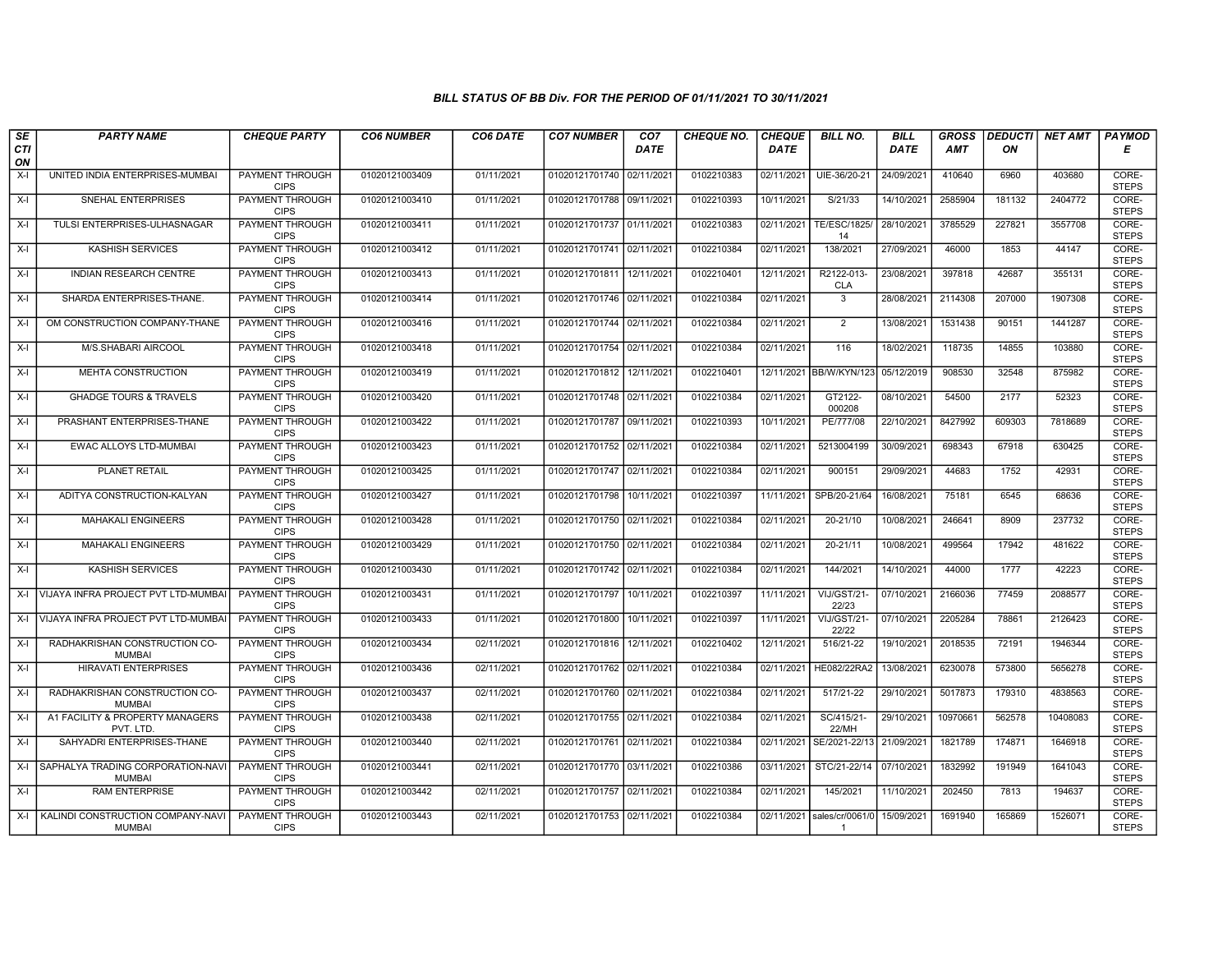| SE        | <b>PARTY NAME</b>                                        | <b>CHEQUE PARTY</b>                   | <b>CO6 NUMBER</b> | CO6 DATE   | <b>CO7 NUMBER</b>         | CO <sub>7</sub> | <b>CHEQUE NO.</b> | <b>CHEQUE</b> | <b>BILL NO.</b>           | <b>BILL</b> | <b>GROSS</b> | <b>DEDUCTI</b> | NET AMT  | <b>PAYMOD</b>         |
|-----------|----------------------------------------------------------|---------------------------------------|-------------------|------------|---------------------------|-----------------|-------------------|---------------|---------------------------|-------------|--------------|----------------|----------|-----------------------|
| CTI<br>ON |                                                          |                                       |                   |            |                           | <b>DATE</b>     |                   | <b>DATE</b>   |                           | <b>DATE</b> | <b>AMT</b>   | ON             |          | Е                     |
| $X-I$     | UNITED INDIA ENTERPRISES-MUMBAI                          | <b>PAYMENT THROUGH</b><br><b>CIPS</b> | 01020121003409    | 01/11/2021 | 01020121701740 02/11/2021 |                 | 0102210383        | 02/11/2021    | UIE-36/20-21              | 24/09/2021  | 410640       | 6960           | 403680   | CORE-<br><b>STEPS</b> |
| $X-I$     | SNEHAL ENTERPRISES                                       | <b>PAYMENT THROUGH</b><br><b>CIPS</b> | 01020121003410    | 01/11/2021 | 01020121701788 09/11/2021 |                 | 0102210393        | 10/11/2021    | S/21/33                   | 14/10/2021  | 2585904      | 181132         | 2404772  | CORE-<br><b>STEPS</b> |
| $X-I$     | TULSI ENTERPRISES-ULHASNAGAR                             | PAYMENT THROUGH<br><b>CIPS</b>        | 01020121003411    | 01/11/2021 | 01020121701737 01/11/2021 |                 | 0102210383        | 02/11/2021    | <b>TE/ESC/1825/</b><br>14 | 28/10/2021  | 3785529      | 227821         | 3557708  | CORE-<br><b>STEPS</b> |
| $X-I$     | <b>KASHISH SERVICES</b>                                  | PAYMENT THROUGH<br><b>CIPS</b>        | 01020121003412    | 01/11/2021 | 01020121701741 02/11/2021 |                 | 0102210384        | 02/11/2021    | 138/2021                  | 27/09/2021  | 46000        | 1853           | 44147    | CORE-<br><b>STEPS</b> |
| $X-I$     | INDIAN RESEARCH CENTRE                                   | <b>PAYMENT THROUGH</b><br><b>CIPS</b> | 01020121003413    | 01/11/2021 | 01020121701811 12/11/2021 |                 | 0102210401        | 12/11/2021    | R2122-013-<br><b>CLA</b>  | 23/08/2021  | 397818       | 42687          | 355131   | CORE-<br><b>STEPS</b> |
| X-I       | SHARDA ENTERPRISES-THANE.                                | <b>PAYMENT THROUGH</b><br><b>CIPS</b> | 01020121003414    | 01/11/2021 | 01020121701746 02/11/2021 |                 | 0102210384        | 02/11/2021    |                           | 28/08/2021  | 2114308      | 207000         | 1907308  | CORE-<br><b>STEPS</b> |
| $X-I$     | OM CONSTRUCTION COMPANY-THANE                            | PAYMENT THROUGH<br><b>CIPS</b>        | 01020121003416    | 01/11/2021 | 01020121701744 02/11/2021 |                 | 0102210384        | 02/11/2021    | 2                         | 13/08/2021  | 1531438      | 90151          | 1441287  | CORE-<br><b>STEPS</b> |
| $X-I$     | M/S.SHABARI AIRCOOL                                      | <b>PAYMENT THROUGH</b><br><b>CIPS</b> | 01020121003418    | 01/11/2021 | 01020121701754 02/11/2021 |                 | 0102210384        | 02/11/2021    | 116                       | 18/02/2021  | 118735       | 14855          | 103880   | CORE-<br><b>STEPS</b> |
| $X-I$     | MEHTA CONSTRUCTION                                       | PAYMENT THROUGH<br><b>CIPS</b>        | 01020121003419    | 01/11/2021 | 01020121701812 12/11/2021 |                 | 0102210401        | 12/11/2021    | BB/W/KYN/123              | 05/12/2019  | 908530       | 32548          | 875982   | CORE-<br><b>STEPS</b> |
| $X-I$     | <b>GHADGE TOURS &amp; TRAVELS</b>                        | <b>PAYMENT THROUGH</b><br><b>CIPS</b> | 01020121003420    | 01/11/2021 | 01020121701748 02/11/2021 |                 | 0102210384        | 02/11/2021    | GT2122-<br>000208         | 08/10/2021  | 54500        | 2177           | 52323    | CORE-<br><b>STEPS</b> |
| $X-I$     | PRASHANT ENTERPRISES-THANE                               | PAYMENT THROUGH<br><b>CIPS</b>        | 01020121003422    | 01/11/2021 | 01020121701787 09/11/2021 |                 | 0102210393        | 10/11/2021    | PE/777/08                 | 22/10/2021  | 8427992      | 609303         | 7818689  | CORE-<br><b>STEPS</b> |
| $X-I$     | <b>EWAC ALLOYS LTD-MUMBAI</b>                            | <b>PAYMENT THROUGH</b><br><b>CIPS</b> | 01020121003423    | 01/11/2021 | 01020121701752 02/11/2021 |                 | 0102210384        | 02/11/2021    | 5213004199                | 30/09/2021  | 698343       | 67918          | 630425   | CORE-<br><b>STEPS</b> |
| X-I       | PLANET RETAIL                                            | PAYMENT THROUGH<br><b>CIPS</b>        | 01020121003425    | 01/11/2021 | 01020121701747 02/11/2021 |                 | 0102210384        | 02/11/2021    | 900151                    | 29/09/2021  | 44683        | 1752           | 42931    | CORE-<br><b>STEPS</b> |
| $X-I$     | ADITYA CONSTRUCTION-KALYAN                               | <b>PAYMENT THROUGH</b><br><b>CIPS</b> | 01020121003427    | 01/11/2021 | 01020121701798            | 10/11/2021      | 0102210397        | 11/11/2021    | SPB/20-21/64              | 16/08/2021  | 75181        | 6545           | 68636    | CORE-<br><b>STEPS</b> |
| $X-I$     | <b>MAHAKALI ENGINEERS</b>                                | PAYMENT THROUGH<br><b>CIPS</b>        | 01020121003428    | 01/11/2021 | 01020121701750 02/11/2021 |                 | 0102210384        | 02/11/2021    | 20-21/10                  | 10/08/2021  | 246641       | 8909           | 237732   | CORE-<br><b>STEPS</b> |
| $X-I$     | <b>MAHAKALI ENGINEERS</b>                                | PAYMENT THROUGH<br><b>CIPS</b>        | 01020121003429    | 01/11/2021 | 01020121701750 02/11/202  |                 | 0102210384        | 02/11/2021    | 20-21/11                  | 10/08/2021  | 499564       | 17942          | 481622   | CORE-<br><b>STEPS</b> |
| $X-I$     | <b>KASHISH SERVICES</b>                                  | <b>PAYMENT THROUGH</b><br><b>CIPS</b> | 01020121003430    | 01/11/2021 | 01020121701742 02/11/2021 |                 | 0102210384        | 02/11/2021    | 144/2021                  | 14/10/2021  | 44000        | 1777           | 42223    | CORE-<br><b>STEPS</b> |
|           | X-I VIJAYA INFRA PROJECT PVT LTD-MUMBA                   | <b>PAYMENT THROUGH</b><br><b>CIPS</b> | 01020121003431    | 01/11/2021 | 01020121701797            | 10/11/2021      | 0102210397        | 11/11/2021    | VIJ/GST/21<br>22/23       | 07/10/2021  | 2166036      | 77459          | 2088577  | CORE-<br><b>STEPS</b> |
| $X-I$     | VIJAYA INFRA PROJECT PVT LTD-MUMBA                       | PAYMENT THROUGH<br><b>CIPS</b>        | 01020121003433    | 01/11/2021 | 01020121701800            | 10/11/2021      | 0102210397        | 11/11/2021    | VIJ/GST/21-<br>22/22      | 07/10/2021  | 2205284      | 78861          | 2126423  | CORE-<br><b>STEPS</b> |
| $X-I$     | RADHAKRISHAN CONSTRUCTION CO-<br><b>MUMBAI</b>           | <b>PAYMENT THROUGH</b><br><b>CIPS</b> | 01020121003434    | 02/11/2021 | 01020121701816            | 12/11/2021      | 0102210402        | 12/11/2021    | 516/21-22                 | 19/10/2021  | 2018535      | 72191          | 1946344  | CORE-<br><b>STEPS</b> |
| $X-I$     | <b>HIRAVATI ENTERPRISES</b>                              | PAYMENT THROUGH<br><b>CIPS</b>        | 01020121003436    | 02/11/2021 | 01020121701762 02/11/2021 |                 | 0102210384        | 02/11/2021    | HE082/22RA2               | 13/08/2021  | 6230078      | 573800         | 5656278  | CORE-<br><b>STEPS</b> |
| $X-I$     | RADHAKRISHAN CONSTRUCTION CO-<br><b>MUMBAI</b>           | <b>PAYMENT THROUGH</b><br><b>CIPS</b> | 01020121003437    | 02/11/2021 | 01020121701760 02/11/2021 |                 | 0102210384        | 02/11/2021    | 517/21-22                 | 29/10/2021  | 5017873      | 179310         | 4838563  | CORE-<br><b>STEPS</b> |
| $X-I$     | A1 FACILITY & PROPERTY MANAGERS<br>PVT. LTD              | PAYMENT THROUGH<br><b>CIPS</b>        | 01020121003438    | 02/11/2021 | 01020121701755 02/11/202  |                 | 0102210384        | 02/11/2021    | SC/415/21-<br>22/MH       | 29/10/2021  | 10970661     | 562578         | 10408083 | CORE-<br><b>STEPS</b> |
| $X-I$     | SAHYADRI ENTERPRISES-THANE                               | <b>PAYMENT THROUGH</b><br><b>CIPS</b> | 01020121003440    | 02/11/2021 | 01020121701761 02/11/2021 |                 | 0102210384        | 02/11/2021    | SE/2021-22/13             | 21/09/2021  | 1821789      | 174871         | 1646918  | CORE-<br><b>STEPS</b> |
| $X-I$     | SAPHALYA TRADING CORPORATION-NAV<br><b>MUMBAI</b>        | PAYMENT THROUGH<br><b>CIPS</b>        | 01020121003441    | 02/11/2021 | 01020121701770 03/11/2021 |                 | 0102210386        | 03/11/2021    | STC/21-22/14              | 07/10/2021  | 1832992      | 191949         | 1641043  | CORE-<br><b>STEPS</b> |
| $X-I$     | <b>RAM ENTERPRISE</b>                                    | <b>PAYMENT THROUGH</b><br><b>CIPS</b> | 01020121003442    | 02/11/2021 | 01020121701757 02/11/2021 |                 | 0102210384        | 02/11/2021    | 145/2021                  | 11/10/2021  | 202450       | 7813           | 194637   | CORE-<br><b>STEPS</b> |
|           | X-I   KALINDI CONSTRUCTION COMPANY-NAVI<br><b>MUMBAI</b> | PAYMENT THROUGH<br><b>CIPS</b>        | 01020121003443    | 02/11/2021 | 01020121701753 02/11/2021 |                 | 0102210384        | 02/11/2021    | sales/cr/0061/0<br>-1     | 15/09/2021  | 1691940      | 165869         | 1526071  | CORE-<br><b>STEPS</b> |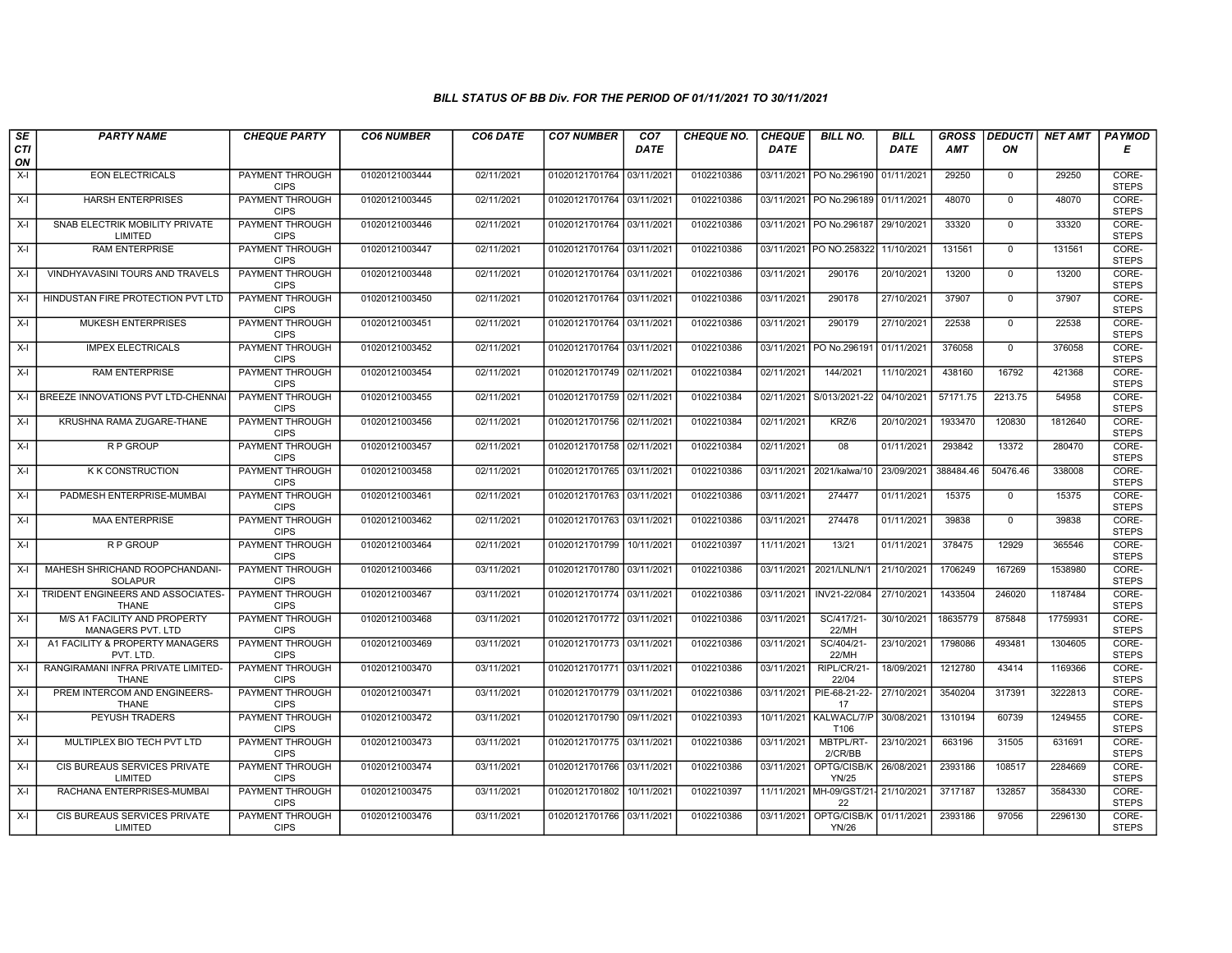| SE               | <b>PARTY NAME</b>                                  | <b>CHEQUE PARTY</b>                   | <b>CO6 NUMBER</b> | CO6 DATE   | <b>CO7 NUMBER</b>         | CO <sub>7</sub> | <b>CHEQUE NO.</b> | <b>CHEQUE</b> | <b>BILL NO.</b>                           | <b>BILL</b> | <b>GROSS</b> |              | DEDUCTI NET AMT | <b>PAYMOD</b>         |
|------------------|----------------------------------------------------|---------------------------------------|-------------------|------------|---------------------------|-----------------|-------------------|---------------|-------------------------------------------|-------------|--------------|--------------|-----------------|-----------------------|
| <b>CTI</b><br>ON |                                                    |                                       |                   |            |                           | <b>DATE</b>     |                   | <b>DATE</b>   |                                           | <b>DATE</b> | <b>AMT</b>   | ON           |                 | Е                     |
| $X-I$            | <b>EON ELECTRICALS</b>                             | <b>PAYMENT THROUGH</b><br><b>CIPS</b> | 01020121003444    | 02/11/2021 | 01020121701764 03/11/2021 |                 | 0102210386        |               | 03/11/2021 PO No.296190                   | 01/11/2021  | 29250        | $\mathbf{0}$ | 29250           | CORE-<br><b>STEPS</b> |
| X-I              | <b>HARSH ENTERPRISES</b>                           | <b>PAYMENT THROUGH</b><br><b>CIPS</b> | 01020121003445    | 02/11/2021 | 01020121701764 03/11/2021 |                 | 0102210386        |               | 03/11/2021   PO No.296189                 | 01/11/2021  | 48070        | $\mathbf 0$  | 48070           | CORE-<br><b>STEPS</b> |
| X-I              | SNAB ELECTRIK MOBILITY PRIVATE<br>LIMITED          | <b>PAYMENT THROUGH</b><br><b>CIPS</b> | 01020121003446    | 02/11/2021 | 01020121701764 03/11/2021 |                 | 0102210386        |               | 03/11/2021 PO No.296187                   | 29/10/2021  | 33320        | $\mathbf 0$  | 33320           | CORE-<br><b>STEPS</b> |
| X-I              | <b>RAM ENTERPRISE</b>                              | PAYMENT THROUGH<br><b>CIPS</b>        | 01020121003447    | 02/11/2021 | 01020121701764 03/11/2021 |                 | 0102210386        |               | 03/11/2021 PO NO.258322                   | 11/10/2021  | 131561       | $\mathbf 0$  | 131561          | CORE-<br><b>STEPS</b> |
| $X-I$            | VINDHYAVASINI TOURS AND TRAVELS                    | <b>PAYMENT THROUGH</b><br><b>CIPS</b> | 01020121003448    | 02/11/2021 | 01020121701764 03/11/2021 |                 | 0102210386        | 03/11/2021    | 290176                                    | 20/10/2021  | 13200        | $\mathbf 0$  | 13200           | CORE-<br><b>STEPS</b> |
| X-I              | HINDUSTAN FIRE PROTECTION PVT LTD                  | <b>PAYMENT THROUGH</b><br><b>CIPS</b> | 01020121003450    | 02/11/2021 | 01020121701764 03/11/2021 |                 | 0102210386        | 03/11/2021    | 290178                                    | 27/10/2021  | 37907        | $\Omega$     | 37907           | CORE-<br><b>STEPS</b> |
| X-I              | <b>MUKESH ENTERPRISES</b>                          | PAYMENT THROUGH<br><b>CIPS</b>        | 01020121003451    | 02/11/2021 | 01020121701764 03/11/2021 |                 | 0102210386        | 03/11/2021    | 290179                                    | 27/10/2021  | 22538        | $\mathbf{0}$ | 22538           | CORE-<br><b>STEPS</b> |
| X-I              | <b>IMPEX ELECTRICALS</b>                           | <b>PAYMENT THROUGH</b><br><b>CIPS</b> | 01020121003452    | 02/11/2021 | 01020121701764 03/11/2021 |                 | 0102210386        | 03/11/2021    | PO No.296191                              | 01/11/2021  | 376058       | $\mathbf 0$  | 376058          | CORE-<br><b>STEPS</b> |
| X-I              | <b>RAM ENTERPRISE</b>                              | <b>PAYMENT THROUGH</b><br><b>CIPS</b> | 01020121003454    | 02/11/2021 | 01020121701749 02/11/2021 |                 | 0102210384        | 02/11/2021    | 144/2021                                  | 11/10/2021  | 438160       | 16792        | 421368          | CORE-<br><b>STEPS</b> |
|                  | X-I BREEZE INNOVATIONS PVT LTD-CHENNAL             | <b>PAYMENT THROUGH</b><br><b>CIPS</b> | 01020121003455    | 02/11/2021 | 01020121701759 02/11/2021 |                 | 0102210384        | 02/11/2021    | S/013/2021-22                             | 04/10/2021  | 57171.75     | 2213.75      | 54958           | CORE-<br><b>STEPS</b> |
| X-I              | KRUSHNA RAMA ZUGARE-THANE                          | PAYMENT THROUGH<br><b>CIPS</b>        | 01020121003456    | 02/11/2021 | 01020121701756 02/11/2021 |                 | 0102210384        | 02/11/2021    | KRZ/6                                     | 20/10/2021  | 1933470      | 120830       | 1812640         | CORE-<br><b>STEPS</b> |
| $X-I$            | R P GROUP                                          | <b>PAYMENT THROUGH</b><br><b>CIPS</b> | 01020121003457    | 02/11/2021 | 01020121701758 02/11/2021 |                 | 0102210384        | 02/11/2021    | 08                                        | 01/11/2021  | 293842       | 13372        | 280470          | CORE-<br><b>STEPS</b> |
| X-I              | <b>K K CONSTRUCTION</b>                            | <b>PAYMENT THROUGH</b><br><b>CIPS</b> | 01020121003458    | 02/11/2021 | 01020121701765 03/11/2021 |                 | 0102210386        | 03/11/2021    | 2021/kalwa/10                             | 23/09/2021  | 388484.46    | 50476.46     | 338008          | CORE-<br><b>STEPS</b> |
| $X-I$            | PADMESH ENTERPRISE-MUMBAI                          | <b>PAYMENT THROUGH</b><br><b>CIPS</b> | 01020121003461    | 02/11/2021 | 01020121701763 03/11/2021 |                 | 0102210386        | 03/11/2021    | 274477                                    | 01/11/2021  | 15375        | $^{\circ}$   | 15375           | CORE-<br><b>STEPS</b> |
| X-I              | <b>MAA ENTERPRISE</b>                              | PAYMENT THROUGH<br><b>CIPS</b>        | 01020121003462    | 02/11/2021 | 01020121701763 03/11/2021 |                 | 0102210386        | 03/11/2021    | 274478                                    | 01/11/2021  | 39838        | $\mathbf{0}$ | 39838           | CORE-<br><b>STEPS</b> |
| $X-I$            | R P GROUP                                          | <b>PAYMENT THROUGH</b><br><b>CIPS</b> | 01020121003464    | 02/11/2021 | 01020121701799            | 10/11/2021      | 0102210397        | 11/11/2021    | 13/21                                     | 01/11/2021  | 378475       | 12929        | 365546          | CORE-<br><b>STEPS</b> |
| $X-I$            | MAHESH SHRICHAND ROOPCHANDANI-<br><b>SOLAPUR</b>   | PAYMENT THROUGH<br><b>CIPS</b>        | 01020121003466    | 03/11/2021 | 01020121701780 03/11/2021 |                 | 0102210386        | 03/11/2021    | 2021/LNL/N/1                              | 21/10/2021  | 1706249      | 167269       | 1538980         | CORE-<br><b>STEPS</b> |
| $X-I$            | TRIDENT ENGINEERS AND ASSOCIATES-<br><b>THANE</b>  | <b>PAYMENT THROUGH</b><br><b>CIPS</b> | 01020121003467    | 03/11/2021 | 01020121701774 03/11/2021 |                 | 0102210386        | 03/11/2021    | INV21-22/084                              | 27/10/2021  | 1433504      | 246020       | 1187484         | CORE-<br><b>STEPS</b> |
| $X-I$            | M/S A1 FACILITY AND PROPERTY<br>MANAGERS PVT. LTD  | <b>PAYMENT THROUGH</b><br><b>CIPS</b> | 01020121003468    | 03/11/2021 | 01020121701772 03/11/2021 |                 | 0102210386        | 03/11/2021    | SC/417/21-<br>22/MH                       | 30/10/2021  | 18635779     | 875848       | 17759931        | CORE-<br><b>STEPS</b> |
| $X-I$            | A1 FACILITY & PROPERTY MANAGERS<br>PVT. LTD.       | PAYMENT THROUGH<br><b>CIPS</b>        | 01020121003469    | 03/11/2021 | 01020121701773 03/11/2021 |                 | 0102210386        | 03/11/2021    | SC/404/21-<br>22/MH                       | 23/10/2021  | 1798086      | 493481       | 1304605         | CORE-<br><b>STEPS</b> |
| X-I              | RANGIRAMANI INFRA PRIVATE LIMITED-<br><b>THANE</b> | <b>PAYMENT THROUGH</b><br><b>CIPS</b> | 01020121003470    | 03/11/2021 | 01020121701771 03/11/2021 |                 | 0102210386        | 03/11/2021    | RIPL/CR/21-<br>22/04                      | 18/09/2021  | 1212780      | 43414        | 1169366         | CORE-<br><b>STEPS</b> |
| X-I              | PREM INTERCOM AND ENGINEERS-<br><b>THANE</b>       | PAYMENT THROUGH<br><b>CIPS</b>        | 01020121003471    | 03/11/2021 | 01020121701779 03/11/2021 |                 | 0102210386        | 03/11/2021    | PIE-68-21-22-<br>17                       | 27/10/2021  | 3540204      | 317391       | 3222813         | CORE-<br><b>STEPS</b> |
| $X-I$            | PEYUSH TRADERS                                     | PAYMENT THROUGH<br><b>CIPS</b>        | 01020121003472    | 03/11/2021 | 01020121701790 09/11/202  |                 | 0102210393        |               | 10/11/2021   KALWACL/7/P<br>T106          | 30/08/2021  | 1310194      | 60739        | 1249455         | CORE-<br><b>STEPS</b> |
| $X-I$            | MULTIPLEX BIO TECH PVT LTD                         | <b>PAYMENT THROUGH</b><br><b>CIPS</b> | 01020121003473    | 03/11/2021 | 01020121701775 03/11/2021 |                 | 0102210386        | 03/11/2021    | MBTPL/RT-<br>2/CR/BB                      | 23/10/2021  | 663196       | 31505        | 631691          | CORE-<br><b>STEPS</b> |
| $X-I$            | CIS BUREAUS SERVICES PRIVATE<br>LIMITED            | PAYMENT THROUGH<br><b>CIPS</b>        | 01020121003474    | 03/11/2021 | 01020121701766 03/11/2021 |                 | 0102210386        | 03/11/2021    | OPTG/CISB/K<br><b>YN/25</b>               | 26/08/2021  | 2393186      | 108517       | 2284669         | CORE-<br><b>STEPS</b> |
| $X-I$            | RACHANA ENTERPRISES-MUMBAI                         | <b>PAYMENT THROUGH</b><br><b>CIPS</b> | 01020121003475    | 03/11/2021 | 01020121701802 10/11/2021 |                 | 0102210397        |               | 11/11/2021 MH-09/GST/21- 21/10/2021<br>22 |             | 3717187      | 132857       | 3584330         | CORE-<br><b>STEPS</b> |
| X-I              | CIS BUREAUS SERVICES PRIVATE<br>LIMITED            | PAYMENT THROUGH<br><b>CIPS</b>        | 01020121003476    | 03/11/2021 | 01020121701766 03/11/2021 |                 | 0102210386        | 03/11/2021    | OPTG/CISB/K 01/11/2021<br><b>YN/26</b>    |             | 2393186      | 97056        | 2296130         | CORE-<br><b>STEPS</b> |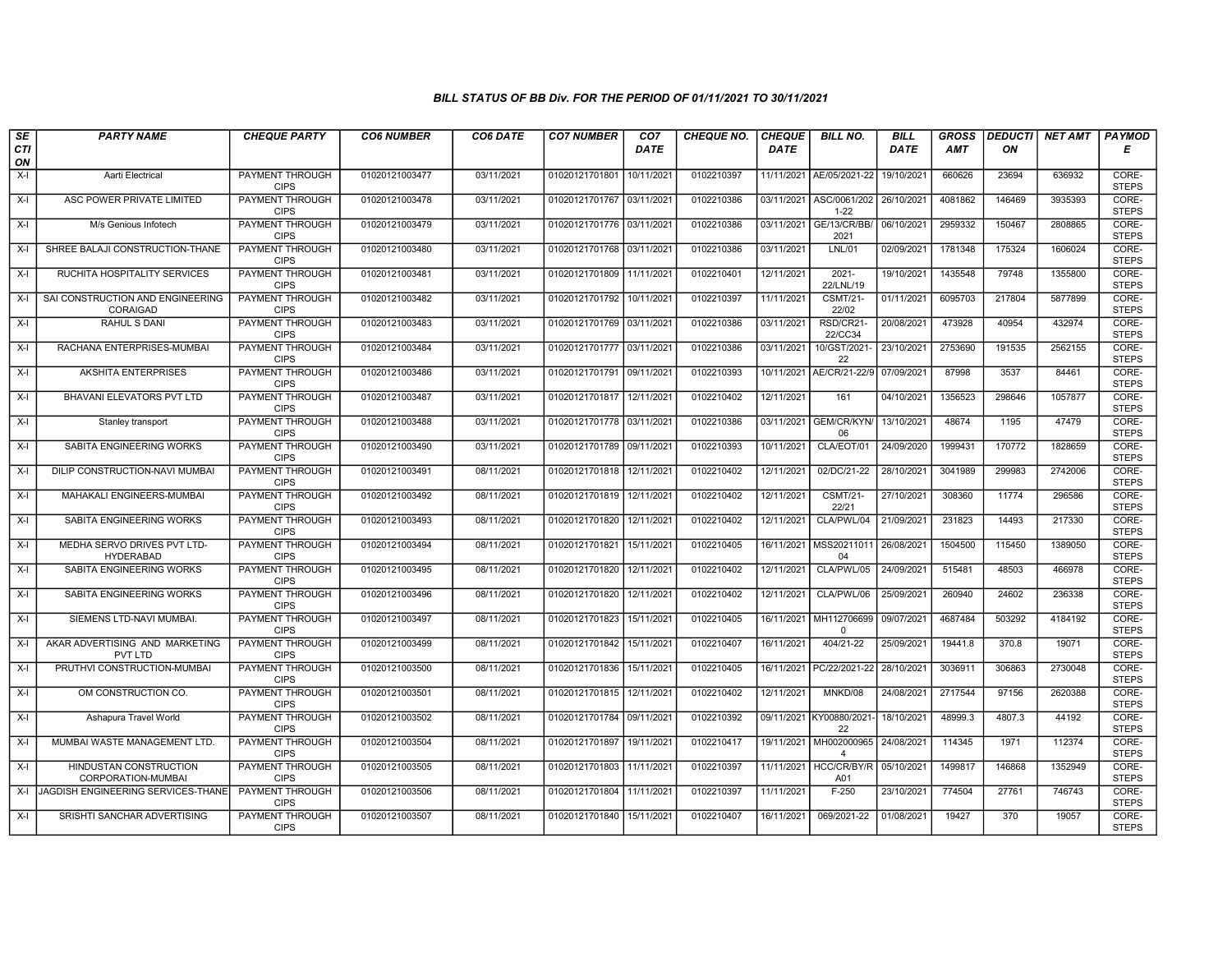| SE        | <b>PARTY NAME</b>                               | <b>CHEQUE PARTY</b>                   | <b>CO6 NUMBER</b> | CO6 DATE   | <b>CO7 NUMBER</b>         | CO <sub>7</sub> | <b>CHEQUE NO.</b> | <b>CHEQUE</b> | <b>BILL NO.</b>               | <b>BILL</b> | <b>GROSS</b> | <b>DEDUCTI</b> | NET AMT | <b>PAYMOD</b>         |
|-----------|-------------------------------------------------|---------------------------------------|-------------------|------------|---------------------------|-----------------|-------------------|---------------|-------------------------------|-------------|--------------|----------------|---------|-----------------------|
| CTI<br>ON |                                                 |                                       |                   |            |                           | <b>DATE</b>     |                   | <b>DATE</b>   |                               | <b>DATE</b> | AMT          | ON             |         | Е                     |
| $X-I$     | Aarti Electrical                                | <b>PAYMENT THROUGH</b><br><b>CIPS</b> | 01020121003477    | 03/11/2021 | 01020121701801 10/11/2021 |                 | 0102210397        |               | 11/11/2021 AE/05/2021-22      | 19/10/2021  | 660626       | 23694          | 636932  | CORE-<br><b>STEPS</b> |
| $X-I$     | ASC POWER PRIVATE LIMITED                       | <b>PAYMENT THROUGH</b><br><b>CIPS</b> | 01020121003478    | 03/11/2021 | 01020121701767 03/11/2021 |                 | 0102210386        | 03/11/2021    | ASC/0061/202<br>$1 - 22$      | 26/10/2021  | 4081862      | 146469         | 3935393 | CORE-<br><b>STEPS</b> |
| X-I       | M/s Genious Infotech                            | PAYMENT THROUGH<br><b>CIPS</b>        | 01020121003479    | 03/11/2021 | 01020121701776 03/11/2021 |                 | 0102210386        | 03/11/2021    | GE/13/CR/BB/<br>2021          | 06/10/2021  | 2959332      | 150467         | 2808865 | CORE-<br><b>STEPS</b> |
| $X-I$     | SHREE BALAJI CONSTRUCTION-THANE                 | PAYMENT THROUGH<br><b>CIPS</b>        | 01020121003480    | 03/11/2021 | 01020121701768 03/11/2021 |                 | 0102210386        | 03/11/2021    | LNL/01                        | 02/09/2021  | 1781348      | 175324         | 1606024 | CORE-<br><b>STEPS</b> |
| $X-I$     | RUCHITA HOSPITALITY SERVICES                    | <b>PAYMENT THROUGH</b><br><b>CIPS</b> | 01020121003481    | 03/11/2021 | 01020121701809            | 11/11/2021      | 0102210401        | 12/11/2021    | $2021 -$<br>22/LNL/19         | 19/10/2021  | 1435548      | 79748          | 1355800 | CORE-<br><b>STEPS</b> |
| $X-I$     | SAI CONSTRUCTION AND ENGINEERING<br>CORAIGAD    | <b>PAYMENT THROUGH</b><br><b>CIPS</b> | 01020121003482    | 03/11/2021 | 01020121701792 10/11/2021 |                 | 0102210397        | 11/11/2021    | <b>CSMT/21-</b><br>22/02      | 01/11/2021  | 6095703      | 217804         | 5877899 | CORE-<br><b>STEPS</b> |
| X-I       | RAHUL S DANI                                    | PAYMENT THROUGH<br><b>CIPS</b>        | 01020121003483    | 03/11/2021 | 01020121701769 03/11/2021 |                 | 0102210386        | 03/11/2021    | RSD/CR21-<br>22/CC34          | 20/08/2021  | 473928       | 40954          | 432974  | CORE-<br><b>STEPS</b> |
| X-I       | RACHANA ENTERPRISES-MUMBAI                      | <b>PAYMENT THROUGH</b><br><b>CIPS</b> | 01020121003484    | 03/11/2021 | 01020121701777 03/11/2021 |                 | 0102210386        | 03/11/2021    | 10/GST/2021<br>22             | 23/10/2021  | 2753690      | 191535         | 2562155 | CORE-<br><b>STEPS</b> |
| $X-I$     | <b>AKSHITA ENTERPRISES</b>                      | PAYMENT THROUGH<br><b>CIPS</b>        | 01020121003486    | 03/11/2021 | 01020121701791 09/11/2021 |                 | 0102210393        | 10/11/2021    | AE/CR/21-22/9                 | 07/09/2021  | 87998        | 3537           | 84461   | CORE-<br><b>STEPS</b> |
| $X-I$     | BHAVANI ELEVATORS PVT LTD                       | <b>PAYMENT THROUGH</b><br><b>CIPS</b> | 01020121003487    | 03/11/2021 | 01020121701817 12/11/2021 |                 | 0102210402        | 12/11/2021    | 161                           | 04/10/2021  | 1356523      | 298646         | 1057877 | CORE-<br><b>STEPS</b> |
| $X-I$     | Stanley transport                               | PAYMENT THROUGH<br><b>CIPS</b>        | 01020121003488    | 03/11/2021 | 01020121701778 03/11/2021 |                 | 0102210386        | 03/11/2021    | GEM/CR/KYN/<br>06             | 13/10/2021  | 48674        | 1195           | 47479   | CORE-<br><b>STEPS</b> |
| $X-I$     | SABITA ENGINEERING WORKS                        | PAYMENT THROUGH<br><b>CIPS</b>        | 01020121003490    | 03/11/2021 | 01020121701789 09/11/2021 |                 | 0102210393        | 10/11/2021    | CLA/EOT/01                    | 24/09/2020  | 1999431      | 170772         | 1828659 | CORE-<br><b>STEPS</b> |
| X-I       | DILIP CONSTRUCTION-NAVI MUMBAI                  | <b>PAYMENT THROUGH</b><br><b>CIPS</b> | 01020121003491    | 08/11/2021 | 01020121701818 12/11/2021 |                 | 0102210402        | 12/11/2021    | 02/DC/21-22                   | 28/10/2021  | 3041989      | 299983         | 2742006 | CORE-<br><b>STEPS</b> |
| $X-I$     | MAHAKALI ENGINEERS-MUMBAI                       | <b>PAYMENT THROUGH</b><br><b>CIPS</b> | 01020121003492    | 08/11/2021 | 01020121701819            | 12/11/2021      | 0102210402        | 12/11/2021    | <b>CSMT/21-</b><br>22/21      | 27/10/2021  | 308360       | 11774          | 296586  | CORE-<br><b>STEPS</b> |
| X-I       | SABITA ENGINEERING WORKS                        | PAYMENT THROUGH<br><b>CIPS</b>        | 01020121003493    | 08/11/2021 | 01020121701820            | 12/11/2021      | 0102210402        | 12/11/2021    | CLA/PWL/04                    | 21/09/2021  | 231823       | 14493          | 217330  | CORE-<br><b>STEPS</b> |
| $X-I$     | MEDHA SERVO DRIVES PVT LTD-<br><b>HYDERABAD</b> | <b>PAYMENT THROUGH</b><br><b>CIPS</b> | 01020121003494    | 08/11/2021 | 01020121701821            | 15/11/2021      | 0102210405        | 16/11/2021    | MSS20211011<br>04             | 26/08/2021  | 1504500      | 115450         | 1389050 | CORE-<br><b>STEPS</b> |
| $X-I$     | SABITA ENGINEERING WORKS                        | PAYMENT THROUGH<br><b>CIPS</b>        | 01020121003495    | 08/11/2021 | 01020121701820            | 12/11/2021      | 0102210402        | 12/11/2021    | CLA/PWL/05                    | 24/09/2021  | 515481       | 48503          | 466978  | CORE-<br><b>STEPS</b> |
| $X-I$     | SABITA ENGINEERING WORKS                        | PAYMENT THROUGH<br><b>CIPS</b>        | 01020121003496    | 08/11/2021 | 01020121701820            | 12/11/2021      | 0102210402        | 12/11/2021    | CLA/PWL/06                    | 25/09/2021  | 260940       | 24602          | 236338  | CORE-<br><b>STEPS</b> |
| $X-I$     | SIEMENS LTD-NAVI MUMBAI.                        | PAYMENT THROUGH<br><b>CIPS</b>        | 01020121003497    | 08/11/2021 | 01020121701823            | 15/11/2021      | 0102210405        | 16/11/2021    | MH112706699<br>$\Omega$       | 09/07/2021  | 4687484      | 503292         | 4184192 | CORE-<br><b>STEPS</b> |
| $X-I$     | AKAR ADVERTISING AND MARKETING<br>PVT LTD       | <b>PAYMENT THROUGH</b><br><b>CIPS</b> | 01020121003499    | 08/11/2021 | 01020121701842            | 15/11/2021      | 0102210407        | 16/11/2021    | 404/21-22                     | 25/09/2021  | 19441.8      | 370.8          | 19071   | CORE-<br><b>STEPS</b> |
| X-I       | PRUTHVI CONSTRUCTION-MUMBAI                     | <b>PAYMENT THROUGH</b><br><b>CIPS</b> | 01020121003500    | 08/11/2021 | 01020121701836            | 15/11/2021      | 0102210405        | 16/11/2021    | PC/22/2021-22                 | 28/10/2021  | 3036911      | 306863         | 2730048 | CORE-<br><b>STEPS</b> |
| X-I       | OM CONSTRUCTION CO.                             | <b>PAYMENT THROUGH</b><br><b>CIPS</b> | 01020121003501    | 08/11/2021 | 01020121701815 12/11/2021 |                 | 0102210402        | 12/11/2021    | MNKD/08                       | 24/08/2021  | 2717544      | 97156          | 2620388 | CORE-<br><b>STEPS</b> |
| $X-I$     | Ashapura Travel World                           | PAYMENT THROUGH<br><b>CIPS</b>        | 01020121003502    | 08/11/2021 | 01020121701784 09/11/2021 |                 | 0102210392        | 09/11/2021    | KY00880/2021<br>22            | 18/10/2021  | 48999.3      | 4807.3         | 44192   | CORE-<br><b>STEPS</b> |
| $X-I$     | MUMBAI WASTE MANAGEMENT LTD.                    | <b>PAYMENT THROUGH</b><br><b>CIPS</b> | 01020121003504    | 08/11/2021 | 01020121701897            | 19/11/2021      | 0102210417        | 19/11/2021    | MH002000965<br>$\overline{4}$ | 24/08/2021  | 114345       | 1971           | 112374  | CORE-<br><b>STEPS</b> |
| X-I       | HINDUSTAN CONSTRUCTION<br>CORPORATION-MUMBAI    | PAYMENT THROUGH<br><b>CIPS</b>        | 01020121003505    | 08/11/2021 | 01020121701803            | 11/11/2021      | 0102210397        | 11/11/2021    | HCC/CR/BY/R<br>A01            | 05/10/2021  | 1499817      | 146868         | 1352949 | CORE-<br><b>STEPS</b> |
| $X-I$     | JAGDISH ENGINEERING SERVICES-THANE              | <b>PAYMENT THROUGH</b><br><b>CIPS</b> | 01020121003506    | 08/11/2021 | 01020121701804            | 11/11/2021      | 0102210397        | 11/11/2021    | $F-250$                       | 23/10/2021  | 774504       | 27761          | 746743  | CORE-<br><b>STEPS</b> |
| X-I       | SRISHTI SANCHAR ADVERTISING                     | PAYMENT THROUGH<br><b>CIPS</b>        | 01020121003507    | 08/11/2021 | 01020121701840 15/11/2021 |                 | 0102210407        | 16/11/2021    | 069/2021-22                   | 01/08/2021  | 19427        | 370            | 19057   | CORE-<br><b>STEPS</b> |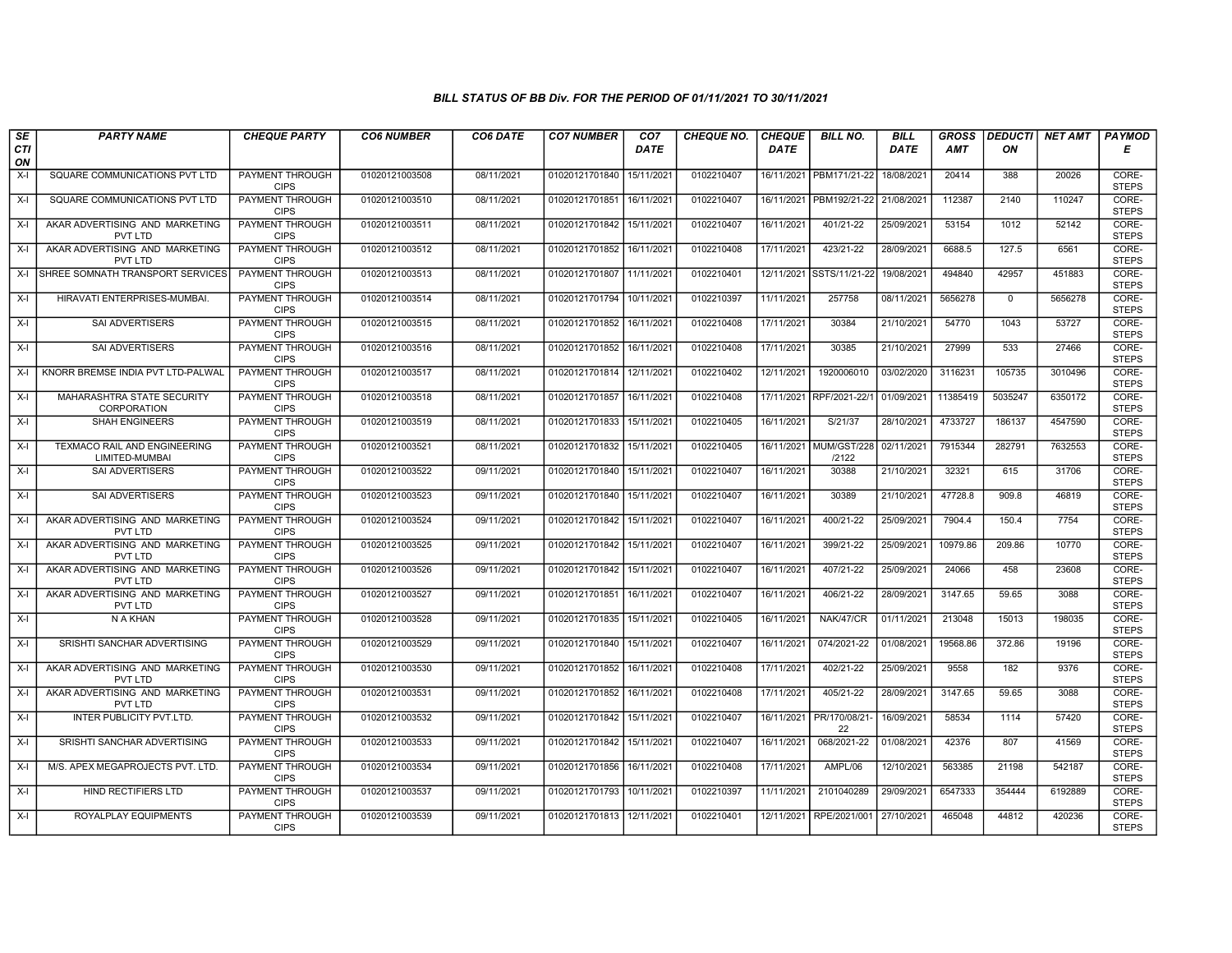| SE        | <b>PARTY NAME</b>                                     | <b>CHEQUE PARTY</b>                   | <b>CO6 NUMBER</b> | CO6 DATE   | <b>CO7 NUMBER</b>         | CO <sub>7</sub> | <b>CHEQUE NO.</b> | <b>CHEQUE</b> | <b>BILL NO.</b>         | <b>BILL</b> | <b>GROSS</b> | <b>DEDUCTI</b> | NET AMT | <b>PAYMOD</b>         |
|-----------|-------------------------------------------------------|---------------------------------------|-------------------|------------|---------------------------|-----------------|-------------------|---------------|-------------------------|-------------|--------------|----------------|---------|-----------------------|
| CTI<br>ON |                                                       |                                       |                   |            |                           | <b>DATE</b>     |                   | <b>DATE</b>   |                         | <b>DATE</b> | AMT          | ON             |         | Е                     |
| $X-I$     | SQUARE COMMUNICATIONS PVT LTD                         | <b>PAYMENT THROUGH</b><br><b>CIPS</b> | 01020121003508    | 08/11/2021 | 01020121701840 15/11/2021 |                 | 0102210407        |               | 16/11/2021 PBM171/21-22 | 18/08/2021  | 20414        | 388            | 20026   | CORE-<br><b>STEPS</b> |
| X-I       | SQUARE COMMUNICATIONS PVT LTD                         | <b>PAYMENT THROUGH</b><br><b>CIPS</b> | 01020121003510    | 08/11/2021 | 01020121701851 16/11/2021 |                 | 0102210407        | 16/11/2021    | PBM192/21-22            | 21/08/2021  | 112387       | 2140           | 110247  | CORE-<br><b>STEPS</b> |
| X-I       | AKAR ADVERTISING AND MARKETING<br><b>PVT LTD</b>      | PAYMENT THROUGH<br><b>CIPS</b>        | 01020121003511    | 08/11/2021 | 01020121701842            | 15/11/2021      | 0102210407        | 16/11/2021    | 401/21-22               | 25/09/2021  | 53154        | 1012           | 52142   | CORE-<br><b>STEPS</b> |
| $X-I$     | AKAR ADVERTISING AND MARKETING<br>PVT LTD             | PAYMENT THROUGH<br><b>CIPS</b>        | 01020121003512    | 08/11/2021 | 01020121701852            | 16/11/2021      | 0102210408        | 17/11/2021    | 423/21-22               | 28/09/2021  | 6688.5       | 127.5          | 6561    | CORE-<br><b>STEPS</b> |
| X-I       | SHREE SOMNATH TRANSPORT SERVICES                      | <b>PAYMENT THROUGH</b><br><b>CIPS</b> | 01020121003513    | 08/11/2021 | 01020121701807            | 11/11/2021      | 0102210401        | 12/11/2021    | SSTS/11/21-22           | 19/08/2021  | 494840       | 42957          | 451883  | CORE-<br><b>STEPS</b> |
| $X-I$     | HIRAVATI ENTERPRISES-MUMBAI.                          | <b>PAYMENT THROUGH</b><br><b>CIPS</b> | 01020121003514    | 08/11/2021 | 01020121701794 10/11/2021 |                 | 0102210397        | 11/11/2021    | 257758                  | 08/11/2021  | 5656278      | $\Omega$       | 5656278 | CORE-<br><b>STEPS</b> |
| X-I       | SAI ADVERTISERS                                       | PAYMENT THROUGH<br><b>CIPS</b>        | 01020121003515    | 08/11/2021 | 01020121701852            | 16/11/2021      | 0102210408        | 17/11/2021    | 30384                   | 21/10/2021  | 54770        | 1043           | 53727   | CORE-<br><b>STEPS</b> |
| X-I       | SAI ADVERTISERS                                       | <b>PAYMENT THROUGH</b><br><b>CIPS</b> | 01020121003516    | 08/11/2021 | 01020121701852            | 16/11/2021      | 0102210408        | 17/11/2021    | 30385                   | 21/10/2021  | 27999        | 533            | 27466   | CORE-<br><b>STEPS</b> |
| X-I       | KNORR BREMSE INDIA PVT LTD-PALWAL                     | PAYMENT THROUGH<br><b>CIPS</b>        | 01020121003517    | 08/11/2021 | 01020121701814            | 12/11/2021      | 0102210402        | 12/11/2021    | 1920006010              | 03/02/2020  | 3116231      | 105735         | 3010496 | CORE-<br><b>STEPS</b> |
| $X-I$     | <b>MAHARASHTRA STATE SECURITY</b><br>CORPORATION      | <b>PAYMENT THROUGH</b><br><b>CIPS</b> | 01020121003518    | 08/11/2021 | 01020121701857            | 16/11/2021      | 0102210408        | 17/11/2021    | RPF/2021-22/1           | 01/09/2021  | 11385419     | 5035247        | 6350172 | CORE-<br><b>STEPS</b> |
| X-I       | <b>SHAH ENGINEERS</b>                                 | PAYMENT THROUGH<br><b>CIPS</b>        | 01020121003519    | 08/11/2021 | 01020121701833            | 15/11/2021      | 0102210405        | 16/11/2021    | S/21/37                 | 28/10/2021  | 4733727      | 186137         | 4547590 | CORE-<br><b>STEPS</b> |
| $X-I$     | <b>TEXMACO RAIL AND ENGINEERING</b><br>LIMITED-MUMBAI | <b>PAYMENT THROUGH</b><br><b>CIPS</b> | 01020121003521    | 08/11/2021 | 01020121701832            | 15/11/2021      | 0102210405        | 16/11/2021    | MUM/GST/228<br>/2122    | 02/11/2021  | 7915344      | 282791         | 7632553 | CORE-<br><b>STEPS</b> |
| X-I       | <b>SAI ADVERTISERS</b>                                | <b>PAYMENT THROUGH</b><br><b>CIPS</b> | 01020121003522    | 09/11/2021 | 01020121701840 15/11/2021 |                 | 0102210407        | 16/11/2021    | 30388                   | 21/10/2021  | 32321        | 615            | 31706   | CORE-<br><b>STEPS</b> |
| $X-I$     | <b>SAI ADVERTISERS</b>                                | <b>PAYMENT THROUGH</b><br><b>CIPS</b> | 01020121003523    | 09/11/2021 | 01020121701840            | 15/11/2021      | 0102210407        | 16/11/2021    | 30389                   | 21/10/2021  | 47728.8      | 909.8          | 46819   | CORE-<br><b>STEPS</b> |
| $X-I$     | AKAR ADVERTISING AND MARKETING<br>PVT LTD             | PAYMENT THROUGH<br><b>CIPS</b>        | 01020121003524    | 09/11/2021 | 01020121701842 15/11/2021 |                 | 0102210407        | 16/11/2021    | 400/21-22               | 25/09/2021  | 7904.4       | 150.4          | 7754    | CORE-<br><b>STEPS</b> |
| $X-I$     | AKAR ADVERTISING AND MARKETING<br>PVT LTD             | <b>PAYMENT THROUGH</b><br><b>CIPS</b> | 01020121003525    | 09/11/2021 | 01020121701842            | 15/11/2021      | 0102210407        | 16/11/2021    | 399/21-22               | 25/09/2021  | 10979.86     | 209.86         | 10770   | CORE-<br><b>STEPS</b> |
| $X-I$     | AKAR ADVERTISING AND MARKETING<br>PVT LTD             | <b>PAYMENT THROUGH</b><br><b>CIPS</b> | 01020121003526    | 09/11/2021 | 01020121701842            | 15/11/2021      | 0102210407        | 16/11/2021    | 407/21-22               | 25/09/2021  | 24066        | 458            | 23608   | CORE-<br><b>STEPS</b> |
| $X-I$     | AKAR ADVERTISING AND MARKETING<br>PVT LTD             | <b>PAYMENT THROUGH</b><br><b>CIPS</b> | 01020121003527    | 09/11/2021 | 01020121701851            | 16/11/2021      | 0102210407        | 16/11/2021    | 406/21-22               | 28/09/2021  | 3147.65      | 59.65          | 3088    | CORE-<br><b>STEPS</b> |
| $X-I$     | N A KHAN                                              | PAYMENT THROUGH<br><b>CIPS</b>        | 01020121003528    | 09/11/2021 | 01020121701835 15/11/2021 |                 | 0102210405        | 16/11/2021    | NAK/47/CR               | 01/11/2021  | 213048       | 15013          | 198035  | CORE-<br><b>STEPS</b> |
| $X-I$     | SRISHTI SANCHAR ADVERTISING                           | PAYMENT THROUGH<br><b>CIPS</b>        | 01020121003529    | 09/11/2021 | 01020121701840            | 15/11/2021      | 0102210407        | 16/11/2021    | 074/2021-22             | 01/08/2021  | 19568.86     | 372.86         | 19196   | CORE-<br><b>STEPS</b> |
| X-I       | AKAR ADVERTISING AND MARKETING<br>PVT LTD             | <b>PAYMENT THROUGH</b><br><b>CIPS</b> | 01020121003530    | 09/11/2021 | 01020121701852            | 16/11/2021      | 0102210408        | 17/11/2021    | 402/21-22               | 25/09/2021  | 9558         | 182            | 9376    | CORE-<br><b>STEPS</b> |
| X-I       | AKAR ADVERTISING AND MARKETING<br>PVT LTD             | <b>PAYMENT THROUGH</b><br><b>CIPS</b> | 01020121003531    | 09/11/2021 | 01020121701852 16/11/2021 |                 | 0102210408        | 17/11/2021    | 405/21-22               | 28/09/2021  | 3147.65      | 59.65          | 3088    | CORE-<br><b>STEPS</b> |
| $X-I$     | INTER PUBLICITY PVT.LTD.                              | PAYMENT THROUGH<br><b>CIPS</b>        | 01020121003532    | 09/11/2021 | 01020121701842            | 15/11/2021      | 0102210407        | 16/11/2021    | PR/170/08/21<br>22      | 16/09/2021  | 58534        | 1114           | 57420   | CORE-<br><b>STEPS</b> |
| $X-I$     | SRISHTI SANCHAR ADVERTISING                           | PAYMENT THROUGH<br><b>CIPS</b>        | 01020121003533    | 09/11/2021 | 01020121701842            | 15/11/2021      | 0102210407        | 16/11/2021    | 068/2021-22             | 01/08/2021  | 42376        | 807            | 41569   | CORE-<br><b>STEPS</b> |
| X-I       | M/S. APEX MEGAPROJECTS PVT. LTD.                      | PAYMENT THROUGH<br><b>CIPS</b>        | 01020121003534    | 09/11/2021 | 01020121701856            | 16/11/2021      | 0102210408        | 17/11/2021    | AMPL/06                 | 12/10/2021  | 563385       | 21198          | 542187  | CORE-<br><b>STEPS</b> |
| $X-I$     | <b>HIND RECTIFIERS LTD</b>                            | <b>PAYMENT THROUGH</b><br><b>CIPS</b> | 01020121003537    | 09/11/2021 | 01020121701793            | 10/11/2021      | 0102210397        | 11/11/2021    | 2101040289              | 29/09/2021  | 6547333      | 354444         | 6192889 | CORE-<br><b>STEPS</b> |
| X-I       | ROYALPLAY EQUIPMENTS                                  | <b>PAYMENT THROUGH</b><br><b>CIPS</b> | 01020121003539    | 09/11/2021 | 01020121701813 12/11/2021 |                 | 0102210401        | 12/11/2021    | RPE/2021/001            | 27/10/2021  | 465048       | 44812          | 420236  | CORE-<br><b>STEPS</b> |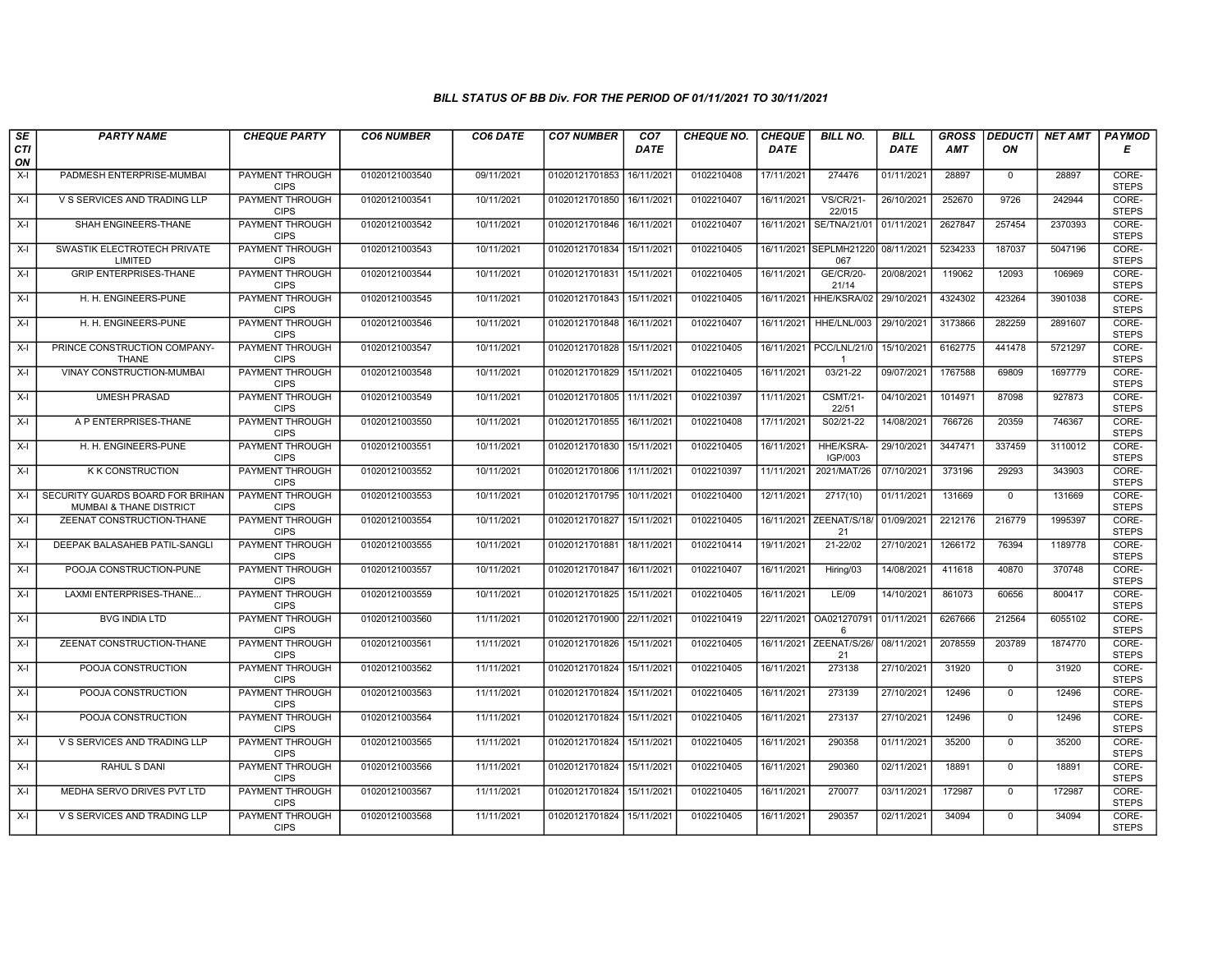| SE        | <b>PARTY NAME</b>                                           | <b>CHEQUE PARTY</b>                   | <b>CO6 NUMBER</b> | CO6 DATE   | <b>CO7 NUMBER</b>         | CO <sub>7</sub> | <b>CHEQUE NO.</b> | <b>CHEQUE</b> | <b>BILL NO.</b>              | <b>BILL</b> | <b>GROSS</b> |              | <b>DEDUCTI NET AMT</b> | <b>PAYMOD</b>         |
|-----------|-------------------------------------------------------------|---------------------------------------|-------------------|------------|---------------------------|-----------------|-------------------|---------------|------------------------------|-------------|--------------|--------------|------------------------|-----------------------|
| CTI<br>ON |                                                             |                                       |                   |            |                           | <b>DATE</b>     |                   | <b>DATE</b>   |                              | <b>DATE</b> | <b>AMT</b>   | ON           |                        | Е                     |
| $X-I$     | PADMESH ENTERPRISE-MUMBAI                                   | PAYMENT THROUGH<br><b>CIPS</b>        | 01020121003540    | 09/11/2021 | 01020121701853            | 16/11/2021      | 0102210408        | 17/11/2021    | 274476                       | 01/11/2021  | 28897        | $\mathbf 0$  | 28897                  | CORE-<br><b>STEPS</b> |
| $X-I$     | V S SERVICES AND TRADING LLP                                | <b>PAYMENT THROUGH</b><br><b>CIPS</b> | 01020121003541    | 10/11/2021 | 01020121701850            | 16/11/2021      | 0102210407        | 16/11/2021    | <b>VS/CR/21-</b><br>22/015   | 26/10/2021  | 252670       | 9726         | 242944                 | CORE-<br><b>STEPS</b> |
| X-I       | SHAH ENGINEERS-THANE                                        | PAYMENT THROUGH<br><b>CIPS</b>        | 01020121003542    | 10/11/2021 | 01020121701846            | 16/11/2021      | 0102210407        | 16/11/2021    | SE/TNA/21/01                 | 01/11/2021  | 2627847      | 257454       | 2370393                | CORE-<br><b>STEPS</b> |
| $X-I$     | SWASTIK ELECTROTECH PRIVATE<br>LIMITED                      | PAYMENT THROUGH<br><b>CIPS</b>        | 01020121003543    | 10/11/2021 | 01020121701834            | 15/11/2021      | 0102210405        | 16/11/2021    | <b>SEPLMH21220</b><br>067    | 08/11/2021  | 5234233      | 187037       | 5047196                | CORE-<br><b>STEPS</b> |
| $X-I$     | <b>GRIP ENTERPRISES-THANE</b>                               | <b>PAYMENT THROUGH</b><br><b>CIPS</b> | 01020121003544    | 10/11/2021 | 01020121701831 15/11/2021 |                 | 0102210405        | 16/11/2021    | <b>GE/CR/20-</b><br>21/14    | 20/08/2021  | 119062       | 12093        | 106969                 | CORE-<br><b>STEPS</b> |
| $X-I$     | H. H. ENGINEERS-PUNE                                        | <b>PAYMENT THROUGH</b><br><b>CIPS</b> | 01020121003545    | 10/11/2021 | 01020121701843            | 15/11/2021      | 0102210405        | 16/11/2021    | HHE/KSRA/02                  | 29/10/2021  | 4324302      | 423264       | 3901038                | CORE-<br><b>STEPS</b> |
| $X-I$     | H. H. ENGINEERS-PUNE                                        | <b>PAYMENT THROUGH</b><br><b>CIPS</b> | 01020121003546    | 10/11/2021 | 01020121701848            | 16/11/2021      | 0102210407        | 16/11/2021    | HHE/LNL/003                  | 29/10/2021  | 3173866      | 282259       | 2891607                | CORE-<br><b>STEPS</b> |
| $X-I$     | PRINCE CONSTRUCTION COMPANY-<br><b>THANE</b>                | PAYMENT THROUGH<br><b>CIPS</b>        | 01020121003547    | 10/11/2021 | 01020121701828            | 15/11/2021      | 0102210405        | 16/11/2021    | PCC/LNL/21/0<br>$\mathbf{1}$ | 15/10/2021  | 6162775      | 441478       | 5721297                | CORE-<br><b>STEPS</b> |
| X-I       | VINAY CONSTRUCTION-MUMBAI                                   | PAYMENT THROUGH<br><b>CIPS</b>        | 01020121003548    | 10/11/2021 | 01020121701829            | 15/11/2021      | 0102210405        | 16/11/2021    | 03/21-22                     | 09/07/2021  | 1767588      | 69809        | 1697779                | CORE-<br><b>STEPS</b> |
| $X-I$     | <b>UMESH PRASAD</b>                                         | <b>PAYMENT THROUGH</b><br><b>CIPS</b> | 01020121003549    | 10/11/2021 | 01020121701805            | 11/11/2021      | 0102210397        | 11/11/2021    | <b>CSMT/21-</b><br>22/51     | 04/10/2021  | 1014971      | 87098        | 927873                 | CORE-<br><b>STEPS</b> |
| $X-I$     | A P ENTERPRISES-THANE                                       | PAYMENT THROUGH<br><b>CIPS</b>        | 01020121003550    | 10/11/2021 | 01020121701855            | 16/11/2021      | 0102210408        | 17/11/2021    | S02/21-22                    | 14/08/2021  | 766726       | 20359        | 746367                 | CORE-<br><b>STEPS</b> |
| $X-I$     | H. H. ENGINEERS-PUNE                                        | PAYMENT THROUGH<br><b>CIPS</b>        | 01020121003551    | 10/11/2021 | 01020121701830            | 15/11/2021      | 0102210405        | 16/11/2021    | <b>HHE/KSRA-</b><br>IGP/003  | 29/10/2021  | 3447471      | 337459       | 3110012                | CORE-<br><b>STEPS</b> |
| X-I       | <b>K K CONSTRUCTION</b>                                     | <b>PAYMENT THROUGH</b><br><b>CIPS</b> | 01020121003552    | 10/11/2021 | 01020121701806 11/11/2021 |                 | 0102210397        | 11/11/2021    | 2021/MAT/26                  | 07/10/2021  | 373196       | 29293        | 343903                 | CORE-<br><b>STEPS</b> |
| X-I       | SECURITY GUARDS BOARD FOR BRIHAN<br>MUMBAI & THANE DISTRICT | <b>PAYMENT THROUGH</b><br><b>CIPS</b> | 01020121003553    | 10/11/2021 | 01020121701795            | 10/11/2021      | 0102210400        | 12/11/2021    | 2717(10)                     | 01/11/2021  | 131669       | $\mathbf 0$  | 131669                 | CORE-<br><b>STEPS</b> |
| $X-I$     | ZEENAT CONSTRUCTION-THANE                                   | <b>PAYMENT THROUGH</b><br><b>CIPS</b> | 01020121003554    | 10/11/2021 | 01020121701827            | 15/11/2021      | 0102210405        | 16/11/2021    | ZEENAT/S/18/<br>21           | 01/09/2021  | 2212176      | 216779       | 1995397                | CORE-<br><b>STEPS</b> |
| $X-I$     | DEEPAK BALASAHEB PATIL-SANGL                                | PAYMENT THROUGH<br><b>CIPS</b>        | 01020121003555    | 10/11/2021 | 01020121701881 18/11/2021 |                 | 0102210414        | 19/11/2021    | 21-22/02                     | 27/10/2021  | 1266172      | 76394        | 1189778                | CORE-<br><b>STEPS</b> |
| X-I       | POOJA CONSTRUCTION-PUNE                                     | <b>PAYMENT THROUGH</b><br><b>CIPS</b> | 01020121003557    | 10/11/2021 | 01020121701847            | 16/11/2021      | 0102210407        | 16/11/2021    | Hiring/03                    | 14/08/2021  | 411618       | 40870        | 370748                 | CORE-<br><b>STEPS</b> |
| X-I       | LAXMI ENTERPRISES-THANE                                     | <b>PAYMENT THROUGH</b><br><b>CIPS</b> | 01020121003559    | 10/11/2021 | 01020121701825 15/11/2021 |                 | 0102210405        | 16/11/2021    | LE/09                        | 14/10/2021  | 861073       | 60656        | 800417                 | CORE-<br><b>STEPS</b> |
| $X-I$     | <b>BVG INDIA LTD</b>                                        | PAYMENT THROUGH<br><b>CIPS</b>        | 01020121003560    | 11/11/2021 | 01020121701900            | 22/11/2021      | 0102210419        | 22/11/2021    | OA021270791<br>6             | 01/11/2021  | 6267666      | 212564       | 6055102                | CORE-<br><b>STEPS</b> |
| $X-I$     | ZEENAT CONSTRUCTION-THANE                                   | <b>PAYMENT THROUGH</b><br><b>CIPS</b> | 01020121003561    | 11/11/2021 | 01020121701826            | 15/11/2021      | 0102210405        | 16/11/2021    | ZEENAT/S/26/<br>21           | 08/11/2021  | 2078559      | 203789       | 1874770                | CORE-<br><b>STEPS</b> |
| X-I       | POOJA CONSTRUCTION                                          | PAYMENT THROUGH<br><b>CIPS</b>        | 01020121003562    | 11/11/2021 | 01020121701824            | 15/11/2021      | 0102210405        | 16/11/2021    | 273138                       | 27/10/2021  | 31920        | $\Omega$     | 31920                  | CORE-<br><b>STEPS</b> |
| X-I       | POOJA CONSTRUCTION                                          | <b>PAYMENT THROUGH</b><br><b>CIPS</b> | 01020121003563    | 11/11/2021 | 01020121701824            | 15/11/2021      | 0102210405        | 16/11/2021    | 273139                       | 27/10/2021  | 12496        | $\mathbf{0}$ | 12496                  | CORE-<br><b>STEPS</b> |
| $X-I$     | POOJA CONSTRUCTION                                          | PAYMENT THROUGH<br><b>CIPS</b>        | 01020121003564    | 11/11/2021 | 01020121701824            | 15/11/2021      | 0102210405        | 16/11/2021    | 273137                       | 27/10/2021  | 12496        | $\mathbf 0$  | 12496                  | CORE-<br><b>STEPS</b> |
| $X-I$     | V S SERVICES AND TRADING LLP                                | PAYMENT THROUGH<br><b>CIPS</b>        | 01020121003565    | 11/11/2021 | 01020121701824            | 15/11/2021      | 0102210405        | 16/11/2021    | 290358                       | 01/11/2021  | 35200        | $\mathbf 0$  | 35200                  | CORE-<br><b>STEPS</b> |
| X-I       | RAHUL S DANI                                                | <b>PAYMENT THROUGH</b><br><b>CIPS</b> | 01020121003566    | 11/11/2021 | 01020121701824            | 15/11/2021      | 0102210405        | 16/11/2021    | 290360                       | 02/11/2021  | 18891        | $\mathbf 0$  | 18891                  | CORE-<br><b>STEPS</b> |
| $X-I$     | MEDHA SERVO DRIVES PVT LTD                                  | <b>PAYMENT THROUGH</b><br><b>CIPS</b> | 01020121003567    | 11/11/2021 | 01020121701824            | 15/11/2021      | 0102210405        | 16/11/2021    | 270077                       | 03/11/2021  | 172987       | $\Omega$     | 172987                 | CORE-<br><b>STEPS</b> |
| X-I       | V S SERVICES AND TRADING LLP                                | <b>PAYMENT THROUGH</b><br><b>CIPS</b> | 01020121003568    | 11/11/2021 | 01020121701824            | 15/11/2021      | 0102210405        | 16/11/2021    | 290357                       | 02/11/2021  | 34094        | $\mathbf{0}$ | 34094                  | CORE-<br><b>STEPS</b> |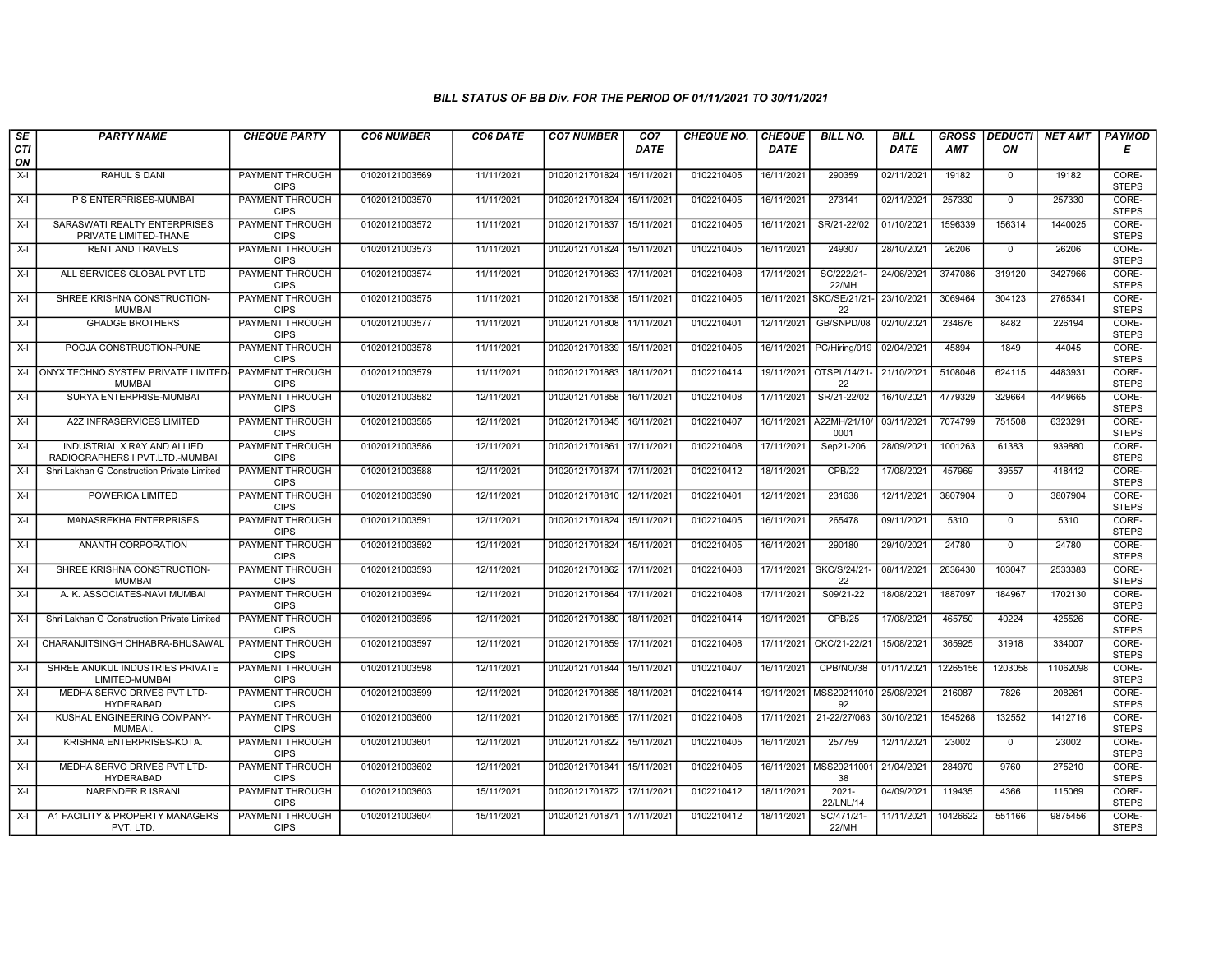| SE        | <b>PARTY NAME</b>                                              | <b>CHEQUE PARTY</b>                   | <b>CO6 NUMBER</b> | CO6 DATE   | <b>CO7 NUMBER</b>         | CO <sub>7</sub> | <b>CHEQUE NO.</b> | <b>CHEQUE</b> | <b>BILL NO.</b>                | <b>BILL</b> | <b>GROSS</b> |              | <b>DEDUCTI NET AMT</b> | <b>PAYMOD</b>         |
|-----------|----------------------------------------------------------------|---------------------------------------|-------------------|------------|---------------------------|-----------------|-------------------|---------------|--------------------------------|-------------|--------------|--------------|------------------------|-----------------------|
| CTI<br>ON |                                                                |                                       |                   |            |                           | <b>DATE</b>     |                   | <b>DATE</b>   |                                | <b>DATE</b> | <b>AMT</b>   | ON           |                        | Е                     |
| $X-I$     | <b>RAHUL S DANI</b>                                            | <b>PAYMENT THROUGH</b><br><b>CIPS</b> | 01020121003569    | 11/11/2021 | 01020121701824            | 15/11/2021      | 0102210405        | 16/11/2021    | 290359                         | 02/11/2021  | 19182        | $\mathbf{0}$ | 19182                  | CORE-<br><b>STEPS</b> |
| $X-I$     | P S ENTERPRISES-MUMBAI                                         | <b>PAYMENT THROUGH</b><br><b>CIPS</b> | 01020121003570    | 11/11/2021 | 01020121701824            | 15/11/2021      | 0102210405        | 16/11/2021    | 273141                         | 02/11/2021  | 257330       | $\mathbf 0$  | 257330                 | CORE-<br><b>STEPS</b> |
| $X-I$     | SARASWATI REALTY ENTERPRISES<br>PRIVATE LIMITED-THANE          | PAYMENT THROUGH<br><b>CIPS</b>        | 01020121003572    | 11/11/2021 | 01020121701837            | 15/11/202       | 0102210405        | 16/11/2021    | SR/21-22/02                    | 01/10/2021  | 1596339      | 156314       | 1440025                | CORE-<br><b>STEPS</b> |
| $X-I$     | <b>RENT AND TRAVELS</b>                                        | <b>PAYMENT THROUGH</b><br><b>CIPS</b> | 01020121003573    | 11/11/2021 | 01020121701824            | 15/11/2021      | 0102210405        | 16/11/2021    | 249307                         | 28/10/2021  | 26206        | $\mathbf 0$  | 26206                  | CORE-<br><b>STEPS</b> |
| $X-I$     | ALL SERVICES GLOBAL PVT LTD                                    | <b>PAYMENT THROUGH</b><br><b>CIPS</b> | 01020121003574    | 11/11/2021 | 01020121701863 17/11/2021 |                 | 0102210408        | 17/11/2021    | SC/222/21-<br>22/MH            | 24/06/2021  | 3747086      | 319120       | 3427966                | CORE-<br><b>STEPS</b> |
| $X-I$     | SHREE KRISHNA CONSTRUCTION-<br><b>MUMBAI</b>                   | <b>PAYMENT THROUGH</b><br><b>CIPS</b> | 01020121003575    | 11/11/2021 | 01020121701838 15/11/2021 |                 | 0102210405        |               | 16/11/2021 SKC/SE/21/21-<br>22 | 23/10/2021  | 3069464      | 304123       | 2765341                | CORE-<br><b>STEPS</b> |
| $X-I$     | <b>GHADGE BROTHERS</b>                                         | PAYMENT THROUGH<br><b>CIPS</b>        | 01020121003577    | 11/11/2021 | 01020121701808 11/11/2021 |                 | 0102210401        | 12/11/2021    | GB/SNPD/08                     | 02/10/2021  | 234676       | 8482         | 226194                 | CORE-<br><b>STEPS</b> |
| $X-I$     | POOJA CONSTRUCTION-PUNE                                        | PAYMENT THROUGH<br><b>CIPS</b>        | 01020121003578    | 11/11/2021 | 01020121701839            | 15/11/2021      | 0102210405        | 16/11/2021    | PC/Hiring/019                  | 02/04/2021  | 45894        | 1849         | 44045                  | CORE-<br><b>STEPS</b> |
| $X-I$     | ONYX TECHNO SYSTEM PRIVATE LIMITED<br><b>MUMBAI</b>            | PAYMENT THROUGH<br><b>CIPS</b>        | 01020121003579    | 11/11/2021 | 01020121701883            | 18/11/2021      | 0102210414        | 19/11/2021    | OTSPL/14/21<br>22              | 21/10/2021  | 5108046      | 624115       | 4483931                | CORE-<br><b>STEPS</b> |
| $X-I$     | SURYA ENTERPRISE-MUMBAI                                        | <b>PAYMENT THROUGH</b><br><b>CIPS</b> | 01020121003582    | 12/11/2021 | 01020121701858            | 16/11/2021      | 0102210408        | 17/11/2021    | SR/21-22/02                    | 16/10/2021  | 4779329      | 329664       | 4449665                | CORE-<br><b>STEPS</b> |
| $X-I$     | A2Z INFRASERVICES LIMITED                                      | PAYMENT THROUGH<br><b>CIPS</b>        | 01020121003585    | 12/11/2021 | 01020121701845            | 16/11/2021      | 0102210407        | 16/11/2021    | A2ZMH/21/10/<br>0001           | 03/11/2021  | 7074799      | 751508       | 6323291                | CORE-<br><b>STEPS</b> |
| $X-I$     | INDUSTRIAL X RAY AND ALLIED<br>RADIOGRAPHERS I PVT.LTD.-MUMBAI | PAYMENT THROUGH<br><b>CIPS</b>        | 01020121003586    | 12/11/2021 | 01020121701861 17/11/2021 |                 | 0102210408        | 17/11/2021    | Sep21-206                      | 28/09/2021  | 1001263      | 61383        | 939880                 | CORE-<br><b>STEPS</b> |
| $X-I$     | Shri Lakhan G Construction Private Limited                     | <b>PAYMENT THROUGH</b><br><b>CIPS</b> | 01020121003588    | 12/11/2021 | 01020121701874 17/11/2021 |                 | 0102210412        | 18/11/2021    | <b>CPB/22</b>                  | 17/08/2021  | 457969       | 39557        | 418412                 | CORE-<br><b>STEPS</b> |
| $X-I$     | POWERICA LIMITED                                               | <b>PAYMENT THROUGH</b><br><b>CIPS</b> | 01020121003590    | 12/11/2021 | 01020121701810 12/11/2021 |                 | 0102210401        | 12/11/2021    | 231638                         | 12/11/2021  | 3807904      | $\mathbf{0}$ | 3807904                | CORE-<br><b>STEPS</b> |
| $X-I$     | <b>MANASREKHA ENTERPRISES</b>                                  | PAYMENT THROUGH<br><b>CIPS</b>        | 01020121003591    | 12/11/2021 | 01020121701824            | 15/11/2021      | 0102210405        | 16/11/2021    | 265478                         | 09/11/2021  | 5310         | $\mathbf{0}$ | 5310                   | CORE-<br><b>STEPS</b> |
| $X-I$     | ANANTH CORPORATION                                             | <b>PAYMENT THROUGH</b><br><b>CIPS</b> | 01020121003592    | 12/11/2021 | 01020121701824            | 15/11/2021      | 0102210405        | 16/11/2021    | 290180                         | 29/10/2021  | 24780        | $\mathbf 0$  | 24780                  | CORE-<br><b>STEPS</b> |
| $X-I$     | SHREE KRISHNA CONSTRUCTION-<br><b>MUMBAI</b>                   | PAYMENT THROUGH<br><b>CIPS</b>        | 01020121003593    | 12/11/2021 | 01020121701862 17/11/2021 |                 | 0102210408        | 17/11/2021    | SKC/S/24/21<br>22              | 08/11/2021  | 2636430      | 103047       | 2533383                | CORE-<br><b>STEPS</b> |
| $X-I$     | A. K. ASSOCIATES-NAVI MUMBAI                                   | <b>PAYMENT THROUGH</b><br><b>CIPS</b> | 01020121003594    | 12/11/2021 | 01020121701864 17/11/2021 |                 | 0102210408        | 17/11/2021    | S09/21-22                      | 18/08/2021  | 1887097      | 184967       | 1702130                | CORE-<br><b>STEPS</b> |
| $X-I$     | Shri Lakhan G Construction Private Limited                     | PAYMENT THROUGH<br><b>CIPS</b>        | 01020121003595    | 12/11/2021 | 01020121701880            | 18/11/2021      | 0102210414        | 19/11/2021    | CPB/25                         | 17/08/2021  | 465750       | 40224        | 425526                 | CORE-<br><b>STEPS</b> |
| $X-I$     | CHARANJITSINGH CHHABRA-BHUSAWAL                                | <b>PAYMENT THROUGH</b><br><b>CIPS</b> | 01020121003597    | 12/11/2021 | 01020121701859            | 17/11/2021      | 0102210408        | 17/11/2021    | CKC/21-22/21                   | 15/08/2021  | 365925       | 31918        | 334007                 | CORE-<br><b>STEPS</b> |
| $X-I$     | SHREE ANUKUL INDUSTRIES PRIVATE<br>LIMITED-MUMBAI              | PAYMENT THROUGH<br><b>CIPS</b>        | 01020121003598    | 12/11/2021 | 01020121701844            | 15/11/2021      | 0102210407        | 16/11/2021    | CPB/NO/38                      | 01/11/2021  | 12265156     | 1203058      | 11062098               | CORE-<br><b>STEPS</b> |
| $X-I$     | MEDHA SERVO DRIVES PVT LTD-<br><b>HYDERABAD</b>                | <b>PAYMENT THROUGH</b><br><b>CIPS</b> | 01020121003599    | 12/11/2021 | 01020121701885 18/11/2021 |                 | 0102210414        | 19/11/2021    | MSS20211010<br>92              | 25/08/2021  | 216087       | 7826         | 208261                 | CORE-<br><b>STEPS</b> |
| $X-I$     | KUSHAL ENGINEERING COMPANY-<br><b>MUMBAI</b>                   | PAYMENT THROUGH<br><b>CIPS</b>        | 01020121003600    | 12/11/2021 | 01020121701865 17/11/202  |                 | 0102210408        | 17/11/2021    | 21-22/27/063                   | 30/10/2021  | 1545268      | 132552       | 1412716                | CORE-<br><b>STEPS</b> |
| $X-I$     | KRISHNA ENTERPRISES-KOTA.                                      | PAYMENT THROUGH<br><b>CIPS</b>        | 01020121003601    | 12/11/2021 | 01020121701822            | 15/11/2021      | 0102210405        | 16/11/2021    | 257759                         | 12/11/2021  | 23002        | $\mathbf 0$  | 23002                  | CORE-<br><b>STEPS</b> |
| $X-I$     | MEDHA SERVO DRIVES PVT LTD-<br><b>HYDERABAD</b>                | PAYMENT THROUGH<br><b>CIPS</b>        | 01020121003602    | 12/11/2021 | 01020121701841            | 15/11/2021      | 0102210405        |               | 16/11/2021 MSS20211001<br>38   | 21/04/2021  | 284970       | 9760         | 275210                 | CORE-<br><b>STEPS</b> |
| $X-I$     | <b>NARENDER R ISRANI</b>                                       | <b>PAYMENT THROUGH</b><br><b>CIPS</b> | 01020121003603    | 15/11/2021 | 01020121701872 17/11/2021 |                 | 0102210412        | 18/11/2021    | $2021 -$<br>22/LNL/14          | 04/09/2021  | 119435       | 4366         | 115069                 | CORE-<br><b>STEPS</b> |
| $X-I$     | A1 FACILITY & PROPERTY MANAGERS<br>PVT. LTD.                   | PAYMENT THROUGH<br><b>CIPS</b>        | 01020121003604    | 15/11/2021 | 01020121701871 17/11/2021 |                 | 0102210412        | 18/11/2021    | SC/471/21-<br>22/MH            | 11/11/2021  | 10426622     | 551166       | 9875456                | CORE-<br><b>STEPS</b> |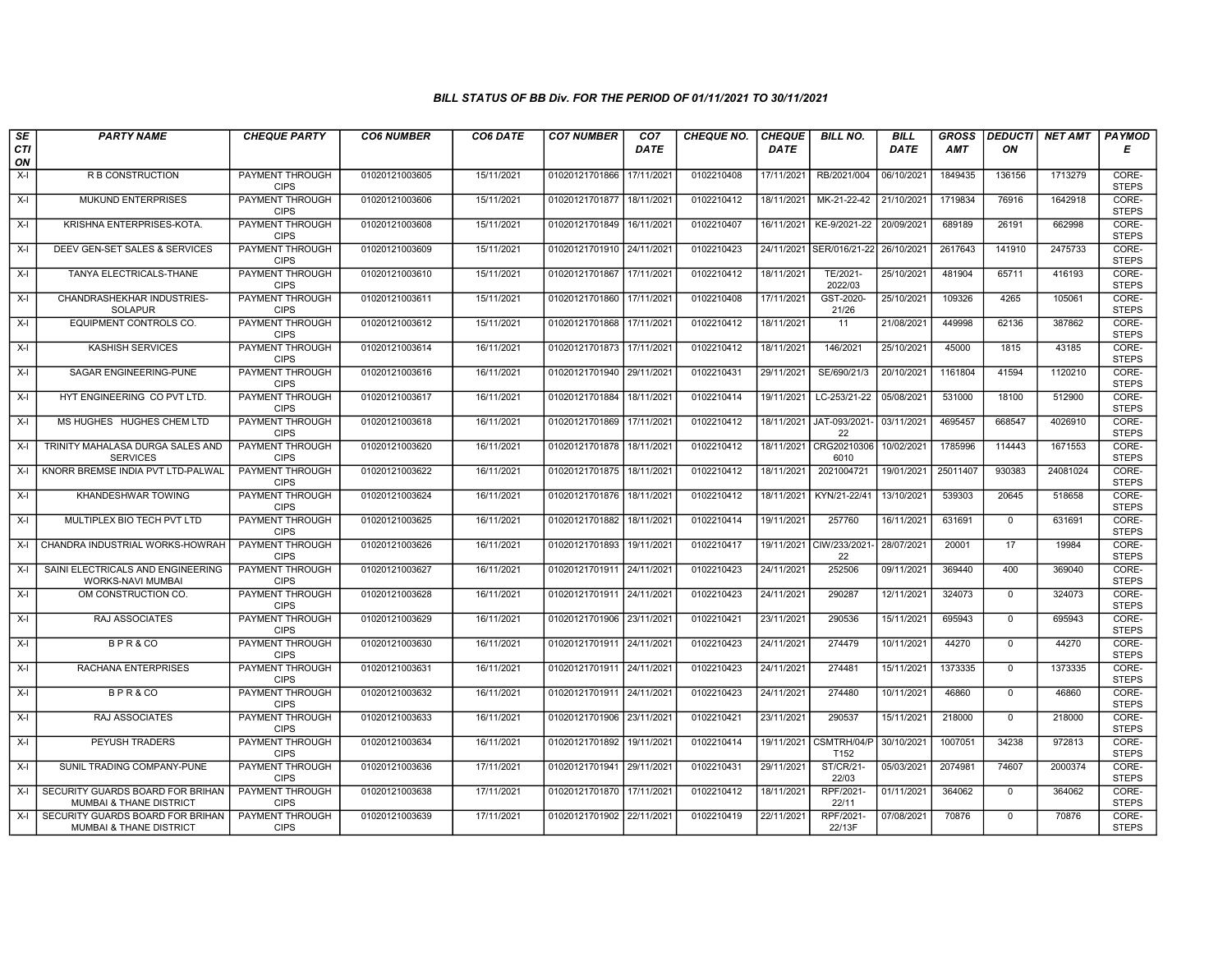| SE               | <b>PARTY NAME</b>                                                      | <b>CHEQUE PARTY</b>                   | <b>CO6 NUMBER</b> | CO6 DATE   | <b>CO7 NUMBER</b>         | CO <sub>7</sub> | <b>CHEQUE NO.</b> | <b>CHEQUE</b> | <b>BILL NO.</b>                | <b>BILL</b> | <b>GROSS</b> |              | DEDUCTI NET AMT | <b>PAYMOD</b>         |
|------------------|------------------------------------------------------------------------|---------------------------------------|-------------------|------------|---------------------------|-----------------|-------------------|---------------|--------------------------------|-------------|--------------|--------------|-----------------|-----------------------|
| <b>CTI</b><br>ON |                                                                        |                                       |                   |            |                           | <b>DATE</b>     |                   | <b>DATE</b>   |                                | <b>DATE</b> | AMT          | ON           |                 | Е                     |
| $X-I$            | <b>R B CONSTRUCTION</b>                                                | PAYMENT THROUGH<br><b>CIPS</b>        | 01020121003605    | 15/11/2021 | 01020121701866            | 17/11/2021      | 0102210408        | 17/11/2021    | RB/2021/004                    | 06/10/2021  | 1849435      | 136156       | 1713279         | CORE-<br><b>STEPS</b> |
| X-I              | <b>MUKUND ENTERPRISES</b>                                              | <b>PAYMENT THROUGH</b><br><b>CIPS</b> | 01020121003606    | 15/11/2021 | 01020121701877            | 18/11/2021      | 0102210412        | 18/11/2021    | MK-21-22-42                    | 21/10/2021  | 1719834      | 76916        | 1642918         | CORE-<br><b>STEPS</b> |
| X-I              | KRISHNA ENTERPRISES-KOTA.                                              | PAYMENT THROUGH<br><b>CIPS</b>        | 01020121003608    | 15/11/2021 | 01020121701849            | 16/11/2021      | 0102210407        | 16/11/2021    | KE-9/2021-22                   | 20/09/2021  | 689189       | 26191        | 662998          | CORE-<br><b>STEPS</b> |
| X-I              | DEEV GEN-SET SALES & SERVICES                                          | <b>PAYMENT THROUGH</b><br><b>CIPS</b> | 01020121003609    | 15/11/2021 | 01020121701910 24/11/2021 |                 | 0102210423        | 24/11/2021    | SER/016/21-22                  | 26/10/2021  | 2617643      | 141910       | 2475733         | CORE-<br><b>STEPS</b> |
| $X-I$            | TANYA ELECTRICALS-THANE                                                | <b>PAYMENT THROUGH</b><br><b>CIPS</b> | 01020121003610    | 15/11/2021 | 01020121701867            | 17/11/2021      | 0102210412        | 18/11/2021    | TE/2021-<br>2022/03            | 25/10/2021  | 481904       | 65711        | 416193          | CORE-<br><b>STEPS</b> |
| X-I              | CHANDRASHEKHAR INDUSTRIES-<br><b>SOLAPUR</b>                           | <b>PAYMENT THROUGH</b><br><b>CIPS</b> | 01020121003611    | 15/11/2021 | 01020121701860 17/11/2021 |                 | 0102210408        | 17/11/2021    | GST-2020-<br>21/26             | 25/10/2021  | 109326       | 4265         | 105061          | CORE-<br><b>STEPS</b> |
| X-I              | EQUIPMENT CONTROLS CO.                                                 | PAYMENT THROUGH<br><b>CIPS</b>        | 01020121003612    | 15/11/2021 | 01020121701868            | 17/11/2021      | 0102210412        | 18/11/2021    | 11                             | 21/08/2021  | 449998       | 62136        | 387862          | CORE-<br><b>STEPS</b> |
| X-I              | <b>KASHISH SERVICES</b>                                                | <b>PAYMENT THROUGH</b><br><b>CIPS</b> | 01020121003614    | 16/11/2021 | 01020121701873 17/11/2021 |                 | 0102210412        | 18/11/2021    | 146/2021                       | 25/10/2021  | 45000        | 1815         | 43185           | CORE-<br><b>STEPS</b> |
| X-I              | SAGAR ENGINEERING-PUNE                                                 | <b>PAYMENT THROUGH</b><br><b>CIPS</b> | 01020121003616    | 16/11/2021 | 01020121701940 29/11/2021 |                 | 0102210431        | 29/11/2021    | SE/690/21/3                    | 20/10/2021  | 1161804      | 41594        | 1120210         | CORE-<br><b>STEPS</b> |
| $X-I$            | HYT ENGINEERING CO PVT LTD.                                            | <b>PAYMENT THROUGH</b><br><b>CIPS</b> | 01020121003617    | 16/11/2021 | 01020121701884            | 18/11/2021      | 0102210414        | 19/11/2021    | LC-253/21-22                   | 05/08/2021  | 531000       | 18100        | 512900          | CORE-<br><b>STEPS</b> |
| X-I              | MS HUGHES HUGHES CHEM LTD                                              | PAYMENT THROUGH<br><b>CIPS</b>        | 01020121003618    | 16/11/2021 | 01020121701869            | 17/11/2021      | 0102210412        | 18/11/2021    | JAT-093/2021-<br>22            | 03/11/2021  | 4695457      | 668547       | 4026910         | CORE-<br><b>STEPS</b> |
| X-I              | TRINITY MAHALASA DURGA SALES AND<br><b>SERVICES</b>                    | PAYMENT THROUGH<br><b>CIPS</b>        | 01020121003620    | 16/11/2021 | 01020121701878            | 18/11/2021      | 0102210412        |               | 18/11/2021 CRG20210306<br>6010 | 10/02/2021  | 1785996      | 114443       | 1671553         | CORE-<br><b>STEPS</b> |
| $X-I$            | KNORR BREMSE INDIA PVT LTD-PALWAL                                      | <b>PAYMENT THROUGH</b><br><b>CIPS</b> | 01020121003622    | 16/11/2021 | 01020121701875 18/11/2021 |                 | 0102210412        | 18/11/2021    | 2021004721                     | 19/01/2021  | 25011407     | 930383       | 24081024        | CORE-<br><b>STEPS</b> |
| X-I              | KHANDESHWAR TOWING                                                     | <b>PAYMENT THROUGH</b><br><b>CIPS</b> | 01020121003624    | 16/11/2021 | 01020121701876            | 18/11/2021      | 0102210412        | 18/11/2021    | KYN/21-22/41                   | 13/10/2021  | 539303       | 20645        | 518658          | CORE-<br><b>STEPS</b> |
| $X-I$            | MULTIPLEX BIO TECH PVT LTD                                             | PAYMENT THROUGH<br><b>CIPS</b>        | 01020121003625    | 16/11/2021 | 01020121701882            | 18/11/2021      | 0102210414        | 19/11/2021    | 257760                         | 16/11/2021  | 631691       | $\Omega$     | 631691          | CORE-<br><b>STEPS</b> |
| X-I              | CHANDRA INDUSTRIAL WORKS-HOWRAH                                        | PAYMENT THROUGH<br><b>CIPS</b>        | 01020121003626    | 16/11/2021 | 01020121701893            | 19/11/2021      | 0102210417        |               | 19/11/2021 CIW/233/2021-<br>22 | 28/07/2021  | 20001        | 17           | 19984           | CORE-<br><b>STEPS</b> |
| $X-I$            | SAINI ELECTRICALS AND ENGINEERING<br>WORKS-NAVI MUMBAI                 | <b>PAYMENT THROUGH</b><br><b>CIPS</b> | 01020121003627    | 16/11/2021 | 01020121701911 24/11/2021 |                 | 0102210423        | 24/11/2021    | 252506                         | 09/11/2021  | 369440       | 400          | 369040          | CORE-<br><b>STEPS</b> |
| X-I              | OM CONSTRUCTION CO.                                                    | <b>PAYMENT THROUGH</b><br><b>CIPS</b> | 01020121003628    | 16/11/2021 | 01020121701911 24/11/2021 |                 | 0102210423        | 24/11/2021    | 290287                         | 12/11/2021  | 324073       | $\mathbf 0$  | 324073          | CORE-<br><b>STEPS</b> |
| X-I              | RAJ ASSOCIATES                                                         | PAYMENT THROUGH<br><b>CIPS</b>        | 01020121003629    | 16/11/2021 | 01020121701906            | 23/11/2021      | 0102210421        | 23/11/2021    | 290536                         | 15/11/2021  | 695943       | $^{\circ}$   | 695943          | CORE-<br><b>STEPS</b> |
| $X-I$            | BPR&CO                                                                 | <b>PAYMENT THROUGH</b><br><b>CIPS</b> | 01020121003630    | 16/11/2021 | 01020121701911 24/11/2021 |                 | 0102210423        | 24/11/2021    | 274479                         | 10/11/2021  | 44270        | $\mathbf 0$  | 44270           | CORE-<br><b>STEPS</b> |
| X-I              | RACHANA ENTERPRISES                                                    | PAYMENT THROUGH<br><b>CIPS</b>        | 01020121003631    | 16/11/2021 | 01020121701911 24/11/2021 |                 | 0102210423        | 24/11/2021    | 274481                         | 15/11/2021  | 1373335      | $\mathbf{0}$ | 1373335         | CORE-<br><b>STEPS</b> |
| $X-I$            | BPR&CO                                                                 | <b>PAYMENT THROUGH</b><br><b>CIPS</b> | 01020121003632    | 16/11/2021 | 01020121701911 24/11/2021 |                 | 0102210423        | 24/11/2021    | 274480                         | 10/11/2021  | 46860        | $\mathbf 0$  | 46860           | CORE-<br><b>STEPS</b> |
| X-I              | RAJ ASSOCIATES                                                         | PAYMENT THROUGH<br><b>CIPS</b>        | 01020121003633    | 16/11/2021 | 01020121701906            | 23/11/2021      | 0102210421        | 23/11/2021    | 290537                         | 15/11/2021  | 218000       | $\mathbf 0$  | 218000          | CORE-<br><b>STEPS</b> |
| X-I              | PEYUSH TRADERS                                                         | <b>PAYMENT THROUGH</b><br><b>CIPS</b> | 01020121003634    | 16/11/2021 | 01020121701892            | 19/11/2021      | 0102210414        | 19/11/2021    | CSMTRH/04/P<br>T152            | 30/10/2021  | 1007051      | 34238        | 972813          | CORE-<br><b>STEPS</b> |
| X-I              | SUNIL TRADING COMPANY-PUNE                                             | PAYMENT THROUGH<br><b>CIPS</b>        | 01020121003636    | 17/11/2021 | 01020121701941 29/11/2021 |                 | 0102210431        | 29/11/2021    | ST/CR/21-<br>22/03             | 05/03/2021  | 2074981      | 74607        | 2000374         | CORE-<br><b>STEPS</b> |
| X-I              | SECURITY GUARDS BOARD FOR BRIHAN<br><b>MUMBAI &amp; THANE DISTRICT</b> | <b>PAYMENT THROUGH</b><br><b>CIPS</b> | 01020121003638    | 17/11/2021 | 01020121701870 17/11/2021 |                 | 0102210412        | 18/11/2021    | RPF/2021-<br>22/11             | 01/11/2021  | 364062       | $\mathbf 0$  | 364062          | CORE-<br><b>STEPS</b> |
| X-I              | SECURITY GUARDS BOARD FOR BRIHAN<br>MUMBAI & THANE DISTRICT            | PAYMENT THROUGH<br><b>CIPS</b>        | 01020121003639    | 17/11/2021 | 01020121701902 22/11/2021 |                 | 0102210419        | 22/11/2021    | RPF/2021-<br>22/13F            | 07/08/2021  | 70876        | $^{\circ}$   | 70876           | CORE-<br><b>STEPS</b> |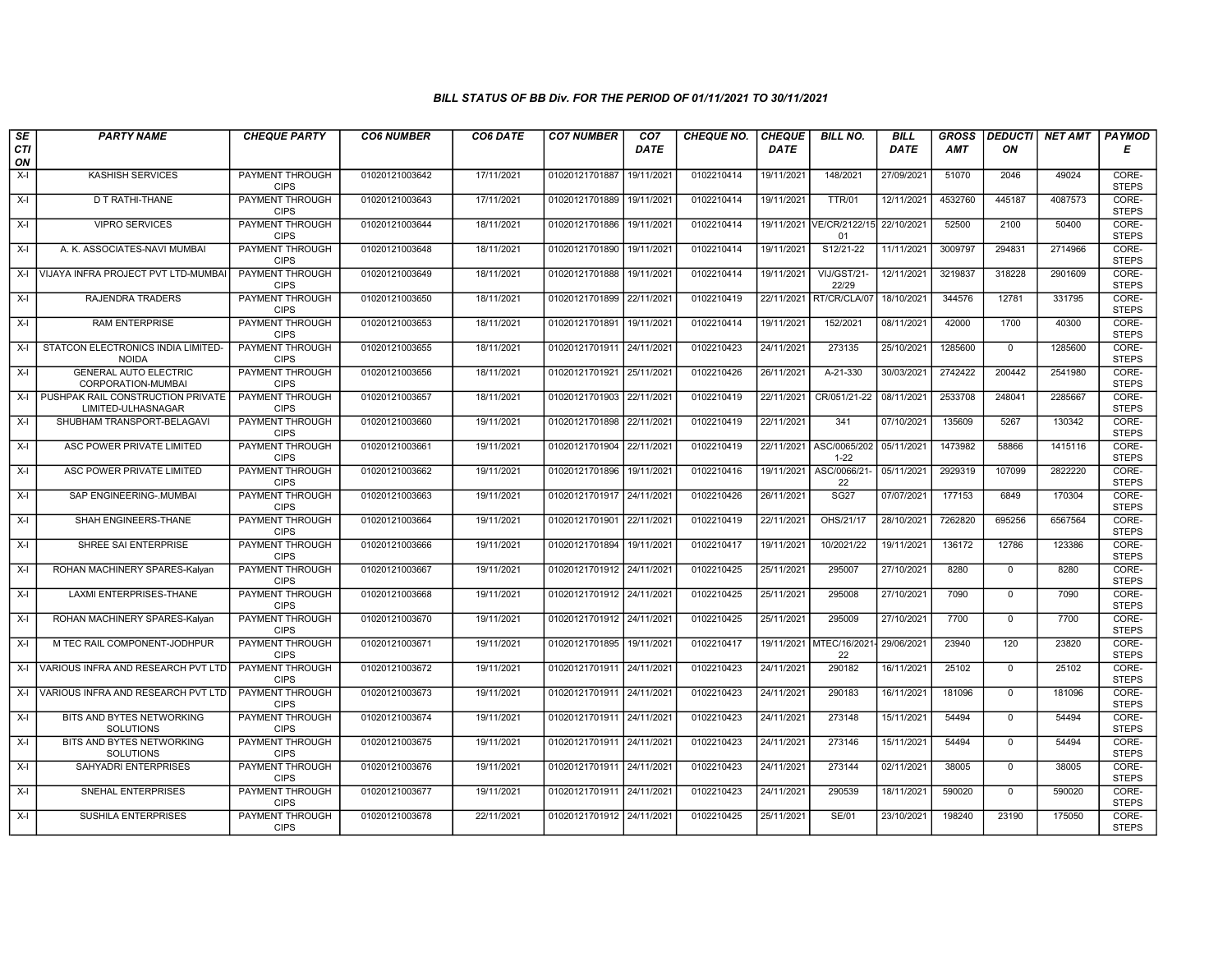| SE        | <b>PARTY NAME</b>                                       | <b>CHEQUE PARTY</b>                   | <b>CO6 NUMBER</b> | CO6 DATE   | <b>CO7 NUMBER</b>         | CO <sub>7</sub> | <b>CHEQUE NO.</b> | <b>CHEQUE</b> | <b>BILL NO.</b>               | <b>BILL</b> | <b>GROSS</b> | <b>DEDUCTI</b> | NET AMT | <b>PAYMOD</b>         |
|-----------|---------------------------------------------------------|---------------------------------------|-------------------|------------|---------------------------|-----------------|-------------------|---------------|-------------------------------|-------------|--------------|----------------|---------|-----------------------|
| CTI<br>ON |                                                         |                                       |                   |            |                           | <b>DATE</b>     |                   | <b>DATE</b>   |                               | DATE        | AMT          | ON             |         | Е                     |
| $X-I$     | KASHISH SERVICES                                        | <b>PAYMENT THROUGH</b><br><b>CIPS</b> | 01020121003642    | 17/11/2021 | 01020121701887            | 19/11/2021      | 0102210414        | 19/11/2021    | 148/2021                      | 27/09/2021  | 51070        | 2046           | 49024   | CORE-<br><b>STEPS</b> |
| X-I       | D T RATHI-THANE                                         | <b>PAYMENT THROUGH</b><br><b>CIPS</b> | 01020121003643    | 17/11/2021 | 01020121701889            | 19/11/2021      | 0102210414        | 19/11/2021    | <b>TTR/01</b>                 | 12/11/2021  | 4532760      | 445187         | 4087573 | CORE-<br><b>STEPS</b> |
| X-I       | <b>VIPRO SERVICES</b>                                   | PAYMENT THROUGH<br><b>CIPS</b>        | 01020121003644    | 18/11/2021 | 01020121701886            | 19/11/2021      | 0102210414        | 19/11/2021    | VE/CR/2122/15<br>01           | 22/10/2021  | 52500        | 2100           | 50400   | CORE-<br><b>STEPS</b> |
| X-I       | A. K. ASSOCIATES-NAVI MUMBAI                            | PAYMENT THROUGH<br><b>CIPS</b>        | 01020121003648    | 18/11/2021 | 01020121701890            | 19/11/2021      | 0102210414        | 19/11/2021    | S12/21-22                     | 11/11/2021  | 3009797      | 294831         | 2714966 | CORE-<br><b>STEPS</b> |
| $X-I$     | VIJAYA INFRA PROJECT PVT LTD-MUMBAI                     | <b>PAYMENT THROUGH</b><br><b>CIPS</b> | 01020121003649    | 18/11/2021 | 01020121701888            | 19/11/2021      | 0102210414        | 19/11/2021    | VIJ/GST/21-<br>22/29          | 12/11/2021  | 3219837      | 318228         | 2901609 | CORE-<br><b>STEPS</b> |
| X-I       | RAJENDRA TRADERS                                        | <b>PAYMENT THROUGH</b><br><b>CIPS</b> | 01020121003650    | 18/11/2021 | 01020121701899 22/11/2021 |                 | 0102210419        | 22/11/2021    | RT/CR/CLA/07                  | 18/10/2021  | 344576       | 12781          | 331795  | CORE-<br><b>STEPS</b> |
| X-I       | <b>RAM ENTERPRISE</b>                                   | PAYMENT THROUGH<br><b>CIPS</b>        | 01020121003653    | 18/11/2021 | 01020121701891 19/11/2021 |                 | 0102210414        | 19/11/2021    | 152/2021                      | 08/11/2021  | 42000        | 1700           | 40300   | CORE-<br><b>STEPS</b> |
| X-I       | STATCON ELECTRONICS INDIA LIMITED-<br><b>NOIDA</b>      | <b>PAYMENT THROUGH</b><br><b>CIPS</b> | 01020121003655    | 18/11/2021 | 01020121701911 24/11/2021 |                 | 0102210423        | 24/11/2021    | 273135                        | 25/10/2021  | 1285600      | $\Omega$       | 1285600 | CORE-<br><b>STEPS</b> |
| X-I       | <b>GENERAL AUTO ELECTRIC</b><br>CORPORATION-MUMBAI      | <b>PAYMENT THROUGH</b><br><b>CIPS</b> | 01020121003656    | 18/11/2021 | 01020121701921 25/11/2021 |                 | 0102210426        | 26/11/2021    | A-21-330                      | 30/03/2021  | 2742422      | 200442         | 2541980 | CORE-<br><b>STEPS</b> |
| $X-I$     | PUSHPAK RAIL CONSTRUCTION PRIVATE<br>LIMITED-ULHASNAGAR | <b>PAYMENT THROUGH</b><br><b>CIPS</b> | 01020121003657    | 18/11/2021 | 01020121701903 22/11/2021 |                 | 0102210419        | 22/11/2021    | CR/051/21-22                  | 08/11/2021  | 2533708      | 248041         | 2285667 | CORE-<br><b>STEPS</b> |
| $X-I$     | SHUBHAM TRANSPORT-BELAGAVI                              | PAYMENT THROUGH<br><b>CIPS</b>        | 01020121003660    | 19/11/2021 | 01020121701898            | 22/11/2021      | 0102210419        | 22/11/2021    | 341                           | 07/10/2021  | 135609       | 5267           | 130342  | CORE-<br><b>STEPS</b> |
| $X-I$     | ASC POWER PRIVATE LIMITED                               | <b>PAYMENT THROUGH</b><br><b>CIPS</b> | 01020121003661    | 19/11/2021 | 01020121701904 22/11/2021 |                 | 0102210419        | 22/11/2021    | ASC/0065/202<br>$1 - 22$      | 05/11/2021  | 1473982      | 58866          | 1415116 | CORE-<br><b>STEPS</b> |
| X-I       | ASC POWER PRIVATE LIMITED                               | <b>PAYMENT THROUGH</b><br><b>CIPS</b> | 01020121003662    | 19/11/2021 | 01020121701896 19/11/2021 |                 | 0102210416        | 19/11/2021    | ASC/0066/21<br>22             | 05/11/2021  | 2929319      | 107099         | 2822220 | CORE-<br><b>STEPS</b> |
| $X-I$     | SAP ENGINEERING-.MUMBAI                                 | <b>PAYMENT THROUGH</b><br><b>CIPS</b> | 01020121003663    | 19/11/2021 | 01020121701917 24/11/2021 |                 | 0102210426        | 26/11/2021    | <b>SG27</b>                   | 07/07/2021  | 177153       | 6849           | 170304  | CORE-<br><b>STEPS</b> |
| $X-I$     | SHAH ENGINEERS-THANE                                    | PAYMENT THROUGH<br><b>CIPS</b>        | 01020121003664    | 19/11/2021 | 01020121701901 22/11/2021 |                 | 0102210419        | 22/11/2021    | OHS/21/17                     | 28/10/2021  | 7262820      | 695256         | 6567564 | CORE-<br><b>STEPS</b> |
| $X-I$     | SHREE SAI ENTERPRISE                                    | <b>PAYMENT THROUGH</b><br><b>CIPS</b> | 01020121003666    | 19/11/2021 | 01020121701894            | 19/11/2021      | 0102210417        | 19/11/2021    | 10/2021/22                    | 19/11/2021  | 136172       | 12786          | 123386  | CORE-<br><b>STEPS</b> |
| $X-I$     | ROHAN MACHINERY SPARES-Kalyan                           | <b>PAYMENT THROUGH</b><br><b>CIPS</b> | 01020121003667    | 19/11/2021 | 01020121701912 24/11/2021 |                 | 0102210425        | 25/11/2021    | 295007                        | 27/10/2021  | 8280         | $\mathbf{0}$   | 8280    | CORE-<br><b>STEPS</b> |
| $X-I$     | <b>LAXMI ENTERPRISES-THANE</b>                          | <b>PAYMENT THROUGH</b><br><b>CIPS</b> | 01020121003668    | 19/11/2021 | 01020121701912 24/11/2021 |                 | 0102210425        | 25/11/2021    | 295008                        | 27/10/2021  | 7090         | $\Omega$       | 7090    | CORE-<br><b>STEPS</b> |
| $X-I$     | ROHAN MACHINERY SPARES-Kalyan                           | PAYMENT THROUGH<br><b>CIPS</b>        | 01020121003670    | 19/11/2021 | 01020121701912 24/11/2021 |                 | 0102210425        | 25/11/2021    | 295009                        | 27/10/2021  | 7700         | $\mathbf 0$    | 7700    | CORE-<br><b>STEPS</b> |
| $X-I$     | M TEC RAIL COMPONENT-JODHPUR                            | PAYMENT THROUGH<br><b>CIPS</b>        | 01020121003671    | 19/11/2021 | 01020121701895            | 19/11/2021      | 0102210417        |               | 19/11/2021 MTEC/16/2021<br>22 | 29/06/2021  | 23940        | 120            | 23820   | CORE-<br><b>STEPS</b> |
| X-I       | VARIOUS INFRA AND RESEARCH PVT LTD                      | PAYMENT THROUGH<br><b>CIPS</b>        | 01020121003672    | 19/11/2021 | 01020121701911 24/11/2021 |                 | 0102210423        | 24/11/2021    | 290182                        | 16/11/2021  | 25102        | $\mathbf{0}$   | 25102   | CORE-<br><b>STEPS</b> |
| X-I       | VARIOUS INFRA AND RESEARCH PVT LTD                      | <b>PAYMENT THROUGH</b><br><b>CIPS</b> | 01020121003673    | 19/11/2021 | 01020121701911 24/11/2021 |                 | 0102210423        | 24/11/2021    | 290183                        | 16/11/2021  | 181096       | $\mathbf 0$    | 181096  | CORE-<br><b>STEPS</b> |
| $X-I$     | BITS AND BYTES NETWORKING<br><b>SOLUTIONS</b>           | PAYMENT THROUGH<br><b>CIPS</b>        | 01020121003674    | 19/11/2021 | 01020121701911 24/11/2021 |                 | 0102210423        | 24/11/2021    | 273148                        | 15/11/2021  | 54494        | $\mathbf 0$    | 54494   | CORE-<br><b>STEPS</b> |
| $X-I$     | BITS AND BYTES NETWORKING<br><b>SOLUTIONS</b>           | PAYMENT THROUGH<br><b>CIPS</b>        | 01020121003675    | 19/11/2021 | 01020121701911 24/11/2021 |                 | 0102210423        | 24/11/2021    | 273146                        | 15/11/2021  | 54494        | $\mathbf 0$    | 54494   | CORE-<br><b>STEPS</b> |
| $X-I$     | SAHYADRI ENTERPRISES                                    | PAYMENT THROUGH<br><b>CIPS</b>        | 01020121003676    | 19/11/2021 | 01020121701911 24/11/2021 |                 | 0102210423        | 24/11/2021    | 273144                        | 02/11/2021  | 38005        | $\Omega$       | 38005   | CORE-<br><b>STEPS</b> |
| $X-I$     | SNEHAL ENTERPRISES                                      | <b>PAYMENT THROUGH</b><br><b>CIPS</b> | 01020121003677    | 19/11/2021 | 01020121701911 24/11/2021 |                 | 0102210423        | 24/11/2021    | 290539                        | 18/11/2021  | 590020       | $\mathbf 0$    | 590020  | CORE-<br><b>STEPS</b> |
| X-I       | SUSHILA ENTERPRISES                                     | <b>PAYMENT THROUGH</b><br><b>CIPS</b> | 01020121003678    | 22/11/2021 | 01020121701912 24/11/2021 |                 | 0102210425        | 25/11/2021    | <b>SE/01</b>                  | 23/10/2021  | 198240       | 23190          | 175050  | CORE-<br><b>STEPS</b> |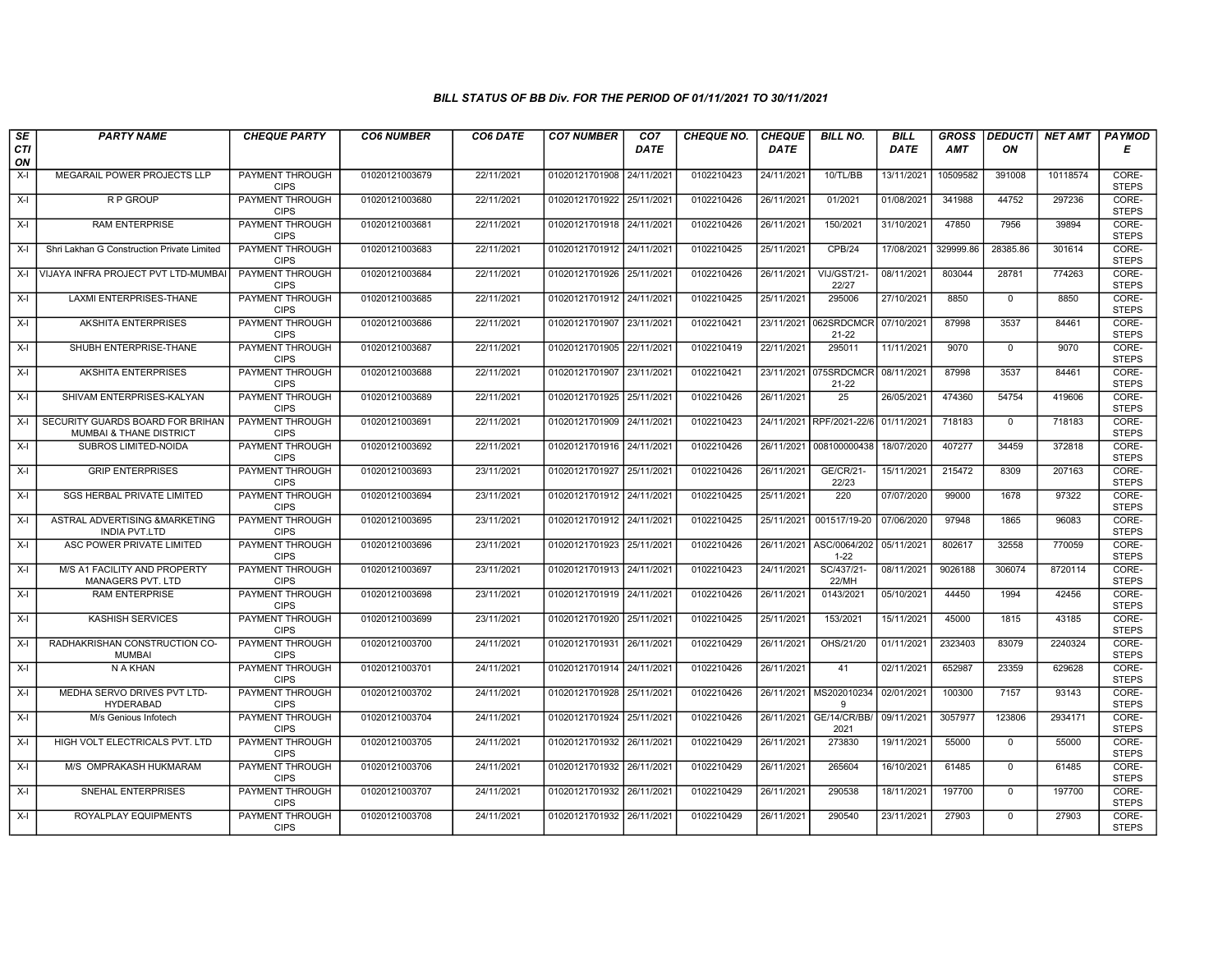| SE        | <b>PARTY NAME</b>                                                      | <b>CHEQUE PARTY</b>                   | <b>CO6 NUMBER</b> | CO6 DATE   | <b>CO7 NUMBER</b>         | CO <sub>7</sub> | <b>CHEQUE NO.</b> | <b>CHEQUE</b> | <b>BILL NO.</b>          | <b>BILL</b> | <b>GROSS</b> | <b>DEDUCTI</b> | NET AMT  | <b>PAYMOD</b>         |
|-----------|------------------------------------------------------------------------|---------------------------------------|-------------------|------------|---------------------------|-----------------|-------------------|---------------|--------------------------|-------------|--------------|----------------|----------|-----------------------|
| CTI<br>ON |                                                                        |                                       |                   |            |                           | <b>DATE</b>     |                   | <b>DATE</b>   |                          | <b>DATE</b> | AMT          | ON             |          | Е                     |
| $X-I$     | MEGARAIL POWER PROJECTS LLP                                            | <b>PAYMENT THROUGH</b><br><b>CIPS</b> | 01020121003679    | 22/11/2021 | 01020121701908 24/11/2021 |                 | 0102210423        | 24/11/2021    | 10/TL/BB                 | 13/11/2021  | 10509582     | 391008         | 10118574 | CORE-<br><b>STEPS</b> |
| $X-I$     | <b>RP GROUP</b>                                                        | <b>PAYMENT THROUGH</b><br><b>CIPS</b> | 01020121003680    | 22/11/2021 | 01020121701922 25/11/2021 |                 | 0102210426        | 26/11/2021    | 01/2021                  | 01/08/2021  | 341988       | 44752          | 297236   | CORE-<br><b>STEPS</b> |
| $X-I$     | <b>RAM ENTERPRISE</b>                                                  | PAYMENT THROUGH<br><b>CIPS</b>        | 01020121003681    | 22/11/2021 | 01020121701918 24/11/2021 |                 | 0102210426        | 26/11/2021    | 150/2021                 | 31/10/2021  | 47850        | 7956           | 39894    | CORE-<br><b>STEPS</b> |
| $X-I$     | Shri Lakhan G Construction Private Limited                             | <b>PAYMENT THROUGH</b><br><b>CIPS</b> | 01020121003683    | 22/11/2021 | 01020121701912 24/11/2021 |                 | 0102210425        | 25/11/2021    | CPB/24                   | 17/08/2021  | 329999.86    | 28385.86       | 301614   | CORE-<br><b>STEPS</b> |
|           | X-I VIJAYA INFRA PROJECT PVT LTD-MUMBA                                 | <b>PAYMENT THROUGH</b><br><b>CIPS</b> | 01020121003684    | 22/11/2021 | 01020121701926 25/11/2021 |                 | 0102210426        | 26/11/2021    | VIJ/GST/21-<br>22/27     | 08/11/2021  | 803044       | 28781          | 774263   | CORE-<br><b>STEPS</b> |
| X-l       | LAXMI ENTERPRISES-THANE                                                | <b>PAYMENT THROUGH</b><br><b>CIPS</b> | 01020121003685    | 22/11/2021 | 01020121701912 24/11/2021 |                 | 0102210425        | 25/11/2021    | 295006                   | 27/10/2021  | 8850         | $\Omega$       | 8850     | CORE-<br><b>STEPS</b> |
| $X-I$     | AKSHITA ENTERPRISES                                                    | PAYMENT THROUGH<br><b>CIPS</b>        | 01020121003686    | 22/11/2021 | 01020121701907 23/11/2021 |                 | 0102210421        | 23/11/2021    | 062SRDCMCR<br>21-22      | 07/10/2021  | 87998        | 3537           | 84461    | CORE-<br><b>STEPS</b> |
| $X-I$     | SHUBH ENTERPRISE-THANE                                                 | PAYMENT THROUGH<br><b>CIPS</b>        | 01020121003687    | 22/11/2021 | 01020121701905 22/11/2021 |                 | 0102210419        | 22/11/2021    | 295011                   | 11/11/2021  | 9070         | $\mathbf 0$    | 9070     | CORE-<br><b>STEPS</b> |
| $X-I$     | <b>AKSHITA ENTERPRISES</b>                                             | PAYMENT THROUGH<br><b>CIPS</b>        | 01020121003688    | 22/11/2021 | 01020121701907 23/11/2021 |                 | 0102210421        | 23/11/2021    | 075SRDCMCR<br>21-22      | 08/11/2021  | 87998        | 3537           | 84461    | CORE-<br><b>STEPS</b> |
| $X-I$     | SHIVAM ENTERPRISES-KALYAN                                              | <b>PAYMENT THROUGH</b><br><b>CIPS</b> | 01020121003689    | 22/11/2021 | 01020121701925 25/11/2021 |                 | 0102210426        | 26/11/2021    | $\overline{25}$          | 26/05/2021  | 474360       | 54754          | 419606   | CORE-<br><b>STEPS</b> |
| $X-I$     | SECURITY GUARDS BOARD FOR BRIHAN<br><b>MUMBAI &amp; THANE DISTRICT</b> | PAYMENT THROUGH<br><b>CIPS</b>        | 01020121003691    | 22/11/2021 | 01020121701909 24/11/2021 |                 | 0102210423        |               | 24/11/2021 RPF/2021-22/6 | 01/11/2021  | 718183       | $\mathbf 0$    | 718183   | CORE-<br><b>STEPS</b> |
| $X-I$     | SUBROS LIMITED-NOIDA                                                   | PAYMENT THROUGH<br><b>CIPS</b>        | 01020121003692    | 22/11/2021 | 01020121701916 24/11/2021 |                 | 0102210426        |               | 26/11/2021 008100000438  | 18/07/2020  | 407277       | 34459          | 372818   | CORE-<br><b>STEPS</b> |
| X-I       | <b>GRIP ENTERPRISES</b>                                                | <b>PAYMENT THROUGH</b><br><b>CIPS</b> | 01020121003693    | 23/11/2021 | 01020121701927 25/11/2021 |                 | 0102210426        | 26/11/2021    | GE/CR/21-<br>22/23       | 15/11/2021  | 215472       | 8309           | 207163   | CORE-<br><b>STEPS</b> |
| $X-I$     | <b>SGS HERBAL PRIVATE LIMITED</b>                                      | <b>PAYMENT THROUGH</b><br><b>CIPS</b> | 01020121003694    | 23/11/2021 | 01020121701912 24/11/2021 |                 | 0102210425        | 25/11/2021    | 220                      | 07/07/2020  | 99000        | 1678           | 97322    | CORE-<br><b>STEPS</b> |
| $X-I$     | ASTRAL ADVERTISING &MARKETING<br><b>INDIA PVT.LTD</b>                  | PAYMENT THROUGH<br><b>CIPS</b>        | 01020121003695    | 23/11/2021 | 01020121701912 24/11/2021 |                 | 0102210425        | 25/11/2021    | 001517/19-20             | 07/06/2020  | 97948        | 1865           | 96083    | CORE-<br><b>STEPS</b> |
| $X-I$     | ASC POWER PRIVATE LIMITED                                              | <b>PAYMENT THROUGH</b><br><b>CIPS</b> | 01020121003696    | 23/11/2021 | 01020121701923 25/11/2021 |                 | 0102210426        | 26/11/2021    | ASC/0064/202<br>$1 - 22$ | 05/11/2021  | 802617       | 32558          | 770059   | CORE-<br><b>STEPS</b> |
| $X-I$     | M/S A1 FACILITY AND PROPERTY<br>MANAGERS PVT. LTD                      | PAYMENT THROUGH<br><b>CIPS</b>        | 01020121003697    | 23/11/2021 | 01020121701913 24/11/2021 |                 | 0102210423        | 24/11/2021    | SC/437/21-<br>22/MH      | 08/11/2021  | 9026188      | 306074         | 8720114  | CORE-<br><b>STEPS</b> |
| $X-I$     | <b>RAM ENTERPRISE</b>                                                  | <b>PAYMENT THROUGH</b><br><b>CIPS</b> | 01020121003698    | 23/11/2021 | 01020121701919 24/11/2021 |                 | 0102210426        | 26/11/2021    | 0143/2021                | 05/10/2021  | 44450        | 1994           | 42456    | CORE-<br><b>STEPS</b> |
| $X-I$     | <b>KASHISH SERVICES</b>                                                | PAYMENT THROUGH<br><b>CIPS</b>        | 01020121003699    | 23/11/2021 | 01020121701920 25/11/2021 |                 | 0102210425        | 25/11/2021    | 153/2021                 | 15/11/2021  | 45000        | 1815           | 43185    | CORE-<br><b>STEPS</b> |
| $X-I$     | RADHAKRISHAN CONSTRUCTION CO-<br><b>MUMBAI</b>                         | <b>PAYMENT THROUGH</b><br><b>CIPS</b> | 01020121003700    | 24/11/2021 | 01020121701931 26/11/2021 |                 | 0102210429        | 26/11/2021    | OHS/21/20                | 01/11/2021  | 2323403      | 83079          | 2240324  | CORE-<br><b>STEPS</b> |
| $X-I$     | N A KHAN                                                               | <b>PAYMENT THROUGH</b><br><b>CIPS</b> | 01020121003701    | 24/11/2021 | 01020121701914 24/11/2021 |                 | 0102210426        | 26/11/2021    | 41                       | 02/11/2021  | 652987       | 23359          | 629628   | CORE-<br><b>STEPS</b> |
| $X-I$     | MEDHA SERVO DRIVES PVT LTD-<br><b>HYDERABAD</b>                        | <b>PAYMENT THROUGH</b><br><b>CIPS</b> | 01020121003702    | 24/11/2021 | 01020121701928 25/11/2021 |                 | 0102210426        | 26/11/2021    | MS202010234<br>9         | 02/01/2021  | 100300       | 7157           | 93143    | CORE-<br><b>STEPS</b> |
| $X-I$     | M/s Genious Infotech                                                   | PAYMENT THROUGH<br><b>CIPS</b>        | 01020121003704    | 24/11/2021 | 01020121701924 25/11/2021 |                 | 0102210426        | 26/11/2021    | GE/14/CR/BB/<br>2021     | 09/11/2021  | 3057977      | 123806         | 2934171  | CORE-<br><b>STEPS</b> |
| $X-I$     | HIGH VOLT ELECTRICALS PVT. LTD                                         | PAYMENT THROUGH<br><b>CIPS</b>        | 01020121003705    | 24/11/2021 | 01020121701932 26/11/2021 |                 | 0102210429        | 26/11/2021    | 273830                   | 19/11/2021  | 55000        | $\mathbf 0$    | 55000    | CORE-<br><b>STEPS</b> |
| $X-I$     | M/S OMPRAKASH HUKMARAM                                                 | PAYMENT THROUGH<br><b>CIPS</b>        | 01020121003706    | 24/11/2021 | 01020121701932 26/11/2021 |                 | 0102210429        | 26/11/2021    | 265604                   | 16/10/2021  | 61485        | $\Omega$       | 61485    | CORE-<br><b>STEPS</b> |
| $X-I$     | <b>SNEHAL ENTERPRISES</b>                                              | <b>PAYMENT THROUGH</b><br><b>CIPS</b> | 01020121003707    | 24/11/2021 | 01020121701932 26/11/2021 |                 | 0102210429        | 26/11/2021    | 290538                   | 18/11/2021  | 197700       | $\mathbf 0$    | 197700   | CORE-<br><b>STEPS</b> |
| $X-I$     | ROYALPLAY EQUIPMENTS                                                   | PAYMENT THROUGH<br><b>CIPS</b>        | 01020121003708    | 24/11/2021 | 01020121701932 26/11/2021 |                 | 0102210429        | 26/11/2021    | 290540                   | 23/11/2021  | 27903        | $\mathbf 0$    | 27903    | CORE-<br><b>STEPS</b> |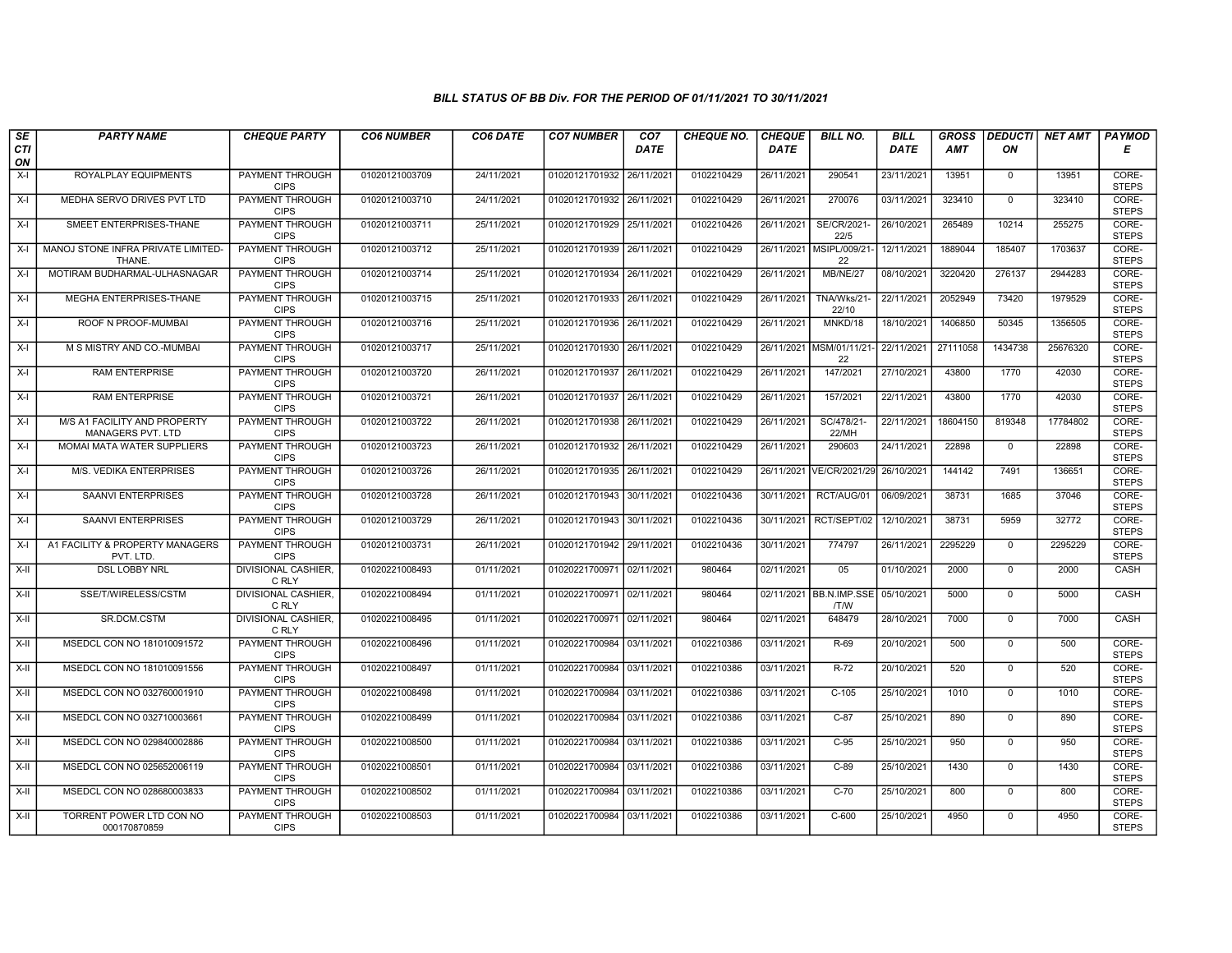| $\sqrt{SE}$ | <b>PARTY NAME</b>                                        | <b>CHEQUE PARTY</b>                   | <b>CO6 NUMBER</b> | CO6 DATE   | <b>CO7 NUMBER</b>         | CO <sub>7</sub> | <b>CHEQUE NO.</b> | <b>CHEQUE</b> | <b>BILL NO.</b>                            | <b>BILL</b> | <b>GROSS</b> |              | <b>DEDUCTI NET AMT</b> | <b>PAYMOD</b>         |
|-------------|----------------------------------------------------------|---------------------------------------|-------------------|------------|---------------------------|-----------------|-------------------|---------------|--------------------------------------------|-------------|--------------|--------------|------------------------|-----------------------|
| CTI<br>ON   |                                                          |                                       |                   |            |                           | <b>DATE</b>     |                   | <b>DATE</b>   |                                            | <b>DATE</b> | AMT          | ON           |                        | Е                     |
| X-I         | ROYALPLAY EQUIPMENTS                                     | PAYMENT THROUGH<br><b>CIPS</b>        | 01020121003709    | 24/11/2021 | 01020121701932 26/11/2021 |                 | 0102210429        | 26/11/2021    | 290541                                     | 23/11/2021  | 13951        | $\mathbf{0}$ | 13951                  | CORE-<br><b>STEPS</b> |
| $X-I$       | MEDHA SERVO DRIVES PVT LTD                               | <b>PAYMENT THROUGH</b><br><b>CIPS</b> | 01020121003710    | 24/11/2021 | 01020121701932 26/11/2021 |                 | 0102210429        | 26/11/2021    | 270076                                     | 03/11/2021  | 323410       | $\Omega$     | 323410                 | CORE-<br><b>STEPS</b> |
| X-I         | SMEET ENTERPRISES-THANE                                  | PAYMENT THROUGH<br><b>CIPS</b>        | 01020121003711    | 25/11/2021 | 01020121701929 25/11/202  |                 | 0102210426        | 26/11/2021    | SE/CR/2021-<br>22/5                        | 26/10/2021  | 265489       | 10214        | 255275                 | CORE-<br><b>STEPS</b> |
| $X-I$       | MANOJ STONE INFRA PRIVATE LIMITED-<br>THANE.             | <b>PAYMENT THROUGH</b><br><b>CIPS</b> | 01020121003712    | 25/11/2021 | 01020121701939            | 26/11/2021      | 0102210429        | 26/11/2021    | MSIPL/009/21<br>22                         | 12/11/2021  | 1889044      | 185407       | 1703637                | CORE-<br><b>STEPS</b> |
| $X-I$       | MOTIRAM BUDHARMAL-ULHASNAGAR                             | <b>PAYMENT THROUGH</b><br><b>CIPS</b> | 01020121003714    | 25/11/2021 | 01020121701934 26/11/2021 |                 | 0102210429        | 26/11/2021    | <b>MB/NE/27</b>                            | 08/10/2021  | 3220420      | 276137       | 2944283                | CORE-<br><b>STEPS</b> |
| X-I         | MEGHA ENTERPRISES-THANE                                  | <b>PAYMENT THROUGH</b><br><b>CIPS</b> | 01020121003715    | 25/11/2021 | 01020121701933 26/11/2021 |                 | 0102210429        | 26/11/2021    | TNA/Wks/21-<br>22/10                       | 22/11/2021  | 2052949      | 73420        | 1979529                | CORE-<br><b>STEPS</b> |
| $X-I$       | ROOF N PROOF-MUMBAI                                      | PAYMENT THROUGH<br><b>CIPS</b>        | 01020121003716    | 25/11/2021 | 01020121701936 26/11/2021 |                 | 0102210429        | 26/11/2021    | MNKD/18                                    | 18/10/2021  | 1406850      | 50345        | 1356505                | CORE-<br><b>STEPS</b> |
| $X-I$       | M S MISTRY AND CO.-MUMBAI                                | PAYMENT THROUGH<br><b>CIPS</b>        | 01020121003717    | 25/11/2021 | 01020121701930 26/11/2021 |                 | 0102210429        | 26/11/2021    | MSM/01/11/21<br>22                         | 22/11/2021  | 27111058     | 1434738      | 25676320               | CORE-<br><b>STEPS</b> |
| $X-I$       | <b>RAM ENTERPRISE</b>                                    | <b>PAYMENT THROUGH</b><br><b>CIPS</b> | 01020121003720    | 26/11/2021 | 01020121701937 26/11/2021 |                 | 0102210429        | 26/11/2021    | 147/2021                                   | 27/10/2021  | 43800        | 1770         | 42030                  | CORE-<br><b>STEPS</b> |
| $X-I$       | <b>RAM ENTERPRISE</b>                                    | <b>PAYMENT THROUGH</b><br><b>CIPS</b> | 01020121003721    | 26/11/2021 | 01020121701937 26/11/2021 |                 | 0102210429        | 26/11/2021    | 157/2021                                   | 22/11/2021  | 43800        | 1770         | 42030                  | CORE-<br><b>STEPS</b> |
| $X-I$       | M/S A1 FACILITY AND PROPERTY<br><b>MANAGERS PVT. LTD</b> | PAYMENT THROUGH<br><b>CIPS</b>        | 01020121003722    | 26/11/2021 | 01020121701938            | 26/11/2021      | 0102210429        | 26/11/2021    | SC/478/21-<br>22/MH                        | 22/11/2021  | 18604150     | 819348       | 17784802               | CORE-<br><b>STEPS</b> |
| X-I         | MOMAI MATA WATER SUPPLIERS                               | <b>PAYMENT THROUGH</b><br><b>CIPS</b> | 01020121003723    | 26/11/2021 | 01020121701932 26/11/2021 |                 | 0102210429        | 26/11/2021    | 290603                                     | 24/11/2021  | 22898        | $\mathbf{0}$ | 22898                  | CORE-<br><b>STEPS</b> |
| $X-I$       | <b>M/S. VEDIKA ENTERPRISES</b>                           | <b>PAYMENT THROUGH</b><br><b>CIPS</b> | 01020121003726    | 26/11/2021 | 01020121701935 26/11/202  |                 | 0102210429        | 26/11/2021    | VE/CR/2021/29                              | 26/10/2021  | 144142       | 7491         | 136651                 | CORE-<br><b>STEPS</b> |
| X-I         | SAANVI ENTERPRISES                                       | <b>PAYMENT THROUGH</b><br><b>CIPS</b> | 01020121003728    | 26/11/2021 | 01020121701943            | 30/11/202       | 0102210436        | 30/11/2021    | RCT/AUG/01                                 | 06/09/2021  | 38731        | 1685         | 37046                  | CORE-<br><b>STEPS</b> |
| $X-I$       | <b>SAANVI ENTERPRISES</b>                                | <b>PAYMENT THROUGH</b><br><b>CIPS</b> | 01020121003729    | 26/11/2021 | 01020121701943            | 30/11/2021      | 0102210436        | 30/11/2021    | RCT/SEPT/02                                | 12/10/2021  | 38731        | 5959         | 32772                  | CORE-<br><b>STEPS</b> |
| X-I         | A1 FACILITY & PROPERTY MANAGERS<br>PVT. LTD.             | PAYMENT THROUGH<br><b>CIPS</b>        | 01020121003731    | 26/11/2021 | 01020121701942 29/11/2021 |                 | 0102210436        | 30/11/2021    | 774797                                     | 26/11/2021  | 2295229      | $\Omega$     | 2295229                | CORE-<br><b>STEPS</b> |
| X-II        | <b>DSL LOBBY NRL</b>                                     | DIVISIONAL CASHIER,<br>C RLY          | 01020221008493    | 01/11/2021 | 01020221700971 02/11/2021 |                 | 980464            | 02/11/2021    | 05                                         | 01/10/2021  | 2000         | $\mathbf{0}$ | 2000                   | CASH                  |
| X-II        | SSE/T/WIRELESS/CSTM                                      | <b>DIVISIONAL CASHIER.</b><br>C RLY   | 01020221008494    | 01/11/2021 | 01020221700971 02/11/2021 |                 | 980464            |               | 02/11/2021 BB.N.IMP.SSE 05/10/2021<br>/T/W |             | 5000         | $\Omega$     | 5000                   | <b>CASH</b>           |
| X-II        | SR.DCM.CSTM                                              | DIVISIONAL CASHIER,<br>C RLY          | 01020221008495    | 01/11/2021 | 01020221700971 02/11/2021 |                 | 980464            | 02/11/2021    | 648479                                     | 28/10/2021  | 7000         | $\mathbf 0$  | 7000                   | CASH                  |
| X-II        | MSEDCL CON NO 181010091572                               | PAYMENT THROUGH<br><b>CIPS</b>        | 01020221008496    | 01/11/2021 | 01020221700984 03/11/2021 |                 | 0102210386        | 03/11/2021    | $R-69$                                     | 20/10/2021  | 500          | $\mathbf 0$  | 500                    | CORE-<br><b>STEPS</b> |
| X-II        | MSEDCL CON NO 181010091556                               | PAYMENT THROUGH<br><b>CIPS</b>        | 01020221008497    | 01/11/2021 | 01020221700984 03/11/2021 |                 | 0102210386        | 03/11/2021    | $R-72$                                     | 20/10/2021  | 520          | $\Omega$     | 520                    | CORE-<br><b>STEPS</b> |
| X-II        | MSEDCL CON NO 032760001910                               | <b>PAYMENT THROUGH</b><br><b>CIPS</b> | 01020221008498    | 01/11/2021 | 01020221700984 03/11/2021 |                 | 0102210386        | 03/11/2021    | $C-105$                                    | 25/10/2021  | 1010         | $\mathbf{0}$ | 1010                   | CORE-<br><b>STEPS</b> |
| $X-II$      | MSEDCL CON NO 032710003661                               | PAYMENT THROUGH<br><b>CIPS</b>        | 01020221008499    | 01/11/2021 | 01020221700984 03/11/2021 |                 | 0102210386        | 03/11/2021    | $C-87$                                     | 25/10/2021  | 890          | $\mathbf 0$  | 890                    | CORE-<br><b>STEPS</b> |
| X-II        | MSEDCL CON NO 029840002886                               | PAYMENT THROUGH<br><b>CIPS</b>        | 01020221008500    | 01/11/2021 | 01020221700984            | 03/11/202       | 0102210386        | 03/11/2021    | $C-95$                                     | 25/10/2021  | 950          | $\mathbf 0$  | 950                    | CORE-<br><b>STEPS</b> |
| X-II        | MSEDCL CON NO 025652006119                               | PAYMENT THROUGH<br><b>CIPS</b>        | 01020221008501    | 01/11/2021 | 01020221700984 03/11/2021 |                 | 0102210386        | 03/11/2021    | $C-89$                                     | 25/10/2021  | 1430         | $\mathbf 0$  | 1430                   | CORE-<br><b>STEPS</b> |
| X-II        | MSEDCL CON NO 028680003833                               | <b>PAYMENT THROUGH</b><br><b>CIPS</b> | 01020221008502    | 01/11/2021 | 01020221700984 03/11/2021 |                 | 0102210386        | 03/11/2021    | $C-70$                                     | 25/10/2021  | 800          | $\Omega$     | 800                    | CORE-<br><b>STEPS</b> |
| X-II        | TORRENT POWER LTD CON NO<br>000170870859                 | <b>PAYMENT THROUGH</b><br><b>CIPS</b> | 01020221008503    | 01/11/2021 | 01020221700984 03/11/2021 |                 | 0102210386        | 03/11/2021    | $C-600$                                    | 25/10/2021  | 4950         | $\mathbf{0}$ | 4950                   | CORE-<br><b>STEPS</b> |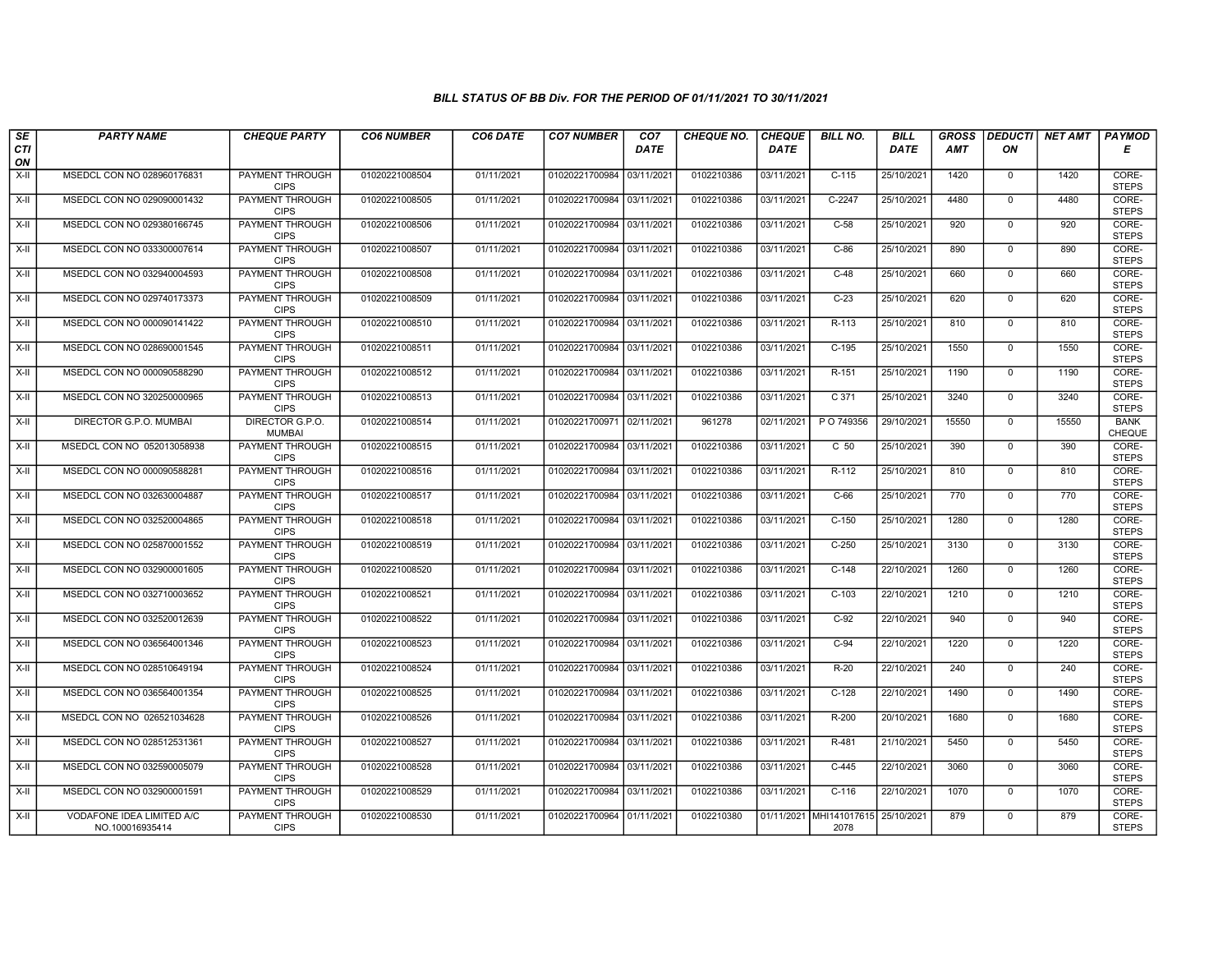| $\sqrt{SE}$ | <b>PARTY NAME</b>                            | <b>CHEQUE PARTY</b>                   | <b>CO6 NUMBER</b> | CO6 DATE   | <b>CO7 NUMBER</b>         | CO <sub>7</sub> | <b>CHEQUE NO.</b> | <b>CHEQUE</b> | <b>BILL NO.</b>                 | <b>BILL</b> | <b>GROSS</b> | <b>DEDUCTI</b> | <b>NET AMT</b> | <b>PAYMOD</b>         |
|-------------|----------------------------------------------|---------------------------------------|-------------------|------------|---------------------------|-----------------|-------------------|---------------|---------------------------------|-------------|--------------|----------------|----------------|-----------------------|
| CTI<br>ON   |                                              |                                       |                   |            |                           | <b>DATE</b>     |                   | <b>DATE</b>   |                                 | <b>DATE</b> | <b>AMT</b>   | ΟN             |                | Е                     |
| $X-H$       | MSEDCL CON NO 028960176831                   | PAYMENT THROUGH<br><b>CIPS</b>        | 01020221008504    | 01/11/2021 | 01020221700984 03/11/2021 |                 | 0102210386        | 03/11/2021    | $C-115$                         | 25/10/2021  | 1420         | $\overline{0}$ | 1420           | CORE-<br><b>STEPS</b> |
| $X-H$       | MSEDCL CON NO 029090001432                   | PAYMENT THROUGH<br><b>CIPS</b>        | 01020221008505    | 01/11/2021 | 01020221700984 03/11/2021 |                 | 0102210386        | 03/11/2021    | $C-2247$                        | 25/10/2021  | 4480         | $\overline{0}$ | 4480           | CORE-<br><b>STEPS</b> |
| X-II        | MSEDCL CON NO 029380166745                   | <b>PAYMENT THROUGH</b><br><b>CIPS</b> | 01020221008506    | 01/11/2021 | 01020221700984 03/11/2021 |                 | 0102210386        | 03/11/2021    | $C-58$                          | 25/10/2021  | 920          | $\mathbf 0$    | 920            | CORE-<br><b>STEPS</b> |
| X-II        | MSEDCL CON NO 033300007614                   | PAYMENT THROUGH<br><b>CIPS</b>        | 01020221008507    | 01/11/2021 | 01020221700984 03/11/2021 |                 | 0102210386        | 03/11/2021    | $C-86$                          | 25/10/2021  | 890          | $\mathbf 0$    | 890            | CORE-<br><b>STEPS</b> |
| X-II        | MSEDCL CON NO 032940004593                   | PAYMENT THROUGH<br><b>CIPS</b>        | 01020221008508    | 01/11/2021 | 01020221700984 03/11/2021 |                 | 0102210386        | 03/11/2021    | $C-48$                          | 25/10/2021  | 660          | $\mathbf 0$    | 660            | CORE-<br><b>STEPS</b> |
| X-II        | MSEDCL CON NO 029740173373                   | PAYMENT THROUGH<br><b>CIPS</b>        | 01020221008509    | 01/11/2021 | 01020221700984 03/11/2021 |                 | 0102210386        | 03/11/2021    | $C-23$                          | 25/10/2021  | 620          | $\Omega$       | 620            | CORE-<br><b>STEPS</b> |
| X-II        | MSEDCL CON NO 000090141422                   | PAYMENT THROUGH<br><b>CIPS</b>        | 01020221008510    | 01/11/2021 | 01020221700984 03/11/2021 |                 | 0102210386        | 03/11/2021    | R-113                           | 25/10/2021  | 810          | $\mathbf{0}$   | 810            | CORE-<br><b>STEPS</b> |
| $X-H$       | MSEDCL CON NO 028690001545                   | PAYMENT THROUGH<br><b>CIPS</b>        | 01020221008511    | 01/11/2021 | 01020221700984 03/11/2021 |                 | 0102210386        | 03/11/2021    | $C-195$                         | 25/10/2021  | 1550         | $\overline{0}$ | 1550           | CORE-<br><b>STEPS</b> |
| X-II        | MSEDCL CON NO 000090588290                   | <b>PAYMENT THROUGH</b><br><b>CIPS</b> | 01020221008512    | 01/11/2021 | 01020221700984 03/11/2021 |                 | 0102210386        | 03/11/2021    | R-151                           | 25/10/2021  | 1190         | $\mathbf 0$    | 1190           | CORE-<br><b>STEPS</b> |
| X-II        | MSEDCL CON NO 320250000965                   | PAYMENT THROUGH<br><b>CIPS</b>        | 01020221008513    | 01/11/2021 | 01020221700984 03/11/2021 |                 | 0102210386        | 03/11/2021    | C <sub>371</sub>                | 25/10/2021  | 3240         | $\overline{0}$ | 3240           | CORE-<br><b>STEPS</b> |
| X-II        | DIRECTOR G.P.O. MUMBAI                       | DIRECTOR G.P.O.<br><b>MUMBAI</b>      | 01020221008514    | 01/11/2021 | 01020221700971 02/11/2021 |                 | 961278            | 02/11/2021    | P O 749356                      | 29/10/2021  | 15550        | $\mathbf{0}$   | 15550          | <b>BANK</b><br>CHEQUE |
| X-II        | MSEDCL CON NO 052013058938                   | PAYMENT THROUGH<br><b>CIPS</b>        | 01020221008515    | 01/11/2021 | 01020221700984 03/11/2021 |                 | 0102210386        | 03/11/2021    | C <sub>50</sub>                 | 25/10/2021  | 390          | $\mathbf 0$    | 390            | CORE-<br><b>STEPS</b> |
| $X-H$       | MSEDCL CON NO 000090588281                   | <b>PAYMENT THROUGH</b><br><b>CIPS</b> | 01020221008516    | 01/11/2021 | 01020221700984 03/11/2021 |                 | 0102210386        | 03/11/2021    | $R-112$                         | 25/10/2021  | 810          | $\overline{0}$ | 810            | CORE-<br><b>STEPS</b> |
| X-II        | MSEDCL CON NO 032630004887                   | <b>PAYMENT THROUGH</b><br><b>CIPS</b> | 01020221008517    | 01/11/2021 | 01020221700984 03/11/2021 |                 | 0102210386        | 03/11/2021    | $C-66$                          | 25/10/2021  | 770          | $\mathbf{0}$   | 770            | CORE-<br><b>STEPS</b> |
| X-II        | MSEDCL CON NO 032520004865                   | PAYMENT THROUGH<br><b>CIPS</b>        | 01020221008518    | 01/11/2021 | 01020221700984 03/11/2021 |                 | 0102210386        | 03/11/2021    | $C-150$                         | 25/10/2021  | 1280         | $\Omega$       | 1280           | CORE-<br><b>STEPS</b> |
| X-II        | MSEDCL CON NO 025870001552                   | PAYMENT THROUGH<br><b>CIPS</b>        | 01020221008519    | 01/11/2021 | 01020221700984 03/11/2021 |                 | 0102210386        | 03/11/2021    | $C-250$                         | 25/10/2021  | 3130         | $\mathbf{0}$   | 3130           | CORE-<br><b>STEPS</b> |
| X-II        | MSEDCL CON NO 032900001605                   | PAYMENT THROUGH<br><b>CIPS</b>        | 01020221008520    | 01/11/2021 | 01020221700984 03/11/2021 |                 | 0102210386        | 03/11/2021    | $C-148$                         | 22/10/2021  | 1260         | $\mathbf{0}$   | 1260           | CORE-<br><b>STEPS</b> |
| X-II        | MSEDCL CON NO 032710003652                   | PAYMENT THROUGH<br><b>CIPS</b>        | 01020221008521    | 01/11/2021 | 01020221700984 03/11/2021 |                 | 0102210386        | 03/11/2021    | $C-103$                         | 22/10/2021  | 1210         | $\mathbf 0$    | 1210           | CORE-<br><b>STEPS</b> |
| X-II        | MSEDCL CON NO 032520012639                   | PAYMENT THROUGH<br><b>CIPS</b>        | 01020221008522    | 01/11/2021 | 01020221700984 03/11/2021 |                 | 0102210386        | 03/11/2021    | $C-92$                          | 22/10/2021  | 940          | $\mathbf 0$    | 940            | CORE-<br><b>STEPS</b> |
| X-II        | MSEDCL CON NO 036564001346                   | PAYMENT THROUGH<br><b>CIPS</b>        | 01020221008523    | 01/11/2021 | 01020221700984 03/11/2021 |                 | 0102210386        | 03/11/2021    | $C-94$                          | 22/10/2021  | 1220         | $\Omega$       | 1220           | CORE-<br><b>STEPS</b> |
| X-II        | MSEDCL CON NO 028510649194                   | PAYMENT THROUGH<br><b>CIPS</b>        | 01020221008524    | 01/11/2021 | 01020221700984 03/11/2021 |                 | 0102210386        | 03/11/2021    | $R-20$                          | 22/10/2021  | 240          | $\mathbf{0}$   | 240            | CORE-<br><b>STEPS</b> |
| X-II        | MSEDCL CON NO 036564001354                   | PAYMENT THROUGH<br><b>CIPS</b>        | 01020221008525    | 01/11/2021 | 01020221700984 03/11/2021 |                 | 0102210386        | 03/11/2021    | $C-128$                         | 22/10/2021  | 1490         | $\Omega$       | 1490           | CORE-<br><b>STEPS</b> |
| X-II        | MSEDCL CON NO 026521034628                   | PAYMENT THROUGH<br><b>CIPS</b>        | 01020221008526    | 01/11/2021 | 01020221700984 03/11/2021 |                 | 0102210386        | 03/11/2021    | R-200                           | 20/10/2021  | 1680         | $\mathbf 0$    | 1680           | CORE-<br><b>STEPS</b> |
| X-II        | MSEDCL CON NO 028512531361                   | PAYMENT THROUGH<br><b>CIPS</b>        | 01020221008527    | 01/11/2021 | 01020221700984 03/11/2021 |                 | 0102210386        | 03/11/2021    | R-481                           | 21/10/2021  | 5450         | $\Omega$       | 5450           | CORE-<br><b>STEPS</b> |
| X-II        | MSEDCL CON NO 032590005079                   | PAYMENT THROUGH<br><b>CIPS</b>        | 01020221008528    | 01/11/2021 | 01020221700984 03/11/2021 |                 | 0102210386        | 03/11/2021    | $C-445$                         | 22/10/2021  | 3060         | $\Omega$       | 3060           | CORE-<br><b>STEPS</b> |
| X-II        | MSEDCL CON NO 032900001591                   | <b>PAYMENT THROUGH</b><br><b>CIPS</b> | 01020221008529    | 01/11/2021 | 01020221700984 03/11/2021 |                 | 0102210386        | 03/11/2021    | $C-116$                         | 22/10/2021  | 1070         | $\mathbf 0$    | 1070           | CORE-<br><b>STEPS</b> |
| X-II        | VODAFONE IDEA LIMITED A/C<br>NO.100016935414 | PAYMENT THROUGH<br><b>CIPS</b>        | 01020221008530    | 01/11/2021 | 01020221700964 01/11/2021 |                 | 0102210380        | 01/11/2021    | MHI141017615 25/10/2021<br>2078 |             | 879          | $\mathbf 0$    | 879            | CORE-<br><b>STEPS</b> |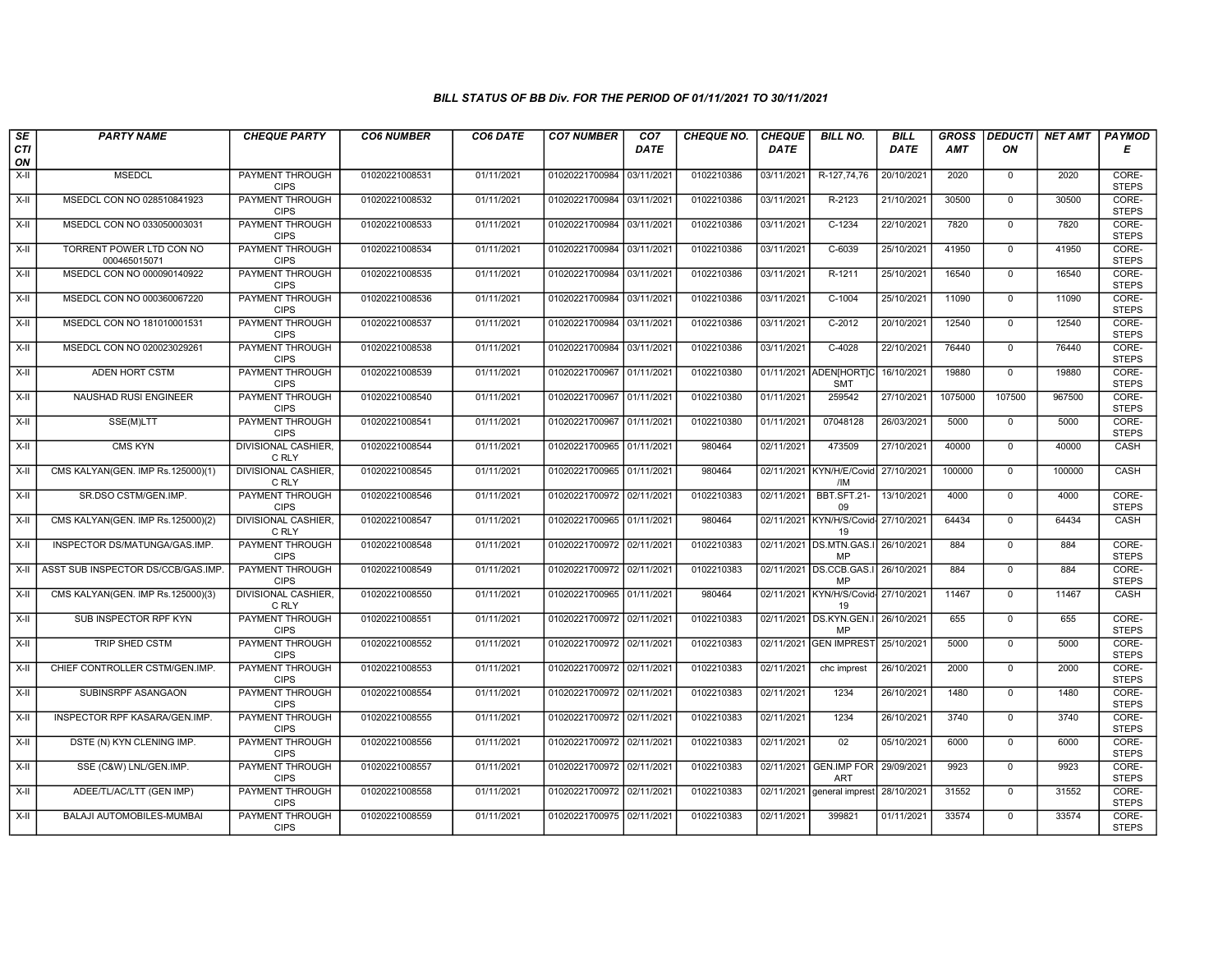| SE               | <b>PARTY NAME</b>                        | <b>CHEQUE PARTY</b>                   | <b>CO6 NUMBER</b> | CO6 DATE   | <b>CO7 NUMBER</b>         | CO <sub>7</sub> | <b>CHEQUE NO.</b> | <b>CHEQUE</b> | <b>BILL NO.</b>                            | <b>BILL</b> | <b>GROSS</b> | <b>DEDUCTI</b> | NET AMT | <b>PAYMOD</b>         |
|------------------|------------------------------------------|---------------------------------------|-------------------|------------|---------------------------|-----------------|-------------------|---------------|--------------------------------------------|-------------|--------------|----------------|---------|-----------------------|
| <b>CTI</b><br>ON |                                          |                                       |                   |            |                           | <b>DATE</b>     |                   | <b>DATE</b>   |                                            | DATE        | <b>AMT</b>   | ΟN             |         | Е                     |
| $X-H$            | <b>MSEDCL</b>                            | <b>PAYMENT THROUGH</b><br><b>CIPS</b> | 01020221008531    | 01/11/2021 | 01020221700984            | 03/11/2021      | 0102210386        | 03/11/2021    | R-127,74,76                                | 20/10/2021  | 2020         | $\mathbf 0$    | 2020    | CORE-<br><b>STEPS</b> |
| X-II             | MSEDCL CON NO 028510841923               | <b>PAYMENT THROUGH</b><br><b>CIPS</b> | 01020221008532    | 01/11/2021 | 01020221700984 03/11/2021 |                 | 0102210386        | 03/11/2021    | R-2123                                     | 21/10/2021  | 30500        | $\mathbf 0$    | 30500   | CORE-<br><b>STEPS</b> |
| X-II             | MSEDCL CON NO 033050003031               | PAYMENT THROUGH<br><b>CIPS</b>        | 01020221008533    | 01/11/2021 | 01020221700984            | 03/11/202       | 0102210386        | 03/11/2021    | $C-1234$                                   | 22/10/2021  | 7820         | $\mathbf 0$    | 7820    | CORE-<br><b>STEPS</b> |
| $X-II$           | TORRENT POWER LTD CON NO<br>000465015071 | PAYMENT THROUGH<br><b>CIPS</b>        | 01020221008534    | 01/11/2021 | 01020221700984            | 03/11/2021      | 0102210386        | 03/11/2021    | $C-6039$                                   | 25/10/2021  | 41950        | $\mathbf 0$    | 41950   | CORE-<br><b>STEPS</b> |
| $X-H$            | MSEDCL CON NO 000090140922               | <b>PAYMENT THROUGH</b><br><b>CIPS</b> | 01020221008535    | 01/11/2021 | 01020221700984 03/11/2021 |                 | 0102210386        | 03/11/2021    | R-1211                                     | 25/10/2021  | 16540        | $\mathbf 0$    | 16540   | CORE-<br><b>STEPS</b> |
| X-II             | MSEDCL CON NO 000360067220               | <b>PAYMENT THROUGH</b><br><b>CIPS</b> | 01020221008536    | 01/11/2021 | 01020221700984 03/11/2021 |                 | 0102210386        | 03/11/2021    | $C-1004$                                   | 25/10/2021  | 11090        | $\mathbf 0$    | 11090   | CORE-<br><b>STEPS</b> |
| X-II             | MSEDCL CON NO 181010001531               | PAYMENT THROUGH<br><b>CIPS</b>        | 01020221008537    | 01/11/2021 | 01020221700984            | 03/11/2021      | 0102210386        | 03/11/2021    | C-2012                                     | 20/10/2021  | 12540        | $\mathbf 0$    | 12540   | CORE-<br><b>STEPS</b> |
| X-II             | MSEDCL CON NO 020023029261               | <b>PAYMENT THROUGH</b><br><b>CIPS</b> | 01020221008538    | 01/11/2021 | 01020221700984 03/11/202  |                 | 0102210386        | 03/11/2021    | $C-4028$                                   | 22/10/2021  | 76440        | $\mathbf 0$    | 76440   | CORE-<br><b>STEPS</b> |
| X-II             | <b>ADEN HORT CSTM</b>                    | <b>PAYMENT THROUGH</b><br><b>CIPS</b> | 01020221008539    | 01/11/2021 | 01020221700967            | 01/11/202       | 0102210380        |               | 01/11/2021 ADEN[HORT]C<br><b>SMT</b>       | 16/10/2021  | 19880        | $\mathbf 0$    | 19880   | CORE-<br><b>STEPS</b> |
| $X-H$            | <b>NAUSHAD RUSI ENGINEER</b>             | <b>PAYMENT THROUGH</b><br><b>CIPS</b> | 01020221008540    | 01/11/2021 | 01020221700967            | 01/11/2021      | 0102210380        | 01/11/2021    | 259542                                     | 27/10/2021  | 1075000      | 107500         | 967500  | CORE-<br><b>STEPS</b> |
| X-II             | SSE(M)LTT                                | <b>PAYMENT THROUGH</b><br><b>CIPS</b> | 01020221008541    | 01/11/2021 | 01020221700967            | 01/11/2021      | 0102210380        | 01/11/2021    | 07048128                                   | 26/03/2021  | 5000         | $\mathsf{O}$   | 5000    | CORE-<br><b>STEPS</b> |
| $X-II$           | <b>CMS KYN</b>                           | DIVISIONAL CASHIER.<br>C RLY          | 01020221008544    | 01/11/2021 | 01020221700965 01/11/2021 |                 | 980464            | 02/11/2021    | 473509                                     | 27/10/2021  | 40000        | $\overline{0}$ | 40000   | CASH                  |
| X-II             | CMS KALYAN(GEN. IMP Rs.125000)(1)        | DIVISIONAL CASHIER<br>C RLY           | 01020221008545    | 01/11/2021 | 01020221700965 01/11/2021 |                 | 980464            | 02/11/2021    | KYN/H/E/Covid<br>/IM                       | 27/10/2021  | 100000       | $\mathbf 0$    | 100000  | CASH                  |
| $X-H$            | SR.DSO CSTM/GEN.IMP.                     | <b>PAYMENT THROUGH</b><br><b>CIPS</b> | 01020221008546    | 01/11/2021 | 01020221700972 02/11/2021 |                 | 0102210383        | 02/11/2021    | BBT.SFT.21-<br>09                          | 13/10/2021  | 4000         | $\mathbf 0$    | 4000    | CORE-<br><b>STEPS</b> |
| X-II             | CMS KALYAN(GEN. IMP Rs.125000)(2)        | <b>DIVISIONAL CASHIER.</b><br>C RLY   | 01020221008547    | 01/11/2021 | 01020221700965 01/11/2021 |                 | 980464            |               | 02/11/2021 KYN/H/S/Covid- 27/10/2021<br>19 |             | 64434        | $\mathbf 0$    | 64434   | CASH                  |
| $X-II$           | INSPECTOR DS/MATUNGA/GAS.IMP             | <b>PAYMENT THROUGH</b><br><b>CIPS</b> | 01020221008548    | 01/11/2021 | 01020221700972 02/11/2021 |                 | 0102210383        |               | 02/11/2021 DS.MTN.GAS.I<br>MP              | 26/10/2021  | 884          | $\overline{0}$ | 884     | CORE-<br><b>STEPS</b> |
| X-II             | ASST SUB INSPECTOR DS/CCB/GAS.IMP        | <b>PAYMENT THROUGH</b><br><b>CIPS</b> | 01020221008549    | 01/11/2021 | 01020221700972 02/11/202  |                 | 0102210383        | 02/11/2021    | DS.CCB.GAS.I<br>MP                         | 26/10/2021  | 884          | $\mathbf 0$    | 884     | CORE-<br><b>STEPS</b> |
| $X-H$            | CMS KALYAN(GEN. IMP Rs.125000)(3)        | <b>DIVISIONAL CASHIER.</b><br>C RLY   | 01020221008550    | 01/11/2021 | 01020221700965 01/11/2021 |                 | 980464            |               | 02/11/2021 KYN/H/S/Covid- 27/10/2021<br>19 |             | 11467        | $\overline{0}$ | 11467   | CASH                  |
| X-II             | SUB INSPECTOR RPF KYN                    | <b>PAYMENT THROUGH</b><br><b>CIPS</b> | 01020221008551    | 01/11/2021 | 01020221700972 02/11/2021 |                 | 0102210383        | 02/11/2021    | DS.KYN.GEN.I<br>MP                         | 26/10/2021  | 655          | $\mathbf 0$    | 655     | CORE-<br><b>STEPS</b> |
| X-II             | TRIP SHED CSTM                           | <b>PAYMENT THROUGH</b><br><b>CIPS</b> | 01020221008552    | 01/11/2021 | 01020221700972 02/11/2021 |                 | 0102210383        |               | 02/11/2021 GEN IMPREST                     | 25/10/2021  | 5000         | $\Omega$       | 5000    | CORE-<br><b>STEPS</b> |
| X-II             | CHIEF CONTROLLER CSTM/GEN.IMP.           | <b>PAYMENT THROUGH</b><br><b>CIPS</b> | 01020221008553    | 01/11/2021 | 01020221700972 02/11/2021 |                 | 0102210383        | 02/11/2021    | chc imprest                                | 26/10/2021  | 2000         | $\mathbf{0}$   | 2000    | CORE-<br><b>STEPS</b> |
| X-II             | SUBINSRPF ASANGAON                       | <b>PAYMENT THROUGH</b><br><b>CIPS</b> | 01020221008554    | 01/11/2021 | 01020221700972 02/11/2021 |                 | 0102210383        | 02/11/2021    | 1234                                       | 26/10/2021  | 1480         | $\mathbf 0$    | 1480    | CORE-<br><b>STEPS</b> |
| X-II             | INSPECTOR RPF KASARA/GEN.IMP.            | PAYMENT THROUGH<br><b>CIPS</b>        | 01020221008555    | 01/11/2021 | 01020221700972 02/11/2021 |                 | 0102210383        | 02/11/2021    | 1234                                       | 26/10/2021  | 3740         | $\mathbf 0$    | 3740    | CORE-<br><b>STEPS</b> |
| $X-II$           | DSTE (N) KYN CLENING IMP.                | PAYMENT THROUGH<br><b>CIPS</b>        | 01020221008556    | 01/11/2021 | 01020221700972 02/11/2021 |                 | 0102210383        | 02/11/2021    | 02                                         | 05/10/2021  | 6000         | $\mathsf 0$    | 6000    | CORE-<br><b>STEPS</b> |
| $X-H$            | SSE (C&W) LNL/GEN.IMP.                   | <b>PAYMENT THROUGH</b><br><b>CIPS</b> | 01020221008557    | 01/11/2021 | 01020221700972 02/11/2021 |                 | 0102210383        |               | 02/11/2021 GEN.IMP FOR<br><b>ART</b>       | 29/09/2021  | 9923         | $\Omega$       | 9923    | CORE-<br><b>STEPS</b> |
| $X-H$            | ADEE/TL/AC/LTT (GEN IMP)                 | <b>PAYMENT THROUGH</b><br><b>CIPS</b> | 01020221008558    | 01/11/2021 | 01020221700972 02/11/2021 |                 | 0102210383        | 02/11/2021    | general imprest                            | 28/10/2021  | 31552        | $\overline{0}$ | 31552   | CORE-<br><b>STEPS</b> |
| X-II             | BALAJI AUTOMOBILES-MUMBAI                | <b>PAYMENT THROUGH</b><br><b>CIPS</b> | 01020221008559    | 01/11/2021 | 01020221700975 02/11/2021 |                 | 0102210383        | 02/11/2021    | 399821                                     | 01/11/2021  | 33574        | $\mathbf 0$    | 33574   | CORE-<br><b>STEPS</b> |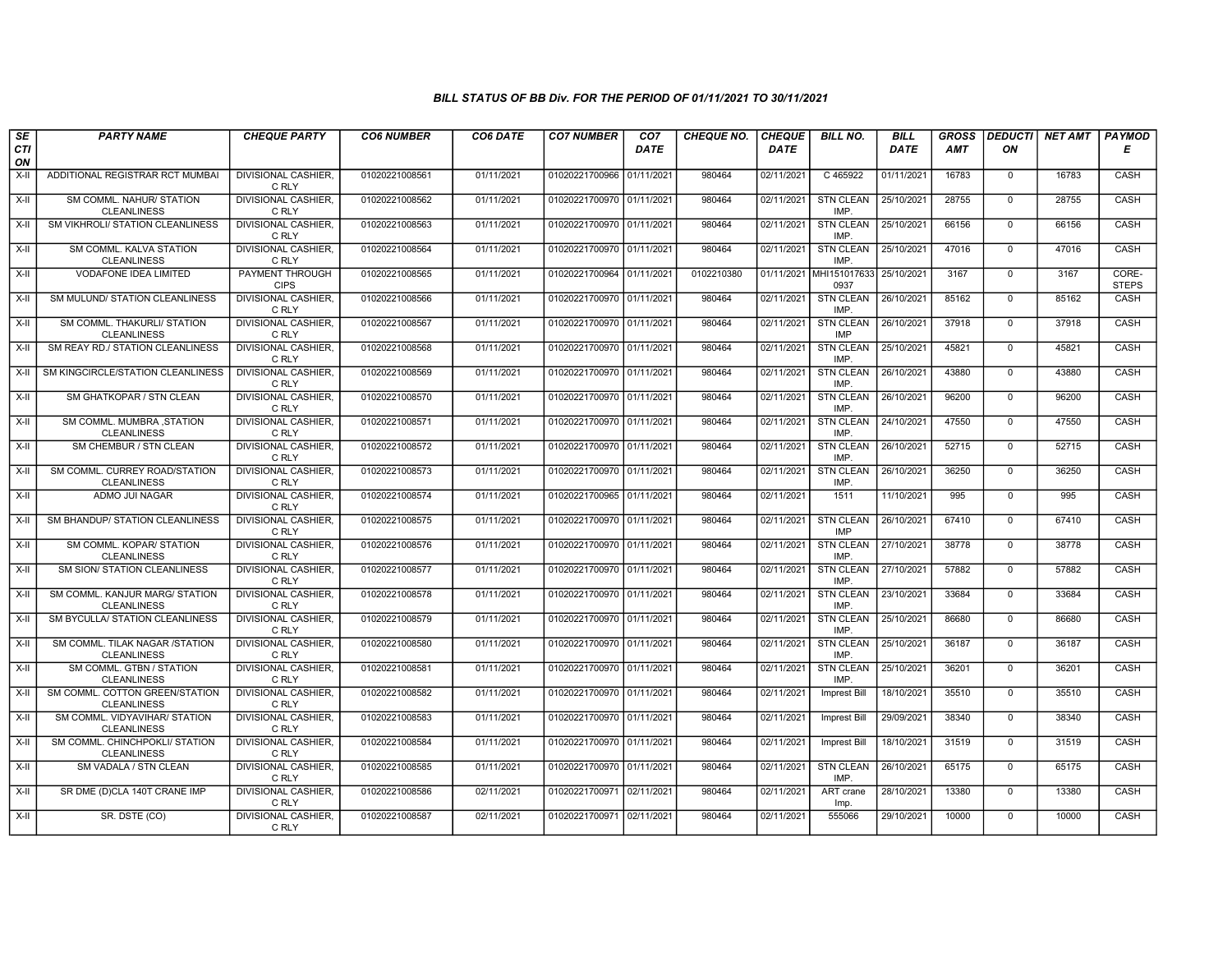| SE<br>CTI | <b>PARTY NAME</b>                                    | <b>CHEQUE PARTY</b>                   | <b>CO6 NUMBER</b> | CO6 DATE   | <b>CO7 NUMBER</b>         | CO <sub>7</sub><br><b>DATE</b> | <b>CHEQUE NO.</b> | <b>CHEQUE</b><br><b>DATE</b> | <b>BILL NO.</b>                            | BILL<br><b>DATE</b> | <b>GROSS</b><br><b>AMT</b> | <b>DEDUCTI</b><br>ON | NET AMT | <b>PAYMOD</b><br>Е    |
|-----------|------------------------------------------------------|---------------------------------------|-------------------|------------|---------------------------|--------------------------------|-------------------|------------------------------|--------------------------------------------|---------------------|----------------------------|----------------------|---------|-----------------------|
| ON        |                                                      |                                       |                   |            |                           |                                |                   |                              |                                            |                     |                            |                      |         |                       |
| $X-H$     | ADDITIONAL REGISTRAR RCT MUMBAI                      | <b>DIVISIONAL CASHIER,</b><br>C RLY   | 01020221008561    | 01/11/2021 | 01020221700966 01/11/2021 |                                | 980464            | 02/11/2021                   | C 465922                                   | 01/11/2021          | 16783                      | $\overline{0}$       | 16783   | CASH                  |
| X-II      | SM COMML. NAHUR/ STATION<br><b>CLEANLINESS</b>       | <b>DIVISIONAL CASHIER,</b><br>C RLY   | 01020221008562    | 01/11/2021 | 01020221700970 01/11/2021 |                                | 980464            | 02/11/2021                   | <b>STN CLEAN</b><br>IMP.                   | 25/10/2021          | 28755                      | $\mathbf 0$          | 28755   | CASH                  |
| X-II      | SM VIKHROLI/ STATION CLEANLINESS                     | DIVISIONAL CASHIER.<br>C RLY          | 01020221008563    | 01/11/2021 | 01020221700970 01/11/202  |                                | 980464            | 02/11/2021                   | <b>STN CLEAN</b><br><b>IMP</b>             | 25/10/2021          | 66156                      | $\mathbf 0$          | 66156   | CASH                  |
| $X-II$    | SM COMML. KALVA STATION<br><b>CLEANLINESS</b>        | <b>DIVISIONAL CASHIER.</b><br>C RLY   | 01020221008564    | 01/11/2021 | 01020221700970 01/11/2021 |                                | 980464            | 02/11/2021                   | <b>STN CLEAN</b><br><b>IMP</b>             | 25/10/2021          | 47016                      | $\mathbf{0}$         | 47016   | CASH                  |
| $X-H$     | <b>VODAFONE IDEA LIMITED</b>                         | <b>PAYMENT THROUGH</b><br><b>CIPS</b> | 01020221008565    | 01/11/2021 | 01020221700964 01/11/2021 |                                | 0102210380        |                              | 01/11/2021 MHI151017633 25/10/2021<br>0937 |                     | 3167                       | $\mathbf 0$          | 3167    | CORE-<br><b>STEPS</b> |
| X-II      | SM MULUND/ STATION CLEANLINESS                       | <b>DIVISIONAL CASHIER.</b><br>C RLY   | 01020221008566    | 01/11/2021 | 01020221700970 01/11/2021 |                                | 980464            | 02/11/2021                   | <b>STN CLEAN</b><br>IMP.                   | 26/10/2021          | 85162                      | $\Omega$             | 85162   | CASH                  |
| X-II      | SM COMML. THAKURLI/ STATION<br><b>CLEANLINESS</b>    | DIVISIONAL CASHIER,<br>C RLY          | 01020221008567    | 01/11/2021 | 01020221700970 01/11/2021 |                                | 980464            | 02/11/2021                   | <b>STN CLEAN</b><br><b>IMP</b>             | 26/10/2021          | 37918                      | $\mathbf 0$          | 37918   | CASH                  |
| $X-H$     | SM REAY RD./ STATION CLEANLINESS                     | <b>DIVISIONAL CASHIER</b><br>C RLY    | 01020221008568    | 01/11/2021 | 01020221700970 01/11/2021 |                                | 980464            | 02/11/2021                   | <b>STN CLEAN</b><br><b>IMP</b>             | 25/10/2021          | 45821                      | $\overline{0}$       | 45821   | CASH                  |
| X-II      | SM KINGCIRCLE/STATION CLEANLINESS                    | DIVISIONAL CASHIER,<br>C RLY          | 01020221008569    | 01/11/2021 | 01020221700970 01/11/2021 |                                | 980464            | 02/11/2021                   | <b>STN CLEAN</b><br>IMP.                   | 26/10/2021          | 43880                      | $\mathbf 0$          | 43880   | <b>CASH</b>           |
| $X-H$     | SM GHATKOPAR / STN CLEAN                             | <b>DIVISIONAL CASHIER,</b><br>C RLY   | 01020221008570    | 01/11/2021 | 01020221700970 01/11/2021 |                                | 980464            | 02/11/2021                   | STN CLEAN<br>IMP.                          | 26/10/2021          | 96200                      | $\mathbf{0}$         | 96200   | <b>CASH</b>           |
| X-II      | SM COMML. MUMBRA , STATION<br><b>CLEANLINESS</b>     | <b>DIVISIONAL CASHIER.</b><br>C RLY   | 01020221008571    | 01/11/2021 | 01020221700970 01/11/2021 |                                | 980464            | 02/11/2021                   | <b>STN CLEAN</b><br>IMP.                   | 24/10/2021          | 47550                      | $\mathbf 0$          | 47550   | CASH                  |
| X-II      | SM CHEMBUR / STN CLEAN                               | <b>DIVISIONAL CASHIER,</b><br>C RLY   | 01020221008572    | 01/11/2021 | 01020221700970 01/11/2021 |                                | 980464            | 02/11/2021                   | <b>STN CLEAN</b><br>IMP.                   | 26/10/2021          | 52715                      | $\mathbf{0}$         | 52715   | CASH                  |
| $X-II$    | SM COMML. CURREY ROAD/STATION<br><b>CLEANLINESS</b>  | <b>DIVISIONAL CASHIER.</b><br>C RLY   | 01020221008573    | 01/11/2021 | 01020221700970 01/11/2021 |                                | 980464            | 02/11/2021                   | <b>STN CLEAN</b><br><b>IMP</b>             | 26/10/2021          | 36250                      | $\overline{0}$       | 36250   | CASH                  |
| X-II      | ADMO JUI NAGAR                                       | <b>DIVISIONAL CASHIER,</b><br>C RLY   | 01020221008574    | 01/11/2021 | 01020221700965 01/11/2021 |                                | 980464            | 02/11/2021                   | 1511                                       | 11/10/2021          | 995                        | $\overline{0}$       | 995     | <b>CASH</b>           |
| X-II      | SM BHANDUP/ STATION CLEANLINESS                      | DIVISIONAL CASHIER,<br>C RLY          | 01020221008575    | 01/11/2021 | 01020221700970 01/11/2021 |                                | 980464            | 02/11/2021                   | <b>STN CLEAN</b><br><b>IMP</b>             | 26/10/2021          | 67410                      | $\Omega$             | 67410   | CASH                  |
| X-II      | SM COMML. KOPAR/ STATION<br><b>CLEANLINESS</b>       | <b>DIVISIONAL CASHIER,</b><br>C RLY   | 01020221008576    | 01/11/2021 | 01020221700970 01/11/2021 |                                | 980464            | 02/11/2021                   | <b>STN CLEAN</b><br>IMP.                   | 27/10/2021          | 38778                      | $\mathbf 0$          | 38778   | CASH                  |
| X-II      | SM SION/ STATION CLEANLINESS                         | <b>DIVISIONAL CASHIER,</b><br>C RLY   | 01020221008577    | 01/11/2021 | 01020221700970 01/11/2021 |                                | 980464            | 02/11/2021                   | <b>STN CLEAN</b><br>IMP.                   | 27/10/2021          | 57882                      | $\mathbf 0$          | 57882   | <b>CASH</b>           |
| X-II      | SM COMML. KANJUR MARG/ STATION<br><b>CLEANLINESS</b> | <b>DIVISIONAL CASHIER.</b><br>C RLY   | 01020221008578    | 01/11/2021 | 01020221700970 01/11/2021 |                                | 980464            | 02/11/2021                   | <b>STN CLEAN</b><br><b>IMP</b>             | 23/10/2021          | 33684                      | $\Omega$             | 33684   | CASH                  |
| X-II      | SM BYCULLA/ STATION CLEANLINESS                      | <b>DIVISIONAL CASHIER,</b><br>C RLY   | 01020221008579    | 01/11/2021 | 01020221700970 01/11/2021 |                                | 980464            | 02/11/2021                   | <b>STN CLEAN</b><br>IMP.                   | 25/10/2021          | 86680                      | $\mathbf{0}$         | 86680   | CASH                  |
| X-II      | SM COMML. TILAK NAGAR /STATION<br><b>CLEANLINESS</b> | <b>DIVISIONAL CASHIER.</b><br>C RLY   | 01020221008580    | 01/11/2021 | 01020221700970 01/11/2021 |                                | 980464            | 02/11/2021                   | <b>STN CLEAN</b><br>IMP.                   | 25/10/2021          | 36187                      | $\Omega$             | 36187   | CASH                  |
| X-II      | SM COMML. GTBN / STATION<br><b>CLEANLINESS</b>       | <b>DIVISIONAL CASHIER.</b><br>C RLY   | 01020221008581    | 01/11/2021 | 01020221700970 01/11/2021 |                                | 980464            | 02/11/2021                   | <b>STN CLEAN</b><br>IMP.                   | 25/10/2021          | 36201                      | $\mathbf 0$          | 36201   | CASH                  |
| X-II      | SM COMML. COTTON GREEN/STATION<br><b>CLEANLINESS</b> | <b>DIVISIONAL CASHIER,</b><br>C RLY   | 01020221008582    | 01/11/2021 | 01020221700970 01/11/2021 |                                | 980464            | 02/11/2021                   | Imprest Bill                               | 18/10/2021          | 35510                      | $\mathbf 0$          | 35510   | CASH                  |
| X-II      | SM COMML. VIDYAVIHAR/ STATION<br><b>CLEANLINESS</b>  | DIVISIONAL CASHIER.<br>C RLY          | 01020221008583    | 01/11/2021 | 01020221700970 01/11/202  |                                | 980464            | 02/11/2021                   | <b>Imprest Bill</b>                        | 29/09/2021          | 38340                      | $\mathbf 0$          | 38340   | CASH                  |
| $X-II$    | SM COMML. CHINCHPOKLI/ STATION<br><b>CLEANLINESS</b> | <b>DIVISIONAL CASHIER,</b><br>C RLY   | 01020221008584    | 01/11/2021 | 01020221700970 01/11/2021 |                                | 980464            | 02/11/2021                   | Imprest Bill                               | 18/10/2021          | 31519                      | $\mathbf{0}$         | 31519   | CASH                  |
| X-II      | SM VADALA / STN CLEAN                                | <b>DIVISIONAL CASHIER.</b><br>C RLY   | 01020221008585    | 01/11/2021 | 01020221700970 01/11/2021 |                                | 980464            | 02/11/2021                   | <b>STN CLEAN</b><br>IMP.                   | 26/10/2021          | 65175                      | $\Omega$             | 65175   | <b>CASH</b>           |
| $X-H$     | SR DME (D)CLA 140T CRANE IMP                         | <b>DIVISIONAL CASHIER</b><br>C RLY    | 01020221008586    | 02/11/2021 | 01020221700971 02/11/2021 |                                | 980464            | 02/11/2021                   | ART crane<br>Imp                           | 28/10/2021          | 13380                      | $\mathbf 0$          | 13380   | <b>CASH</b>           |
| X-II      | SR. DSTE (CO)                                        | <b>DIVISIONAL CASHIER,</b><br>C RLY   | 01020221008587    | 02/11/2021 | 01020221700971 02/11/2021 |                                | 980464            | 02/11/2021                   | 555066                                     | 29/10/2021          | 10000                      | $\mathbf 0$          | 10000   | CASH                  |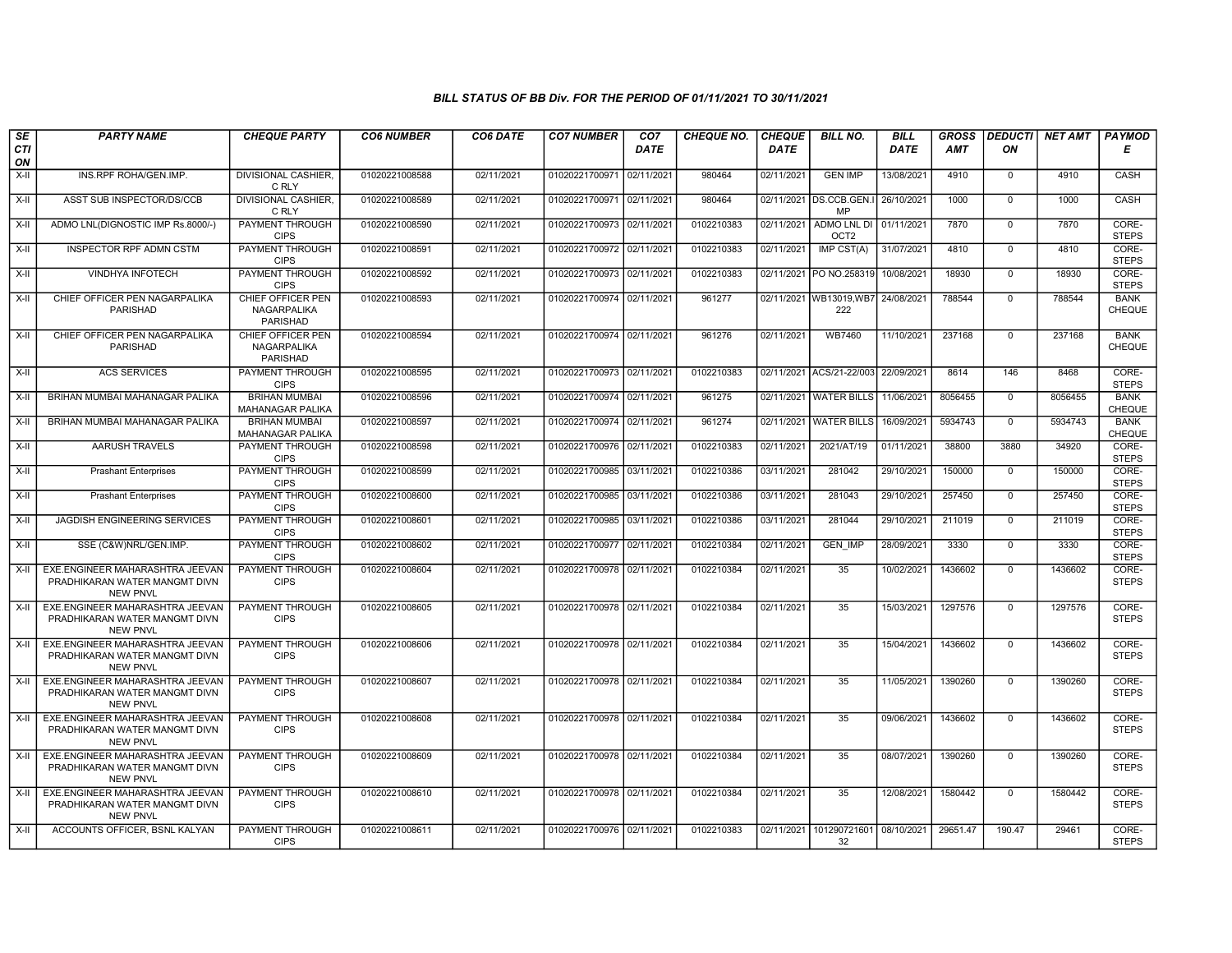| SE        | <b>PARTY NAME</b>                                                                   | <b>CHEQUE PARTY</b>                                 | <b>CO6 NUMBER</b> | CO6 DATE   | <b>CO7 NUMBER</b>         | CO <sub>7</sub> | <b>CHEQUE NO.</b> | <b>CHEQUE</b> | <b>BILL NO.</b>                          | <b>BILL</b> | <b>GROSS</b> | <b>DEDUCTI</b> | <b>NET AMT</b> | <b>PAYMOD</b>                |
|-----------|-------------------------------------------------------------------------------------|-----------------------------------------------------|-------------------|------------|---------------------------|-----------------|-------------------|---------------|------------------------------------------|-------------|--------------|----------------|----------------|------------------------------|
| CTI<br>ON |                                                                                     |                                                     |                   |            |                           | <b>DATE</b>     |                   | <b>DATE</b>   |                                          | DATE        | AMT          | ΟN             |                | Е                            |
| $X-H$     | INS.RPF ROHA/GEN.IMP.                                                               | <b>DIVISIONAL CASHIER.</b><br>C RLY                 | 01020221008588    | 02/11/2021 | 01020221700971            | 02/11/2021      | 980464            | 02/11/2021    | <b>GEN IMP</b>                           | 13/08/2021  | 4910         | $\mathbf 0$    | 4910           | CASH                         |
| $X-H$     | ASST SUB INSPECTOR/DS/CCB                                                           | <b>DIVISIONAL CASHIER.</b><br>C RLY                 | 01020221008589    | 02/11/2021 | 01020221700971 02/11/2021 |                 | 980464            |               | 02/11/2021 DS.CCB.GEN.I 26/10/2021<br>MP |             | 1000         | $\overline{0}$ | 1000           | CASH                         |
| $X-H$     | ADMO LNL(DIGNOSTIC IMP Rs.8000/-)                                                   | PAYMENT THROUGH<br><b>CIPS</b>                      | 01020221008590    | 02/11/2021 | 01020221700973 02/11/2021 |                 | 0102210383        | 02/11/2021    | ADMO LNL DI<br>OCT <sub>2</sub>          | 01/11/2021  | 7870         | $\mathbf 0$    | 7870           | CORE-<br><b>STEPS</b>        |
| $X-II$    | <b>INSPECTOR RPF ADMN CSTM</b>                                                      | PAYMENT THROUGH<br><b>CIPS</b>                      | 01020221008591    | 02/11/2021 | 01020221700972 02/11/2021 |                 | 0102210383        | 02/11/2021    | IMP CST(A)                               | 31/07/2021  | 4810         | $\overline{0}$ | 4810           | CORE-<br><b>STEPS</b>        |
| $X-H$     | <b>VINDHYA INFOTECH</b>                                                             | <b>PAYMENT THROUGH</b><br><b>CIPS</b>               | 01020221008592    | 02/11/2021 | 01020221700973 02/11/2021 |                 | 0102210383        |               | 02/11/2021 PO NO.258319                  | 10/08/2021  | 18930        | $\overline{0}$ | 18930          | CORE-<br><b>STEPS</b>        |
| $X-H$     | CHIEF OFFICER PEN NAGARPALIKA<br><b>PARISHAD</b>                                    | <b>CHIEF OFFICER PEN</b><br>NAGARPALIKA<br>PARISHAD | 01020221008593    | 02/11/2021 | 01020221700974 02/11/2021 |                 | 961277            |               | 02/11/2021 WB13019, WB7<br>222           | 24/08/2021  | 788544       | $\overline{0}$ | 788544         | <b>BANK</b><br>CHEQUE        |
| $X-II$    | CHIEF OFFICER PEN NAGARPALIKA<br>PARISHAD                                           | CHIEF OFFICER PEN<br>NAGARPALIKA<br><b>PARISHAD</b> | 01020221008594    | 02/11/2021 | 01020221700974 02/11/2021 |                 | 961276            | 02/11/2021    | <b>WB7460</b>                            | 11/10/2021  | 237168       | $\overline{0}$ | 237168         | <b>BANK</b><br><b>CHEQUE</b> |
| $X-II$    | <b>ACS SERVICES</b>                                                                 | <b>PAYMENT THROUGH</b><br><b>CIPS</b>               | 01020221008595    | 02/11/2021 | 01020221700973 02/11/2021 |                 | 0102210383        |               | 02/11/2021 ACS/21-22/003                 | 22/09/2021  | 8614         | 146            | 8468           | CORE-<br><b>STEPS</b>        |
| $X-II$    | BRIHAN MUMBAI MAHANAGAR PALIKA                                                      | <b>BRIHAN MUMBAI</b><br><b>MAHANAGAR PALIKA</b>     | 01020221008596    | 02/11/2021 | 01020221700974 02/11/2021 |                 | 961275            |               | 02/11/2021   WATER BILLS                 | 11/06/2021  | 8056455      | $\overline{0}$ | 8056455        | <b>BANK</b><br>CHEQUE        |
| X-II      | BRIHAN MUMBAI MAHANAGAR PALIKA                                                      | <b>BRIHAN MUMBAI</b><br>MAHANAGAR PALIKA            | 01020221008597    | 02/11/2021 | 01020221700974 02/11/2021 |                 | 961274            |               | 02/11/2021 WATER BILLS                   | 16/09/2021  | 5934743      | $\Omega$       | 5934743        | <b>BANK</b><br><b>CHEQUE</b> |
| $X-H$     | AARUSH TRAVELS                                                                      | PAYMENT THROUGH<br><b>CIPS</b>                      | 01020221008598    | 02/11/2021 | 01020221700976            | 02/11/2021      | 0102210383        | 02/11/2021    | 2021/AT/19                               | 01/11/2021  | 38800        | 3880           | 34920          | CORE-<br><b>STEPS</b>        |
| X-II      | <b>Prashant Enterprises</b>                                                         | <b>PAYMENT THROUGH</b><br><b>CIPS</b>               | 01020221008599    | 02/11/2021 | 01020221700985 03/11/2021 |                 | 0102210386        | 03/11/2021    | 281042                                   | 29/10/2021  | 150000       | $\overline{0}$ | 150000         | CORE-<br><b>STEPS</b>        |
| X-II      | <b>Prashant Enterprises</b>                                                         | <b>PAYMENT THROUGH</b><br><b>CIPS</b>               | 01020221008600    | 02/11/2021 | 01020221700985 03/11/2021 |                 | 0102210386        | 03/11/2021    | 281043                                   | 29/10/2021  | 257450       | $\mathbf 0$    | 257450         | CORE-<br><b>STEPS</b>        |
| X-II      | <b>JAGDISH ENGINEERING SERVICES</b>                                                 | <b>PAYMENT THROUGH</b><br><b>CIPS</b>               | 01020221008601    | 02/11/2021 | 01020221700985 03/11/2021 |                 | 0102210386        | 03/11/2021    | 281044                                   | 29/10/2021  | 211019       | $\mathbf{0}$   | 211019         | CORE-<br><b>STEPS</b>        |
| $X-H$     | SSE (C&W)NRL/GEN.IMP.                                                               | <b>PAYMENT THROUGH</b><br><b>CIPS</b>               | 01020221008602    | 02/11/2021 | 01020221700977            | 02/11/2021      | 0102210384        | 02/11/2021    | <b>GEN IMP</b>                           | 28/09/2021  | 3330         | $\overline{0}$ | 3330           | CORE-<br><b>STEPS</b>        |
| X-II      | EXE.ENGINEER MAHARASHTRA JEEVAN<br>PRADHIKARAN WATER MANGMT DIVN<br><b>NEW PNVL</b> | PAYMENT THROUGH<br><b>CIPS</b>                      | 01020221008604    | 02/11/2021 | 01020221700978 02/11/2021 |                 | 0102210384        | 02/11/2021    | 35                                       | 10/02/2021  | 1436602      | $\mathbf 0$    | 1436602        | CORE-<br><b>STEPS</b>        |
| $X-H$     | EXE.ENGINEER MAHARASHTRA JEEVAN<br>PRADHIKARAN WATER MANGMT DIVN<br><b>NEW PNVL</b> | <b>PAYMENT THROUGH</b><br><b>CIPS</b>               | 01020221008605    | 02/11/2021 | 01020221700978 02/11/2021 |                 | 0102210384        | 02/11/2021    | 35                                       | 15/03/2021  | 1297576      | $\mathbf{0}$   | 1297576        | CORE-<br><b>STEPS</b>        |
| $X-H$     | EXE.ENGINEER MAHARASHTRA JEEVAN<br>PRADHIKARAN WATER MANGMT DIVN<br><b>NEW PNVL</b> | <b>PAYMENT THROUGH</b><br><b>CIPS</b>               | 01020221008606    | 02/11/2021 | 01020221700978 02/11/2021 |                 | 0102210384        | 02/11/2021    | 35                                       | 15/04/2021  | 1436602      | $\overline{0}$ | 1436602        | CORE-<br><b>STEPS</b>        |
| $X-I$     | EXE.ENGINEER MAHARASHTRA JEEVAN<br>PRADHIKARAN WATER MANGMT DIVN<br><b>NEW PNVL</b> | <b>PAYMENT THROUGH</b><br><b>CIPS</b>               | 01020221008607    | 02/11/2021 | 01020221700978 02/11/2021 |                 | 0102210384        | 02/11/2021    | $\overline{35}$                          | 11/05/2021  | 1390260      | $\mathbf{0}$   | 1390260        | CORE-<br><b>STEPS</b>        |
| $X-H$     | EXE.ENGINEER MAHARASHTRA JEEVAN<br>PRADHIKARAN WATER MANGMT DIVN<br><b>NEW PNVL</b> | <b>PAYMENT THROUGH</b><br><b>CIPS</b>               | 01020221008608    | 02/11/2021 | 01020221700978 02/11/2021 |                 | 0102210384        | 02/11/2021    | 35                                       | 09/06/2021  | 1436602      | $\overline{0}$ | 1436602        | CORE-<br><b>STEPS</b>        |
| $X-H$     | EXE.ENGINEER MAHARASHTRA JEEVAN<br>PRADHIKARAN WATER MANGMT DIVN<br><b>NEW PNVL</b> | <b>PAYMENT THROUGH</b><br><b>CIPS</b>               | 01020221008609    | 02/11/2021 | 01020221700978 02/11/2021 |                 | 0102210384        | 02/11/2021    | 35                                       | 08/07/2021  | 1390260      | $\overline{0}$ | 1390260        | CORE-<br><b>STEPS</b>        |
| X-II      | EXE.ENGINEER MAHARASHTRA JEEVAN<br>PRADHIKARAN WATER MANGMT DIVN<br><b>NEW PNVL</b> | PAYMENT THROUGH<br><b>CIPS</b>                      | 01020221008610    | 02/11/2021 | 01020221700978 02/11/2021 |                 | 0102210384        | 02/11/2021    | 35                                       | 12/08/2021  | 1580442      | $\mathbf 0$    | 1580442        | CORE-<br><b>STEPS</b>        |
| $X-H$     | ACCOUNTS OFFICER, BSNL KALYAN                                                       | <b>PAYMENT THROUGH</b><br><b>CIPS</b>               | 01020221008611    | 02/11/2021 | 01020221700976 02/11/2021 |                 | 0102210383        |               | 02/11/2021 101290721601 08/10/2021<br>32 |             | 29651.47     | 190.47         | 29461          | CORE-<br><b>STEPS</b>        |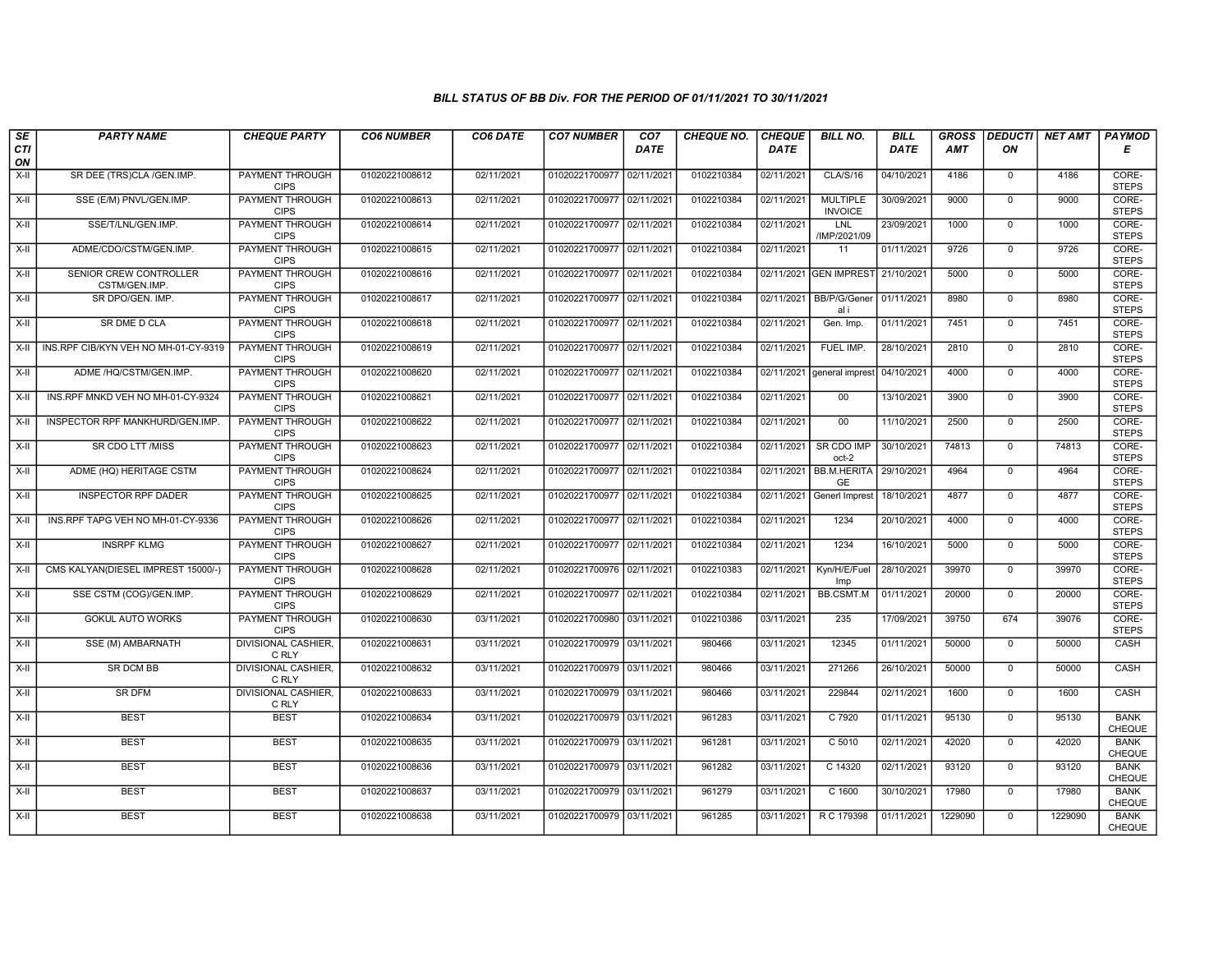| SE               | <b>PARTY NAME</b>                       | <b>CHEQUE PARTY</b>                   | <b>CO6 NUMBER</b> | CO6 DATE   | <b>CO7 NUMBER</b>         | CO <sub>7</sub> | <b>CHEQUE NO.</b> | <b>CHEQUE</b> | <b>BILL NO.</b>                   | <b>BILL</b> | <b>GROSS</b> |                | <b>DEDUCTI NET AMT</b> | <b>PAYMOD</b>                |
|------------------|-----------------------------------------|---------------------------------------|-------------------|------------|---------------------------|-----------------|-------------------|---------------|-----------------------------------|-------------|--------------|----------------|------------------------|------------------------------|
| <b>CTI</b><br>ON |                                         |                                       |                   |            |                           | <b>DATE</b>     |                   | <b>DATE</b>   |                                   | <b>DATE</b> | AMT          | ON             |                        | Е                            |
| $X-H$            | SR DEE (TRS)CLA /GEN.IMP.               | <b>PAYMENT THROUGH</b><br><b>CIPS</b> | 01020221008612    | 02/11/2021 | 01020221700977 02/11/2021 |                 | 0102210384        | 02/11/2021    | <b>CLA/S/16</b>                   | 04/10/2021  | 4186         | $\mathbf{0}$   | 4186                   | CORE-<br><b>STEPS</b>        |
| $X-II$           | SSE (E/M) PNVL/GEN.IMP.                 | <b>PAYMENT THROUGH</b><br><b>CIPS</b> | 01020221008613    | 02/11/2021 | 01020221700977 02/11/2021 |                 | 0102210384        | 02/11/2021    | <b>MULTIPLE</b><br><b>INVOICE</b> | 30/09/2021  | 9000         | $\mathbf{0}$   | 9000                   | CORE-<br><b>STEPS</b>        |
| X-II             | SSE/T/LNL/GEN.IMP.                      | PAYMENT THROUGH<br><b>CIPS</b>        | 01020221008614    | 02/11/2021 | 01020221700977 02/11/2021 |                 | 0102210384        | 02/11/2021    | LNL<br>/IMP/2021/09               | 23/09/2021  | 1000         | $\mathbf 0$    | 1000                   | CORE-<br><b>STEPS</b>        |
| X-II             | ADME/CDO/CSTM/GEN.IMP.                  | PAYMENT THROUGH<br><b>CIPS</b>        | 01020221008615    | 02/11/2021 | 01020221700977 02/11/2021 |                 | 0102210384        | 02/11/2021    | 11                                | 01/11/2021  | 9726         | $\overline{0}$ | 9726                   | CORE-<br><b>STEPS</b>        |
| $X-H$            | SENIOR CREW CONTROLLER<br>CSTM/GEN.IMP. | <b>PAYMENT THROUGH</b><br><b>CIPS</b> | 01020221008616    | 02/11/2021 | 01020221700977 02/11/2021 |                 | 0102210384        |               | 02/11/2021 GEN IMPREST            | 21/10/2021  | 5000         | $\mathbf 0$    | 5000                   | CORE-<br><b>STEPS</b>        |
| $X-II$           | SR DPO/GEN. IMP.                        | PAYMENT THROUGH<br><b>CIPS</b>        | 01020221008617    | 02/11/2021 | 01020221700977 02/11/2021 |                 | 0102210384        |               | 02/11/2021 BB/P/G/Gener<br>al i   | 01/11/2021  | 8980         | $\Omega$       | 8980                   | CORE-<br><b>STEPS</b>        |
| $X-II$           | SR DME D CLA                            | PAYMENT THROUGH<br><b>CIPS</b>        | 01020221008618    | 02/11/2021 | 01020221700977 02/11/2021 |                 | 0102210384        | 02/11/2021    | Gen. Imp.                         | 01/11/2021  | 7451         | $\mathbf{0}$   | 7451                   | CORE-<br><b>STEPS</b>        |
| X-II             | INS.RPF CIB/KYN VEH NO MH-01-CY-9319    | <b>PAYMENT THROUGH</b><br><b>CIPS</b> | 01020221008619    | 02/11/2021 | 01020221700977 02/11/2021 |                 | 0102210384        | 02/11/2021    | FUEL IMP.                         | 28/10/2021  | 2810         | $\mathbf 0$    | 2810                   | CORE-<br><b>STEPS</b>        |
| X-II             | ADME /HQ/CSTM/GEN.IMP.                  | <b>PAYMENT THROUGH</b><br><b>CIPS</b> | 01020221008620    | 02/11/2021 | 01020221700977 02/11/2021 |                 | 0102210384        | 02/11/2021    | general imprest                   | 04/10/2021  | 4000         | $\mathbf 0$    | 4000                   | CORE-<br><b>STEPS</b>        |
| $X-H$            | INS.RPF MNKD VEH NO MH-01-CY-9324       | <b>PAYMENT THROUGH</b><br><b>CIPS</b> | 01020221008621    | 02/11/2021 | 01020221700977 02/11/2021 |                 | 0102210384        | 02/11/2021    | 00                                | 13/10/2021  | 3900         | $\overline{0}$ | 3900                   | CORE-<br><b>STEPS</b>        |
| $X-II$           | INSPECTOR RPF MANKHURD/GEN.IMP.         | PAYMENT THROUGH<br><b>CIPS</b>        | 01020221008622    | 02/11/2021 | 01020221700977 02/11/2021 |                 | 0102210384        | 02/11/2021    | 00                                | 11/10/2021  | 2500         | $\mathbf 0$    | 2500                   | CORE-<br><b>STEPS</b>        |
| $X-II$           | <b>SR CDO LTT /MISS</b>                 | <b>PAYMENT THROUGH</b><br><b>CIPS</b> | 01020221008623    | 02/11/2021 | 01020221700977 02/11/2021 |                 | 0102210384        | 02/11/2021    | SR CDO IMP<br>oct-2               | 30/10/2021  | 74813        | $\overline{0}$ | 74813                  | CORE-<br><b>STEPS</b>        |
| X-II             | ADME (HQ) HERITAGE CSTM                 | <b>PAYMENT THROUGH</b><br><b>CIPS</b> | 01020221008624    | 02/11/2021 | 01020221700977 02/11/202  |                 | 0102210384        | 02/11/2021    | <b>BB.M.HERITA</b><br><b>GE</b>   | 29/10/2021  | 4964         | $\mathbf 0$    | 4964                   | CORE-<br><b>STEPS</b>        |
| $X-H$            | <b>INSPECTOR RPF DADER</b>              | <b>PAYMENT THROUGH</b><br><b>CIPS</b> | 01020221008625    | 02/11/2021 | 01020221700977 02/11/2021 |                 | 0102210384        | 02/11/2021    | <b>Generl Imprest</b>             | 18/10/2021  | 4877         | $\mathbf{0}$   | 4877                   | CORE-<br><b>STEPS</b>        |
| X-II             | INS.RPF TAPG VEH NO MH-01-CY-9336       | PAYMENT THROUGH<br><b>CIPS</b>        | 01020221008626    | 02/11/2021 | 01020221700977 02/11/2021 |                 | 0102210384        | 02/11/2021    | 1234                              | 20/10/2021  | 4000         | $\mathbf 0$    | 4000                   | CORE-<br><b>STEPS</b>        |
| $X-II$           | <b>INSRPF KLMG</b>                      | <b>PAYMENT THROUGH</b><br><b>CIPS</b> | 01020221008627    | 02/11/2021 | 01020221700977 02/11/2021 |                 | 0102210384        | 02/11/2021    | 1234                              | 16/10/2021  | 5000         | $\overline{0}$ | 5000                   | CORE-<br><b>STEPS</b>        |
| X-II             | CMS KALYAN(DIESEL IMPREST 15000/-)      | PAYMENT THROUGH<br><b>CIPS</b>        | 01020221008628    | 02/11/2021 | 01020221700976 02/11/2021 |                 | 0102210383        | 02/11/2021    | Kyn/H/E/Fuel<br>Imp               | 28/10/2021  | 39970        | $\mathbf 0$    | 39970                  | CORE-<br><b>STEPS</b>        |
| $X-H$            | SSE CSTM (COG)/GEN.IMP.                 | <b>PAYMENT THROUGH</b><br><b>CIPS</b> | 01020221008629    | 02/11/2021 | 01020221700977 02/11/2021 |                 | 0102210384        | 02/11/2021    | <b>BB.CSMT.M</b>                  | 01/11/2021  | 20000        | $\overline{0}$ | 20000                  | CORE-<br><b>STEPS</b>        |
| $X-II$           | <b>GOKUL AUTO WORKS</b>                 | PAYMENT THROUGH<br><b>CIPS</b>        | 01020221008630    | 03/11/2021 | 01020221700980 03/11/2021 |                 | 0102210386        | 03/11/2021    | 235                               | 17/09/2021  | 39750        | 674            | 39076                  | CORE-<br><b>STEPS</b>        |
| $X-H$            | SSE (M) AMBARNATH                       | DIVISIONAL CASHIER,<br>C RLY          | 01020221008631    | 03/11/2021 | 01020221700979 03/11/2021 |                 | 980466            | 03/11/2021    | 12345                             | 01/11/2021  | 50000        | $\mathsf 0$    | 50000                  | CASH                         |
| $X-II$           | <b>SR DCM BB</b>                        | DIVISIONAL CASHIER,<br>C RLY          | 01020221008632    | 03/11/2021 | 01020221700979 03/11/2021 |                 | 980466            | 03/11/2021    | 271266                            | 26/10/2021  | 50000        | $\mathbf 0$    | 50000                  | CASH                         |
| X-II             | <b>SR DFM</b>                           | <b>DIVISIONAL CASHIER,</b><br>C RLY   | 01020221008633    | 03/11/2021 | 01020221700979 03/11/2021 |                 | 980466            | 03/11/2021    | 229844                            | 02/11/2021  | 1600         | $\mathbf 0$    | 1600                   | <b>CASH</b>                  |
| X-II             | <b>BEST</b>                             | <b>BEST</b>                           | 01020221008634    | 03/11/2021 | 01020221700979 03/11/2021 |                 | 961283            | 03/11/2021    | C 7920                            | 01/11/2021  | 95130        | $\mathbf 0$    | 95130                  | <b>BANK</b><br>CHEQUE        |
| $X-II$           | <b>BEST</b>                             | <b>BEST</b>                           | 01020221008635    | 03/11/2021 | 01020221700979 03/11/2021 |                 | 961281            | 03/11/2021    | C 5010                            | 02/11/2021  | 42020        | $\mathbf{0}$   | 42020                  | <b>BANK</b><br><b>CHEQUE</b> |
| $X-H$            | <b>BEST</b>                             | <b>BEST</b>                           | 01020221008636    | 03/11/2021 | 01020221700979 03/11/2021 |                 | 961282            | 03/11/2021    | C 14320                           | 02/11/2021  | 93120        | $\mathbf 0$    | 93120                  | <b>BANK</b><br>CHEQUE        |
| $X-H$            | <b>BEST</b>                             | <b>BEST</b>                           | 01020221008637    | 03/11/2021 | 01020221700979 03/11/2021 |                 | 961279            | 03/11/2021    | C 1600                            | 30/10/2021  | 17980        | $\overline{0}$ | 17980                  | <b>BANK</b><br>CHEQUE        |
| $X-H$            | <b>BEST</b>                             | <b>BEST</b>                           | 01020221008638    | 03/11/2021 | 01020221700979 03/11/2021 |                 | 961285            | 03/11/2021    | R C 179398                        | 01/11/2021  | 1229090      | $\mathbf 0$    | 1229090                | <b>BANK</b><br>CHEQUE        |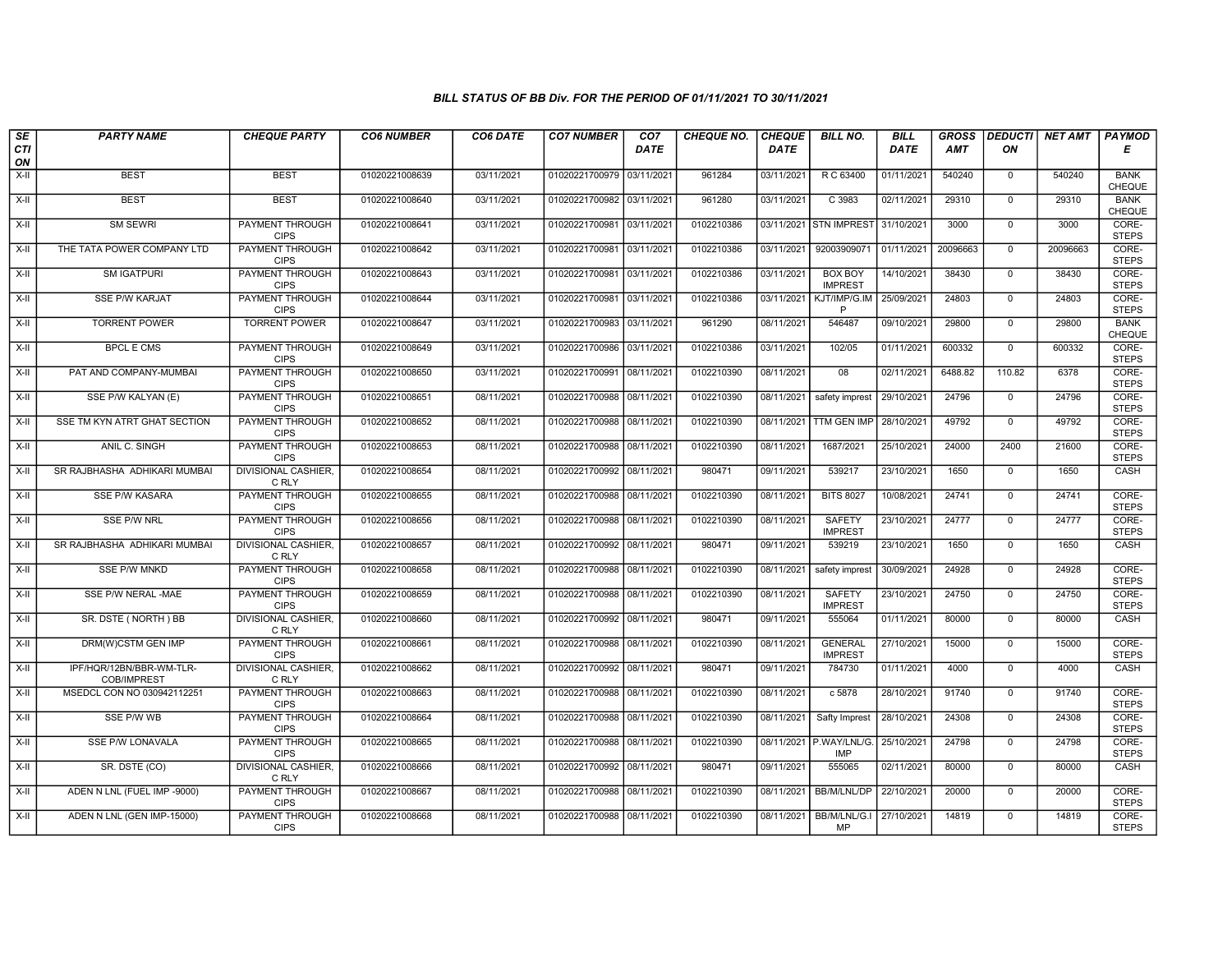| SE        | <b>PARTY NAME</b>                       | <b>CHEQUE PARTY</b>                   | <b>CO6 NUMBER</b> | CO6 DATE   | <b>CO7 NUMBER</b>         | CO <sub>7</sub> | <b>CHEQUE NO.</b> | <b>CHEQUE</b> | <b>BILL NO.</b>                  | <b>BILL</b> | <b>GROSS</b> | <b>DEDUCTI</b> | NET AMT  | <b>PAYMOD</b>                |
|-----------|-----------------------------------------|---------------------------------------|-------------------|------------|---------------------------|-----------------|-------------------|---------------|----------------------------------|-------------|--------------|----------------|----------|------------------------------|
| CTI<br>ON |                                         |                                       |                   |            |                           | <b>DATE</b>     |                   | <b>DATE</b>   |                                  | DATE        | AMT          | ON             |          | Е                            |
| $X-H$     | <b>BEST</b>                             | <b>BEST</b>                           | 01020221008639    | 03/11/2021 | 01020221700979 03/11/2021 |                 | 961284            | 03/11/2021    | R C 63400                        | 01/11/2021  | 540240       | $\mathbf{0}$   | 540240   | <b>BANK</b><br><b>CHEQUE</b> |
| X-II      | <b>BEST</b>                             | <b>BEST</b>                           | 01020221008640    | 03/11/2021 | 01020221700982 03/11/2021 |                 | 961280            | 03/11/2021    | C 3983                           | 02/11/2021  | 29310        | $\mathbf{0}$   | 29310    | <b>BANK</b><br>CHEQUE        |
| X-II      | <b>SM SEWRI</b>                         | PAYMENT THROUGH<br><b>CIPS</b>        | 01020221008641    | 03/11/2021 | 01020221700981            | 03/11/2021      | 0102210386        | 03/11/2021    | <b>STN IMPREST</b>               | 31/10/2021  | 3000         | $\mathbf 0$    | 3000     | CORE-<br><b>STEPS</b>        |
| $X-II$    | THE TATA POWER COMPANY LTD              | PAYMENT THROUGH<br><b>CIPS</b>        | 01020221008642    | 03/11/2021 | 01020221700981            | 03/11/2021      | 0102210386        | 03/11/2021    | 92003909071                      | 01/11/2021  | 20096663     | $\mathbf 0$    | 20096663 | CORE-<br><b>STEPS</b>        |
| $X-H$     | <b>SM IGATPURI</b>                      | PAYMENT THROUGH<br><b>CIPS</b>        | 01020221008643    | 03/11/2021 | 01020221700981 03/11/2021 |                 | 0102210386        | 03/11/2021    | <b>BOX BOY</b><br><b>IMPREST</b> | 14/10/2021  | 38430        | $\mathbf{0}$   | 38430    | CORE-<br><b>STEPS</b>        |
| $X-H$     | <b>SSE P/W KARJAT</b>                   | <b>PAYMENT THROUGH</b><br><b>CIPS</b> | 01020221008644    | 03/11/2021 | 01020221700981 03/11/2021 |                 | 0102210386        | 03/11/2021    | KJT/IMP/G.IM<br>P                | 25/09/2021  | 24803        | $\Omega$       | 24803    | CORE-<br><b>STEPS</b>        |
| X-II      | <b>TORRENT POWER</b>                    | <b>TORRENT POWER</b>                  | 01020221008647    | 03/11/2021 | 01020221700983 03/11/2021 |                 | 961290            | 08/11/2021    | 546487                           | 09/10/2021  | 29800        | $\mathbf{0}$   | 29800    | <b>BANK</b><br>CHEQUE        |
| X-II      | <b>BPCL E CMS</b>                       | <b>PAYMENT THROUGH</b><br><b>CIPS</b> | 01020221008649    | 03/11/2021 | 01020221700986 03/11/2021 |                 | 0102210386        | 03/11/2021    | 102/05                           | 01/11/2021  | 600332       | $\mathbf 0$    | 600332   | CORE-<br><b>STEPS</b>        |
| X-II      | PAT AND COMPANY-MUMBAI                  | PAYMENT THROUGH<br><b>CIPS</b>        | 01020221008650    | 03/11/2021 | 01020221700991 08/11/2021 |                 | 0102210390        | 08/11/2021    | 08                               | 02/11/2021  | 6488.82      | 110.82         | 6378     | CORE-<br><b>STEPS</b>        |
| $X-H$     | SSE P/W KALYAN (E)                      | <b>PAYMENT THROUGH</b><br><b>CIPS</b> | 01020221008651    | 08/11/2021 | 01020221700988 08/11/2021 |                 | 0102210390        | 08/11/2021    | safety imprest                   | 29/10/2021  | 24796        | $\mathbf 0$    | 24796    | CORE-<br><b>STEPS</b>        |
| X-II      | SSE TM KYN ATRT GHAT SECTION            | PAYMENT THROUGH<br><b>CIPS</b>        | 01020221008652    | 08/11/2021 | 01020221700988 08/11/2021 |                 | 0102210390        | 08/11/2021    | TTM GEN IMP                      | 28/10/2021  | 49792        | $\mathbf 0$    | 49792    | CORE-<br><b>STEPS</b>        |
| $X-II$    | ANIL C. SINGH                           | PAYMENT THROUGH<br><b>CIPS</b>        | 01020221008653    | 08/11/2021 | 01020221700988 08/11/2021 |                 | 0102210390        | 08/11/2021    | 1687/2021                        | 25/10/2021  | 24000        | 2400           | 21600    | CORE-<br><b>STEPS</b>        |
| X-II      | SR RAJBHASHA ADHIKARI MUMBAI            | DIVISIONAL CASHIER<br>C RLY           | 01020221008654    | 08/11/2021 | 01020221700992 08/11/2021 |                 | 980471            | 09/11/2021    | 539217                           | 23/10/2021  | 1650         | $\mathbf 0$    | 1650     | CASH                         |
| $X-H$     | <b>SSE P/W KASARA</b>                   | <b>PAYMENT THROUGH</b><br><b>CIPS</b> | 01020221008655    | 08/11/2021 | 01020221700988 08/11/2021 |                 | 0102210390        | 08/11/2021    | <b>BITS 8027</b>                 | 10/08/2021  | 24741        | $\mathbf{0}$   | 24741    | CORE-<br><b>STEPS</b>        |
| X-II      | SSE P/W NRL                             | PAYMENT THROUGH<br><b>CIPS</b>        | 01020221008656    | 08/11/2021 | 01020221700988 08/11/2021 |                 | 0102210390        | 08/11/2021    | SAFETY<br><b>IMPREST</b>         | 23/10/2021  | 24777        | $\mathbf 0$    | 24777    | CORE-<br><b>STEPS</b>        |
| X-II      | SR RAJBHASHA ADHIKARI MUMBAI            | <b>DIVISIONAL CASHIER.</b><br>C RLY   | 01020221008657    | 08/11/2021 | 01020221700992 08/11/2021 |                 | 980471            | 09/11/2021    | 539219                           | 23/10/2021  | 1650         | $\mathbf 0$    | 1650     | CASH                         |
| X-II      | <b>SSE P/W MNKD</b>                     | PAYMENT THROUGH<br><b>CIPS</b>        | 01020221008658    | 08/11/2021 | 01020221700988 08/11/2021 |                 | 0102210390        | 08/11/2021    | safety imprest                   | 30/09/2021  | 24928        | $\mathbf{0}$   | 24928    | CORE-<br><b>STEPS</b>        |
| $X-H$     | SSE P/W NERAL -MAE                      | <b>PAYMENT THROUGH</b><br><b>CIPS</b> | 01020221008659    | 08/11/2021 | 01020221700988 08/11/2021 |                 | 0102210390        | 08/11/2021    | <b>SAFETY</b><br><b>IMPREST</b>  | 23/10/2021  | 24750        | $\mathbf 0$    | 24750    | CORE-<br><b>STEPS</b>        |
| X-II      | SR. DSTE (NORTH) BB                     | <b>DIVISIONAL CASHIER,</b><br>C RLY   | 01020221008660    | 08/11/2021 | 01020221700992 08/11/2021 |                 | 980471            | 09/11/2021    | 555064                           | 01/11/2021  | 80000        | $\mathbf 0$    | 80000    | CASH                         |
| X-II      | DRM(W)CSTM GEN IMP                      | <b>PAYMENT THROUGH</b><br><b>CIPS</b> | 01020221008661    | 08/11/2021 | 01020221700988 08/11/2021 |                 | 0102210390        | 08/11/2021    | <b>GENERAL</b><br><b>IMPREST</b> | 27/10/2021  | 15000        | $\overline{0}$ | 15000    | CORE-<br><b>STEPS</b>        |
| $X-H$     | IPF/HQR/12BN/BBR-WM-TLR-<br>COB/IMPREST | <b>DIVISIONAL CASHIER,</b><br>C RLY   | 01020221008662    | 08/11/2021 | 01020221700992 08/11/2021 |                 | 980471            | 09/11/2021    | 784730                           | 01/11/2021  | 4000         | $\mathbf{0}$   | 4000     | CASH                         |
| X-II      | MSEDCL CON NO 030942112251              | <b>PAYMENT THROUGH</b><br><b>CIPS</b> | 01020221008663    | 08/11/2021 | 01020221700988 08/11/2021 |                 | 0102210390        | 08/11/2021    | c 5878                           | 28/10/2021  | 91740        | $\mathbf 0$    | 91740    | CORE-<br><b>STEPS</b>        |
| X-II      | SSE P/W WB                              | <b>PAYMENT THROUGH</b><br><b>CIPS</b> | 01020221008664    | 08/11/2021 | 01020221700988 08/11/2021 |                 | 0102210390        | 08/11/2021    | Safty Imprest                    | 28/10/2021  | 24308        | $\mathbf 0$    | 24308    | CORE-<br><b>STEPS</b>        |
| X-II      | <b>SSE P/W LONAVALA</b>                 | PAYMENT THROUGH<br><b>CIPS</b>        | 01020221008665    | 08/11/2021 | 01020221700988 08/11/2021 |                 | 0102210390        |               | 08/11/2021 P.WAY/LNL/G.<br>IMP   | 25/10/2021  | 24798        | $\overline{0}$ | 24798    | CORE-<br><b>STEPS</b>        |
| $X-II$    | SR. DSTE (CO)                           | <b>DIVISIONAL CASHIER.</b><br>C RLY   | 01020221008666    | 08/11/2021 | 01020221700992 08/11/2021 |                 | 980471            | 09/11/2021    | 555065                           | 02/11/2021  | 80000        | $\Omega$       | 80000    | CASH                         |
| $X-H$     | ADEN N LNL (FUEL IMP -9000)             | <b>PAYMENT THROUGH</b><br><b>CIPS</b> | 01020221008667    | 08/11/2021 | 01020221700988 08/11/2021 |                 | 0102210390        | 08/11/2021    | BB/M/LNL/DP                      | 22/10/2021  | 20000        | $\mathbf 0$    | 20000    | CORE-<br><b>STEPS</b>        |
| X-II      | ADEN N LNL (GEN IMP-15000)              | <b>PAYMENT THROUGH</b><br><b>CIPS</b> | 01020221008668    | 08/11/2021 | 01020221700988 08/11/2021 |                 | 0102210390        | 08/11/2021    | BB/M/LNL/G.I<br>MP               | 27/10/2021  | 14819        | $\mathbf 0$    | 14819    | CORE-<br><b>STEPS</b>        |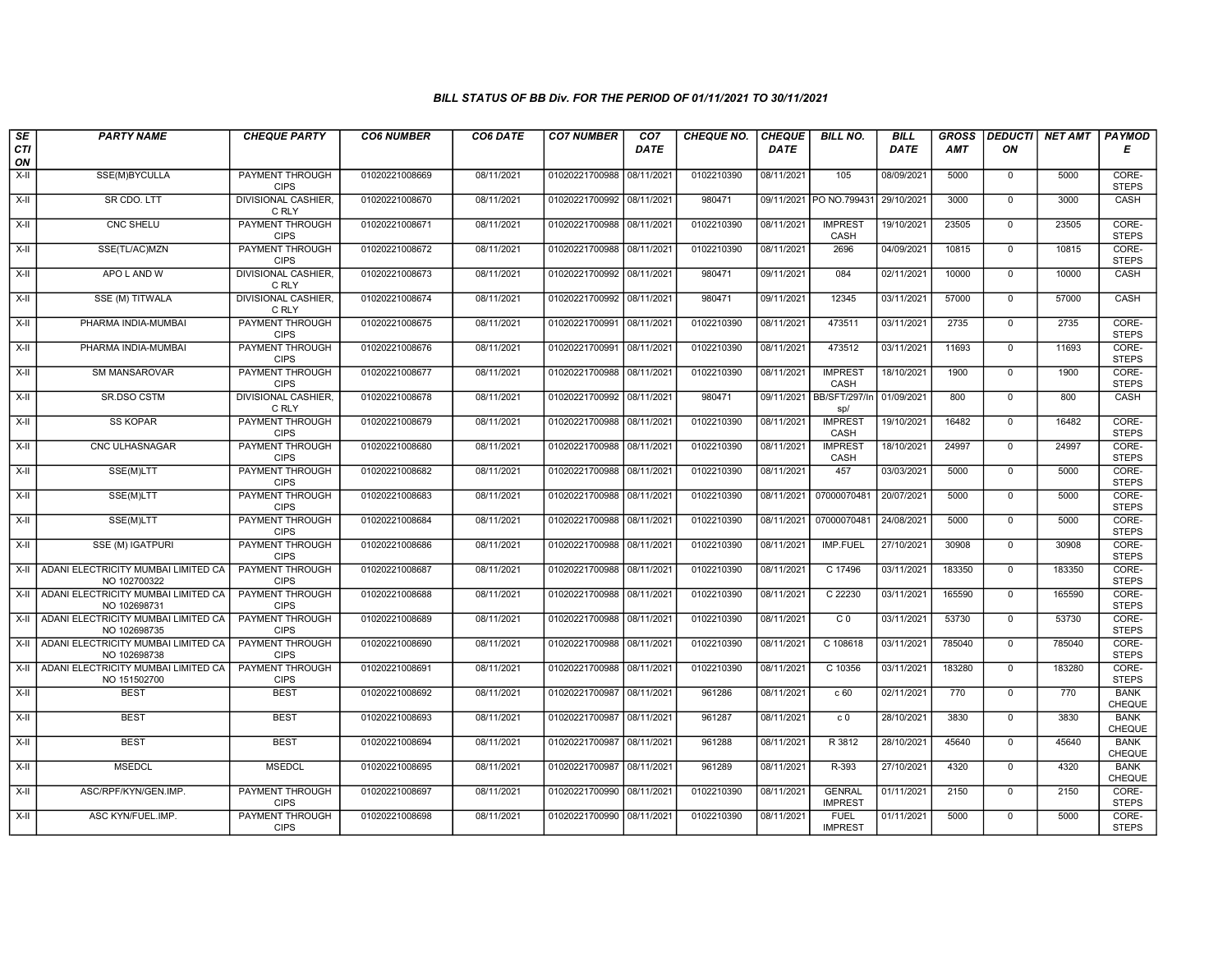| SE        | <b>PARTY NAME</b>                                   | <b>CHEQUE PARTY</b>                   | <b>CO6 NUMBER</b> | CO6 DATE   | <b>CO7 NUMBER</b>         | CO <sub>7</sub> | <b>CHEQUE NO.</b> | <b>CHEQUE</b> | <b>BILL NO.</b>                 | <b>BILL</b> | <b>GROSS</b> | <b>DEDUCTI</b> | NET AMT | PAYMOD                       |
|-----------|-----------------------------------------------------|---------------------------------------|-------------------|------------|---------------------------|-----------------|-------------------|---------------|---------------------------------|-------------|--------------|----------------|---------|------------------------------|
| CTI<br>ON |                                                     |                                       |                   |            |                           | <b>DATE</b>     |                   | <b>DATE</b>   |                                 | DATE        | AMT          | ON             |         | Е                            |
| $X-H$     | SSE(M)BYCULLA                                       | <b>PAYMENT THROUGH</b><br><b>CIPS</b> | 01020221008669    | 08/11/2021 | 01020221700988 08/11/2021 |                 | 0102210390        | 08/11/2021    | 105                             | 08/09/2021  | 5000         | $\overline{0}$ | 5000    | CORE-<br><b>STEPS</b>        |
| $X-H$     | SR CDO. LTT                                         | <b>DIVISIONAL CASHIER,</b><br>C RLY   | 01020221008670    | 08/11/2021 | 01020221700992 08/11/2021 |                 | 980471            |               | 09/11/2021 PO NO.799431         | 29/10/2021  | 3000         | $\overline{0}$ | 3000    | CASH                         |
| X-II      | CNC SHELU                                           | PAYMENT THROUGH<br><b>CIPS</b>        | 01020221008671    | 08/11/2021 | 01020221700988 08/11/2021 |                 | 0102210390        | 08/11/2021    | <b>IMPREST</b><br>CASH          | 19/10/2021  | 23505        | $\mathbf 0$    | 23505   | CORE-<br><b>STEPS</b>        |
| $X-II$    | SSE(TL/AC)MZN                                       | PAYMENT THROUGH<br><b>CIPS</b>        | 01020221008672    | 08/11/2021 | 01020221700988            | 08/11/2021      | 0102210390        | 08/11/2021    | 2696                            | 04/09/2021  | 10815        | $\mathbf 0$    | 10815   | CORE-<br><b>STEPS</b>        |
| $X-H$     | APO L AND W                                         | <b>DIVISIONAL CASHIER,</b><br>C RLY   | 01020221008673    | 08/11/2021 | 01020221700992 08/11/2021 |                 | 980471            | 09/11/2021    | 084                             | 02/11/2021  | 10000        | $\mathbf 0$    | 10000   | CASH                         |
| X-II      | SSE (M) TITWALA                                     | <b>DIVISIONAL CASHIER,</b><br>C RLY   | 01020221008674    | 08/11/2021 | 01020221700992 08/11/2021 |                 | 980471            | 09/11/2021    | 12345                           | 03/11/2021  | 57000        | $\overline{0}$ | 57000   | CASH                         |
| X-II      | PHARMA INDIA-MUMBAI                                 | PAYMENT THROUGH<br><b>CIPS</b>        | 01020221008675    | 08/11/2021 | 01020221700991 08/11/2021 |                 | 0102210390        | 08/11/2021    | 473511                          | 03/11/2021  | 2735         | $\mathbf{0}$   | 2735    | CORE-<br><b>STEPS</b>        |
| $X-H$     | PHARMA INDIA-MUMBAI                                 | <b>PAYMENT THROUGH</b><br><b>CIPS</b> | 01020221008676    | 08/11/2021 | 01020221700991            | 08/11/2021      | 0102210390        | 08/11/2021    | 473512                          | 03/11/2021  | 11693        | $\overline{0}$ | 11693   | CORE-<br><b>STEPS</b>        |
| $X-H$     | SM MANSAROVAR                                       | <b>PAYMENT THROUGH</b><br><b>CIPS</b> | 01020221008677    | 08/11/2021 | 01020221700988            | 08/11/2021      | 0102210390        | 08/11/2021    | <b>IMPREST</b><br>CASH          | 18/10/2021  | 1900         | $\mathbf 0$    | 1900    | CORE-<br><b>STEPS</b>        |
| $X-H$     | SR.DSO CSTM                                         | <b>DIVISIONAL CASHIER,</b><br>C RLY   | 01020221008678    | 08/11/2021 | 01020221700992 08/11/2021 |                 | 980471            | 09/11/2021    | BB/SFT/297/In 01/09/2021<br>sp/ |             | 800          | $\mathbf{0}$   | 800     | CASH                         |
| X-II      | <b>SS KOPAR</b>                                     | PAYMENT THROUGH<br><b>CIPS</b>        | 01020221008679    | 08/11/2021 | 01020221700988            | 08/11/2021      | 0102210390        | 08/11/2021    | <b>IMPREST</b><br>CASH          | 19/10/2021  | 16482        | $\mathbf 0$    | 16482   | CORE-<br><b>STEPS</b>        |
| X-II      | CNC ULHASNAGAR                                      | PAYMENT THROUGH<br><b>CIPS</b>        | 01020221008680    | 08/11/2021 | 01020221700988 08/11/2021 |                 | 0102210390        | 08/11/2021    | <b>IMPREST</b><br>CASH          | 18/10/2021  | 24997        | $\mathbf 0$    | 24997   | CORE-<br><b>STEPS</b>        |
| $X-H$     | SSE(M)LTT                                           | <b>PAYMENT THROUGH</b><br><b>CIPS</b> | 01020221008682    | 08/11/2021 | 01020221700988 08/11/2021 |                 | 0102210390        | 08/11/2021    | 457                             | 03/03/2021  | 5000         | $\overline{0}$ | 5000    | CORE-<br><b>STEPS</b>        |
| $X-H$     | SSE(M)LTT                                           | <b>PAYMENT THROUGH</b><br><b>CIPS</b> | 01020221008683    | 08/11/2021 | 01020221700988 08/11/2021 |                 | 0102210390        | 08/11/2021    | 07000070481                     | 20/07/2021  | 5000         | $\overline{0}$ | 5000    | CORE-<br><b>STEPS</b>        |
| X-II      | SSE(M)LTT                                           | PAYMENT THROUGH<br><b>CIPS</b>        | 01020221008684    | 08/11/2021 | 01020221700988 08/11/2021 |                 | 0102210390        | 08/11/2021    | 07000070481                     | 24/08/2021  | 5000         | $\Omega$       | 5000    | CORE-<br><b>STEPS</b>        |
| X-II      | SSE (M) IGATPURI                                    | <b>PAYMENT THROUGH</b><br><b>CIPS</b> | 01020221008686    | 08/11/2021 | 01020221700988 08/11/2021 |                 | 0102210390        | 08/11/2021    | IMP.FUEL                        | 27/10/2021  | 30908        | $\mathbf 0$    | 30908   | CORE-<br><b>STEPS</b>        |
| X-II      | ADANI ELECTRICITY MUMBAI LIMITED CA<br>NO 102700322 | <b>PAYMENT THROUGH</b><br><b>CIPS</b> | 01020221008687    | 08/11/2021 | 01020221700988 08/11/2021 |                 | 0102210390        | 08/11/2021    | C 17496                         | 03/11/2021  | 183350       | $\overline{0}$ | 183350  | CORE-<br><b>STEPS</b>        |
| $X-H$     | ADANI ELECTRICITY MUMBAI LIMITED CA<br>NO 102698731 | <b>PAYMENT THROUGH</b><br><b>CIPS</b> | 01020221008688    | 08/11/2021 | 01020221700988 08/11/2021 |                 | 0102210390        | 08/11/2021    | C 22230                         | 03/11/2021  | 165590       | $\overline{0}$ | 165590  | CORE-<br><b>STEPS</b>        |
| X-II      | ADANI ELECTRICITY MUMBAI LIMITED CA<br>NO 102698735 | PAYMENT THROUGH<br><b>CIPS</b>        | 01020221008689    | 08/11/2021 | 01020221700988 08/11/2021 |                 | 0102210390        | 08/11/2021    | C <sub>0</sub>                  | 03/11/2021  | 53730        | $\mathbf 0$    | 53730   | CORE-<br><b>STEPS</b>        |
| X-II      | ADANI ELECTRICITY MUMBAI LIMITED CA<br>NO 102698738 | <b>PAYMENT THROUGH</b><br><b>CIPS</b> | 01020221008690    | 08/11/2021 | 01020221700988 08/11/2021 |                 | 0102210390        | 08/11/2021    | C 108618                        | 03/11/2021  | 785040       | $\overline{0}$ | 785040  | CORE-<br><b>STEPS</b>        |
| X-II      | ADANI ELECTRICITY MUMBAI LIMITED CA<br>NO 151502700 | <b>PAYMENT THROUGH</b><br><b>CIPS</b> | 01020221008691    | 08/11/2021 | 01020221700988 08/11/2021 |                 | 0102210390        | 08/11/2021    | C 10356                         | 03/11/2021  | 183280       | $\overline{0}$ | 183280  | CORE-<br><b>STEPS</b>        |
| X-II      | <b>BEST</b>                                         | <b>BEST</b>                           | 01020221008692    | 08/11/2021 | 01020221700987            | 08/11/2021      | 961286            | 08/11/2021    | c 60                            | 02/11/2021  | 770          | $\mathbf 0$    | 770     | <b>BANK</b><br>CHEQUE        |
| X-II      | <b>BEST</b>                                         | <b>BEST</b>                           | 01020221008693    | 08/11/2021 | 01020221700987            | 08/11/2021      | 961287            | 08/11/2021    | c <sub>0</sub>                  | 28/10/2021  | 3830         | $\mathbf 0$    | 3830    | <b>BANK</b><br>CHEQUE        |
| $X-H$     | <b>BEST</b>                                         | <b>BEST</b>                           | 01020221008694    | 08/11/2021 | 01020221700987            | 08/11/2021      | 961288            | 08/11/2021    | R 3812                          | 28/10/2021  | 45640        | $\mathbf{0}$   | 45640   | <b>BANK</b><br><b>CHEQUE</b> |
| X-II      | <b>MSEDCL</b>                                       | <b>MSEDCL</b>                         | 01020221008695    | 08/11/2021 | 01020221700987            | 08/11/2021      | 961289            | 08/11/2021    | R-393                           | 27/10/2021  | 4320         | $\mathbf 0$    | 4320    | <b>BANK</b><br>CHEQUE        |
| $X-H$     | ASC/RPF/KYN/GEN.IMP.                                | <b>PAYMENT THROUGH</b><br><b>CIPS</b> | 01020221008697    | 08/11/2021 | 01020221700990 08/11/2021 |                 | 0102210390        | 08/11/2021    | <b>GENRAL</b><br><b>IMPREST</b> | 01/11/2021  | 2150         | $\overline{0}$ | 2150    | CORE-<br><b>STEPS</b>        |
| X-II      | ASC KYN/FUEL.IMP.                                   | <b>PAYMENT THROUGH</b><br><b>CIPS</b> | 01020221008698    | 08/11/2021 | 01020221700990 08/11/2021 |                 | 0102210390        | 08/11/2021    | <b>FUEL</b><br><b>IMPREST</b>   | 01/11/2021  | 5000         | $\mathbf 0$    | 5000    | CORE-<br><b>STEPS</b>        |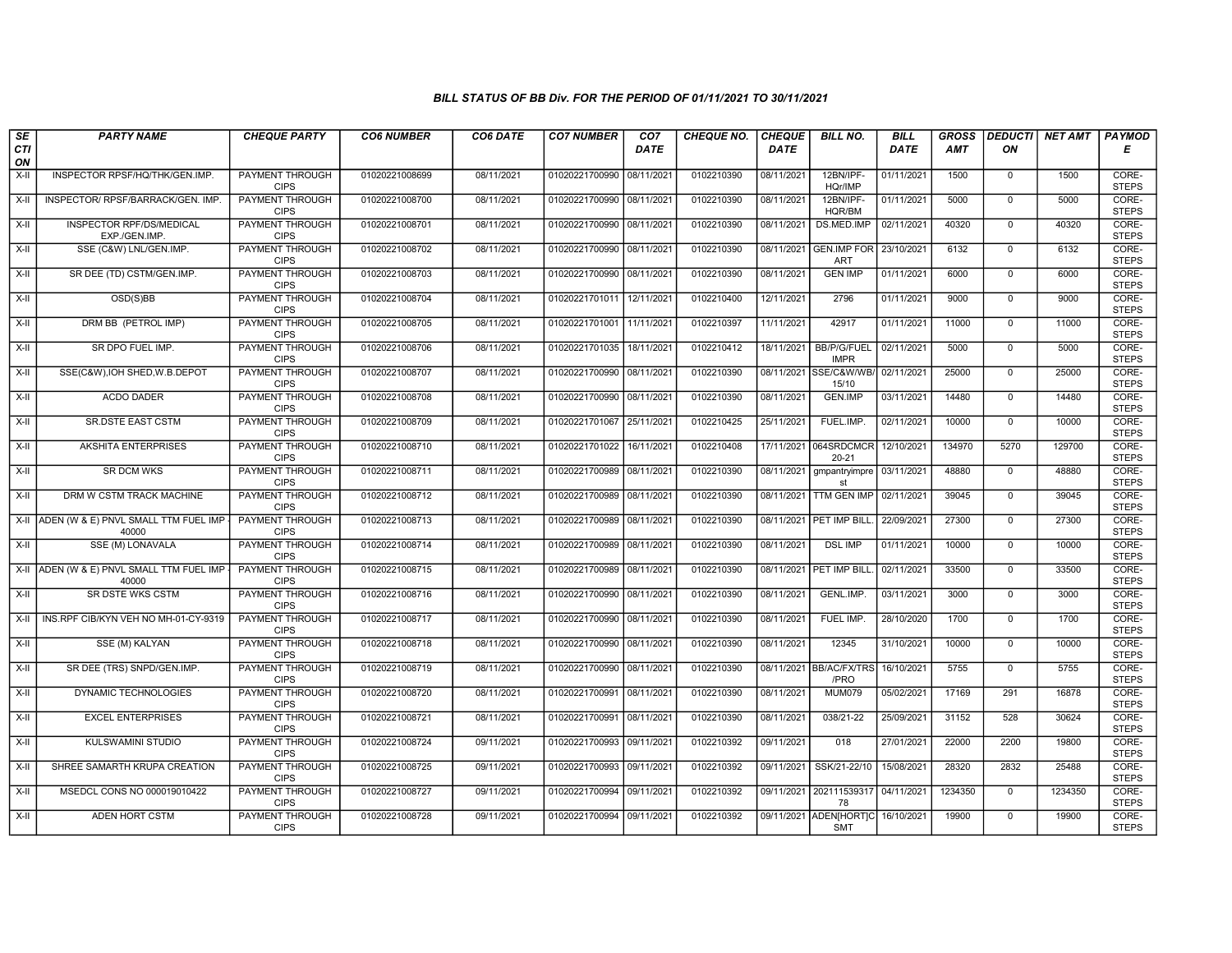| SE        | <b>PARTY NAME</b>                                  | <b>CHEQUE PARTY</b>                                      | <b>CO6 NUMBER</b> | CO6 DATE                 | <b>CO7 NUMBER</b>         | CO <sub>7</sub> | <b>CHEQUE NO.</b>        | <b>CHEQUE</b>            | <b>BILL NO.</b>                                 | <b>BILL</b> | <b>GROSS</b> |                               | DEDUCTI NET AMT | <b>PAYMOD</b>                  |
|-----------|----------------------------------------------------|----------------------------------------------------------|-------------------|--------------------------|---------------------------|-----------------|--------------------------|--------------------------|-------------------------------------------------|-------------|--------------|-------------------------------|-----------------|--------------------------------|
| CTI<br>ON |                                                    |                                                          |                   |                          |                           | <b>DATE</b>     |                          | <b>DATE</b>              |                                                 | DATE        | AMT          | ON                            |                 | Е                              |
| $X-H$     | INSPECTOR RPSF/HQ/THK/GEN.IMP.                     | <b>PAYMENT THROUGH</b><br><b>CIPS</b>                    | 01020221008699    | 08/11/2021               | 01020221700990 08/11/2021 |                 | 0102210390               | 08/11/2021               | 12BN/IPF-<br>HQr/IMP                            | 01/11/2021  | 1500         | $\overline{0}$                | 1500            | CORE-<br><b>STEPS</b>          |
| $X-H$     | INSPECTOR/ RPSF/BARRACK/GEN. IMP.                  | <b>PAYMENT THROUGH</b><br><b>CIPS</b>                    | 01020221008700    | 08/11/2021               | 01020221700990 08/11/2021 |                 | 0102210390               | 08/11/2021               | 12BN/IPF-<br>HQR/BM                             | 01/11/2021  | 5000         | $\overline{0}$                | 5000            | CORE-<br><b>STEPS</b>          |
| X-II      | INSPECTOR RPF/DS/MEDICAL<br>EXP./GEN.IMP.          | PAYMENT THROUGH<br><b>CIPS</b>                           | 01020221008701    | 08/11/2021               | 01020221700990 08/11/2021 |                 | 0102210390               | 08/11/2021               | DS.MED.IMP                                      | 02/11/2021  | 40320        | $\mathbf 0$                   | 40320           | CORE-<br><b>STEPS</b>          |
| $X-II$    | SSE (C&W) LNL/GEN.IMP.                             | <b>PAYMENT THROUGH</b><br><b>CIPS</b>                    | 01020221008702    | 08/11/2021               | 01020221700990 08/11/2021 |                 | 0102210390               | 08/11/2021               | <b>GEN.IMP FOR</b><br>ART                       | 23/10/2021  | 6132         | $\mathbf{0}$                  | 6132            | CORE-<br><b>STEPS</b>          |
| $X-H$     | SR DEE (TD) CSTM/GEN.IMP.                          | <b>PAYMENT THROUGH</b><br><b>CIPS</b>                    | 01020221008703    | 08/11/2021               | 01020221700990 08/11/2021 |                 | 0102210390               | 08/11/2021               | <b>GEN IMP</b>                                  | 01/11/2021  | 6000         | $\mathbf 0$                   | 6000            | CORE-<br><b>STEPS</b>          |
| $X-H$     | OSD(S)BB                                           | <b>PAYMENT THROUGH</b><br><b>CIPS</b>                    | 01020221008704    | 08/11/2021               | 01020221701011 12/11/2021 |                 | 0102210400               | 12/11/2021               | 2796                                            | 01/11/2021  | 9000         | $\overline{0}$                | 9000            | CORE-<br><b>STEPS</b>          |
| X-II      | DRM BB (PETROL IMP)                                | PAYMENT THROUGH<br><b>CIPS</b>                           | 01020221008705    | 08/11/2021               | 01020221701001 11/11/2021 |                 | 0102210397               | 11/11/2021               | 42917                                           | 01/11/2021  | 11000        | $\mathbf 0$                   | 11000           | CORE-<br><b>STEPS</b>          |
| $X-H$     | SR DPO FUEL IMP.                                   | <b>PAYMENT THROUGH</b><br><b>CIPS</b>                    | 01020221008706    | 08/11/2021               | 01020221701035 18/11/2021 |                 | 0102210412               | 18/11/2021               | <b>BB/P/G/FUEL</b><br><b>IMPR</b>               | 02/11/2021  | 5000         | $\overline{0}$                | 5000            | CORE-<br><b>STEPS</b>          |
| $X-H$     | SSE(C&W), IOH SHED, W.B. DEPOT                     | <b>PAYMENT THROUGH</b><br><b>CIPS</b>                    | 01020221008707    | 08/11/2021               | 01020221700990 08/11/2021 |                 | 0102210390               | 08/11/2021               | SSE/C&W/WB/<br>15/10                            | 02/11/2021  | 25000        | $\mathbf 0$                   | 25000           | CORE-<br><b>STEPS</b>          |
| $X-H$     | <b>ACDO DADER</b>                                  | <b>PAYMENT THROUGH</b><br><b>CIPS</b>                    | 01020221008708    | 08/11/2021               | 01020221700990 08/11/2021 |                 | 0102210390               | 08/11/2021               | <b>GEN.IMP</b>                                  | 03/11/2021  | 14480        | $\mathbf 0$                   | 14480           | CORE-<br><b>STEPS</b>          |
| X-II      | SR.DSTE EAST CSTM                                  | PAYMENT THROUGH<br><b>CIPS</b>                           | 01020221008709    | 08/11/2021               | 01020221701067            | 25/11/2021      | 0102210425               | 25/11/2021               | FUEL.IMP.                                       | 02/11/2021  | 10000        | $\mathbf 0$                   | 10000           | CORE-<br><b>STEPS</b>          |
| X-II      | <b>AKSHITA ENTERPRISES</b>                         | <b>PAYMENT THROUGH</b><br><b>CIPS</b>                    | 01020221008710    | 08/11/2021               | 01020221701022            | 16/11/2021      | 0102210408               | 17/11/2021               | 064SRDCMCR<br>$20 - 21$                         | 12/10/2021  | 134970       | 5270                          | 129700          | CORE-<br><b>STEPS</b>          |
| $X-H$     | <b>SR DCM WKS</b>                                  | <b>PAYMENT THROUGH</b><br><b>CIPS</b>                    | 01020221008711    | 08/11/2021               | 01020221700989 08/11/2021 |                 | 0102210390               | 08/11/2021               | gmpantryimpre<br>sf                             | 03/11/2021  | 48880        | $\overline{0}$                | 48880           | CORE-<br><b>STEPS</b>          |
| $X-H$     | DRM W CSTM TRACK MACHINE                           | <b>PAYMENT THROUGH</b><br><b>CIPS</b>                    | 01020221008712    | 08/11/2021               | 01020221700989 08/11/2021 |                 | 0102210390               |                          | 08/11/2021 TTM GEN IMP                          | 02/11/2021  | 39045        | $\mathbf{0}$                  | 39045           | CORE-<br><b>STEPS</b>          |
|           | X-II ADEN (W & E) PNVL SMALL TTM FUEL IMP<br>40000 | PAYMENT THROUGH<br><b>CIPS</b>                           | 01020221008713    | 08/11/2021               | 01020221700989 08/11/2021 |                 | 0102210390               |                          | 08/11/2021 PET IMP BILL                         | 22/09/2021  | 27300        | $\Omega$                      | 27300           | CORE-<br><b>STEPS</b>          |
| X-II      | SSE (M) LONAVALA                                   | <b>PAYMENT THROUGH</b><br><b>CIPS</b>                    | 01020221008714    | 08/11/2021               | 01020221700989 08/11/2021 |                 | 0102210390               | 08/11/2021               | <b>DSL IMP</b>                                  | 01/11/2021  | 10000        | $\mathbf 0$                   | 10000           | CORE-<br><b>STEPS</b>          |
|           | X-II ADEN (W & E) PNVL SMALL TTM FUEL IMP<br>40000 | <b>PAYMENT THROUGH</b><br><b>CIPS</b>                    | 01020221008715    | 08/11/2021               | 01020221700989 08/11/2021 |                 | 0102210390               |                          | 08/11/2021 PET IMP BILL                         | 02/11/2021  | 33500        | $\overline{0}$                | 33500           | CORE-<br><b>STEPS</b>          |
| $X-H$     | <b>SR DSTE WKS CSTM</b>                            | <b>PAYMENT THROUGH</b><br><b>CIPS</b>                    | 01020221008716    | 08/11/2021               | 01020221700990 08/11/2021 |                 | 0102210390               | 08/11/2021               | <b>GENL.IMP</b>                                 | 03/11/2021  | 3000         | $\mathbf 0$                   | 3000            | CORE-<br><b>STEPS</b>          |
| X-II      | INS.RPF CIB/KYN VEH NO MH-01-CY-9319               | PAYMENT THROUGH<br><b>CIPS</b><br><b>PAYMENT THROUGH</b> | 01020221008717    | 08/11/2021<br>08/11/2021 | 01020221700990 08/11/2021 |                 | 0102210390<br>0102210390 | 08/11/2021<br>08/11/2021 | FUEL IMP.<br>12345                              | 28/10/2020  | 1700         | $\mathbf 0$<br>$\overline{0}$ | 1700            | CORE-<br><b>STEPS</b><br>CORE- |
| X-II      | SSE (M) KALYAN                                     | <b>CIPS</b><br><b>PAYMENT THROUGH</b>                    | 01020221008718    |                          | 01020221700990 08/11/2021 |                 |                          |                          |                                                 | 31/10/2021  | 10000        |                               | 10000           | <b>STEPS</b>                   |
| X-II      | SR DEE (TRS) SNPD/GEN.IMP.                         | <b>CIPS</b>                                              | 01020221008719    | 08/11/2021               | 01020221700990 08/11/2021 |                 | 0102210390<br>0102210390 |                          | 08/11/2021 BB/AC/FX/TRS<br>/PRO                 | 16/10/2021  | 5755         | $\mathbf{0}$<br>291           | 5755            | CORE-<br><b>STEPS</b><br>CORE- |
| X-II      | DYNAMIC TECHNOLOGIES                               | <b>PAYMENT THROUGH</b><br><b>CIPS</b>                    | 01020221008720    | 08/11/2021               | 01020221700991            | 08/11/2021      |                          | 08/11/2021               | <b>MUM079</b>                                   | 05/02/2021  | 17169        |                               | 16878           | <b>STEPS</b>                   |
| $X-H$     | <b>EXCEL ENTERPRISES</b>                           | PAYMENT THROUGH<br><b>CIPS</b>                           | 01020221008721    | 08/11/2021               | 01020221700991            | 08/11/2021      | 0102210390               | 08/11/2021               | 038/21-22                                       | 25/09/2021  | 31152        | 528                           | 30624           | CORE-<br><b>STEPS</b>          |
| X-II      | KULSWAMINI STUDIO                                  | <b>PAYMENT THROUGH</b><br><b>CIPS</b>                    | 01020221008724    | 09/11/2021               | 01020221700993 09/11/2021 |                 | 0102210392               | 09/11/2021               | 018                                             | 27/01/2021  | 22000        | 2200                          | 19800           | CORE-<br><b>STEPS</b>          |
| X-II      | SHREE SAMARTH KRUPA CREATION                       | <b>PAYMENT THROUGH</b><br><b>CIPS</b>                    | 01020221008725    | 09/11/2021               | 01020221700993 09/11/2021 |                 | 0102210392               | 09/11/2021               | SSK/21-22/10                                    | 15/08/2021  | 28320        | 2832                          | 25488           | CORE-<br><b>STEPS</b>          |
| $X-H$     | MSEDCL CONS NO 000019010422                        | <b>PAYMENT THROUGH</b><br><b>CIPS</b>                    | 01020221008727    | 09/11/2021               | 01020221700994 09/11/2021 |                 | 0102210392               | 09/11/2021               | 202111539317<br>78                              | 04/11/2021  | 1234350      | $\overline{0}$                | 1234350         | CORE-<br><b>STEPS</b>          |
| X-II      | ADEN HORT CSTM                                     | <b>PAYMENT THROUGH</b><br><b>CIPS</b>                    | 01020221008728    | 09/11/2021               | 01020221700994 09/11/2021 |                 | 0102210392               |                          | 09/11/2021 ADEN[HORT]C 16/10/2021<br><b>SMT</b> |             | 19900        | $\mathbf{0}$                  | 19900           | CORE-<br><b>STEPS</b>          |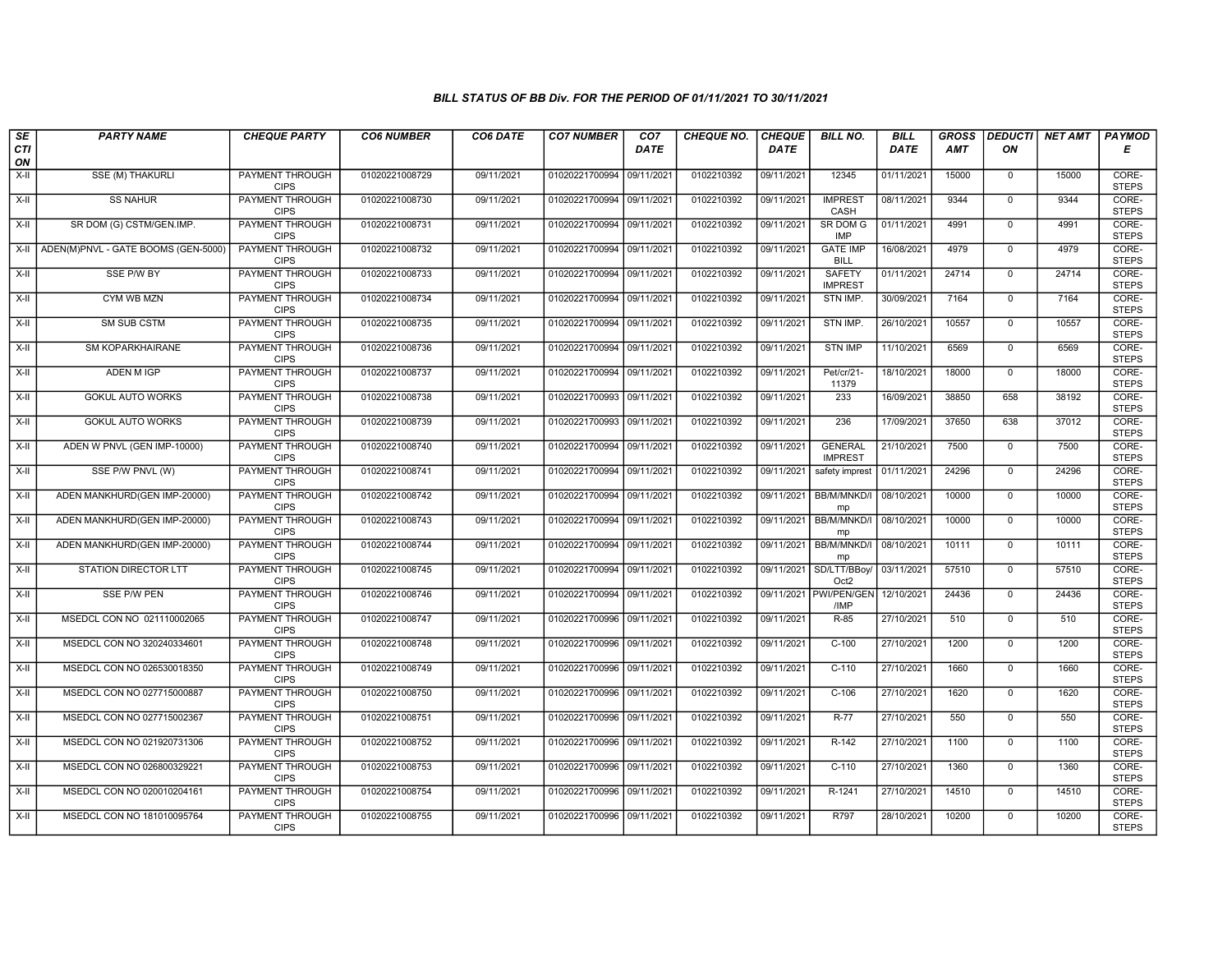| SE               | <b>PARTY NAME</b>                   | <b>CHEQUE PARTY</b>                   | <b>CO6 NUMBER</b> | CO6 DATE   | <b>CO7 NUMBER</b>         | CO <sub>7</sub> | <b>CHEQUE NO.</b> | <b>CHEQUE</b> | <b>BILL NO.</b>                  | <b>BILL</b> | <b>GROSS</b> | <b>DEDUCTI</b> | NET AMT | <b>PAYMOD</b>         |
|------------------|-------------------------------------|---------------------------------------|-------------------|------------|---------------------------|-----------------|-------------------|---------------|----------------------------------|-------------|--------------|----------------|---------|-----------------------|
| <b>CTI</b><br>ON |                                     |                                       |                   |            |                           | <b>DATE</b>     |                   | <b>DATE</b>   |                                  | DATE        | <b>AMT</b>   | ΟN             |         | Е                     |
| $X-H$            | <b>SSE (M) THAKURLI</b>             | <b>PAYMENT THROUGH</b><br><b>CIPS</b> | 01020221008729    | 09/11/2021 | 01020221700994 09/11/2021 |                 | 0102210392        | 09/11/2021    | 12345                            | 01/11/2021  | 15000        | $\mathbf 0$    | 15000   | CORE-<br><b>STEPS</b> |
| $X-H$            | <b>SS NAHUR</b>                     | <b>PAYMENT THROUGH</b><br><b>CIPS</b> | 01020221008730    | 09/11/2021 | 01020221700994 09/11/2021 |                 | 0102210392        | 09/11/2021    | <b>IMPREST</b><br>CASH           | 08/11/2021  | 9344         | $\mathbf 0$    | 9344    | CORE-<br><b>STEPS</b> |
| X-II             | SR DOM (G) CSTM/GEN.IMP.            | PAYMENT THROUGH<br><b>CIPS</b>        | 01020221008731    | 09/11/2021 | 01020221700994 09/11/2021 |                 | 0102210392        | 09/11/2021    | SR DOM G<br><b>IMP</b>           | 01/11/2021  | 4991         | $\mathbf 0$    | 4991    | CORE-<br><b>STEPS</b> |
| X-II             | ADEN(M)PNVL - GATE BOOMS (GEN-5000) | PAYMENT THROUGH<br><b>CIPS</b>        | 01020221008732    | 09/11/2021 | 01020221700994 09/11/2021 |                 | 0102210392        | 09/11/2021    | <b>GATE IMP</b><br><b>BILL</b>   | 16/08/2021  | 4979         | $\overline{0}$ | 4979    | CORE-<br><b>STEPS</b> |
| $X-H$            | SSE P/W BY                          | <b>PAYMENT THROUGH</b><br><b>CIPS</b> | 01020221008733    | 09/11/2021 | 01020221700994 09/11/2021 |                 | 0102210392        | 09/11/2021    | <b>SAFETY</b><br><b>IMPREST</b>  | 01/11/2021  | 24714        | $\overline{0}$ | 24714   | CORE-<br><b>STEPS</b> |
| $X-H$            | CYM WB MZN                          | <b>PAYMENT THROUGH</b><br><b>CIPS</b> | 01020221008734    | 09/11/2021 | 01020221700994 09/11/2021 |                 | 0102210392        | 09/11/2021    | STN IMP.                         | 30/09/2021  | 7164         | $\Omega$       | 7164    | CORE-<br><b>STEPS</b> |
| $X-II$           | SM SUB CSTM                         | PAYMENT THROUGH<br><b>CIPS</b>        | 01020221008735    | 09/11/2021 | 01020221700994 09/11/2021 |                 | 0102210392        | 09/11/2021    | STN IMP.                         | 26/10/2021  | 10557        | $\mathbf{0}$   | 10557   | CORE-<br><b>STEPS</b> |
| $X-H$            | SM KOPARKHAIRANE                    | <b>PAYMENT THROUGH</b><br><b>CIPS</b> | 01020221008736    | 09/11/2021 | 01020221700994 09/11/2021 |                 | 0102210392        | 09/11/2021    | <b>STN IMP</b>                   | 11/10/2021  | 6569         | $\mathbf 0$    | 6569    | CORE-<br><b>STEPS</b> |
| X-II             | <b>ADEN M IGP</b>                   | <b>PAYMENT THROUGH</b><br><b>CIPS</b> | 01020221008737    | 09/11/2021 | 01020221700994 09/11/2021 |                 | 0102210392        | 09/11/2021    | Pet/cr/21-<br>11379              | 18/10/2021  | 18000        | $\Omega$       | 18000   | CORE-<br><b>STEPS</b> |
| $X-H$            | <b>GOKUL AUTO WORKS</b>             | <b>PAYMENT THROUGH</b><br><b>CIPS</b> | 01020221008738    | 09/11/2021 | 01020221700993 09/11/2021 |                 | 0102210392        | 09/11/2021    | 233                              | 16/09/2021  | 38850        | 658            | 38192   | CORE-<br><b>STEPS</b> |
| X-II             | <b>GOKUL AUTO WORKS</b>             | PAYMENT THROUGH<br><b>CIPS</b>        | 01020221008739    | 09/11/2021 | 01020221700993 09/11/2021 |                 | 0102210392        | 09/11/2021    | 236                              | 17/09/2021  | 37650        | 638            | 37012   | CORE-<br><b>STEPS</b> |
| X-II             | ADEN W PNVL (GEN IMP-10000)         | PAYMENT THROUGH<br><b>CIPS</b>        | 01020221008740    | 09/11/2021 | 01020221700994 09/11/2021 |                 | 0102210392        | 09/11/2021    | <b>GENERAL</b><br><b>IMPREST</b> | 21/10/2021  | 7500         | $\mathbf{0}$   | 7500    | CORE-<br><b>STEPS</b> |
| X-II             | SSE P/W PNVL (W)                    | <b>PAYMENT THROUGH</b><br><b>CIPS</b> | 01020221008741    | 09/11/2021 | 01020221700994 09/11/2021 |                 | 0102210392        | 09/11/2021    | safety imprest                   | 01/11/2021  | 24296        | $\mathbf 0$    | 24296   | CORE-<br><b>STEPS</b> |
| X-II             | ADEN MANKHURD(GEN IMP-20000)        | <b>PAYMENT THROUGH</b><br><b>CIPS</b> | 01020221008742    | 09/11/2021 | 01020221700994 09/11/2021 |                 | 0102210392        | 09/11/2021    | BB/M/MNKD/<br>mp                 | 08/10/2021  | 10000        | $\mathbf 0$    | 10000   | CORE-<br><b>STEPS</b> |
| $X-II$           | ADEN MANKHURD(GEN IMP-20000)        | <b>PAYMENT THROUGH</b><br><b>CIPS</b> | 01020221008743    | 09/11/2021 | 01020221700994 09/11/2021 |                 | 0102210392        | 09/11/2021    | BB/M/MNKD/<br>mp                 | 08/10/2021  | 10000        | $\Omega$       | 10000   | CORE-<br><b>STEPS</b> |
| X-II             | ADEN MANKHURD(GEN IMP-20000)        | <b>PAYMENT THROUGH</b><br><b>CIPS</b> | 01020221008744    | 09/11/2021 | 01020221700994 09/11/2021 |                 | 0102210392        | 09/11/2021    | BB/M/MNKD/I<br>mp                | 08/10/2021  | 10111        | $\mathbf 0$    | 10111   | CORE-<br><b>STEPS</b> |
| $X-H$            | <b>STATION DIRECTOR LTT</b>         | <b>PAYMENT THROUGH</b><br><b>CIPS</b> | 01020221008745    | 09/11/2021 | 01020221700994            | 09/11/2021      | 0102210392        | 09/11/2021    | SD/LTT/BBoy/<br>Oct2             | 03/11/2021  | 57510        | $\overline{0}$ | 57510   | CORE-<br><b>STEPS</b> |
| X-II             | <b>SSE P/W PEN</b>                  | <b>PAYMENT THROUGH</b><br><b>CIPS</b> | 01020221008746    | 09/11/2021 | 01020221700994 09/11/2021 |                 | 0102210392        |               | 09/11/2021 PWI/PEN/GEN<br>/IMP   | 12/10/2021  | 24436        | $\mathbf 0$    | 24436   | CORE-<br><b>STEPS</b> |
| X-II             | MSEDCL CON NO 021110002065          | PAYMENT THROUGH<br><b>CIPS</b>        | 01020221008747    | 09/11/2021 | 01020221700996 09/11/2021 |                 | 0102210392        | 09/11/2021    | R-85                             | 27/10/2021  | 510          | $\mathbf{0}$   | 510     | CORE-<br><b>STEPS</b> |
| $X-II$           | MSEDCL CON NO 320240334601          | PAYMENT THROUGH<br><b>CIPS</b>        | 01020221008748    | 09/11/2021 | 01020221700996 09/11/2021 |                 | 0102210392        | 09/11/2021    | $C-100$                          | 27/10/2021  | 1200         | $\mathbf{0}$   | 1200    | CORE-<br><b>STEPS</b> |
| X-II             | MSEDCL CON NO 026530018350          | PAYMENT THROUGH<br><b>CIPS</b>        | 01020221008749    | 09/11/2021 | 01020221700996 09/11/2021 |                 | 0102210392        | 09/11/2021    | $C-110$                          | 27/10/2021  | 1660         | $\mathbf{0}$   | 1660    | CORE-<br><b>STEPS</b> |
| $X-H$            | MSEDCL CON NO 027715000887          | <b>PAYMENT THROUGH</b><br><b>CIPS</b> | 01020221008750    | 09/11/2021 | 01020221700996 09/11/2021 |                 | 0102210392        | 09/11/2021    | $C-106$                          | 27/10/2021  | 1620         | $\overline{0}$ | 1620    | CORE-<br><b>STEPS</b> |
| X-II             | MSEDCL CON NO 027715002367          | PAYMENT THROUGH<br><b>CIPS</b>        | 01020221008751    | 09/11/2021 | 01020221700996 09/11/2021 |                 | 0102210392        | 09/11/2021    | $R-77$                           | 27/10/2021  | 550          | $\mathbf 0$    | 550     | CORE-<br><b>STEPS</b> |
| $X-H$            | MSEDCL CON NO 021920731306          | PAYMENT THROUGH<br><b>CIPS</b>        | 01020221008752    | 09/11/2021 | 01020221700996 09/11/2021 |                 | 0102210392        | 09/11/2021    | $R-142$                          | 27/10/2021  | 1100         | $\mathbf{0}$   | 1100    | CORE-<br><b>STEPS</b> |
| $X-H$            | MSEDCL CON NO 026800329221          | <b>PAYMENT THROUGH</b><br><b>CIPS</b> | 01020221008753    | 09/11/2021 | 01020221700996 09/11/2021 |                 | 0102210392        | 09/11/2021    | $C-110$                          | 27/10/2021  | 1360         | $\mathbf 0$    | 1360    | CORE-<br><b>STEPS</b> |
| $X-H$            | MSEDCL CON NO 020010204161          | <b>PAYMENT THROUGH</b><br><b>CIPS</b> | 01020221008754    | 09/11/2021 | 01020221700996 09/11/2021 |                 | 0102210392        | 09/11/2021    | R-1241                           | 27/10/2021  | 14510        | $\mathbf 0$    | 14510   | CORE-<br><b>STEPS</b> |
| X-II             | MSEDCL CON NO 181010095764          | <b>PAYMENT THROUGH</b><br><b>CIPS</b> | 01020221008755    | 09/11/2021 | 01020221700996 09/11/2021 |                 | 0102210392        | 09/11/2021    | R797                             | 28/10/2021  | 10200        | $\mathbf 0$    | 10200   | CORE-<br><b>STEPS</b> |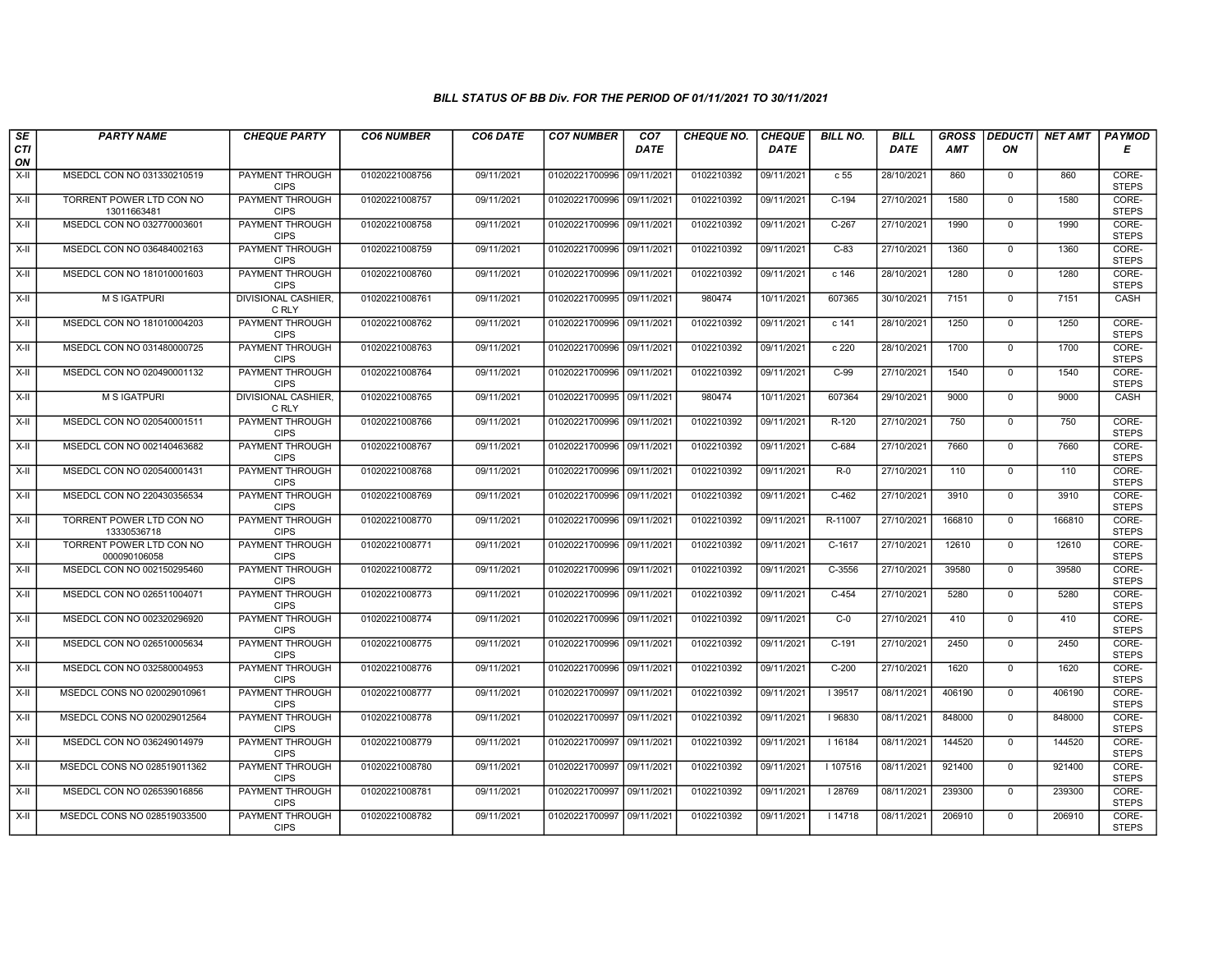| SE                 | <b>PARTY NAME</b>                        | <b>CHEQUE PARTY</b>                   | <b>CO6 NUMBER</b> | CO6 DATE   | <b>CO7 NUMBER</b>         | CO <sub>7</sub> | <b>CHEQUE NO.</b> | <b>CHEQUE</b> | <b>BILL NO.</b> | <b>BILL</b> | <b>GROSS</b> | <b>DEDUCTI</b> | <b>NET AMT</b> | <b>PAYMOD</b>         |
|--------------------|------------------------------------------|---------------------------------------|-------------------|------------|---------------------------|-----------------|-------------------|---------------|-----------------|-------------|--------------|----------------|----------------|-----------------------|
| <b>CTI</b><br>ON   |                                          |                                       |                   |            |                           | <b>DATE</b>     |                   | <b>DATE</b>   |                 | <b>DATE</b> | <b>AMT</b>   | ON             |                | Е                     |
| $X-H$              | MSEDCL CON NO 031330210519               | <b>PAYMENT THROUGH</b><br><b>CIPS</b> | 01020221008756    | 09/11/2021 | 01020221700996 09/11/2021 |                 | 0102210392        | 09/11/2021    | c <sub>55</sub> | 28/10/2021  | 860          | $\mathbf 0$    | 860            | CORE-<br><b>STEPS</b> |
| $X-H$              | TORRENT POWER LTD CON NO<br>13011663481  | <b>PAYMENT THROUGH</b><br><b>CIPS</b> | 01020221008757    | 09/11/2021 | 01020221700996 09/11/2021 |                 | 0102210392        | 09/11/2021    | $C-194$         | 27/10/2021  | 1580         | $\Omega$       | 1580           | CORE-<br><b>STEPS</b> |
| X-II               | MSEDCL CON NO 032770003601               | PAYMENT THROUGH<br><b>CIPS</b>        | 01020221008758    | 09/11/2021 | 01020221700996 09/11/2021 |                 | 0102210392        | 09/11/2021    | $C-267$         | 27/10/2021  | 1990         | $\mathbf 0$    | 1990           | CORE-<br><b>STEPS</b> |
| $X-H$              | MSEDCL CON NO 036484002163               | PAYMENT THROUGH<br><b>CIPS</b>        | 01020221008759    | 09/11/2021 | 01020221700996 09/11/2021 |                 | 0102210392        | 09/11/2021    | $C-83$          | 27/10/2021  | 1360         | $\mathbf 0$    | 1360           | CORE-<br><b>STEPS</b> |
| $X-H$              | MSEDCL CON NO 181010001603               | <b>PAYMENT THROUGH</b><br><b>CIPS</b> | 01020221008760    | 09/11/2021 | 01020221700996 09/11/2021 |                 | 0102210392        | 09/11/2021    | c 146           | 28/10/2021  | 1280         | $\mathbf 0$    | 1280           | CORE-<br><b>STEPS</b> |
| $X-H$              | <b>M S IGATPURI</b>                      | <b>DIVISIONAL CASHIER.</b><br>C RLY   | 01020221008761    | 09/11/2021 | 01020221700995 09/11/2021 |                 | 980474            | 10/11/2021    | 607365          | 30/10/2021  | 7151         | $\mathbf 0$    | 7151           | CASH                  |
| X-II               | MSEDCL CON NO 181010004203               | PAYMENT THROUGH<br><b>CIPS</b>        | 01020221008762    | 09/11/2021 | 01020221700996 09/11/2021 |                 | 0102210392        | 09/11/2021    | c 141           | 28/10/2021  | 1250         | $\mathbf 0$    | 1250           | CORE-<br><b>STEPS</b> |
| $X-H$              | MSEDCL CON NO 031480000725               | <b>PAYMENT THROUGH</b><br><b>CIPS</b> | 01020221008763    | 09/11/2021 | 01020221700996 09/11/2021 |                 | 0102210392        | 09/11/2021    | c 220           | 28/10/2021  | 1700         | $\overline{0}$ | 1700           | CORE-<br><b>STEPS</b> |
| X-II               | MSEDCL CON NO 020490001132               | <b>PAYMENT THROUGH</b><br><b>CIPS</b> | 01020221008764    | 09/11/2021 | 01020221700996 09/11/2021 |                 | 0102210392        | 09/11/2021    | $C-99$          | 27/10/2021  | 1540         | $\mathbf 0$    | 1540           | CORE-<br><b>STEPS</b> |
| $\overline{x}$ -II | <b>M S IGATPURI</b>                      | <b>DIVISIONAL CASHIER,</b><br>C RLY   | 01020221008765    | 09/11/2021 | 01020221700995 09/11/2021 |                 | 980474            | 10/11/2021    | 607364          | 29/10/2021  | 9000         | $\overline{0}$ | 9000           | CASH                  |
| X-II               | MSEDCL CON NO 020540001511               | PAYMENT THROUGH<br><b>CIPS</b>        | 01020221008766    | 09/11/2021 | 01020221700996 09/11/2021 |                 | 0102210392        | 09/11/2021    | R-120           | 27/10/2021  | 750          | $\mathbf 0$    | 750            | CORE-<br><b>STEPS</b> |
| X-II               | MSEDCL CON NO 002140463682               | PAYMENT THROUGH<br><b>CIPS</b>        | 01020221008767    | 09/11/2021 | 01020221700996 09/11/2021 |                 | 0102210392        | 09/11/2021    | C-684           | 27/10/2021  | 7660         | $\mathbf 0$    | 7660           | CORE-<br><b>STEPS</b> |
| $X-H$              | MSEDCL CON NO 020540001431               | <b>PAYMENT THROUGH</b><br><b>CIPS</b> | 01020221008768    | 09/11/2021 | 01020221700996 09/11/2021 |                 | 0102210392        | 09/11/2021    | $R-0$           | 27/10/2021  | 110          | $\overline{0}$ | 110            | CORE-<br><b>STEPS</b> |
| X-II               | MSEDCL CON NO 220430356534               | <b>PAYMENT THROUGH</b><br><b>CIPS</b> | 01020221008769    | 09/11/2021 | 01020221700996 09/11/2021 |                 | 0102210392        | 09/11/2021    | $C-462$         | 27/10/2021  | 3910         | $\mathbf 0$    | 3910           | CORE-<br><b>STEPS</b> |
| X-II               | TORRENT POWER LTD CON NO<br>13330536718  | PAYMENT THROUGH<br><b>CIPS</b>        | 01020221008770    | 09/11/2021 | 01020221700996 09/11/2021 |                 | 0102210392        | 09/11/2021    | R-11007         | 27/10/2021  | 166810       | $\Omega$       | 166810         | CORE-<br><b>STEPS</b> |
| $X-H$              | TORRENT POWER LTD CON NO<br>000090106058 | PAYMENT THROUGH<br><b>CIPS</b>        | 01020221008771    | 09/11/2021 | 01020221700996 09/11/2021 |                 | 0102210392        | 09/11/2021    | C-1617          | 27/10/2021  | 12610        | $\mathbf{0}$   | 12610          | CORE-<br><b>STEPS</b> |
| X-II               | MSEDCL CON NO 002150295460               | <b>PAYMENT THROUGH</b><br><b>CIPS</b> | 01020221008772    | 09/11/2021 | 01020221700996 09/11/2021 |                 | 0102210392        | 09/11/2021    | C-3556          | 27/10/2021  | 39580        | $\mathbf 0$    | 39580          | CORE-<br><b>STEPS</b> |
| $X-H$              | MSEDCL CON NO 026511004071               | <b>PAYMENT THROUGH</b><br><b>CIPS</b> | 01020221008773    | 09/11/2021 | 01020221700996 09/11/2021 |                 | 0102210392        | 09/11/2021    | $C-454$         | 27/10/2021  | 5280         | $\mathbf 0$    | 5280           | CORE-<br><b>STEPS</b> |
| $X-II$             | MSEDCL CON NO 002320296920               | <b>PAYMENT THROUGH</b><br><b>CIPS</b> | 01020221008774    | 09/11/2021 | 01020221700996 09/11/2021 |                 | 0102210392        | 09/11/2021    | $C-0$           | 27/10/2021  | 410          | $\mathbf 0$    | 410            | CORE-<br><b>STEPS</b> |
| $X-H$              | MSEDCL CON NO 026510005634               | PAYMENT THROUGH<br><b>CIPS</b>        | 01020221008775    | 09/11/2021 | 01020221700996 09/11/2021 |                 | 0102210392        | 09/11/2021    | $C-191$         | 27/10/2021  | 2450         | $\Omega$       | 2450           | CORE-<br><b>STEPS</b> |
| $X-H$              | MSEDCL CON NO 032580004953               | <b>PAYMENT THROUGH</b><br><b>CIPS</b> | 01020221008776    | 09/11/2021 | 01020221700996 09/11/2021 |                 | 0102210392        | 09/11/2021    | $C-200$         | 27/10/2021  | 1620         | $\mathbf{0}$   | 1620           | CORE-<br><b>STEPS</b> |
| X-II               | MSEDCL CONS NO 020029010961              | <b>PAYMENT THROUGH</b><br><b>CIPS</b> | 01020221008777    | 09/11/2021 | 01020221700997            | 09/11/2021      | 0102210392        | 09/11/2021    | 39517           | 08/11/2021  | 406190       | $\Omega$       | 406190         | CORE-<br><b>STEPS</b> |
| X-II               | MSEDCL CONS NO 020029012564              | PAYMENT THROUGH<br><b>CIPS</b>        | 01020221008778    | 09/11/2021 | 01020221700997            | 09/11/2021      | 0102210392        | 09/11/2021    | 96830           | 08/11/2021  | 848000       | $\mathbf 0$    | 848000         | CORE-<br><b>STEPS</b> |
| $X-H$              | MSEDCL CON NO 036249014979               | PAYMENT THROUGH<br><b>CIPS</b>        | 01020221008779    | 09/11/2021 | 01020221700997            | 09/11/2021      | 0102210392        | 09/11/2021    | 16184           | 08/11/2021  | 144520       | $\Omega$       | 144520         | CORE-<br><b>STEPS</b> |
| X-II               | MSEDCL CONS NO 028519011362              | PAYMENT THROUGH<br><b>CIPS</b>        | 01020221008780    | 09/11/2021 | 01020221700997            | 09/11/2021      | 0102210392        | 09/11/2021    | I 107516        | 08/11/2021  | 921400       | $\Omega$       | 921400         | CORE-<br><b>STEPS</b> |
| $\overline{x}$ -II | MSEDCL CON NO 026539016856               | <b>PAYMENT THROUGH</b><br><b>CIPS</b> | 01020221008781    | 09/11/2021 | 01020221700997 09/11/2021 |                 | 0102210392        | 09/11/2021    | 28769           | 08/11/2021  | 239300       | $\mathbf 0$    | 239300         | CORE-<br><b>STEPS</b> |
| X-II               | MSEDCL CONS NO 028519033500              | <b>PAYMENT THROUGH</b><br><b>CIPS</b> | 01020221008782    | 09/11/2021 | 01020221700997            | 09/11/2021      | 0102210392        | 09/11/2021    | 14718           | 08/11/2021  | 206910       | $\mathbf 0$    | 206910         | CORE-<br><b>STEPS</b> |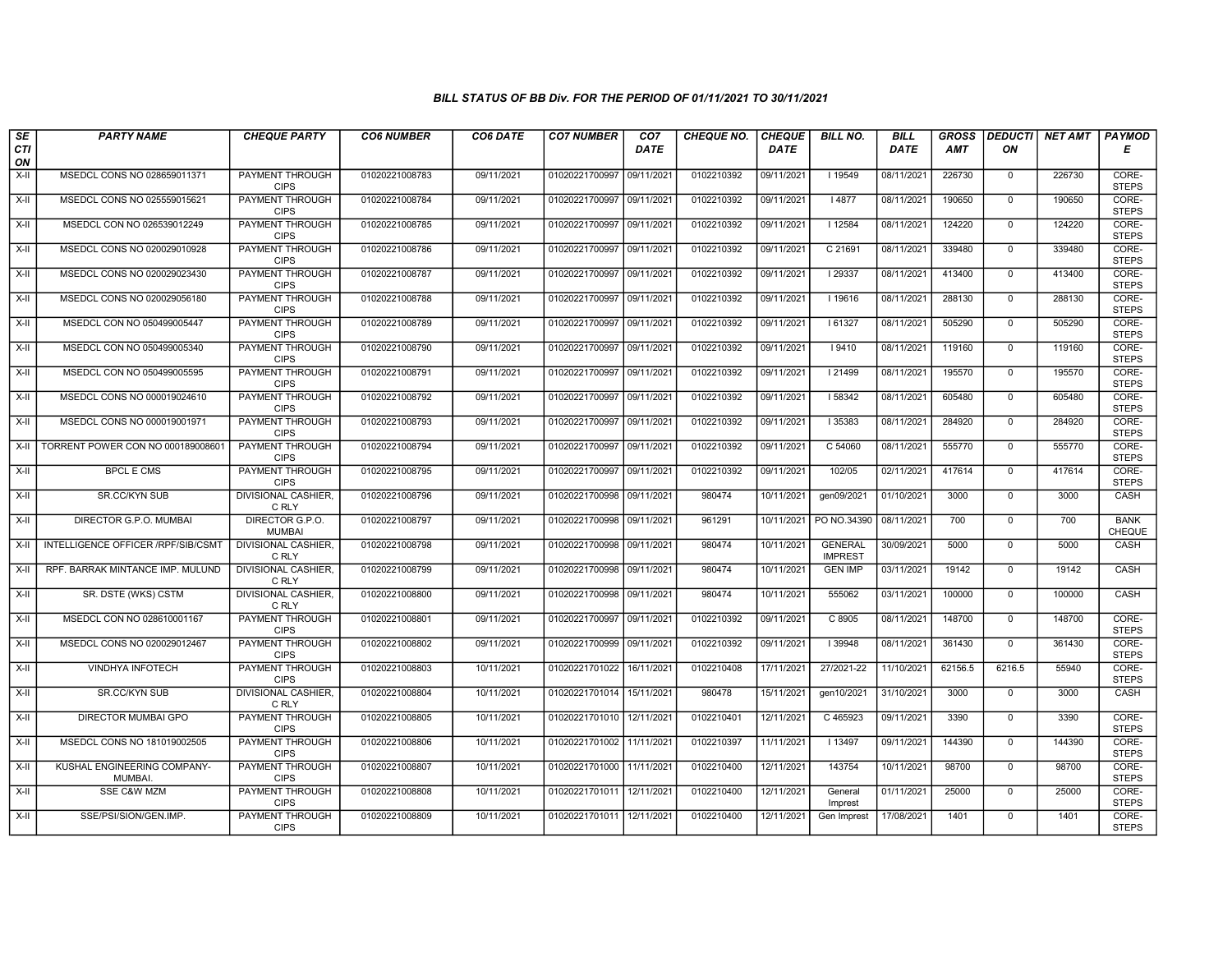| SE                 | <b>PARTY NAME</b>                      | <b>CHEQUE PARTY</b>                   | <b>CO6 NUMBER</b> | CO6 DATE   | <b>CO7 NUMBER</b>         | CO <sub>7</sub> | <b>CHEQUE NO.</b> | <b>CHEQUE</b> | <b>BILL NO.</b>                  | <b>BILL</b> | <b>GROSS</b> |                | DEDUCTI NET AMT | <b>PAYMOD</b>                |
|--------------------|----------------------------------------|---------------------------------------|-------------------|------------|---------------------------|-----------------|-------------------|---------------|----------------------------------|-------------|--------------|----------------|-----------------|------------------------------|
| <b>CTI</b><br>ON   |                                        |                                       |                   |            |                           | <b>DATE</b>     |                   | <b>DATE</b>   |                                  | <b>DATE</b> | AMT          | ON             |                 | Е                            |
| $X-H$              | MSEDCL CONS NO 028659011371            | PAYMENT THROUGH<br><b>CIPS</b>        | 01020221008783    | 09/11/2021 | 01020221700997 09/11/2021 |                 | 0102210392        | 09/11/2021    | 19549                            | 08/11/2021  | 226730       | $\mathbf{0}$   | 226730          | CORE-<br><b>STEPS</b>        |
| X-II               | MSEDCL CONS NO 025559015621            | <b>PAYMENT THROUGH</b><br><b>CIPS</b> | 01020221008784    | 09/11/2021 | 01020221700997 09/11/2021 |                 | 0102210392        | 09/11/2021    | I 4877                           | 08/11/2021  | 190650       | $\mathbf 0$    | 190650          | CORE-<br><b>STEPS</b>        |
| $X-II$             | MSEDCL CON NO 026539012249             | <b>PAYMENT THROUGH</b><br><b>CIPS</b> | 01020221008785    | 09/11/2021 | 01020221700997            | 09/11/2021      | 0102210392        | 09/11/2021    | 12584                            | 08/11/2021  | 124220       | $\mathbf 0$    | 124220          | CORE-<br><b>STEPS</b>        |
| $X-H$              | MSEDCL CONS NO 020029010928            | <b>PAYMENT THROUGH</b><br><b>CIPS</b> | 01020221008786    | 09/11/2021 | 01020221700997            | 09/11/2021      | 0102210392        | 09/11/2021    | C 21691                          | 08/11/2021  | 339480       | $\Omega$       | 339480          | CORE-<br><b>STEPS</b>        |
| $X-H$              | MSEDCL CONS NO 020029023430            | <b>PAYMENT THROUGH</b><br><b>CIPS</b> | 01020221008787    | 09/11/2021 | 01020221700997 09/11/2021 |                 | 0102210392        | 09/11/2021    | 29337                            | 08/11/2021  | 413400       | $\mathbf 0$    | 413400          | CORE-<br><b>STEPS</b>        |
| $X-H$              | MSEDCL CONS NO 020029056180            | <b>PAYMENT THROUGH</b><br><b>CIPS</b> | 01020221008788    | 09/11/2021 | 01020221700997 09/11/2021 |                 | 0102210392        | 09/11/2021    | 19616                            | 08/11/2021  | 288130       | $\Omega$       | 288130          | CORE-<br><b>STEPS</b>        |
| X-II               | MSEDCL CON NO 050499005447             | PAYMENT THROUGH<br><b>CIPS</b>        | 01020221008789    | 09/11/2021 | 01020221700997            | 09/11/2021      | 0102210392        | 09/11/2021    | 161327                           | 08/11/2021  | 505290       | $\mathbf{0}$   | 505290          | CORE-<br><b>STEPS</b>        |
| X-II               | MSEDCL CON NO 050499005340             | PAYMENT THROUGH<br><b>CIPS</b>        | 01020221008790    | 09/11/2021 | 01020221700997            | 09/11/2021      | 0102210392        | 09/11/2021    | 9410                             | 08/11/2021  | 119160       | $\Omega$       | 119160          | CORE-<br><b>STEPS</b>        |
| X-II               | MSEDCL CON NO 050499005595             | <b>PAYMENT THROUGH</b><br><b>CIPS</b> | 01020221008791    | 09/11/2021 | 01020221700997            | 09/11/2021      | 0102210392        | 09/11/2021    | 21499                            | 08/11/2021  | 195570       | $\mathbf 0$    | 195570          | CORE-<br><b>STEPS</b>        |
| $X-H$              | MSEDCL CONS NO 000019024610            | <b>PAYMENT THROUGH</b><br><b>CIPS</b> | 01020221008792    | 09/11/2021 | 01020221700997 09/11/2021 |                 | 0102210392        | 09/11/2021    | 58342                            | 08/11/2021  | 605480       | $\mathbf 0$    | 605480          | CORE-<br><b>STEPS</b>        |
| X-II               | MSEDCL CONS NO 000019001971            | PAYMENT THROUGH<br><b>CIPS</b>        | 01020221008793    | 09/11/2021 | 01020221700997 09/11/2021 |                 | 0102210392        | 09/11/2021    | 35383                            | 08/11/2021  | 284920       | $\mathbf 0$    | 284920          | CORE-<br><b>STEPS</b>        |
| $X-II$             | TORRENT POWER CON NO 000189008601      | PAYMENT THROUGH<br><b>CIPS</b>        | 01020221008794    | 09/11/2021 | 01020221700997 09/11/2021 |                 | 0102210392        | 09/11/2021    | C 54060                          | 08/11/2021  | 555770       | $\mathbf 0$    | 555770          | CORE-<br><b>STEPS</b>        |
| $X-II$             | <b>BPCL E CMS</b>                      | <b>PAYMENT THROUGH</b><br><b>CIPS</b> | 01020221008795    | 09/11/2021 | 01020221700997 09/11/202  |                 | 0102210392        | 09/11/2021    | 102/05                           | 02/11/2021  | 417614       | $\mathbf 0$    | 417614          | CORE-<br><b>STEPS</b>        |
| X-II               | <b>SR.CC/KYN SUB</b>                   | <b>DIVISIONAL CASHIER,</b><br>C RLY   | 01020221008796    | 09/11/2021 | 01020221700998 09/11/2021 |                 | 980474            | 10/11/2021    | gen09/2021                       | 01/10/2021  | 3000         | $\mathbf{0}$   | 3000            | CASH                         |
| $X-H$              | <b>DIRECTOR G.P.O. MUMBAI</b>          | DIRECTOR G.P.O.<br><b>MUMBAI</b>      | 01020221008797    | 09/11/2021 | 01020221700998 09/11/2021 |                 | 961291            | 10/11/2021    | PO NO.34390                      | 08/11/2021  | 700          | $\mathbf 0$    | 700             | <b>BANK</b><br><b>CHEQUE</b> |
| X-II               | INTELLIGENCE OFFICER / RPF/SIB/CSMT    | <b>DIVISIONAL CASHIER.</b><br>C RLY   | 01020221008798    | 09/11/2021 | 01020221700998 09/11/2021 |                 | 980474            | 10/11/2021    | <b>GENERAL</b><br><b>IMPREST</b> | 30/09/2021  | 5000         | $\Omega$       | 5000            | CASH                         |
| $X-II$             | RPF. BARRAK MINTANCE IMP. MULUND       | <b>DIVISIONAL CASHIER.</b><br>C RLY   | 01020221008799    | 09/11/2021 | 01020221700998 09/11/2021 |                 | 980474            | 10/11/2021    | <b>GEN IMP</b>                   | 03/11/2021  | 19142        | $\mathbf{0}$   | 19142           | CASH                         |
| $X-H$              | SR. DSTE (WKS) CSTM                    | <b>DIVISIONAL CASHIER.</b><br>C RLY   | 01020221008800    | 09/11/2021 | 01020221700998 09/11/2021 |                 | 980474            | 10/11/2021    | 555062                           | 03/11/2021  | 100000       | $\overline{0}$ | 100000          | <b>CASH</b>                  |
| $X-II$             | MSEDCL CON NO 028610001167             | PAYMENT THROUGH<br><b>CIPS</b>        | 01020221008801    | 09/11/2021 | 01020221700997 09/11/2021 |                 | 0102210392        | 09/11/2021    | C 8905                           | 08/11/2021  | 148700       | $\mathbf{0}$   | 148700          | CORE-<br><b>STEPS</b>        |
| X-II               | MSEDCL CONS NO 020029012467            | PAYMENT THROUGH<br><b>CIPS</b>        | 01020221008802    | 09/11/2021 | 01020221700999 09/11/2021 |                 | 0102210392        | 09/11/2021    | 39948                            | 08/11/2021  | 361430       | $\Omega$       | 361430          | CORE-<br><b>STEPS</b>        |
| $X-II$             | VINDHYA INFOTECH                       | PAYMENT THROUGH<br><b>CIPS</b>        | 01020221008803    | 10/11/2021 | 01020221701022            | 16/11/2021      | 0102210408        | 17/11/2021    | 27/2021-22                       | 11/10/2021  | 62156.5      | 6216.5         | 55940           | CORE-<br><b>STEPS</b>        |
| X-II               | <b>SR.CC/KYN SUB</b>                   | <b>DIVISIONAL CASHIER,</b><br>C RLY   | 01020221008804    | 10/11/2021 | 01020221701014 15/11/2021 |                 | 980478            | 15/11/2021    | gen10/2021                       | 31/10/2021  | 3000         | $\mathbf 0$    | 3000            | CASH                         |
| X-II               | DIRECTOR MUMBAI GPO                    | PAYMENT THROUGH<br><b>CIPS</b>        | 01020221008805    | 10/11/2021 | 01020221701010            | 12/11/2021      | 0102210401        | 12/11/2021    | C 465923                         | 09/11/2021  | 3390         | $\mathbf 0$    | 3390            | CORE-<br><b>STEPS</b>        |
| $X-II$             | MSEDCL CONS NO 181019002505            | PAYMENT THROUGH<br><b>CIPS</b>        | 01020221008806    | 10/11/2021 | 01020221701002            | 11/11/2021      | 0102210397        | 11/11/2021    | 13497                            | 09/11/2021  | 144390       | $\mathbf{0}$   | 144390          | CORE-<br><b>STEPS</b>        |
| $X-H$              | KUSHAL ENGINEERING COMPANY-<br>MUMBAI. | PAYMENT THROUGH<br><b>CIPS</b>        | 01020221008807    | 10/11/2021 | 01020221701000            | 11/11/2021      | 0102210400        | 12/11/2021    | 143754                           | 10/11/2021  | 98700        | $\Omega$       | 98700           | CORE-<br><b>STEPS</b>        |
| $\overline{x}$ -II | <b>SSE C&amp;W MZM</b>                 | <b>PAYMENT THROUGH</b><br><b>CIPS</b> | 01020221008808    | 10/11/2021 | 01020221701011 12/11/2021 |                 | 0102210400        | 12/11/2021    | General<br>Imprest               | 01/11/2021  | 25000        | $\mathbf 0$    | 25000           | CORE-<br><b>STEPS</b>        |
| X-II               | SSE/PSI/SION/GEN.IMP.                  | PAYMENT THROUGH<br><b>CIPS</b>        | 01020221008809    | 10/11/2021 | 01020221701011 12/11/2021 |                 | 0102210400        | 12/11/2021    | Gen Imprest                      | 17/08/2021  | 1401         | $\mathbf 0$    | 1401            | CORE-<br><b>STEPS</b>        |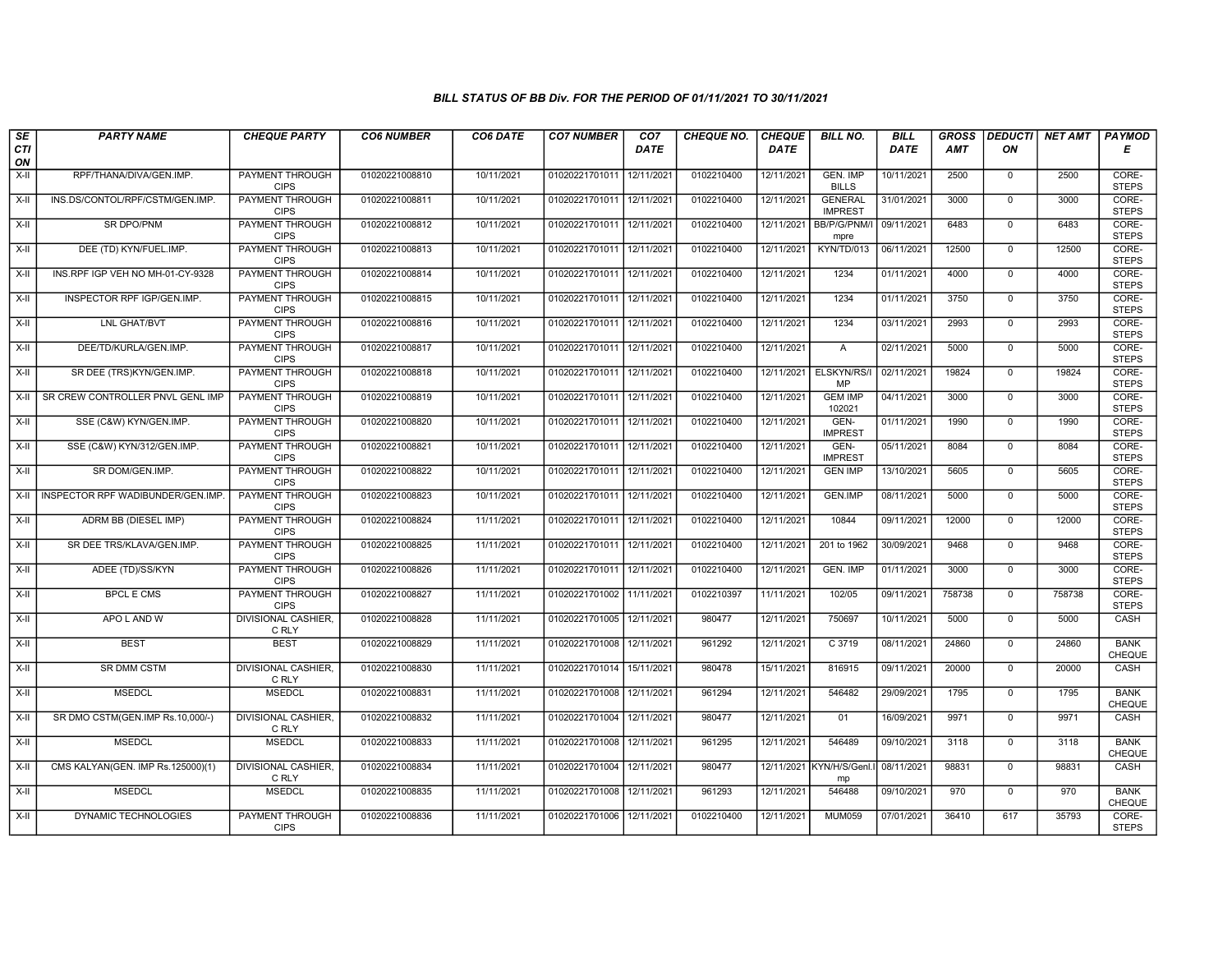| SE               | <b>PARTY NAME</b>                       | <b>CHEQUE PARTY</b>                   | <b>CO6 NUMBER</b> | CO6 DATE   | <b>CO7 NUMBER</b>         | CO <sub>7</sub> | <b>CHEQUE NO.</b> | <b>CHEQUE</b> | <b>BILL NO.</b>                  | <b>BILL</b> | <b>GROSS</b> |                | <b>DEDUCTI</b> NET AMT | <b>PAYMOD</b>                |
|------------------|-----------------------------------------|---------------------------------------|-------------------|------------|---------------------------|-----------------|-------------------|---------------|----------------------------------|-------------|--------------|----------------|------------------------|------------------------------|
| <b>CTI</b><br>ON |                                         |                                       |                   |            |                           | <b>DATE</b>     |                   | <b>DATE</b>   |                                  | <b>DATE</b> | <b>AMT</b>   | ON             |                        | Е                            |
| $X-H$            | RPF/THANA/DIVA/GEN.IMP.                 | <b>PAYMENT THROUGH</b><br><b>CIPS</b> | 01020221008810    | 10/11/2021 | 01020221701011 12/11/2021 |                 | 0102210400        | 12/11/2021    | <b>GEN. IMP</b><br><b>BILLS</b>  | 10/11/2021  | 2500         | $\mathbf{0}$   | 2500                   | CORE-<br><b>STEPS</b>        |
| X-II             | INS.DS/CONTOL/RPF/CSTM/GEN.IMP.         | <b>PAYMENT THROUGH</b><br><b>CIPS</b> | 01020221008811    | 10/11/2021 | 01020221701011 12/11/2021 |                 | 0102210400        | 12/11/2021    | <b>GENERAL</b><br><b>IMPREST</b> | 31/01/2021  | 3000         | $\mathbf 0$    | 3000                   | CORE-<br><b>STEPS</b>        |
| $X-H$            | <b>SR DPO/PNM</b>                       | PAYMENT THROUGH<br><b>CIPS</b>        | 01020221008812    | 10/11/2021 | 01020221701011 12/11/2021 |                 | 0102210400        | 12/11/2021    | BB/P/G/PNM/I<br>mpre             | 09/11/2021  | 6483         | $\mathbf 0$    | 6483                   | CORE-<br><b>STEPS</b>        |
| X-II             | DEE (TD) KYN/FUEL.IMP.                  | PAYMENT THROUGH<br><b>CIPS</b>        | 01020221008813    | 10/11/2021 | 01020221701011 12/11/2021 |                 | 0102210400        | 12/11/2021    | KYN/TD/013                       | 06/11/2021  | 12500        | $\overline{0}$ | 12500                  | CORE-<br><b>STEPS</b>        |
| $X-H$            | INS.RPF IGP VEH NO MH-01-CY-9328        | <b>PAYMENT THROUGH</b><br><b>CIPS</b> | 01020221008814    | 10/11/2021 | 01020221701011 12/11/2021 |                 | 0102210400        | 12/11/2021    | 1234                             | 01/11/2021  | 4000         | $\mathbf 0$    | 4000                   | CORE-<br><b>STEPS</b>        |
| X-II             | INSPECTOR RPF IGP/GEN.IMP.              | <b>PAYMENT THROUGH</b><br><b>CIPS</b> | 01020221008815    | 10/11/2021 | 01020221701011 12/11/2021 |                 | 0102210400        | 12/11/2021    | 1234                             | 01/11/2021  | 3750         | $\Omega$       | 3750                   | CORE-<br><b>STEPS</b>        |
| $X-II$           | LNL GHAT/BVT                            | PAYMENT THROUGH<br><b>CIPS</b>        | 01020221008816    | 10/11/2021 | 01020221701011 12/11/2021 |                 | 0102210400        | 12/11/2021    | 1234                             | 03/11/2021  | 2993         | $\mathbf{0}$   | 2993                   | CORE-<br><b>STEPS</b>        |
| X-II             | DEE/TD/KURLA/GEN.IMP.                   | <b>PAYMENT THROUGH</b><br><b>CIPS</b> | 01020221008817    | 10/11/2021 | 01020221701011 12/11/2021 |                 | 0102210400        | 12/11/2021    | $\overline{A}$                   | 02/11/2021  | 5000         | $\Omega$       | 5000                   | CORE-<br><b>STEPS</b>        |
| X-II             | SR DEE (TRS)KYN/GEN.IMP.                | <b>PAYMENT THROUGH</b><br><b>CIPS</b> | 01020221008818    | 10/11/2021 | 01020221701011 12/11/2021 |                 | 0102210400        | 12/11/2021    | ELSKYN/RS/<br><b>MP</b>          | 02/11/2021  | 19824        | $\mathbf 0$    | 19824                  | CORE-<br><b>STEPS</b>        |
| $X-H$            | <b>SR CREW CONTROLLER PNVL GENL IMP</b> | <b>PAYMENT THROUGH</b><br><b>CIPS</b> | 01020221008819    | 10/11/2021 | 01020221701011 12/11/2021 |                 | 0102210400        | 12/11/2021    | <b>GEM IMP</b><br>102021         | 04/11/2021  | 3000         | $\overline{0}$ | 3000                   | CORE-<br><b>STEPS</b>        |
| $X-II$           | SSE (C&W) KYN/GEN.IMP.                  | PAYMENT THROUGH<br><b>CIPS</b>        | 01020221008820    | 10/11/2021 | 01020221701011 12/11/2021 |                 | 0102210400        | 12/11/2021    | GEN-<br><b>IMPREST</b>           | 01/11/2021  | 1990         | $\mathbf{0}$   | 1990                   | CORE-<br><b>STEPS</b>        |
| $X-H$            | SSE (C&W) KYN/312/GEN.IMP.              | <b>PAYMENT THROUGH</b><br><b>CIPS</b> | 01020221008821    | 10/11/2021 | 01020221701011 12/11/2021 |                 | 0102210400        | 12/11/2021    | GEN-<br><b>IMPREST</b>           | 05/11/2021  | 8084         | $\overline{0}$ | 8084                   | CORE-<br><b>STEPS</b>        |
| X-II             | SR DOM/GEN.IMP.                         | <b>PAYMENT THROUGH</b><br><b>CIPS</b> | 01020221008822    | 10/11/2021 | 01020221701011 12/11/2021 |                 | 0102210400        | 12/11/2021    | <b>GEN IMP</b>                   | 13/10/2021  | 5605         | $\mathbf 0$    | 5605                   | CORE-<br><b>STEPS</b>        |
| X-II             | INSPECTOR RPF WADIBUNDER/GEN.IMP        | <b>PAYMENT THROUGH</b><br><b>CIPS</b> | 01020221008823    | 10/11/2021 | 01020221701011 12/11/2021 |                 | 0102210400        | 12/11/2021    | GEN.IMP                          | 08/11/2021  | 5000         | $\mathbf{0}$   | 5000                   | CORE-<br><b>STEPS</b>        |
| $X-H$            | ADRM BB (DIESEL IMP)                    | PAYMENT THROUGH<br><b>CIPS</b>        | 01020221008824    | 11/11/2021 | 01020221701011 12/11/2021 |                 | 0102210400        | 12/11/2021    | 10844                            | 09/11/2021  | 12000        | $\mathbf 0$    | 12000                  | CORE-<br><b>STEPS</b>        |
| $X-H$            | SR DEE TRS/KLAVA/GEN.IMP.               | <b>PAYMENT THROUGH</b><br><b>CIPS</b> | 01020221008825    | 11/11/2021 | 01020221701011 12/11/2021 |                 | 0102210400        | 12/11/2021    | 201 to 1962                      | 30/09/2021  | 9468         | $\Omega$       | 9468                   | CORE-<br><b>STEPS</b>        |
| $X-H$            | ADEE (TD)/SS/KYN                        | PAYMENT THROUGH<br><b>CIPS</b>        | 01020221008826    | 11/11/2021 | 01020221701011 12/11/2021 |                 | 0102210400        | 12/11/2021    | <b>GEN. IMP</b>                  | 01/11/2021  | 3000         | $\mathbf 0$    | 3000                   | CORE-<br><b>STEPS</b>        |
| $X-H$            | <b>BPCL E CMS</b>                       | <b>PAYMENT THROUGH</b><br><b>CIPS</b> | 01020221008827    | 11/11/2021 | 01020221701002            | 11/11/2021      | 0102210397        | 11/11/2021    | 102/05                           | 09/11/2021  | 758738       | $\overline{0}$ | 758738                 | CORE-<br><b>STEPS</b>        |
| X-II             | APO L AND W                             | DIVISIONAL CASHIER,<br>C RLY          | 01020221008828    | 11/11/2021 | 01020221701005            | 12/11/2021      | 980477            | 12/11/2021    | 750697                           | 10/11/2021  | 5000         | $\mathbf{0}$   | 5000                   | CASH                         |
| $X-H$            | <b>BEST</b>                             | <b>BEST</b>                           | 01020221008829    | 11/11/2021 | 01020221701008            | 12/11/2021      | 961292            | 12/11/2021    | C 3719                           | 08/11/2021  | 24860        | $\Omega$       | 24860                  | <b>BANK</b><br>CHEQUE        |
| X-II             | <b>SR DMM CSTM</b>                      | <b>DIVISIONAL CASHIER,</b><br>C RLY   | 01020221008830    | 11/11/2021 | 01020221701014            | 15/11/2021      | 980478            | 15/11/2021    | 816915                           | 09/11/2021  | 20000        | $\mathbf{0}$   | 20000                  | CASH                         |
| X-II             | <b>MSEDCL</b>                           | <b>MSEDCL</b>                         | 01020221008831    | 11/11/2021 | 01020221701008            | 12/11/2021      | 961294            | 12/11/2021    | 546482                           | 29/09/2021  | 1795         | $\mathbf 0$    | 1795                   | <b>BANK</b><br><b>CHEQUE</b> |
| X-II             | SR DMO CSTM(GEN.IMP Rs.10,000/-)        | <b>DIVISIONAL CASHIER</b><br>C RLY    | 01020221008832    | 11/11/2021 | 01020221701004            | 12/11/2021      | 980477            | 12/11/2021    | 01                               | 16/09/2021  | 9971         | $\mathbf 0$    | 9971                   | CASH                         |
| $X-II$           | <b>MSEDCL</b>                           | <b>MSEDCL</b>                         | 01020221008833    | 11/11/2021 | 01020221701008            | 12/11/2021      | 961295            | 12/11/2021    | 546489                           | 09/10/2021  | 3118         | $\mathbf{0}$   | 3118                   | <b>BANK</b><br><b>CHEQUE</b> |
| X-II             | CMS KALYAN(GEN. IMP Rs.125000)(1)       | DIVISIONAL CASHIER,<br>C RLY          | 01020221008834    | 11/11/2021 | 01020221701004            | 12/11/2021      | 980477            |               | 12/11/2021 KYN/H/S/Genl.<br>mp   | 08/11/2021  | 98831        | $\mathbf 0$    | 98831                  | CASH                         |
| $X-H$            | <b>MSEDCL</b>                           | <b>MSEDCL</b>                         | 01020221008835    | 11/11/2021 | 01020221701008            | 12/11/2021      | 961293            | 12/11/2021    | 546488                           | 09/10/2021  | 970          | $\mathbf 0$    | 970                    | <b>BANK</b><br>CHEQUE        |
| X-II             | DYNAMIC TECHNOLOGIES                    | PAYMENT THROUGH<br><b>CIPS</b>        | 01020221008836    | 11/11/2021 | 01020221701006 12/11/2021 |                 | 0102210400        | 12/11/2021    | <b>MUM059</b>                    | 07/01/2021  | 36410        | 617            | 35793                  | CORE-<br><b>STEPS</b>        |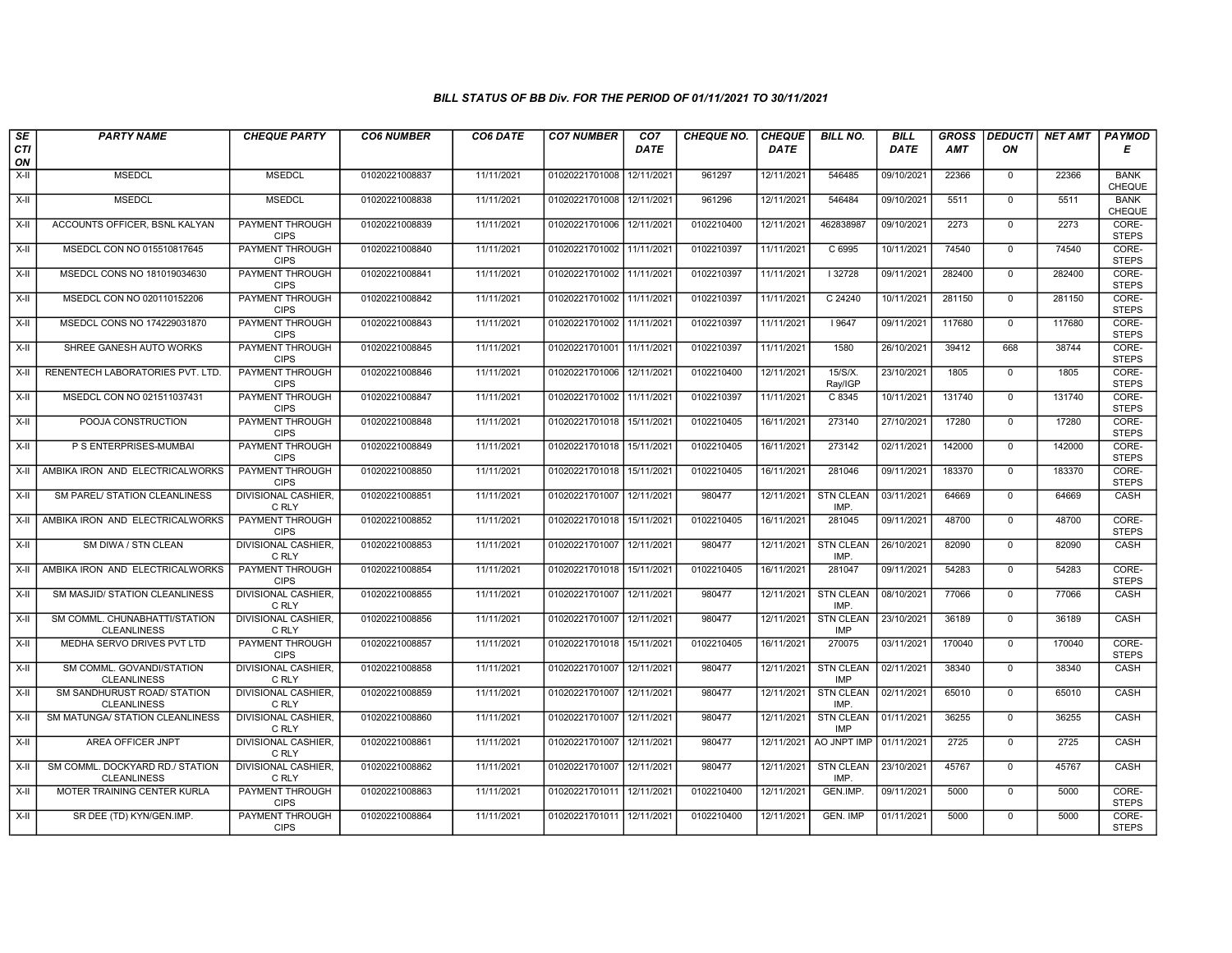| SE        | <b>PARTY NAME</b>                                     | <b>CHEQUE PARTY</b>                   | <b>CO6 NUMBER</b> | CO6 DATE   | <b>CO7 NUMBER</b>         | CO <sub>7</sub> | <b>CHEQUE NO.</b> | <b>CHEQUE</b> | <b>BILL NO.</b>                | <b>BILL</b> | <b>GROSS</b> | <b>DEDUCTI</b> | NET AMT | <b>PAYMOD</b>                |
|-----------|-------------------------------------------------------|---------------------------------------|-------------------|------------|---------------------------|-----------------|-------------------|---------------|--------------------------------|-------------|--------------|----------------|---------|------------------------------|
| CTI<br>ON |                                                       |                                       |                   |            |                           | <b>DATE</b>     |                   | <b>DATE</b>   |                                | <b>DATE</b> | AMT          | ON             |         | Е                            |
| $X-H$     | <b>MSEDCL</b>                                         | <b>MSEDCL</b>                         | 01020221008837    | 11/11/2021 | 01020221701008 12/11/2021 |                 | 961297            | 12/11/2021    | 546485                         | 09/10/2021  | 22366        | $\mathbf{0}$   | 22366   | <b>BANK</b><br><b>CHEQUE</b> |
| X-II      | <b>MSEDCL</b>                                         | <b>MSEDCL</b>                         | 01020221008838    | 11/11/2021 | 01020221701008            | 12/11/2021      | 961296            | 12/11/2021    | 546484                         | 09/10/2021  | 5511         | $\mathbf 0$    | 5511    | <b>BANK</b><br>CHEQUE        |
| X-II      | ACCOUNTS OFFICER, BSNL KALYAN                         | PAYMENT THROUGH<br><b>CIPS</b>        | 01020221008839    | 11/11/2021 | 01020221701006 12/11/2021 |                 | 0102210400        | 12/11/2021    | 462838987                      | 09/10/2021  | 2273         | $\mathbf 0$    | 2273    | CORE-<br><b>STEPS</b>        |
| $X-II$    | MSEDCL CON NO 015510817645                            | PAYMENT THROUGH<br><b>CIPS</b>        | 01020221008840    | 11/11/2021 | 01020221701002 11/11/2021 |                 | 0102210397        | 11/11/2021    | C 6995                         | 10/11/2021  | 74540        | $\Omega$       | 74540   | CORE-<br><b>STEPS</b>        |
| $X-H$     | MSEDCL CONS NO 181019034630                           | <b>PAYMENT THROUGH</b><br><b>CIPS</b> | 01020221008841    | 11/11/2021 | 01020221701002 11/11/2021 |                 | 0102210397        | 11/11/2021    | 32728                          | 09/11/2021  | 282400       | $\mathbf{0}$   | 282400  | CORE-<br><b>STEPS</b>        |
| $X-H$     | MSEDCL CON NO 020110152206                            | <b>PAYMENT THROUGH</b><br><b>CIPS</b> | 01020221008842    | 11/11/2021 | 01020221701002 11/11/2021 |                 | 0102210397        | 11/11/2021    | C 24240                        | 10/11/2021  | 281150       | $\Omega$       | 281150  | CORE-<br><b>STEPS</b>        |
| X-II      | MSEDCL CONS NO 174229031870                           | PAYMENT THROUGH<br><b>CIPS</b>        | 01020221008843    | 11/11/2021 | 01020221701002            | 11/11/2021      | 0102210397        | 11/11/2021    | 9647                           | 09/11/2021  | 117680       | $\mathbf{0}$   | 117680  | CORE-<br><b>STEPS</b>        |
| $X-H$     | SHREE GANESH AUTO WORKS                               | <b>PAYMENT THROUGH</b><br><b>CIPS</b> | 01020221008845    | 11/11/2021 | 01020221701001 11/11/2021 |                 | 0102210397        | 11/11/2021    | 1580                           | 26/10/2021  | 39412        | 668            | 38744   | CORE-<br><b>STEPS</b>        |
| X-II      | RENENTECH LABORATORIES PVT. LTD.                      | <b>PAYMENT THROUGH</b><br><b>CIPS</b> | 01020221008846    | 11/11/2021 | 01020221701006 12/11/2021 |                 | 0102210400        | 12/11/2021    | 15/S/X.<br>Ray/IGP             | 23/10/2021  | 1805         | $\mathbf{0}$   | 1805    | CORE-<br><b>STEPS</b>        |
| $X-H$     | MSEDCL CON NO 021511037431                            | <b>PAYMENT THROUGH</b><br><b>CIPS</b> | 01020221008847    | 11/11/2021 | 01020221701002 11/11/2021 |                 | 0102210397        | 11/11/2021    | C 8345                         | 10/11/2021  | 131740       | $\Omega$       | 131740  | CORE-<br><b>STEPS</b>        |
| X-II      | POOJA CONSTRUCTION                                    | PAYMENT THROUGH<br><b>CIPS</b>        | 01020221008848    | 11/11/2021 | 01020221701018            | 15/11/2021      | 0102210405        | 16/11/2021    | 273140                         | 27/10/2021  | 17280        | $\mathbf{0}$   | 17280   | CORE-<br><b>STEPS</b>        |
| $X-H$     | P S ENTERPRISES-MUMBAI                                | <b>PAYMENT THROUGH</b><br><b>CIPS</b> | 01020221008849    | 11/11/2021 | 01020221701018 15/11/2021 |                 | 0102210405        | 16/11/2021    | 273142                         | 02/11/2021  | 142000       | $\Omega$       | 142000  | CORE-<br><b>STEPS</b>        |
| X-II      | AMBIKA IRON AND ELECTRICALWORKS                       | <b>PAYMENT THROUGH</b><br><b>CIPS</b> | 01020221008850    | 11/11/2021 | 01020221701018 15/11/2021 |                 | 0102210405        | 16/11/2021    | 281046                         | 09/11/2021  | 183370       | $\mathbf 0$    | 183370  | CORE-<br><b>STEPS</b>        |
| $X-H$     | SM PAREL/ STATION CLEANLINESS                         | <b>DIVISIONAL CASHIER,</b><br>C RLY   | 01020221008851    | 11/11/2021 | 01020221701007            | 12/11/2021      | 980477            | 12/11/2021    | <b>STN CLEAN</b><br>IMP.       | 03/11/2021  | 64669        | $\mathbf{0}$   | 64669   | <b>CASH</b>                  |
| X-II      | AMBIKA IRON AND ELECTRICALWORKS                       | PAYMENT THROUGH<br><b>CIPS</b>        | 01020221008852    | 11/11/2021 | 01020221701018 15/11/2021 |                 | 0102210405        | 16/11/2021    | 281045                         | 09/11/2021  | 48700        | $\mathbf 0$    | 48700   | CORE-<br><b>STEPS</b>        |
| X-II      | SM DIWA / STN CLEAN                                   | DIVISIONAL CASHIER,<br>C RLY          | 01020221008853    | 11/11/2021 | 01020221701007 12/11/2021 |                 | 980477            | 12/11/2021    | <b>STN CLEAN</b><br>IMP.       | 26/10/2021  | 82090        | $\Omega$       | 82090   | CASH                         |
| $X-H$     | AMBIKA IRON AND ELECTRICALWORKS                       | <b>PAYMENT THROUGH</b><br><b>CIPS</b> | 01020221008854    | 11/11/2021 | 01020221701018 15/11/2021 |                 | 0102210405        | 16/11/2021    | 281047                         | 09/11/2021  | 54283        | $\mathbf{0}$   | 54283   | CORE-<br><b>STEPS</b>        |
| $X-H$     | SM MASJID/ STATION CLEANLINESS                        | <b>DIVISIONAL CASHIER,</b><br>C RLY   | 01020221008855    | 11/11/2021 | 01020221701007            | 12/11/2021      | 980477            | 12/11/2021    | <b>STN CLEAN</b><br>IMP.       | 08/10/2021  | 77066        | $\Omega$       | 77066   | <b>CASH</b>                  |
| X-II      | SM COMML. CHUNABHATTI/STATION<br><b>CLEANLINESS</b>   | DIVISIONAL CASHIER,<br>C RLY          | 01020221008856    | 11/11/2021 | 01020221701007            | 12/11/2021      | 980477            | 12/11/2021    | <b>STN CLEAN</b><br><b>IMP</b> | 23/10/2021  | 36189        | $\mathbf 0$    | 36189   | CASH                         |
| X-II      | MEDHA SERVO DRIVES PVT LTD                            | <b>PAYMENT THROUGH</b><br><b>CIPS</b> | 01020221008857    | 11/11/2021 | 01020221701018            | 15/11/2021      | 0102210405        | 16/11/2021    | 270075                         | 03/11/2021  | 170040       | $\Omega$       | 170040  | CORE-<br><b>STEPS</b>        |
| $X-II$    | SM COMML. GOVANDI/STATION<br><b>CLEANLINESS</b>       | DIVISIONAL CASHIER.<br>C RLY          | 01020221008858    | 11/11/2021 | 01020221701007            | 12/11/2021      | 980477            | 12/11/2021    | <b>STN CLEAN</b><br><b>IMP</b> | 02/11/2021  | 38340        | $\mathbf{0}$   | 38340   | CASH                         |
| X-II      | SM SANDHURUST ROAD/ STATION<br><b>CLEANLINESS</b>     | DIVISIONAL CASHIER,<br>C RLY          | 01020221008859    | 11/11/2021 | 01020221701007 12/11/2021 |                 | 980477            | 12/11/2021    | <b>STN CLEAN</b><br>IMP.       | 02/11/2021  | 65010        | $\mathbf 0$    | 65010   | CASH                         |
| $X-II$    | SM MATUNGA/ STATION CLEANLINESS                       | <b>DIVISIONAL CASHIER.</b><br>C RLY   | 01020221008860    | 11/11/2021 | 01020221701007            | 12/11/2021      | 980477            | 12/11/2021    | <b>STN CLEAN</b><br><b>IMP</b> | 01/11/2021  | 36255        | $\mathbf 0$    | 36255   | CASH                         |
| $X-H$     | AREA OFFICER JNPT                                     | <b>DIVISIONAL CASHIER,</b><br>C RLY   | 01020221008861    | 11/11/2021 | 01020221701007            | 12/11/2021      | 980477            | 12/11/2021    | AO JNPT IMP                    | 01/11/2021  | 2725         | $\mathbf{0}$   | 2725    | CASH                         |
| X-II      | SM COMML. DOCKYARD RD./ STATION<br><b>CLEANLINESS</b> | DIVISIONAL CASHIER.<br>C RLY          | 01020221008862    | 11/11/2021 | 01020221701007            | 12/11/2021      | 980477            | 12/11/2021    | <b>STN CLEAN</b><br>IMP.       | 23/10/2021  | 45767        | $\Omega$       | 45767   | CASH                         |
| $X-H$     | MOTER TRAINING CENTER KURLA                           | <b>PAYMENT THROUGH</b><br><b>CIPS</b> | 01020221008863    | 11/11/2021 | 01020221701011 12/11/2021 |                 | 0102210400        | 12/11/2021    | GEN.IMP.                       | 09/11/2021  | 5000         | $\mathbf 0$    | 5000    | CORE-<br><b>STEPS</b>        |
| X-II      | SR DEE (TD) KYN/GEN.IMP.                              | <b>PAYMENT THROUGH</b><br><b>CIPS</b> | 01020221008864    | 11/11/2021 | 01020221701011 12/11/2021 |                 | 0102210400        | 12/11/2021    | <b>GEN. IMP</b>                | 01/11/2021  | 5000         | $\mathbf{0}$   | 5000    | CORE-<br><b>STEPS</b>        |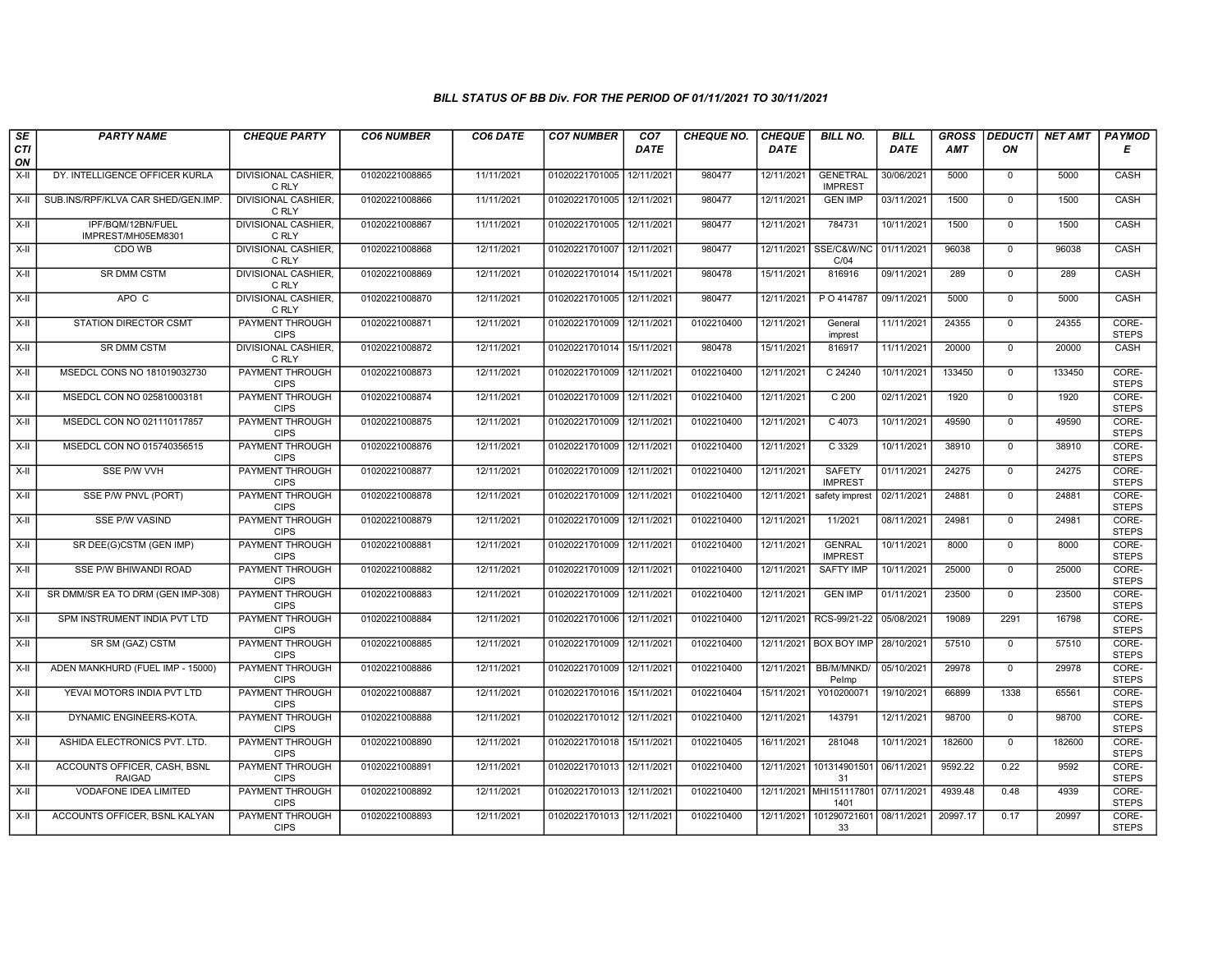| SE        | <b>PARTY NAME</b>                             | <b>CHEQUE PARTY</b>                   | <b>CO6 NUMBER</b> | CO6 DATE   | <b>CO7 NUMBER</b>         | CO7                    | <b>CHEQUE NO.</b> | <b>CHEQUE</b> | <b>BILL NO.</b>                   | <b>BILL</b> | <b>GROSS</b> | <b>DEDUCTI</b> | <b>NET AMT</b> | <b>PAYMOD</b>         |
|-----------|-----------------------------------------------|---------------------------------------|-------------------|------------|---------------------------|------------------------|-------------------|---------------|-----------------------------------|-------------|--------------|----------------|----------------|-----------------------|
| CTI<br>ON |                                               |                                       |                   |            |                           | DATE                   |                   | DATE          |                                   | DATE        | <b>AMT</b>   | ON             |                | Е                     |
| $X-H$     | DY. INTELLIGENCE OFFICER KURLA                | <b>DIVISIONAL CASHIER.</b><br>C RLY   | 01020221008865    | 11/11/2021 | 01020221701005            | 12/11/2021             | 980477            | 12/11/2021    | <b>GENETRAL</b><br><b>IMPREST</b> | 30/06/2021  | 5000         | $\mathbf 0$    | 5000           | CASH                  |
| $X-H$     | SUB.INS/RPF/KLVA CAR SHED/GEN.IMP.            | <b>DIVISIONAL CASHIER.</b><br>C RLY   | 01020221008866    | 11/11/2021 | 01020221701005 12/11/2021 |                        | 980477            | 12/11/2021    | <b>GEN IMP</b>                    | 03/11/2021  | 1500         | $\Omega$       | 1500           | CASH                  |
| X-II      | IPF/BQM/12BN/FUEL<br>IMPREST/MH05EM8301       | DIVISIONAL CASHIER.<br>C RLY          | 01020221008867    | 11/11/2021 | 01020221701005 12/11/2021 |                        | 980477            | 12/11/2021    | 784731                            | 10/11/2021  | 1500         | $\mathbf 0$    | 1500           | CASH                  |
| $X-H$     | CDO WB                                        | DIVISIONAL CASHIER,<br>C RLY          | 01020221008868    | 12/11/2021 | 01020221701007            | 12/11/2021             | 980477            | 12/11/2021    | SSE/C&W/NC<br>C/04                | 01/11/2021  | 96038        | $\overline{0}$ | 96038          | CASH                  |
| $X-H$     | <b>SR DMM CSTM</b>                            | <b>DIVISIONAL CASHIER,</b><br>C RLY   | 01020221008869    | 12/11/2021 | 01020221701014 15/11/2021 |                        | 980478            | 15/11/2021    | 816916                            | 09/11/2021  | 289          | $\mathbf 0$    | 289            | CASH                  |
| X-II      | APO C                                         | <b>DIVISIONAL CASHIER,</b><br>C RLY   | 01020221008870    | 12/11/2021 | 01020221701005 12/11/2021 |                        | 980477            | 12/11/2021    | P O 414787                        | 09/11/2021  | 5000         | $\mathbf{0}$   | 5000           | CASH                  |
| X-II      | <b>STATION DIRECTOR CSMT</b>                  | PAYMENT THROUGH<br><b>CIPS</b>        | 01020221008871    | 12/11/2021 | 01020221701009            | 12/11/2021             | 0102210400        | 12/11/2021    | General<br>imprest                | 11/11/2021  | 24355        | $\mathbf 0$    | 24355          | CORE-<br><b>STEPS</b> |
| X-II      | <b>SR DMM CSTM</b>                            | DIVISIONAL CASHIER<br>C RLY           | 01020221008872    | 12/11/2021 | 01020221701014            | 15/11/2021             | 980478            | 15/11/2021    | 816917                            | 11/11/2021  | 20000        | $\mathbf 0$    | 20000          | CASH                  |
| $X-H$     | MSEDCL CONS NO 181019032730                   | <b>PAYMENT THROUGH</b><br><b>CIPS</b> | 01020221008873    | 12/11/2021 | 01020221701009 12/11/2021 |                        | 0102210400        | 12/11/2021    | C 24240                           | 10/11/2021  | 133450       | $\overline{0}$ | 133450         | CORE-<br><b>STEPS</b> |
| X-II      | MSEDCL CON NO 025810003181                    | <b>PAYMENT THROUGH</b><br><b>CIPS</b> | 01020221008874    | 12/11/2021 | 01020221701009            | 12/11/2021             | 0102210400        | 12/11/2021    | C <sub>200</sub>                  | 02/11/2021  | 1920         | $\mathbf 0$    | 1920           | CORE-<br><b>STEPS</b> |
| X-II      | MSEDCL CON NO 021110117857                    | PAYMENT THROUGH<br><b>CIPS</b>        | 01020221008875    | 12/11/2021 | 01020221701009            | 12/11/2021             | 0102210400        | 12/11/2021    | C 4073                            | 10/11/2021  | 49590        | $\mathbf{0}$   | 49590          | CORE-<br><b>STEPS</b> |
| X-II      | MSEDCL CON NO 015740356515                    | PAYMENT THROUGH<br><b>CIPS</b>        | 01020221008876    | 12/11/2021 | 01020221701009            | 12/11/2021             | 0102210400        | 12/11/2021    | C 3329                            | 10/11/2021  | 38910        | $\mathbf 0$    | 38910          | CORE-<br><b>STEPS</b> |
| X-II      | SSE P/W VVH                                   | <b>PAYMENT THROUGH</b><br><b>CIPS</b> | 01020221008877    | 12/11/2021 | 01020221701009            | 12/11/202 <sup>-</sup> | 0102210400        | 12/11/2021    | <b>SAFETY</b><br><b>IMPREST</b>   | 01/11/2021  | 24275        | $\mathbf 0$    | 24275          | CORE-<br><b>STEPS</b> |
| $X-H$     | SSE P/W PNVL (PORT)                           | <b>PAYMENT THROUGH</b><br><b>CIPS</b> | 01020221008878    | 12/11/2021 | 01020221701009 12/11/2021 |                        | 0102210400        | 12/11/2021    | safety imprest                    | 02/11/2021  | 24881        | $\mathbf 0$    | 24881          | CORE-<br><b>STEPS</b> |
| $X-H$     | SSE P/W VASIND                                | PAYMENT THROUGH<br><b>CIPS</b>        | 01020221008879    | 12/11/2021 | 01020221701009            | 12/11/2021             | 0102210400        | 12/11/2021    | 11/2021                           | 08/11/2021  | 24981        | $\Omega$       | 24981          | CORE-<br><b>STEPS</b> |
| X-II      | SR DEE(G)CSTM (GEN IMP)                       | <b>PAYMENT THROUGH</b><br><b>CIPS</b> | 01020221008881    | 12/11/2021 | 01020221701009 12/11/2021 |                        | 0102210400        | 12/11/2021    | <b>GENRAL</b><br><b>IMPREST</b>   | 10/11/2021  | 8000         | $\overline{0}$ | 8000           | CORE-<br><b>STEPS</b> |
| X-II      | SSE P/W BHIWANDI ROAD                         | PAYMENT THROUGH<br><b>CIPS</b>        | 01020221008882    | 12/11/2021 | 01020221701009            | 12/11/2021             | 0102210400        | 12/11/2021    | <b>SAFTY IMP</b>                  | 10/11/2021  | 25000        | $\mathbf 0$    | 25000          | CORE-<br><b>STEPS</b> |
| X-II      | SR DMM/SR EA TO DRM (GEN IMP-308)             | <b>PAYMENT THROUGH</b><br><b>CIPS</b> | 01020221008883    | 12/11/2021 | 01020221701009            | 12/11/2021             | 0102210400        | 12/11/2021    | <b>GEN IMP</b>                    | 01/11/2021  | 23500        | $\mathbf 0$    | 23500          | CORE-<br><b>STEPS</b> |
| X-II      | SPM INSTRUMENT INDIA PVT LTD                  | <b>PAYMENT THROUGH</b><br><b>CIPS</b> | 01020221008884    | 12/11/2021 | 01020221701006            | 12/11/2021             | 0102210400        | 12/11/2021    | RCS-99/21-22                      | 05/08/2021  | 19089        | 2291           | 16798          | CORE-<br><b>STEPS</b> |
| X-II      | SR SM (GAZ) CSTM                              | PAYMENT THROUGH<br><b>CIPS</b>        | 01020221008885    | 12/11/2021 | 01020221701009            | 12/11/2021             | 0102210400        | 12/11/2021    | <b>BOX BOY IMP</b>                | 28/10/2021  | 57510        | $\mathbf 0$    | 57510          | CORE-<br><b>STEPS</b> |
| $X-H$     | ADEN MANKHURD (FUEL IMP - 15000)              | <b>PAYMENT THROUGH</b><br><b>CIPS</b> | 01020221008886    | 12/11/2021 | 01020221701009            | 12/11/2021             | 0102210400        | 12/11/2021    | BB/M/MNKD/<br>Pelmp               | 05/10/2021  | 29978        | $\overline{0}$ | 29978          | CORE-<br><b>STEPS</b> |
| X-II      | YEVAI MOTORS INDIA PVT LTD                    | <b>PAYMENT THROUGH</b><br><b>CIPS</b> | 01020221008887    | 12/11/2021 | 01020221701016 15/11/2021 |                        | 0102210404        | 15/11/2021    | Y010200071                        | 19/10/2021  | 66899        | 1338           | 65561          | CORE-<br><b>STEPS</b> |
| $X-H$     | DYNAMIC ENGINEERS-KOTA.                       | PAYMENT THROUGH<br><b>CIPS</b>        | 01020221008888    | 12/11/2021 | 01020221701012            | 12/11/2021             | 0102210400        | 12/11/2021    | 143791                            | 12/11/2021  | 98700        | $\mathbf 0$    | 98700          | CORE-<br><b>STEPS</b> |
| X-II      | ASHIDA ELECTRONICS PVT. LTD.                  | <b>PAYMENT THROUGH</b><br><b>CIPS</b> | 01020221008890    | 12/11/2021 | 01020221701018            | 15/11/2021             | 0102210405        | 16/11/2021    | 281048                            | 10/11/2021  | 182600       | $\mathbf{0}$   | 182600         | CORE-<br><b>STEPS</b> |
| X-II      | ACCOUNTS OFFICER, CASH, BSNL<br><b>RAIGAD</b> | PAYMENT THROUGH<br><b>CIPS</b>        | 01020221008891    | 12/11/2021 | 01020221701013            | 12/11/2021             | 0102210400        | 12/11/2021    | 101314901501<br>31                | 06/11/2021  | 9592.22      | 0.22           | 9592           | CORE-<br><b>STEPS</b> |
| $X-H$     | <b>VODAFONE IDEA LIMITED</b>                  | PAYMENT THROUGH<br><b>CIPS</b>        | 01020221008892    | 12/11/2021 | 01020221701013 12/11/2021 |                        | 0102210400        |               | 12/11/2021 MHI151117801<br>1401   | 07/11/2021  | 4939.48      | 0.48           | 4939           | CORE-<br><b>STEPS</b> |
| X-II      | ACCOUNTS OFFICER, BSNL KALYAN                 | PAYMENT THROUGH<br><b>CIPS</b>        | 01020221008893    | 12/11/2021 | 01020221701013 12/11/2021 |                        | 0102210400        | 12/11/2021    | 101290721601 08/11/2021<br>33     |             | 20997.17     | 0.17           | 20997          | CORE-<br><b>STEPS</b> |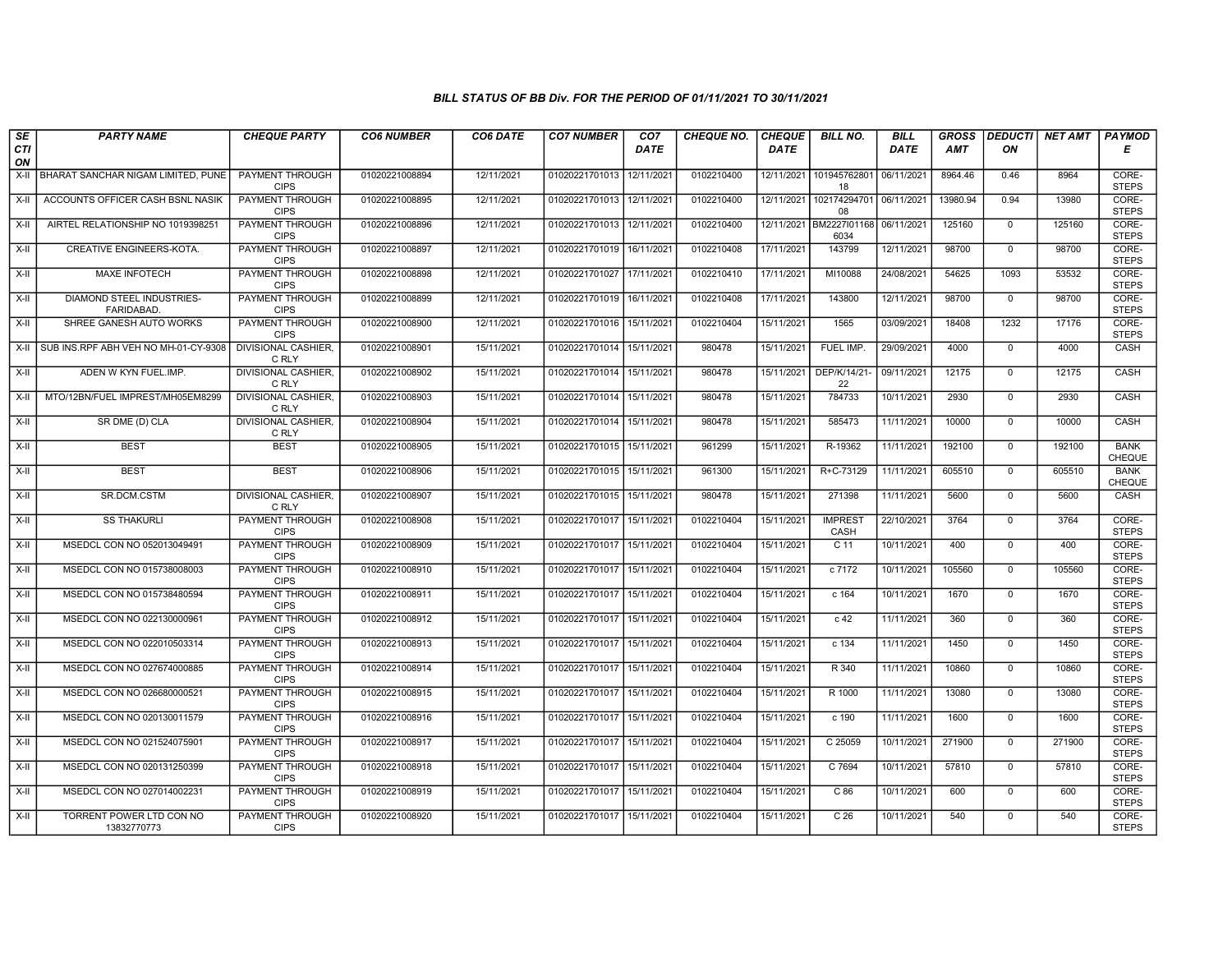| SE        | <b>PARTY NAME</b>                             | <b>CHEQUE PARTY</b>                   | <b>CO6 NUMBER</b> | CO6 DATE   | <b>CO7 NUMBER</b>         | CO <sub>7</sub> | <b>CHEQUE NO.</b> | <b>CHEQUE</b> | <b>BILL NO.</b>                 | <b>BILL</b> | <b>GROSS</b> | <b>DEDUCTI</b> | NET AMT | <b>PAYMOD</b>                |
|-----------|-----------------------------------------------|---------------------------------------|-------------------|------------|---------------------------|-----------------|-------------------|---------------|---------------------------------|-------------|--------------|----------------|---------|------------------------------|
| CTI<br>ON |                                               |                                       |                   |            |                           | <b>DATE</b>     |                   | DATE          |                                 | DATE        | <b>AMT</b>   | ON             |         | Е                            |
| X-II      | BHARAT SANCHAR NIGAM LIMITED, PUNE            | <b>PAYMENT THROUGH</b><br><b>CIPS</b> | 01020221008894    | 12/11/2021 | 01020221701013            | 12/11/2021      | 0102210400        | 12/11/2021    | 101945762801<br>18              | 06/11/2021  | 8964.46      | 0.46           | 8964    | CORE-<br><b>STEPS</b>        |
| X-II      | ACCOUNTS OFFICER CASH BSNL NASIK              | <b>PAYMENT THROUGH</b><br><b>CIPS</b> | 01020221008895    | 12/11/2021 | 01020221701013 12/11/2021 |                 | 0102210400        | 12/11/2021    | 102174294701<br>08              | 06/11/2021  | 13980.94     | 0.94           | 13980   | CORE-<br><b>STEPS</b>        |
| X-II      | AIRTEL RELATIONSHIP NO 1019398251             | PAYMENT THROUGH<br><b>CIPS</b>        | 01020221008896    | 12/11/2021 | 01020221701013 12/11/2021 |                 | 0102210400        |               | 12/11/2021 BM2227I01168<br>6034 | 06/11/2021  | 125160       | $\mathbf 0$    | 125160  | CORE-<br><b>STEPS</b>        |
| $X-II$    | CREATIVE ENGINEERS-KOTA.                      | PAYMENT THROUGH<br><b>CIPS</b>        | 01020221008897    | 12/11/2021 | 01020221701019            | 16/11/2021      | 0102210408        | 17/11/2021    | 143799                          | 12/11/2021  | 98700        | $\overline{0}$ | 98700   | CORE-<br><b>STEPS</b>        |
| $X-H$     | <b>MAXE INFOTECH</b>                          | <b>PAYMENT THROUGH</b><br><b>CIPS</b> | 01020221008898    | 12/11/2021 | 01020221701027            | 17/11/2021      | 0102210410        | 17/11/2021    | MI10088                         | 24/08/2021  | 54625        | 1093           | 53532   | CORE-<br><b>STEPS</b>        |
| $X-H$     | DIAMOND STEEL INDUSTRIES-<br><b>FARIDABAD</b> | <b>PAYMENT THROUGH</b><br><b>CIPS</b> | 01020221008899    | 12/11/2021 | 01020221701019 16/11/2021 |                 | 0102210408        | 17/11/2021    | 143800                          | 12/11/2021  | 98700        | $\mathbf{0}$   | 98700   | CORE-<br><b>STEPS</b>        |
| X-II      | SHREE GANESH AUTO WORKS                       | PAYMENT THROUGH<br><b>CIPS</b>        | 01020221008900    | 12/11/2021 | 01020221701016            | 15/11/2021      | 0102210404        | 15/11/2021    | 1565                            | 03/09/2021  | 18408        | 1232           | 17176   | CORE-<br><b>STEPS</b>        |
| X-II      | SUB INS.RPF ABH VEH NO MH-01-CY-9308          | <b>DIVISIONAL CASHIER</b><br>C RLY    | 01020221008901    | 15/11/2021 | 01020221701014            | 15/11/2021      | 980478            | 15/11/2021    | FUEL IMP.                       | 29/09/2021  | 4000         | $\mathbf{0}$   | 4000    | CASH                         |
| $X-H$     | ADEN W KYN FUEL.IMP.                          | <b>DIVISIONAL CASHIER,</b><br>C RLY   | 01020221008902    | 15/11/2021 | 01020221701014 15/11/2021 |                 | 980478            | 15/11/2021    | DEP/K/14/21<br>22               | 09/11/2021  | 12175        | $\Omega$       | 12175   | <b>CASH</b>                  |
| $X-H$     | MTO/12BN/FUEL IMPREST/MH05EM8299              | <b>DIVISIONAL CASHIER,</b><br>C RLY   | 01020221008903    | 15/11/2021 | 01020221701014            | 15/11/2021      | 980478            | 15/11/2021    | 784733                          | 10/11/2021  | 2930         | $\mathbf 0$    | 2930    | <b>CASH</b>                  |
| X-II      | SR DME (D) CLA                                | DIVISIONAL CASHIER,<br>C RLY          | 01020221008904    | 15/11/2021 | 01020221701014            | 15/11/2021      | 980478            | 15/11/2021    | 585473                          | 11/11/2021  | 10000        | $\mathbf 0$    | 10000   | CASH                         |
| X-II      | <b>BEST</b>                                   | <b>BEST</b>                           | 01020221008905    | 15/11/2021 | 01020221701015 15/11/2021 |                 | 961299            | 15/11/2021    | R-19362                         | 11/11/2021  | 192100       | $\mathbf{0}$   | 192100  | <b>BANK</b><br>CHEQUE        |
| X-II      | <b>BEST</b>                                   | <b>BEST</b>                           | 01020221008906    | 15/11/2021 | 01020221701015 15/11/2021 |                 | 961300            | 15/11/2021    | R+C-73129                       | 11/11/2021  | 605510       | $\mathbf 0$    | 605510  | <b>BANK</b><br><b>CHEQUE</b> |
| $X-H$     | SR.DCM.CSTM                                   | <b>DIVISIONAL CASHIER,</b><br>C RLY   | 01020221008907    | 15/11/2021 | 01020221701015            | 15/11/2021      | 980478            | 15/11/2021    | 271398                          | 11/11/2021  | 5600         | $\overline{0}$ | 5600    | <b>CASH</b>                  |
| X-II      | <b>SS THAKURLI</b>                            | PAYMENT THROUGH<br><b>CIPS</b>        | 01020221008908    | 15/11/2021 | 01020221701017            | 15/11/2021      | 0102210404        | 15/11/2021    | <b>IMPREST</b><br>CASH          | 22/10/2021  | 3764         | $\mathbf 0$    | 3764    | CORE-<br><b>STEPS</b>        |
| X-II      | MSEDCL CON NO 052013049491                    | PAYMENT THROUGH<br><b>CIPS</b>        | 01020221008909    | 15/11/2021 | 01020221701017            | 15/11/2021      | 0102210404        | 15/11/2021    | $C$ 11                          | 10/11/2021  | 400          | $\overline{0}$ | 400     | CORE-<br><b>STEPS</b>        |
| $X-H$     | MSEDCL CON NO 015738008003                    | PAYMENT THROUGH<br><b>CIPS</b>        | 01020221008910    | 15/11/2021 | 01020221701017            | 15/11/2021      | 0102210404        | 15/11/2021    | c 7172                          | 10/11/2021  | 105560       | $\mathbf{0}$   | 105560  | CORE-<br><b>STEPS</b>        |
| X-II      | MSEDCL CON NO 015738480594                    | <b>PAYMENT THROUGH</b><br><b>CIPS</b> | 01020221008911    | 15/11/2021 | 01020221701017 15/11/2021 |                 | 0102210404        | 15/11/2021    | c 164                           | 10/11/2021  | 1670         | $\mathbf 0$    | 1670    | CORE-<br><b>STEPS</b>        |
| X-II      | MSEDCL CON NO 022130000961                    | PAYMENT THROUGH<br><b>CIPS</b>        | 01020221008912    | 15/11/2021 | 01020221701017            | 15/11/2021      | 0102210404        | 15/11/2021    | c <sub>42</sub>                 | 11/11/2021  | 360          | $\Omega$       | 360     | CORE-<br><b>STEPS</b>        |
| $X-II$    | MSEDCL CON NO 022010503314                    | PAYMENT THROUGH<br><b>CIPS</b>        | 01020221008913    | 15/11/2021 | 01020221701017            | 15/11/2021      | 0102210404        | 15/11/2021    | c 134                           | 11/11/2021  | 1450         | $\mathbf{0}$   | 1450    | CORE-<br><b>STEPS</b>        |
| $X-H$     | MSEDCL CON NO 027674000885                    | <b>PAYMENT THROUGH</b><br><b>CIPS</b> | 01020221008914    | 15/11/2021 | 01020221701017            | 15/11/2021      | 0102210404        | 15/11/2021    | R 340                           | 11/11/2021  | 10860        | $\overline{0}$ | 10860   | CORE-<br><b>STEPS</b>        |
| $X-H$     | MSEDCL CON NO 026680000521                    | <b>PAYMENT THROUGH</b><br><b>CIPS</b> | 01020221008915    | 15/11/2021 | 01020221701017 15/11/2021 |                 | 0102210404        | 15/11/2021    | R 1000                          | 11/11/2021  | 13080        | $\mathbf{0}$   | 13080   | CORE-<br><b>STEPS</b>        |
| X-II      | MSEDCL CON NO 020130011579                    | PAYMENT THROUGH<br><b>CIPS</b>        | 01020221008916    | 15/11/2021 | 01020221701017            | 15/11/2021      | 0102210404        | 15/11/2021    | c 190                           | 11/11/2021  | 1600         | $\mathbf 0$    | 1600    | CORE-<br><b>STEPS</b>        |
| X-II      | MSEDCL CON NO 021524075901                    | PAYMENT THROUGH<br><b>CIPS</b>        | 01020221008917    | 15/11/2021 | 01020221701017            | 15/11/2021      | 0102210404        | 15/11/2021    | C 25059                         | 10/11/2021  | 271900       | $\mathbf{0}$   | 271900  | CORE-<br><b>STEPS</b>        |
| $X-H$     | MSEDCL CON NO 020131250399                    | <b>PAYMENT THROUGH</b><br><b>CIPS</b> | 01020221008918    | 15/11/2021 | 01020221701017            | 15/11/2021      | 0102210404        | 15/11/2021    | C 7694                          | 10/11/2021  | 57810        | $\mathbf{0}$   | 57810   | CORE-<br><b>STEPS</b>        |
| $X-H$     | MSEDCL CON NO 027014002231                    | <b>PAYMENT THROUGH</b><br><b>CIPS</b> | 01020221008919    | 15/11/2021 | 01020221701017            | 15/11/2021      | 0102210404        | 15/11/2021    | C86                             | 10/11/2021  | 600          | $\overline{0}$ | 600     | CORE-<br><b>STEPS</b>        |
| $X-H$     | TORRENT POWER LTD CON NO<br>13832770773       | <b>PAYMENT THROUGH</b><br><b>CIPS</b> | 01020221008920    | 15/11/2021 | 01020221701017 15/11/2021 |                 | 0102210404        | 15/11/2021    | C <sub>26</sub>                 | 10/11/2021  | 540          | $\mathbf{0}$   | 540     | CORE-<br><b>STEPS</b>        |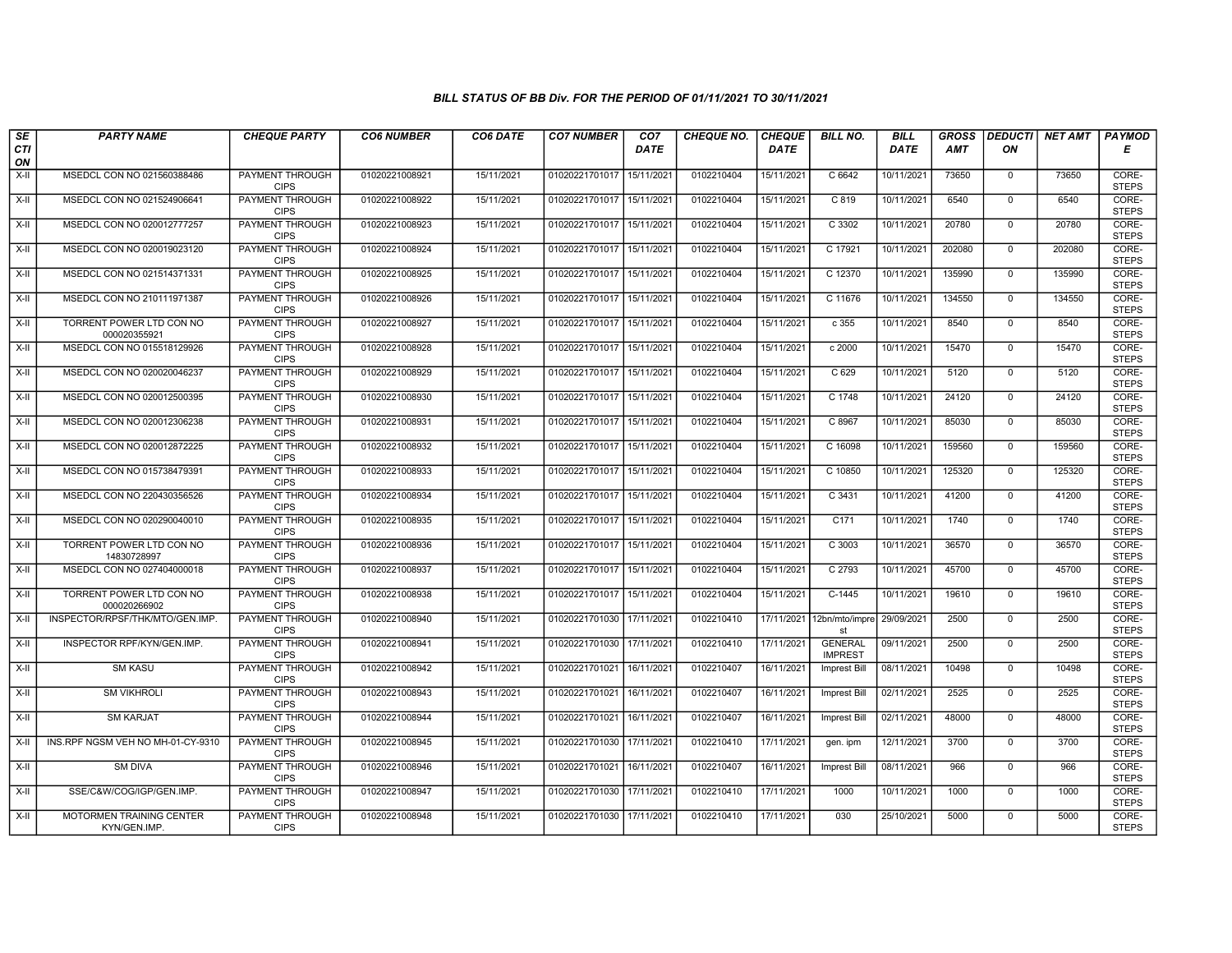| SE               | <b>PARTY NAME</b>                        | <b>CHEQUE PARTY</b>                   | <b>CO6 NUMBER</b> | CO6 DATE   | <b>CO7 NUMBER</b>         | CO <sub>7</sub> | <b>CHEQUE NO.</b> | <b>CHEQUE</b> | <b>BILL NO.</b>                  | <b>BILL</b> | <b>GROSS</b> | <b>DEDUCTI</b> | NET AMT | <b>PAYMOD</b>         |
|------------------|------------------------------------------|---------------------------------------|-------------------|------------|---------------------------|-----------------|-------------------|---------------|----------------------------------|-------------|--------------|----------------|---------|-----------------------|
| <b>CTI</b><br>ON |                                          |                                       |                   |            |                           | <b>DATE</b>     |                   | <b>DATE</b>   |                                  | <b>DATE</b> | <b>AMT</b>   | ON             |         | Е                     |
| $X-H$            | MSEDCL CON NO 021560388486               | PAYMENT THROUGH<br><b>CIPS</b>        | 01020221008921    | 15/11/2021 | 01020221701017            | 15/11/2021      | 0102210404        | 15/11/2021    | C6642                            | 10/11/2021  | 73650        | $\mathbf 0$    | 73650   | CORE-<br><b>STEPS</b> |
| $X-H$            | MSEDCL CON NO 021524906641               | <b>PAYMENT THROUGH</b><br><b>CIPS</b> | 01020221008922    | 15/11/2021 | 01020221701017 15/11/2021 |                 | 0102210404        | 15/11/2021    | C819                             | 10/11/2021  | 6540         | $\mathbf 0$    | 6540    | CORE-<br><b>STEPS</b> |
| X-II             | MSEDCL CON NO 020012777257               | PAYMENT THROUGH<br><b>CIPS</b>        | 01020221008923    | 15/11/2021 | 01020221701017            | 15/11/2021      | 0102210404        | 15/11/2021    | C 3302                           | 10/11/2021  | 20780        | $\mathbf 0$    | 20780   | CORE-<br><b>STEPS</b> |
| $X-H$            | MSEDCL CON NO 020019023120               | PAYMENT THROUGH<br><b>CIPS</b>        | 01020221008924    | 15/11/2021 | 01020221701017            | 15/11/2021      | 0102210404        | 15/11/2021    | C 17921                          | 10/11/2021  | 202080       | $\overline{0}$ | 202080  | CORE-<br><b>STEPS</b> |
| $X-H$            | MSEDCL CON NO 021514371331               | <b>PAYMENT THROUGH</b><br><b>CIPS</b> | 01020221008925    | 15/11/2021 | 01020221701017            | 15/11/2021      | 0102210404        | 15/11/2021    | C 12370                          | 10/11/2021  | 135990       | $\mathbf 0$    | 135990  | CORE-<br><b>STEPS</b> |
| $X-H$            | MSEDCL CON NO 210111971387               | <b>PAYMENT THROUGH</b><br><b>CIPS</b> | 01020221008926    | 15/11/2021 | 01020221701017 15/11/2021 |                 | 0102210404        | 15/11/2021    | C 11676                          | 10/11/2021  | 134550       | $\mathbf 0$    | 134550  | CORE-<br><b>STEPS</b> |
| X-II             | TORRENT POWER LTD CON NO<br>000020355921 | PAYMENT THROUGH<br><b>CIPS</b>        | 01020221008927    | 15/11/2021 | 01020221701017            | 15/11/2021      | 0102210404        | 15/11/2021    | c 355                            | 10/11/2021  | 8540         | $\mathbf 0$    | 8540    | CORE-<br><b>STEPS</b> |
| $X-H$            | MSEDCL CON NO 015518129926               | PAYMENT THROUGH<br><b>CIPS</b>        | 01020221008928    | 15/11/2021 | 01020221701017            | 15/11/2021      | 0102210404        | 15/11/2021    | c 2000                           | 10/11/2021  | 15470        | $\mathbf 0$    | 15470   | CORE-<br><b>STEPS</b> |
| $X-H$            | MSEDCL CON NO 020020046237               | <b>PAYMENT THROUGH</b><br><b>CIPS</b> | 01020221008929    | 15/11/2021 | 01020221701017 15/11/2021 |                 | 0102210404        | 15/11/2021    | C <sub>629</sub>                 | 10/11/2021  | 5120         | $\overline{0}$ | 5120    | CORE-<br><b>STEPS</b> |
| $X-H$            | MSEDCL CON NO 020012500395               | <b>PAYMENT THROUGH</b><br><b>CIPS</b> | 01020221008930    | 15/11/2021 | 01020221701017            | 15/11/2021      | 0102210404        | 15/11/2021    | $C$ 1748                         | 10/11/2021  | 24120        | $\mathbf 0$    | 24120   | CORE-<br><b>STEPS</b> |
| X-II             | MSEDCL CON NO 020012306238               | PAYMENT THROUGH<br><b>CIPS</b>        | 01020221008931    | 15/11/2021 | 01020221701017            | 15/11/2021      | 0102210404        | 15/11/2021    | C 8967                           | 10/11/2021  | 85030        | $\mathbf{0}$   | 85030   | CORE-<br><b>STEPS</b> |
| $X-H$            | MSEDCL CON NO 020012872225               | PAYMENT THROUGH<br><b>CIPS</b>        | 01020221008932    | 15/11/2021 | 01020221701017            | 15/11/2021      | 0102210404        | 15/11/2021    | C 16098                          | 10/11/2021  | 159560       | $\mathbf 0$    | 159560  | CORE-<br><b>STEPS</b> |
| $X-II$           | MSEDCL CON NO 015738479391               | <b>PAYMENT THROUGH</b><br><b>CIPS</b> | 01020221008933    | 15/11/2021 | 01020221701017 15/11/2021 |                 | 0102210404        | 15/11/2021    | C 10850                          | 10/11/2021  | 125320       | $\mathbf 0$    | 125320  | CORE-<br><b>STEPS</b> |
| $X-H$            | MSEDCL CON NO 220430356526               | <b>PAYMENT THROUGH</b><br><b>CIPS</b> | 01020221008934    | 15/11/2021 | 01020221701017            | 15/11/2021      | 0102210404        | 15/11/2021    | $C$ 3431                         | 10/11/2021  | 41200        | $\overline{0}$ | 41200   | CORE-<br><b>STEPS</b> |
| X-II             | MSEDCL CON NO 020290040010               | PAYMENT THROUGH<br><b>CIPS</b>        | 01020221008935    | 15/11/2021 | 01020221701017            | 15/11/2021      | 0102210404        | 15/11/2021    | C171                             | 10/11/2021  | 1740         | $\mathbf 0$    | 1740    | CORE-<br><b>STEPS</b> |
| X-II             | TORRENT POWER LTD CON NO<br>14830728997  | <b>PAYMENT THROUGH</b><br><b>CIPS</b> | 01020221008936    | 15/11/2021 | 01020221701017            | 15/11/2021      | 0102210404        | 15/11/2021    | C 3003                           | 10/11/2021  | 36570        | $\overline{0}$ | 36570   | CORE-<br><b>STEPS</b> |
| X-II             | MSEDCL CON NO 027404000018               | PAYMENT THROUGH<br><b>CIPS</b>        | 01020221008937    | 15/11/2021 | 01020221701017            | 15/11/2021      | 0102210404        | 15/11/2021    | C 2793                           | 10/11/2021  | 45700        | $\mathbf{0}$   | 45700   | CORE-<br><b>STEPS</b> |
| X-II             | TORRENT POWER LTD CON NO<br>000020266902 | <b>PAYMENT THROUGH</b><br><b>CIPS</b> | 01020221008938    | 15/11/2021 | 01020221701017            | 15/11/2021      | 0102210404        | 15/11/2021    | $C-1445$                         | 10/11/2021  | 19610        | $\mathbf 0$    | 19610   | CORE-<br><b>STEPS</b> |
| X-II             | INSPECTOR/RPSF/THK/MTO/GEN.IMP.          | PAYMENT THROUGH<br><b>CIPS</b>        | 01020221008940    | 15/11/2021 | 01020221701030 17/11/2021 |                 | 0102210410        | 17/11/2021    | 12bn/mto/impre<br>st             | 29/09/2021  | 2500         | $\mathbf 0$    | 2500    | CORE-<br><b>STEPS</b> |
| $X-II$           | INSPECTOR RPF/KYN/GEN.IMP.               | <b>PAYMENT THROUGH</b><br><b>CIPS</b> | 01020221008941    | 15/11/2021 | 01020221701030 17/11/2021 |                 | 0102210410        | 17/11/2021    | <b>GENERAL</b><br><b>IMPREST</b> | 09/11/2021  | 2500         | $\mathbf 0$    | 2500    | CORE-<br><b>STEPS</b> |
| $X-H$            | <b>SM KASU</b>                           | <b>PAYMENT THROUGH</b><br><b>CIPS</b> | 01020221008942    | 15/11/2021 | 01020221701021            | 16/11/2021      | 0102210407        | 16/11/2021    | Imprest Bill                     | 08/11/2021  | 10498        | $\overline{0}$ | 10498   | CORE-<br><b>STEPS</b> |
| $X-H$            | <b>SM VIKHROLI</b>                       | <b>PAYMENT THROUGH</b><br><b>CIPS</b> | 01020221008943    | 15/11/2021 | 01020221701021            | 16/11/2021      | 0102210407        | 16/11/2021    | <b>Imprest Bill</b>              | 02/11/2021  | 2525         | $\mathbf{0}$   | 2525    | CORE-<br><b>STEPS</b> |
| X-II             | <b>SM KARJAT</b>                         | PAYMENT THROUGH<br><b>CIPS</b>        | 01020221008944    | 15/11/2021 | 01020221701021            | 16/11/2021      | 0102210407        | 16/11/2021    | <b>Imprest Bill</b>              | 02/11/2021  | 48000        | $\mathbf 0$    | 48000   | CORE-<br><b>STEPS</b> |
| X-II             | INS.RPF NGSM VEH NO MH-01-CY-9310        | PAYMENT THROUGH<br><b>CIPS</b>        | 01020221008945    | 15/11/2021 | 01020221701030            | 17/11/2021      | 0102210410        | 17/11/2021    | gen. ipm                         | 12/11/2021  | 3700         | $\mathbf{0}$   | 3700    | CORE-<br><b>STEPS</b> |
| $X-H$            | <b>SM DIVA</b>                           | PAYMENT THROUGH<br><b>CIPS</b>        | 01020221008946    | 15/11/2021 | 01020221701021            | 16/11/2021      | 0102210407        | 16/11/2021    | Imprest Bill                     | 08/11/2021  | 966          | $\mathbf 0$    | 966     | CORE-<br><b>STEPS</b> |
| $X-H$            | SSE/C&W/COG/IGP/GEN.IMP.                 | <b>PAYMENT THROUGH</b><br><b>CIPS</b> | 01020221008947    | 15/11/2021 | 01020221701030 17/11/2021 |                 | 0102210410        | 17/11/2021    | 1000                             | 10/11/2021  | 1000         | $\overline{0}$ | 1000    | CORE-<br><b>STEPS</b> |
| X-II             | MOTORMEN TRAINING CENTER<br>KYN/GEN.IMP  | <b>PAYMENT THROUGH</b><br><b>CIPS</b> | 01020221008948    | 15/11/2021 | 01020221701030 17/11/2021 |                 | 0102210410        | 17/11/2021    | 030                              | 25/10/2021  | 5000         | $\mathbf{0}$   | 5000    | CORE-<br><b>STEPS</b> |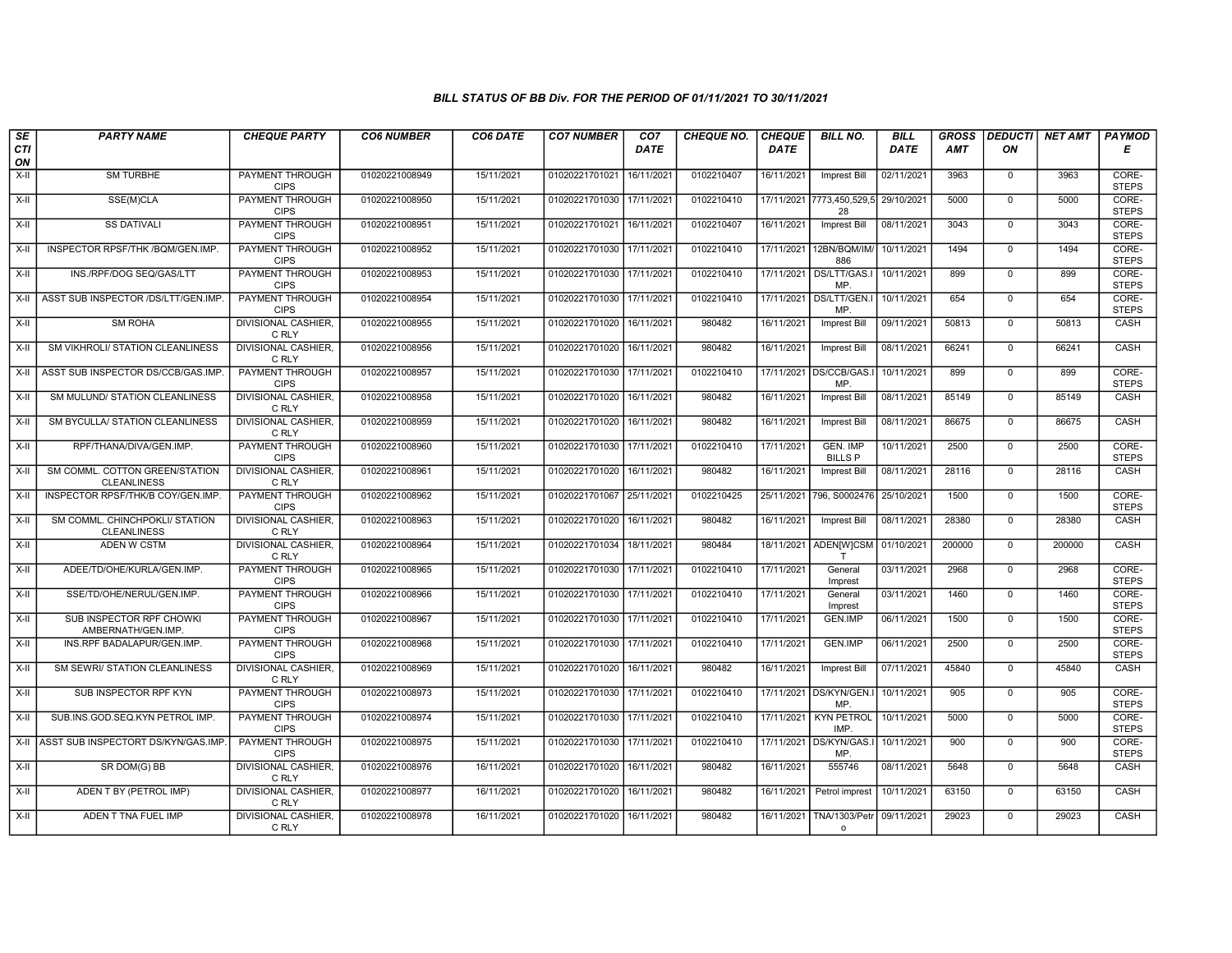| SE                 | <b>PARTY NAME</b>                                    | <b>CHEQUE PARTY</b>                   | <b>CO6 NUMBER</b> | CO6 DATE   | <b>CO7 NUMBER</b>         | CO <sub>7</sub>        | <b>CHEQUE NO.</b> | <b>CHEQUE</b> | <b>BILL NO.</b>                   | <b>BILL</b> | <b>GROSS</b> |              | <b>DEDUCTI</b>   NET AMT | <b>PAYMOD</b>         |
|--------------------|------------------------------------------------------|---------------------------------------|-------------------|------------|---------------------------|------------------------|-------------------|---------------|-----------------------------------|-------------|--------------|--------------|--------------------------|-----------------------|
| <b>CTI</b><br>ON   |                                                      |                                       |                   |            |                           | DATE                   |                   | <b>DATE</b>   |                                   | DATE        | <b>AMT</b>   | ON           |                          | Е                     |
| $\overline{x}$ -II | <b>SM TURBHE</b>                                     | <b>PAYMENT THROUGH</b><br><b>CIPS</b> | 01020221008949    | 15/11/2021 | 01020221701021            | 16/11/2021             | 0102210407        | 16/11/2021    | Imprest Bill                      | 02/11/2021  | 3963         | $\mathbf 0$  | 3963                     | CORE-<br><b>STEPS</b> |
| $X-H$              | SSE(M)CLA                                            | <b>PAYMENT THROUGH</b><br><b>CIPS</b> | 01020221008950    | 15/11/2021 | 01020221701030 17/11/2021 |                        | 0102210410        |               | 17/11/2021 7773,450,529,5<br>28   | 29/10/2021  | 5000         | $\mathbf 0$  | 5000                     | CORE-<br><b>STEPS</b> |
| $X-H$              | <b>SS DATIVALI</b>                                   | PAYMENT THROUGH<br><b>CIPS</b>        | 01020221008951    | 15/11/2021 | 01020221701021            | 16/11/2021             | 0102210407        | 16/11/2021    | Imprest Bill                      | 08/11/2021  | 3043         | $\Omega$     | 3043                     | CORE-<br><b>STEPS</b> |
| X-II               | INSPECTOR RPSF/THK /BQM/GEN.IMP.                     | PAYMENT THROUGH<br><b>CIPS</b>        | 01020221008952    | 15/11/2021 | 01020221701030            | 17/11/202              | 0102210410        | 17/11/2021    | 12BN/BQM/IM/<br>886               | 10/11/2021  | 1494         | $\mathbf 0$  | 1494                     | CORE-<br><b>STEPS</b> |
| $X-H$              | INS./RPF/DOG SEQ/GAS/LTT                             | <b>PAYMENT THROUGH</b><br><b>CIPS</b> | 01020221008953    | 15/11/2021 | 01020221701030            | 17/11/2021             | 0102210410        | 17/11/2021    | DS/LTT/GAS.I<br>MP                | 10/11/2021  | 899          | $\mathbf 0$  | 899                      | CORE-<br><b>STEPS</b> |
| X-II               | ASST SUB INSPECTOR /DS/LTT/GEN.IMP.                  | <b>PAYMENT THROUGH</b><br><b>CIPS</b> | 01020221008954    | 15/11/2021 | 01020221701030            | 17/11/2021             | 0102210410        | 17/11/2021    | DS/LTT/GEN.I<br>MP.               | 10/11/2021  | 654          | $\mathbf 0$  | 654                      | CORE-<br><b>STEPS</b> |
| $X-II$             | <b>SM ROHA</b>                                       | <b>DIVISIONAL CASHIER.</b><br>C RLY   | 01020221008955    | 15/11/2021 | 01020221701020            | 16/11/2021             | 980482            | 16/11/2021    | Imprest Bill                      | 09/11/2021  | 50813        | $\mathbf 0$  | 50813                    | CASH                  |
| X-II               | SM VIKHROLI/ STATION CLEANLINESS                     | <b>DIVISIONAL CASHIER.</b><br>C RLY   | 01020221008956    | 15/11/2021 | 01020221701020            | 16/11/2021             | 980482            | 16/11/2021    | Imprest Bill                      | 08/11/2021  | 66241        | $\mathbf 0$  | 66241                    | CASH                  |
| X-II               | ASST SUB INSPECTOR DS/CCB/GAS.IMP                    | <b>PAYMENT THROUGH</b><br><b>CIPS</b> | 01020221008957    | 15/11/2021 | 01020221701030            | 17/11/2021             | 0102210410        | 17/11/2021    | DS/CCB/GAS.<br>MP.                | 10/11/2021  | 899          | $\Omega$     | 899                      | CORE-<br><b>STEPS</b> |
| $X-H$              | SM MULUND/ STATION CLEANLINESS                       | <b>DIVISIONAL CASHIER.</b><br>C RLY   | 01020221008958    | 15/11/2021 | 01020221701020            | 16/11/2021             | 980482            | 16/11/2021    | Imprest Bill                      | 08/11/2021  | 85149        | $\mathbf 0$  | 85149                    | CASH                  |
| X-II               | SM BYCULLA/ STATION CLEANLINESS                      | <b>DIVISIONAL CASHIER,</b><br>C RLY   | 01020221008959    | 15/11/2021 | 01020221701020            | 16/11/2021             | 980482            | 16/11/2021    | Imprest Bill                      | 08/11/2021  | 86675        | $\mathbf 0$  | 86675                    | CASH                  |
| X-II               | RPF/THANA/DIVA/GEN.IMP.                              | PAYMENT THROUGH<br><b>CIPS</b>        | 01020221008960    | 15/11/2021 | 01020221701030            | 17/11/2021             | 0102210410        | 17/11/2021    | <b>GEN. IMP</b><br><b>BILLS P</b> | 10/11/2021  | 2500         | $\mathbf{0}$ | 2500                     | CORE-<br><b>STEPS</b> |
| X-II               | SM COMML. COTTON GREEN/STATION<br><b>CLEANLINESS</b> | <b>DIVISIONAL CASHIER.</b><br>C RLY   | 01020221008961    | 15/11/2021 | 01020221701020            | 16/11/2021             | 980482            | 16/11/2021    | <b>Imprest Bill</b>               | 08/11/2021  | 28116        | $\mathbf 0$  | 28116                    | CASH                  |
| X-II               | INSPECTOR RPSF/THK/B COY/GEN.IMP.                    | <b>PAYMENT THROUGH</b><br><b>CIPS</b> | 01020221008962    | 15/11/2021 | 01020221701067            | 25/11/202              | 0102210425        | 25/11/2021    | 796, S0002476                     | 25/10/2021  | 1500         | $\mathbf 0$  | 1500                     | CORE-<br><b>STEPS</b> |
| $X-H$              | SM COMML. CHINCHPOKLI/ STATION<br><b>CLEANLINESS</b> | <b>DIVISIONAL CASHIER.</b><br>C RLY   | 01020221008963    | 15/11/2021 | 01020221701020            | 16/11/2021             | 980482            | 16/11/2021    | <b>Imprest Bill</b>               | 08/11/2021  | 28380        | $\Omega$     | 28380                    | CASH                  |
| X-II               | ADEN W CSTM                                          | DIVISIONAL CASHIER,<br>C RLY          | 01020221008964    | 15/11/2021 | 01020221701034            | 18/11/2021             | 980484            | 18/11/2021    | ADEN[W]CSM<br>T                   | 01/10/2021  | 200000       | $\mathbf 0$  | 200000                   | CASH                  |
| $X-H$              | ADEE/TD/OHE/KURLA/GEN.IMP.                           | <b>PAYMENT THROUGH</b><br><b>CIPS</b> | 01020221008965    | 15/11/2021 | 01020221701030            | 17/11/2021             | 0102210410        | 17/11/2021    | General<br>Imprest                | 03/11/2021  | 2968         | $\mathbf 0$  | 2968                     | CORE-<br><b>STEPS</b> |
| X-II               | SSE/TD/OHE/NERUL/GEN.IMP.                            | <b>PAYMENT THROUGH</b><br><b>CIPS</b> | 01020221008966    | 15/11/2021 | 01020221701030            | 17/11/2021             | 0102210410        | 17/11/2021    | General<br>Imprest                | 03/11/2021  | 1460         | $\mathbf 0$  | 1460                     | CORE-<br><b>STEPS</b> |
| X-II               | SUB INSPECTOR RPF CHOWKI<br>AMBERNATH/GEN.IMP.       | PAYMENT THROUGH<br><b>CIPS</b>        | 01020221008967    | 15/11/2021 | 01020221701030            | 17/11/2021             | 0102210410        | 17/11/2021    | <b>GEN.IMP</b>                    | 06/11/2021  | 1500         | $\mathbf 0$  | 1500                     | CORE-<br><b>STEPS</b> |
| X-II               | INS.RPF BADALAPUR/GEN.IMP.                           | PAYMENT THROUGH<br><b>CIPS</b>        | 01020221008968    | 15/11/2021 | 01020221701030            | 17/11/2021             | 0102210410        | 17/11/2021    | <b>GEN.IMP</b>                    | 06/11/2021  | 2500         | $\mathbf 0$  | 2500                     | CORE-<br><b>STEPS</b> |
| $X-II$             | <b>SM SEWRI/ STATION CLEANLINESS</b>                 | <b>DIVISIONAL CASHIER,</b><br>C RLY   | 01020221008969    | 15/11/2021 | 01020221701020            | 16/11/2021             | 980482            | 16/11/2021    | Imprest Bill                      | 07/11/2021  | 45840        | $\mathbf{0}$ | 45840                    | CASH                  |
| X-II               | SUB INSPECTOR RPF KYN                                | PAYMENT THROUGH<br><b>CIPS</b>        | 01020221008973    | 15/11/2021 | 01020221701030            | 17/11/2021             | 0102210410        |               | 17/11/2021   DS/KYN/GEN.I<br>MP.  | 10/11/2021  | 905          | $\mathbf 0$  | 905                      | CORE-<br><b>STEPS</b> |
| X-II               | SUB.INS.GOD.SEQ.KYN PETROL IMP.                      | <b>PAYMENT THROUGH</b><br><b>CIPS</b> | 01020221008974    | 15/11/2021 | 01020221701030            | 17/11/202 <sup>-</sup> | 0102210410        | 17/11/2021    | <b>KYN PETROL</b><br>IMP.         | 10/11/2021  | 5000         | $\mathbf 0$  | 5000                     | CORE-<br><b>STEPS</b> |
|                    | X-II ASST SUB INSPECTORT DS/KYN/GAS.IMP              | PAYMENT THROUGH<br><b>CIPS</b>        | 01020221008975    | 15/11/2021 | 01020221701030            | 17/11/2021             | 0102210410        | 17/11/2021    | DS/KYN/GAS.I<br>MP.               | 10/11/2021  | 900          | $\mathbf 0$  | 900                      | CORE-<br><b>STEPS</b> |
| $X-H$              | SR DOM(G) BB                                         | <b>DIVISIONAL CASHIER,</b><br>C RLY   | 01020221008976    | 16/11/2021 | 01020221701020            | 16/11/2021             | 980482            | 16/11/2021    | 555746                            | 08/11/2021  | 5648         | $\Omega$     | 5648                     | CASH                  |
| $X-II$             | ADEN T BY (PETROL IMP)                               | <b>DIVISIONAL CASHIER,</b><br>C RLY   | 01020221008977    | 16/11/2021 | 01020221701020            | 16/11/2021             | 980482            | 16/11/2021    | Petrol imprest                    | 10/11/2021  | 63150        | $\mathbf 0$  | 63150                    | CASH                  |
| X-II               | ADEN T TNA FUEL IMP                                  | <b>DIVISIONAL CASHIER,</b><br>C RLY   | 01020221008978    | 16/11/2021 | 01020221701020 16/11/2021 |                        | 980482            | 16/11/2021    | TNA/1303/Petr<br>$\Omega$         | 09/11/2021  | 29023        | $\mathbf 0$  | 29023                    | CASH                  |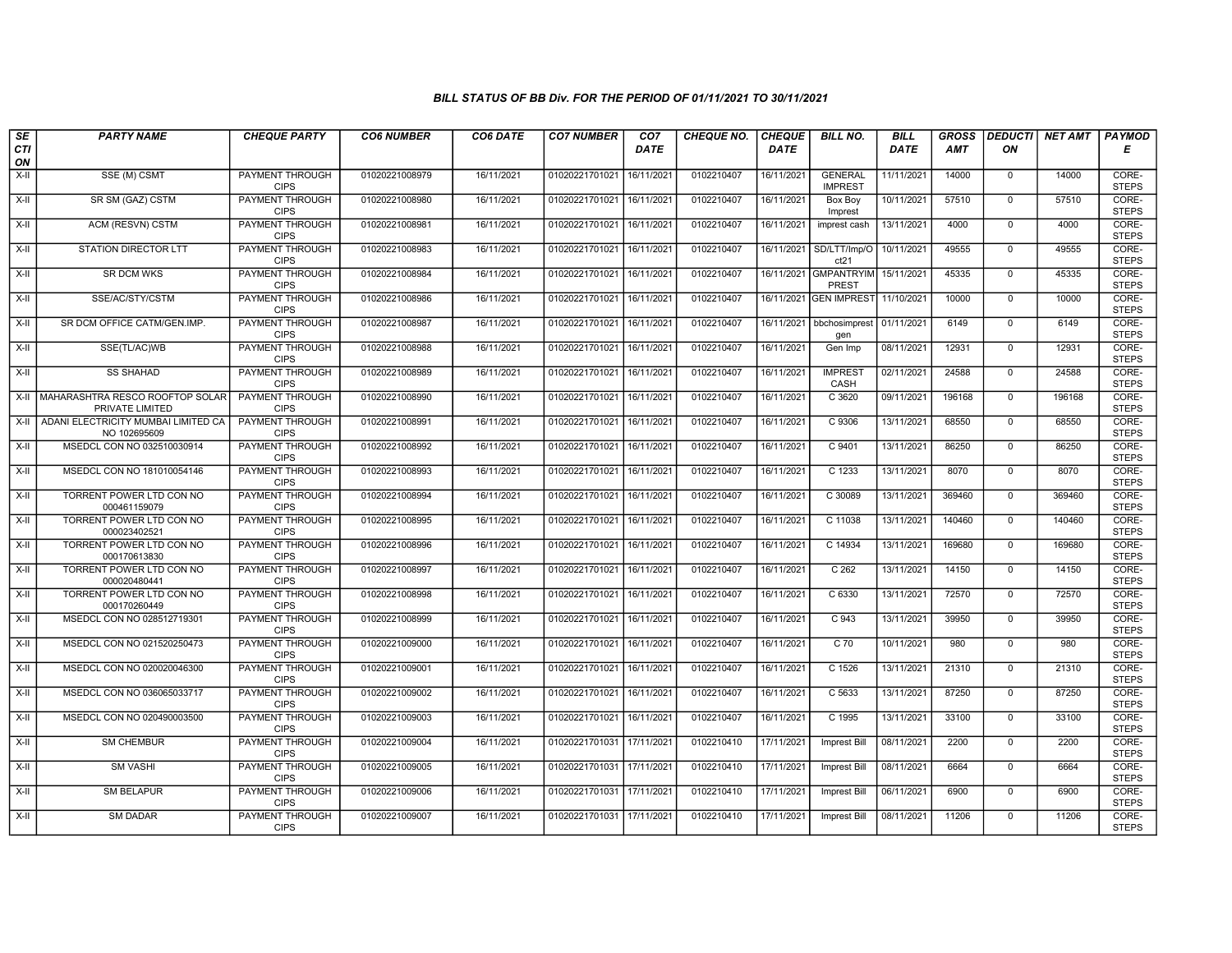| SE        | <b>PARTY NAME</b>                                       | <b>CHEQUE PARTY</b>                   | <b>CO6 NUMBER</b> | CO6 DATE   | <b>CO7 NUMBER</b>         | CO <sub>7</sub> | <b>CHEQUE NO.</b> | <b>CHEQUE</b> | <b>BILL NO.</b>                       | <b>BILL</b> | <b>GROSS</b> |                | <b>DEDUCTI</b> NET AMT | <b>PAYMOD</b>         |
|-----------|---------------------------------------------------------|---------------------------------------|-------------------|------------|---------------------------|-----------------|-------------------|---------------|---------------------------------------|-------------|--------------|----------------|------------------------|-----------------------|
| CTI<br>ON |                                                         |                                       |                   |            |                           | <b>DATE</b>     |                   | <b>DATE</b>   |                                       | DATE        | <b>AMT</b>   | ON             |                        | Е                     |
| $X-H$     | SSE (M) CSMT                                            | <b>PAYMENT THROUGH</b><br><b>CIPS</b> | 01020221008979    | 16/11/2021 | 01020221701021            | 16/11/2021      | 0102210407        | 16/11/2021    | <b>GENERAL</b><br><b>IMPREST</b>      | 11/11/2021  | 14000        | $\mathbf 0$    | 14000                  | CORE-<br><b>STEPS</b> |
| X-II      | SR SM (GAZ) CSTM                                        | <b>PAYMENT THROUGH</b><br><b>CIPS</b> | 01020221008980    | 16/11/2021 | 01020221701021 16/11/2021 |                 | 0102210407        | 16/11/2021    | Box Boy<br>Imprest                    | 10/11/2021  | 57510        | $\mathbf 0$    | 57510                  | CORE-<br><b>STEPS</b> |
| $X-H$     | ACM (RESVN) CSTM                                        | <b>PAYMENT THROUGH</b><br><b>CIPS</b> | 01020221008981    | 16/11/2021 | 01020221701021            | 16/11/2021      | 0102210407        | 16/11/2021    | imprest cash                          | 13/11/2021  | 4000         | $\mathbf 0$    | 4000                   | CORE-<br><b>STEPS</b> |
| X-II      | STATION DIRECTOR LTT                                    | <b>PAYMENT THROUGH</b><br><b>CIPS</b> | 01020221008983    | 16/11/2021 | 01020221701021            | 16/11/2021      | 0102210407        | 16/11/2021    | SD/LTT/Imp/O<br>ct21                  | 10/11/2021  | 49555        | $\mathbf 0$    | 49555                  | CORE-<br><b>STEPS</b> |
| $X-H$     | <b>SR DCM WKS</b>                                       | <b>PAYMENT THROUGH</b><br><b>CIPS</b> | 01020221008984    | 16/11/2021 | 01020221701021            | 16/11/2021      | 0102210407        |               | 16/11/2021 GMPANTRYIM<br><b>PREST</b> | 15/11/2021  | 45335        | $\mathbf 0$    | 45335                  | CORE-<br><b>STEPS</b> |
| X-II      | SSE/AC/STY/CSTM                                         | <b>PAYMENT THROUGH</b><br><b>CIPS</b> | 01020221008986    | 16/11/2021 | 01020221701021 16/11/2021 |                 | 0102210407        |               | 16/11/2021 GEN IMPREST 11/10/2021     |             | 10000        | $\Omega$       | 10000                  | CORE-<br><b>STEPS</b> |
| X-II      | SR DCM OFFICE CATM/GEN.IMP.                             | PAYMENT THROUGH<br><b>CIPS</b>        | 01020221008987    | 16/11/2021 | 01020221701021            | 16/11/2021      | 0102210407        | 16/11/2021    | bbchosimprest<br>gen                  | 01/11/2021  | 6149         | $\mathbf{0}$   | 6149                   | CORE-<br><b>STEPS</b> |
| X-II      | SSE(TL/AC)WB                                            | <b>PAYMENT THROUGH</b><br><b>CIPS</b> | 01020221008988    | 16/11/2021 | 01020221701021            | 16/11/2021      | 0102210407        | 16/11/2021    | Gen Imp                               | 08/11/2021  | 12931        | $\mathbf 0$    | 12931                  | CORE-<br><b>STEPS</b> |
| X-II      | <b>SS SHAHAD</b>                                        | <b>PAYMENT THROUGH</b><br><b>CIPS</b> | 01020221008989    | 16/11/2021 | 01020221701021            | 16/11/2021      | 0102210407        | 16/11/2021    | <b>IMPREST</b><br>CASH                | 02/11/2021  | 24588        | $\mathbf 0$    | 24588                  | CORE-<br><b>STEPS</b> |
|           | X-II MAHARASHTRA RESCO ROOFTOP SOLAR<br>PRIVATE LIMITED | <b>PAYMENT THROUGH</b><br><b>CIPS</b> | 01020221008990    | 16/11/2021 | 01020221701021            | 16/11/2021      | 0102210407        | 16/11/2021    | C 3620                                | 09/11/2021  | 196168       | $\mathbf{0}$   | 196168                 | CORE-<br><b>STEPS</b> |
| X-II      | ADANI ELECTRICITY MUMBAI LIMITED CA<br>NO 102695609     | PAYMENT THROUGH<br><b>CIPS</b>        | 01020221008991    | 16/11/2021 | 01020221701021            | 16/11/2021      | 0102210407        | 16/11/2021    | C 9306                                | 13/11/2021  | 68550        | $\mathbf{0}$   | 68550                  | CORE-<br><b>STEPS</b> |
| $X-II$    | MSEDCL CON NO 032510030914                              | <b>PAYMENT THROUGH</b><br><b>CIPS</b> | 01020221008992    | 16/11/2021 | 01020221701021            | 16/11/2021      | 0102210407        | 16/11/2021    | C 9401                                | 13/11/2021  | 86250        | $\mathbf 0$    | 86250                  | CORE-<br><b>STEPS</b> |
| X-II      | MSEDCL CON NO 181010054146                              | <b>PAYMENT THROUGH</b><br><b>CIPS</b> | 01020221008993    | 16/11/2021 | 01020221701021 16/11/2021 |                 | 0102210407        | 16/11/2021    | C 1233                                | 13/11/2021  | 8070         | $\mathbf 0$    | 8070                   | CORE-<br><b>STEPS</b> |
| $X-H$     | TORRENT POWER LTD CON NO<br>000461159079                | <b>PAYMENT THROUGH</b><br><b>CIPS</b> | 01020221008994    | 16/11/2021 | 01020221701021            | 16/11/2021      | 0102210407        | 16/11/2021    | C 30089                               | 13/11/2021  | 369460       | $\mathbf{0}$   | 369460                 | CORE-<br><b>STEPS</b> |
| X-II      | TORRENT POWER LTD CON NO<br>000023402521                | PAYMENT THROUGH<br><b>CIPS</b>        | 01020221008995    | 16/11/2021 | 01020221701021            | 16/11/2021      | 0102210407        | 16/11/2021    | C 11038                               | 13/11/2021  | 140460       | $\mathbf{0}$   | 140460                 | CORE-<br><b>STEPS</b> |
| $X-II$    | TORRENT POWER LTD CON NO<br>000170613830                | <b>PAYMENT THROUGH</b><br><b>CIPS</b> | 01020221008996    | 16/11/2021 | 01020221701021            | 16/11/2021      | 0102210407        | 16/11/2021    | C 14934                               | 13/11/2021  | 169680       | $\mathbf 0$    | 169680                 | CORE-<br><b>STEPS</b> |
| X-II      | TORRENT POWER LTD CON NO<br>000020480441                | <b>PAYMENT THROUGH</b><br><b>CIPS</b> | 01020221008997    | 16/11/2021 | 01020221701021            | 16/11/2021      | 0102210407        | 16/11/2021    | C <sub>262</sub>                      | 13/11/2021  | 14150        | $\mathbf{0}$   | 14150                  | CORE-<br><b>STEPS</b> |
| $X-H$     | TORRENT POWER LTD CON NO<br>000170260449                | <b>PAYMENT THROUGH</b><br><b>CIPS</b> | 01020221008998    | 16/11/2021 | 01020221701021            | 16/11/2021      | 0102210407        | 16/11/2021    | C6330                                 | 13/11/2021  | 72570        | $\overline{0}$ | 72570                  | CORE-<br><b>STEPS</b> |
| X-II      | MSEDCL CON NO 028512719301                              | PAYMENT THROUGH<br><b>CIPS</b>        | 01020221008999    | 16/11/2021 | 01020221701021            | 16/11/2021      | 0102210407        | 16/11/2021    | C 943                                 | 13/11/2021  | 39950        | $\mathbf{0}$   | 39950                  | CORE-<br><b>STEPS</b> |
| X-II      | MSEDCL CON NO 021520250473                              | <b>PAYMENT THROUGH</b><br><b>CIPS</b> | 01020221009000    | 16/11/2021 | 01020221701021            | 16/11/2021      | 0102210407        | 16/11/2021    | C 70                                  | 10/11/2021  | 980          | $\Omega$       | 980                    | CORE-<br><b>STEPS</b> |
| $X-II$    | MSEDCL CON NO 020020046300                              | <b>PAYMENT THROUGH</b><br><b>CIPS</b> | 01020221009001    | 16/11/2021 | 01020221701021            | 16/11/2021      | 0102210407        | 16/11/2021    | $C$ 1526                              | 13/11/2021  | 21310        | $\mathbf 0$    | 21310                  | CORE-<br><b>STEPS</b> |
| X-II      | MSEDCL CON NO 036065033717                              | <b>PAYMENT THROUGH</b><br><b>CIPS</b> | 01020221009002    | 16/11/2021 | 01020221701021            | 16/11/2021      | 0102210407        | 16/11/2021    | C 5633                                | 13/11/2021  | 87250        | $\mathbf 0$    | 87250                  | CORE-<br><b>STEPS</b> |
| X-II      | MSEDCL CON NO 020490003500                              | PAYMENT THROUGH<br><b>CIPS</b>        | 01020221009003    | 16/11/2021 | 01020221701021            | 16/11/2021      | 0102210407        | 16/11/2021    | C 1995                                | 13/11/2021  | 33100        | $\mathbf 0$    | 33100                  | CORE-<br><b>STEPS</b> |
| $X-II$    | <b>SM CHEMBUR</b>                                       | <b>PAYMENT THROUGH</b><br><b>CIPS</b> | 01020221009004    | 16/11/2021 | 01020221701031            | 17/11/2021      | 0102210410        | 17/11/2021    | Imprest Bill                          | 08/11/2021  | 2200         | $\mathbf 0$    | 2200                   | CORE-<br><b>STEPS</b> |
| $X-II$    | <b>SM VASHI</b>                                         | <b>PAYMENT THROUGH</b><br><b>CIPS</b> | 01020221009005    | 16/11/2021 | 01020221701031 17/11/2021 |                 | 0102210410        | 17/11/2021    | <b>Imprest Bill</b>                   | 08/11/2021  | 6664         | $\Omega$       | 6664                   | CORE-<br><b>STEPS</b> |
| $X-H$     | <b>SM BELAPUR</b>                                       | <b>PAYMENT THROUGH</b><br><b>CIPS</b> | 01020221009006    | 16/11/2021 | 01020221701031 17/11/2021 |                 | 0102210410        | 17/11/2021    | <b>Imprest Bill</b>                   | 06/11/2021  | 6900         | 0              | 6900                   | CORE-<br><b>STEPS</b> |
| X-II      | <b>SM DADAR</b>                                         | PAYMENT THROUGH<br><b>CIPS</b>        | 01020221009007    | 16/11/2021 | 01020221701031 17/11/2021 |                 | 0102210410        | 17/11/2021    | Imprest Bill                          | 08/11/2021  | 11206        | $\mathbf 0$    | 11206                  | CORE-<br><b>STEPS</b> |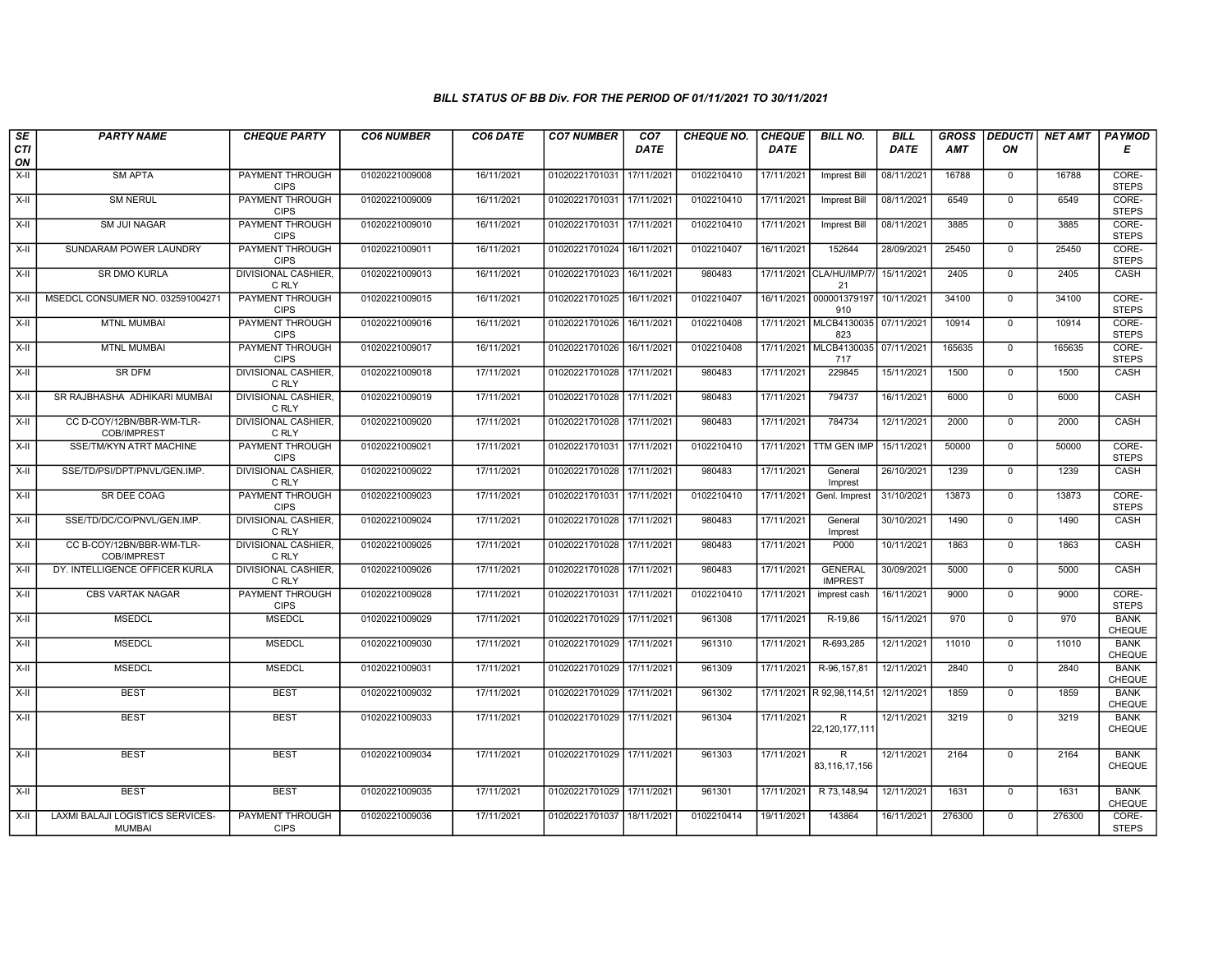| SE        | <b>PARTY NAME</b>                                 | <b>CHEQUE PARTY</b>                   | <b>CO6 NUMBER</b> | CO6 DATE   | <b>CO7 NUMBER</b>         | CO <sub>7</sub> | <b>CHEQUE NO.</b> | <b>CHEQUE</b> | <b>BILL NO.</b>                  | BILL        | <b>GROSS</b> | <b>DEDUCTI</b> | NET AMT | PAYMOD                       |
|-----------|---------------------------------------------------|---------------------------------------|-------------------|------------|---------------------------|-----------------|-------------------|---------------|----------------------------------|-------------|--------------|----------------|---------|------------------------------|
| CTI<br>ON |                                                   |                                       |                   |            |                           | <b>DATE</b>     |                   | <b>DATE</b>   |                                  | <b>DATE</b> | <b>AMT</b>   | ON             |         | Е                            |
| $X-H$     | <b>SM APTA</b>                                    | <b>PAYMENT THROUGH</b><br><b>CIPS</b> | 01020221009008    | 16/11/2021 | 01020221701031            | 17/11/2021      | 0102210410        | 17/11/2021    | Imprest Bill                     | 08/11/2021  | 16788        | $\mathbf 0$    | 16788   | CORE-<br><b>STEPS</b>        |
| $X-H$     | <b>SM NERUL</b>                                   | <b>PAYMENT THROUGH</b><br><b>CIPS</b> | 01020221009009    | 16/11/2021 | 01020221701031 17/11/2021 |                 | 0102210410        | 17/11/2021    | <b>Imprest Bill</b>              | 08/11/2021  | 6549         | $\mathbf 0$    | 6549    | CORE-<br><b>STEPS</b>        |
| X-II      | SM JUI NAGAR                                      | <b>PAYMENT THROUGH</b><br><b>CIPS</b> | 01020221009010    | 16/11/2021 | 01020221701031            | 17/11/2021      | 0102210410        | 17/11/2021    | Imprest Bill                     | 08/11/2021  | 3885         | $\mathbf 0$    | 3885    | CORE-<br><b>STEPS</b>        |
| $X-II$    | SUNDARAM POWER LAUNDRY                            | <b>PAYMENT THROUGH</b><br><b>CIPS</b> | 01020221009011    | 16/11/2021 | 01020221701024            | 16/11/2021      | 0102210407        | 16/11/2021    | 152644                           | 28/09/2021  | 25450        | $\overline{0}$ | 25450   | CORE-<br><b>STEPS</b>        |
| $X-II$    | <b>SR DMO KURLA</b>                               | <b>DIVISIONAL CASHIER.</b><br>C RLY   | 01020221009013    | 16/11/2021 | 01020221701023 16/11/2021 |                 | 980483            |               | 17/11/2021 CLA/HU/IMP/7/<br>21   | 15/11/2021  | 2405         | $\mathbf 0$    | 2405    | CASH                         |
| $X-H$     | MSEDCL CONSUMER NO. 032591004271                  | <b>PAYMENT THROUGH</b><br><b>CIPS</b> | 01020221009015    | 16/11/2021 | 01020221701025 16/11/2021 |                 | 0102210407        |               | 16/11/2021 000001379197<br>910   | 10/11/2021  | 34100        | $\Omega$       | 34100   | CORE-<br><b>STEPS</b>        |
| X-II      | <b>MTNL MUMBAI</b>                                | PAYMENT THROUGH<br><b>CIPS</b>        | 01020221009016    | 16/11/2021 | 01020221701026            | 16/11/2021      | 0102210408        |               | 17/11/2021 MLCB4130035<br>823    | 07/11/2021  | 10914        | $\mathbf 0$    | 10914   | CORE-<br><b>STEPS</b>        |
| X-II      | <b>MTNL MUMBAI</b>                                | <b>PAYMENT THROUGH</b><br><b>CIPS</b> | 01020221009017    | 16/11/2021 | 01020221701026 16/11/2021 |                 | 0102210408        | 17/11/2021    | MLCB4130035<br>717               | 07/11/2021  | 165635       | $\mathbf 0$    | 165635  | CORE-<br><b>STEPS</b>        |
| X-II      | <b>SR DFM</b>                                     | <b>DIVISIONAL CASHIER.</b><br>C RLY   | 01020221009018    | 17/11/2021 | 01020221701028 17/11/2021 |                 | 980483            | 17/11/2021    | 229845                           | 15/11/2021  | 1500         | $\mathbf 0$    | 1500    | <b>CASH</b>                  |
| $X-H$     | SR RAJBHASHA ADHIKARI MUMBAI                      | <b>DIVISIONAL CASHIER.</b><br>C RLY   | 01020221009019    | 17/11/2021 | 01020221701028 17/11/2021 |                 | 980483            | 17/11/2021    | 794737                           | 16/11/2021  | 6000         | $\overline{0}$ | 6000    | CASH                         |
| $X-H$     | CC D-COY/12BN/BBR-WM-TLR-<br><b>COB/IMPREST</b>   | <b>DIVISIONAL CASHIER,</b><br>C RLY   | 01020221009020    | 17/11/2021 | 01020221701028 17/11/2021 |                 | 980483            | 17/11/2021    | 784734                           | 12/11/2021  | 2000         | $\mathbf 0$    | 2000    | CASH                         |
| $X-II$    | SSE/TM/KYN ATRT MACHINE                           | <b>PAYMENT THROUGH</b><br><b>CIPS</b> | 01020221009021    | 17/11/2021 | 01020221701031 17/11/2021 |                 | 0102210410        | 17/11/2021    | <b>TTM GEN IMP</b>               | 15/11/2021  | 50000        | $\overline{0}$ | 50000   | CORE-<br><b>STEPS</b>        |
| X-II      | SSE/TD/PSI/DPT/PNVL/GEN.IMP.                      | <b>DIVISIONAL CASHIER.</b><br>C RLY   | 01020221009022    | 17/11/2021 | 01020221701028 17/11/2021 |                 | 980483            | 17/11/2021    | General<br>Imprest               | 26/10/2021  | 1239         | $\mathbf 0$    | 1239    | CASH                         |
| $X-H$     | <b>SR DEE COAG</b>                                | <b>PAYMENT THROUGH</b><br><b>CIPS</b> | 01020221009023    | 17/11/2021 | 01020221701031            | 17/11/2021      | 0102210410        | 17/11/2021    | Genl. Imprest                    | 31/10/2021  | 13873        | $\overline{0}$ | 13873   | CORE-<br><b>STEPS</b>        |
| X-II      | SSE/TD/DC/CO/PNVL/GEN.IMP.                        | <b>DIVISIONAL CASHIER.</b><br>C RLY   | 01020221009024    | 17/11/2021 | 01020221701028 17/11/2021 |                 | 980483            | 17/11/2021    | General<br>Imprest               | 30/10/2021  | 1490         | $\mathbf 0$    | 1490    | CASH                         |
| X-II      | CC B-COY/12BN/BBR-WM-TLR-<br>COB/IMPREST          | <b>DIVISIONAL CASHIER.</b><br>C RLY   | 01020221009025    | 17/11/2021 | 01020221701028 17/11/2021 |                 | 980483            | 17/11/2021    | P000                             | 10/11/2021  | 1863         | $\overline{0}$ | 1863    | CASH                         |
| X-II      | DY. INTELLIGENCE OFFICER KURLA                    | <b>DIVISIONAL CASHIER.</b><br>C RLY   | 01020221009026    | 17/11/2021 | 01020221701028 17/11/2021 |                 | 980483            | 17/11/2021    | <b>GENERAL</b><br><b>IMPREST</b> | 30/09/2021  | 5000         | $\mathbf 0$    | 5000    | CASH                         |
| $X-H$     | <b>CBS VARTAK NAGAR</b>                           | <b>PAYMENT THROUGH</b><br><b>CIPS</b> | 01020221009028    | 17/11/2021 | 01020221701031 17/11/2021 |                 | 0102210410        | 17/11/2021    | imprest cash                     | 16/11/2021  | 9000         | $\overline{0}$ | 9000    | CORE-<br><b>STEPS</b>        |
| X-II      | <b>MSEDCL</b>                                     | <b>MSEDCL</b>                         | 01020221009029    | 17/11/2021 | 01020221701029 17/11/2021 |                 | 961308            | 17/11/2021    | R-19,86                          | 15/11/2021  | 970          | $\mathbf 0$    | 970     | <b>BANK</b><br>CHEQUE        |
| $X-II$    | <b>MSEDCL</b>                                     | <b>MSEDCL</b>                         | 01020221009030    | 17/11/2021 | 01020221701029 17/11/2021 |                 | 961310            | 17/11/2021    | R-693,285                        | 12/11/2021  | 11010        | $\overline{0}$ | 11010   | <b>BANK</b><br>CHEQUE        |
| $X-II$    | <b>MSEDCL</b>                                     | <b>MSEDCL</b>                         | 01020221009031    | 17/11/2021 | 01020221701029 17/11/2021 |                 | 961309            | 17/11/2021    | R-96, 157, 81                    | 12/11/2021  | 2840         | $\overline{0}$ | 2840    | <b>BANK</b><br>CHEQUE        |
| X-II      | <b>BEST</b>                                       | <b>BEST</b>                           | 01020221009032    | 17/11/2021 | 01020221701029 17/11/2021 |                 | 961302            |               | 17/11/2021 R 92,98,114,51        | 12/11/2021  | 1859         | $\mathbf 0$    | 1859    | <b>BANK</b><br><b>CHEQUE</b> |
| X-II      | <b>BEST</b>                                       | <b>BEST</b>                           | 01020221009033    | 17/11/2021 | 01020221701029 17/11/2021 |                 | 961304            | 17/11/2021    | R<br>22, 120, 177, 111           | 12/11/2021  | 3219         | $\mathbf 0$    | 3219    | <b>BANK</b><br>CHEQUE        |
| X-II      | <b>BEST</b>                                       | <b>BEST</b>                           | 01020221009034    | 17/11/2021 | 01020221701029 17/11/2021 |                 | 961303            | 17/11/2021    | R<br>83,116,17,156               | 12/11/2021  | 2164         | $\mathbf 0$    | 2164    | <b>BANK</b><br>CHEQUE        |
| $X-II$    | <b>BEST</b>                                       | <b>BEST</b>                           | 01020221009035    | 17/11/2021 | 01020221701029 17/11/2021 |                 | 961301            | 17/11/2021    | R 73,148,94                      | 12/11/2021  | 1631         | $\mathbf 0$    | 1631    | <b>BANK</b><br><b>CHEQUE</b> |
| X-II      | LAXMI BALAJI LOGISTICS SERVICES-<br><b>MUMBAI</b> | <b>PAYMENT THROUGH</b><br><b>CIPS</b> | 01020221009036    | 17/11/2021 | 01020221701037 18/11/2021 |                 | 0102210414        | 19/11/2021    | 143864                           | 16/11/2021  | 276300       | $\mathbf 0$    | 276300  | CORE-<br><b>STEPS</b>        |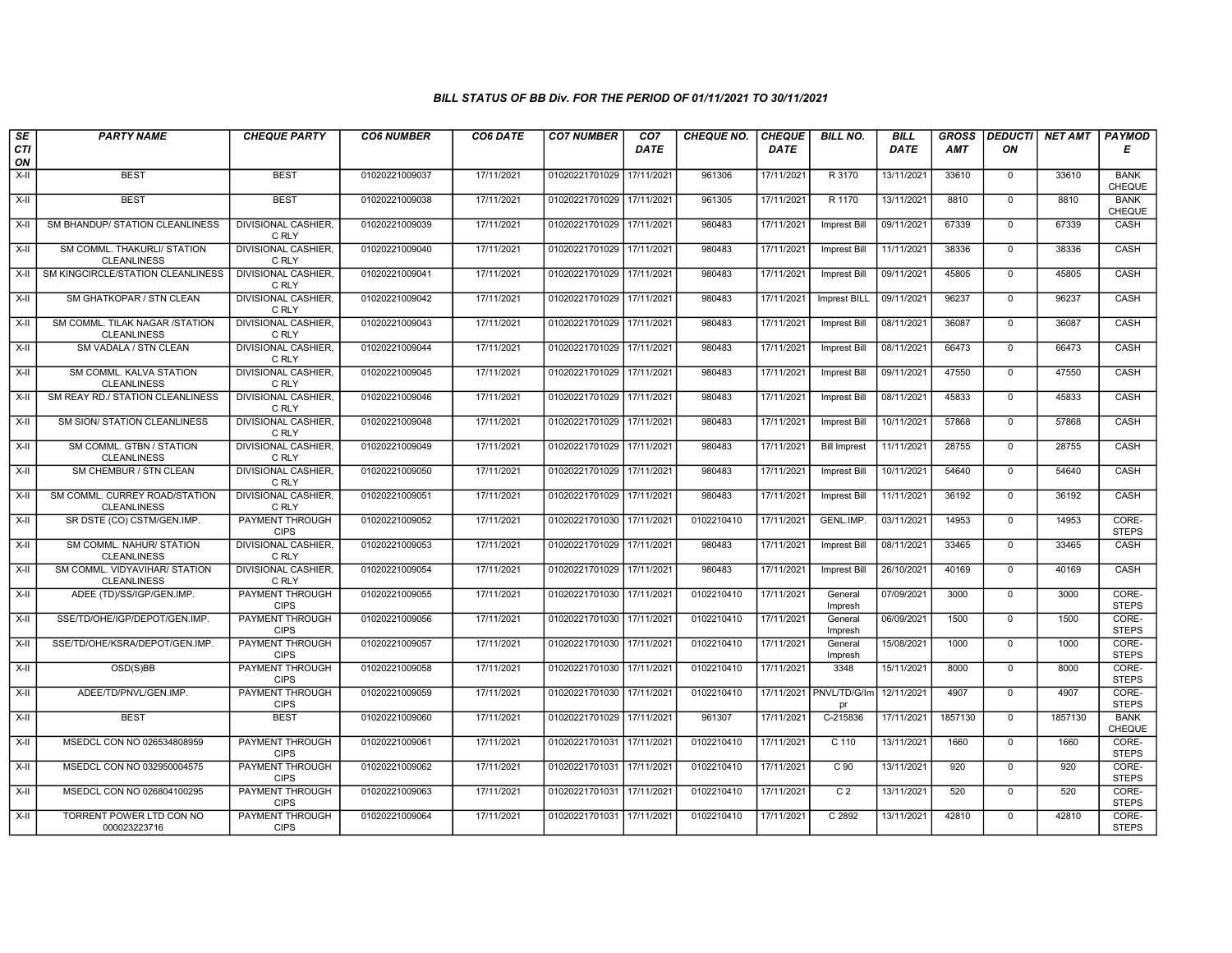| SE        | <b>PARTY NAME</b>                                    | <b>CHEQUE PARTY</b>                   | <b>CO6 NUMBER</b> | CO6 DATE   | <b>CO7 NUMBER</b>         | CO <sub>7</sub> | <b>CHEQUE NO.</b> | <b>CHEQUE</b> | <b>BILL NO.</b>               | <b>BILL</b> | <b>GROSS</b> |                | <b>DEDUCTI NET AMT</b> | <b>PAYMOD</b>                |
|-----------|------------------------------------------------------|---------------------------------------|-------------------|------------|---------------------------|-----------------|-------------------|---------------|-------------------------------|-------------|--------------|----------------|------------------------|------------------------------|
| CTI<br>ON |                                                      |                                       |                   |            |                           | <b>DATE</b>     |                   | <b>DATE</b>   |                               | DATE        | <b>AMT</b>   | ON             |                        | Е                            |
| $X-H$     | <b>BEST</b>                                          | <b>BEST</b>                           | 01020221009037    | 17/11/2021 | 01020221701029            | 17/11/2021      | 961306            | 17/11/2021    | R 3170                        | 13/11/2021  | 33610        | $\mathbf 0$    | 33610                  | <b>BANK</b><br><b>CHEQUE</b> |
| $X-H$     | <b>BEST</b>                                          | <b>BEST</b>                           | 01020221009038    | 17/11/2021 | 01020221701029 17/11/2021 |                 | 961305            | 17/11/2021    | R 1170                        | 13/11/2021  | 8810         | $\mathbf{0}$   | 8810                   | <b>BANK</b><br>CHEQUE        |
| X-II      | SM BHANDUP/ STATION CLEANLINESS                      | DIVISIONAL CASHIER,<br>C RLY          | 01020221009039    | 17/11/2021 | 01020221701029 17/11/2021 |                 | 980483            | 17/11/2021    | Imprest Bill                  | 09/11/2021  | 67339        | $\mathbf 0$    | 67339                  | CASH                         |
| $X-II$    | SM COMML. THAKURLI/ STATION<br><b>CLEANLINESS</b>    | DIVISIONAL CASHIER,<br>C RLY          | 01020221009040    | 17/11/2021 | 01020221701029 17/11/2021 |                 | 980483            | 17/11/2021    | <b>Imprest Bill</b>           | 11/11/2021  | 38336        | $\mathbf{0}$   | 38336                  | <b>CASH</b>                  |
| $X-H$     | SM KINGCIRCLE/STATION CLEANLINESS                    | <b>DIVISIONAL CASHIER,</b><br>C RLY   | 01020221009041    | 17/11/2021 | 01020221701029 17/11/2021 |                 | 980483            | 17/11/2021    | Imprest Bill                  | 09/11/2021  | 45805        | $\mathbf 0$    | 45805                  | CASH                         |
| $X-H$     | SM GHATKOPAR / STN CLEAN                             | <b>DIVISIONAL CASHIER,</b><br>C RLY   | 01020221009042    | 17/11/2021 | 01020221701029 17/11/2021 |                 | 980483            | 17/11/2021    | Imprest BILL                  | 09/11/2021  | 96237        | $\Omega$       | 96237                  | <b>CASH</b>                  |
| X-II      | SM COMML. TILAK NAGAR /STATION<br><b>CLEANLINESS</b> | DIVISIONAL CASHIER,<br>C RLY          | 01020221009043    | 17/11/2021 | 01020221701029 17/11/2021 |                 | 980483            | 17/11/2021    | Imprest Bill                  | 08/11/2021  | 36087        | $\mathbf{0}$   | 36087                  | CASH                         |
| $X-H$     | SM VADALA / STN CLEAN                                | DIVISIONAL CASHIER,<br>C RLY          | 01020221009044    | 17/11/2021 | 01020221701029 17/11/2021 |                 | 980483            | 17/11/2021    | <b>Imprest Bill</b>           | 08/11/2021  | 66473        | $\overline{0}$ | 66473                  | CASH                         |
| X-II      | SM COMML. KALVA STATION<br><b>CLEANLINESS</b>        | <b>DIVISIONAL CASHIER,</b><br>C RLY   | 01020221009045    | 17/11/2021 | 01020221701029 17/11/2021 |                 | 980483            | 17/11/2021    | <b>Imprest Bill</b>           | 09/11/2021  | 47550        | $\mathbf 0$    | 47550                  | CASH                         |
| $X-H$     | SM REAY RD./ STATION CLEANLINESS                     | <b>DIVISIONAL CASHIER,</b><br>C RLY   | 01020221009046    | 17/11/2021 | 01020221701029 17/11/2021 |                 | 980483            | 17/11/2021    | <b>Imprest Bill</b>           | 08/11/2021  | 45833        | $\mathbf 0$    | 45833                  | <b>CASH</b>                  |
| X-II      | SM SION/ STATION CLEANLINESS                         | DIVISIONAL CASHIER,<br>C RLY          | 01020221009048    | 17/11/2021 | 01020221701029 17/11/2021 |                 | 980483            | 17/11/2021    | <b>Imprest Bill</b>           | 10/11/2021  | 57868        | $\mathbf 0$    | 57868                  | CASH                         |
| X-II      | SM COMML. GTBN / STATION<br><b>CLEANLINESS</b>       | <b>DIVISIONAL CASHIER,</b><br>C RLY   | 01020221009049    | 17/11/2021 | 01020221701029 17/11/2021 |                 | 980483            | 17/11/2021    | <b>Bill Imprest</b>           | 11/11/2021  | 28755        | $\mathbf 0$    | 28755                  | CASH                         |
| $X-H$     | SM CHEMBUR / STN CLEAN                               | <b>DIVISIONAL CASHIER,</b><br>C RLY   | 01020221009050    | 17/11/2021 | 01020221701029 17/11/2021 |                 | 980483            | 17/11/2021    | Imprest Bill                  | 10/11/2021  | 54640        | $\mathbf 0$    | 54640                  | <b>CASH</b>                  |
| X-II      | SM COMML. CURREY ROAD/STATION<br><b>CLEANLINESS</b>  | <b>DIVISIONAL CASHIER,</b><br>C RLY   | 01020221009051    | 17/11/2021 | 01020221701029 17/11/2021 |                 | 980483            | 17/11/2021    | <b>Imprest Bill</b>           | 11/11/2021  | 36192        | $\mathbf{0}$   | 36192                  | <b>CASH</b>                  |
| X-II      | SR DSTE (CO) CSTM/GEN.IMP.                           | PAYMENT THROUGH<br><b>CIPS</b>        | 01020221009052    | 17/11/2021 | 01020221701030 17/11/2021 |                 | 0102210410        | 17/11/2021    | GENL.IMP.                     | 03/11/2021  | 14953        | $\Omega$       | 14953                  | CORE-<br><b>STEPS</b>        |
| X-II      | SM COMML. NAHUR/ STATION<br><b>CLEANLINESS</b>       | DIVISIONAL CASHIER,<br>C RLY          | 01020221009053    | 17/11/2021 | 01020221701029 17/11/2021 |                 | 980483            | 17/11/2021    | <b>Imprest Bill</b>           | 08/11/2021  | 33465        | $\mathbf 0$    | 33465                  | CASH                         |
| X-II      | SM COMML. VIDYAVIHAR/ STATION<br><b>CLEANLINESS</b>  | <b>DIVISIONAL CASHIER,</b><br>C RLY   | 01020221009054    | 17/11/2021 | 01020221701029 17/11/2021 |                 | 980483            | 17/11/2021    | Imprest Bill                  | 26/10/2021  | 40169        | $\mathbf 0$    | 40169                  | <b>CASH</b>                  |
| $X-H$     | ADEE (TD)/SS/IGP/GEN.IMP.                            | <b>PAYMENT THROUGH</b><br><b>CIPS</b> | 01020221009055    | 17/11/2021 | 01020221701030            | 17/11/2021      | 0102210410        | 17/11/2021    | General<br>Impresh            | 07/09/2021  | 3000         | $\mathbf 0$    | 3000                   | CORE-<br><b>STEPS</b>        |
| $X-H$     | SSE/TD/OHE/IGP/DEPOT/GEN.IMP.                        | PAYMENT THROUGH<br><b>CIPS</b>        | 01020221009056    | 17/11/2021 | 01020221701030 17/11/2021 |                 | 0102210410        | 17/11/2021    | General<br>Impresh            | 06/09/2021  | 1500         | $\mathbf 0$    | 1500                   | CORE-<br><b>STEPS</b>        |
| X-II      | SSE/TD/OHE/KSRA/DEPOT/GEN.IMP.                       | <b>PAYMENT THROUGH</b><br><b>CIPS</b> | 01020221009057    | 17/11/2021 | 01020221701030            | 17/11/2021      | 0102210410        | 17/11/2021    | General<br>Impresh            | 15/08/2021  | 1000         | $\overline{0}$ | 1000                   | CORE-<br><b>STEPS</b>        |
| X-II      | OSD(S)BB                                             | <b>PAYMENT THROUGH</b><br><b>CIPS</b> | 01020221009058    | 17/11/2021 | 01020221701030 17/11/2021 |                 | 0102210410        | 17/11/2021    | 3348                          | 15/11/2021  | 8000         | $\mathbf{0}$   | 8000                   | CORE-<br><b>STEPS</b>        |
| X-II      | ADEE/TD/PNVL/GEN.IMP.                                | <b>PAYMENT THROUGH</b><br><b>CIPS</b> | 01020221009059    | 17/11/2021 | 01020221701030 17/11/2021 |                 | 0102210410        |               | 17/11/2021 PNVL/TD/G/Im<br>pr | 12/11/2021  | 4907         | $\Omega$       | 4907                   | CORE-<br><b>STEPS</b>        |
| X-II      | <b>BEST</b>                                          | <b>BEST</b>                           | 01020221009060    | 17/11/2021 | 01020221701029 17/11/2021 |                 | 961307            | 17/11/2021    | C-215836                      | 17/11/2021  | 1857130      | $\mathbf 0$    | 1857130                | <b>BANK</b><br>CHEQUE        |
| $X-H$     | MSEDCL CON NO 026534808959                           | PAYMENT THROUGH<br><b>CIPS</b>        | 01020221009061    | 17/11/2021 | 01020221701031            | 17/11/2021      | 0102210410        | 17/11/2021    | $C$ 110                       | 13/11/2021  | 1660         | $\Omega$       | 1660                   | CORE-<br><b>STEPS</b>        |
| $X-II$    | MSEDCL CON NO 032950004575                           | PAYMENT THROUGH<br><b>CIPS</b>        | 01020221009062    | 17/11/2021 | 01020221701031            | 17/11/2021      | 0102210410        | 17/11/2021    | C <sub>90</sub>               | 13/11/2021  | 920          | $\mathbf 0$    | 920                    | CORE-<br><b>STEPS</b>        |
| $X-H$     | MSEDCL CON NO 026804100295                           | PAYMENT THROUGH<br><b>CIPS</b>        | 01020221009063    | 17/11/2021 | 01020221701031 17/11/2021 |                 | 0102210410        | 17/11/2021    | C <sub>2</sub>                | 13/11/2021  | 520          | 0              | 520                    | CORE-<br><b>STEPS</b>        |
| X-II      | TORRENT POWER LTD CON NO<br>000023223716             | <b>PAYMENT THROUGH</b><br><b>CIPS</b> | 01020221009064    | 17/11/2021 | 01020221701031 17/11/2021 |                 | 0102210410        | 17/11/2021    | C2892                         | 13/11/2021  | 42810        | $\mathbf{0}$   | 42810                  | CORE-<br><b>STEPS</b>        |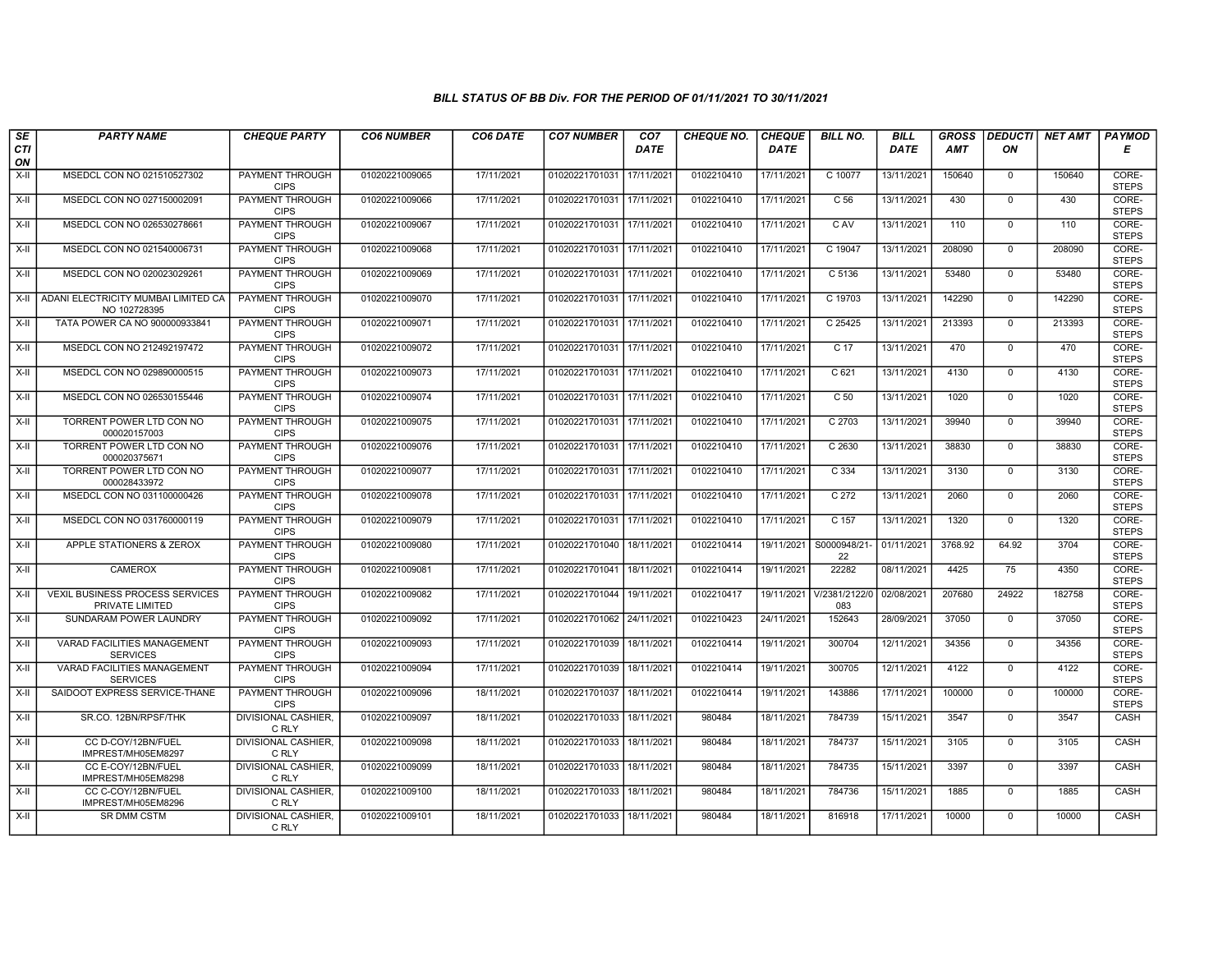| SE        | <b>PARTY NAME</b>                                         | <b>CHEQUE PARTY</b>                   | <b>CO6 NUMBER</b> | CO6 DATE   | <b>CO7 NUMBER</b>         | CO <sub>7</sub> | <b>CHEQUE NO.</b> | <b>CHEQUE</b> | <b>BILL NO.</b>      | <b>BILL</b> | <b>GROSS</b> |              | <b>DEDUCTI NET AMT</b> | <b>PAYMOD</b>         |
|-----------|-----------------------------------------------------------|---------------------------------------|-------------------|------------|---------------------------|-----------------|-------------------|---------------|----------------------|-------------|--------------|--------------|------------------------|-----------------------|
| CTI<br>ON |                                                           |                                       |                   |            |                           | <b>DATE</b>     |                   | <b>DATE</b>   |                      | <b>DATE</b> | <b>AMT</b>   | ON           |                        | Е                     |
| $X-H$     | MSEDCL CON NO 021510527302                                | <b>PAYMENT THROUGH</b><br><b>CIPS</b> | 01020221009065    | 17/11/2021 | 01020221701031            | 17/11/2021      | 0102210410        | 17/11/2021    | C 10077              | 13/11/2021  | 150640       | $\mathbf{0}$ | 150640                 | CORE-<br><b>STEPS</b> |
| $X-H$     | MSEDCL CON NO 027150002091                                | <b>PAYMENT THROUGH</b><br><b>CIPS</b> | 01020221009066    | 17/11/2021 | 01020221701031 17/11/2021 |                 | 0102210410        | 17/11/2021    | C 56                 | 13/11/2021  | 430          | $\mathbf 0$  | 430                    | CORE-<br><b>STEPS</b> |
| X-II      | MSEDCL CON NO 026530278661                                | PAYMENT THROUGH<br><b>CIPS</b>        | 01020221009067    | 17/11/2021 | 01020221701031            | 17/11/2021      | 0102210410        | 17/11/2021    | C AV                 | 13/11/2021  | 110          | $\mathbf 0$  | 110                    | CORE-<br><b>STEPS</b> |
| $X-II$    | MSEDCL CON NO 021540006731                                | PAYMENT THROUGH<br><b>CIPS</b>        | 01020221009068    | 17/11/2021 | 01020221701031            | 17/11/2021      | 0102210410        | 17/11/2021    | C 19047              | 13/11/2021  | 208090       | $\Omega$     | 208090                 | CORE-<br><b>STEPS</b> |
| $X-H$     | MSEDCL CON NO 020023029261                                | <b>PAYMENT THROUGH</b><br><b>CIPS</b> | 01020221009069    | 17/11/2021 | 01020221701031 17/11/2021 |                 | 0102210410        | 17/11/2021    | C 5136               | 13/11/2021  | 53480        | $\mathbf 0$  | 53480                  | CORE-<br><b>STEPS</b> |
| $X-H$     | ADANI ELECTRICITY MUMBAI LIMITED CA<br>NO 102728395       | <b>PAYMENT THROUGH</b><br><b>CIPS</b> | 01020221009070    | 17/11/2021 | 01020221701031 17/11/2021 |                 | 0102210410        | 17/11/2021    | C 19703              | 13/11/2021  | 142290       | $\Omega$     | 142290                 | CORE-<br><b>STEPS</b> |
| X-II      | TATA POWER CA NO 900000933841                             | PAYMENT THROUGH<br><b>CIPS</b>        | 01020221009071    | 17/11/2021 | 01020221701031            | 17/11/2021      | 0102210410        | 17/11/2021    | C 25425              | 13/11/2021  | 213393       | $\mathbf 0$  | 213393                 | CORE-<br><b>STEPS</b> |
| X-II      | MSEDCL CON NO 212492197472                                | PAYMENT THROUGH<br><b>CIPS</b>        | 01020221009072    | 17/11/2021 | 01020221701031 17/11/2021 |                 | 0102210410        | 17/11/2021    | C 17                 | 13/11/2021  | 470          | $\mathbf 0$  | 470                    | CORE-<br><b>STEPS</b> |
| X-II      | MSEDCL CON NO 029890000515                                | <b>PAYMENT THROUGH</b><br><b>CIPS</b> | 01020221009073    | 17/11/2021 | 01020221701031            | 17/11/2021      | 0102210410        | 17/11/2021    | C <sub>621</sub>     | 13/11/2021  | 4130         | $\mathbf 0$  | 4130                   | CORE-<br><b>STEPS</b> |
| $X-H$     | MSEDCL CON NO 026530155446                                | <b>PAYMENT THROUGH</b><br><b>CIPS</b> | 01020221009074    | 17/11/2021 | 01020221701031            | 17/11/2021      | 0102210410        | 17/11/2021    | C <sub>50</sub>      | 13/11/2021  | 1020         | $\mathbf 0$  | 1020                   | CORE-<br><b>STEPS</b> |
| X-II      | TORRENT POWER LTD CON NO<br>000020157003                  | PAYMENT THROUGH<br><b>CIPS</b>        | 01020221009075    | 17/11/2021 | 01020221701031            | 17/11/2021      | 0102210410        | 17/11/2021    | C 2703               | 13/11/2021  | 39940        | $\mathbf 0$  | 39940                  | CORE-<br><b>STEPS</b> |
| $X-II$    | TORRENT POWER LTD CON NO<br>000020375671                  | <b>PAYMENT THROUGH</b><br><b>CIPS</b> | 01020221009076    | 17/11/2021 | 01020221701031 17/11/2021 |                 | 0102210410        | 17/11/2021    | C <sub>2630</sub>    | 13/11/2021  | 38830        | $\Omega$     | 38830                  | CORE-<br><b>STEPS</b> |
| X-II      | TORRENT POWER LTD CON NO<br>000028433972                  | <b>PAYMENT THROUGH</b><br><b>CIPS</b> | 01020221009077    | 17/11/2021 | 01020221701031 17/11/2021 |                 | 0102210410        | 17/11/2021    | C 334                | 13/11/2021  | 3130         | $\mathbf 0$  | 3130                   | CORE-<br><b>STEPS</b> |
| $X-H$     | MSEDCL CON NO 031100000426                                | <b>PAYMENT THROUGH</b><br><b>CIPS</b> | 01020221009078    | 17/11/2021 | 01020221701031            | 17/11/2021      | 0102210410        | 17/11/2021    | C <sub>272</sub>     | 13/11/2021  | 2060         | $\mathbf{0}$ | 2060                   | CORE-<br><b>STEPS</b> |
| X-II      | MSEDCL CON NO 031760000119                                | PAYMENT THROUGH<br><b>CIPS</b>        | 01020221009079    | 17/11/2021 | 01020221701031 17/11/2021 |                 | 0102210410        | 17/11/2021    | C 157                | 13/11/2021  | 1320         | $\mathbf 0$  | 1320                   | CORE-<br><b>STEPS</b> |
| $X-II$    | APPLE STATIONERS & ZEROX                                  | <b>PAYMENT THROUGH</b><br><b>CIPS</b> | 01020221009080    | 17/11/2021 | 01020221701040            | 18/11/2021      | 0102210414        | 19/11/2021    | S0000948/21-<br>22   | 01/11/2021  | 3768.92      | 64.92        | 3704                   | CORE-<br><b>STEPS</b> |
| X-II      | <b>CAMEROX</b>                                            | <b>PAYMENT THROUGH</b><br><b>CIPS</b> | 01020221009081    | 17/11/2021 | 01020221701041            | 18/11/2021      | 0102210414        | 19/11/2021    | 22282                | 08/11/2021  | 4425         | 75           | 4350                   | CORE-<br><b>STEPS</b> |
| $X-H$     | <b>VEXIL BUSINESS PROCESS SERVICES</b><br>PRIVATE LIMITED | <b>PAYMENT THROUGH</b><br><b>CIPS</b> | 01020221009082    | 17/11/2021 | 01020221701044 19/11/2021 |                 | 0102210417        | 19/11/2021    | V/2381/2122/0<br>083 | 02/08/2021  | 207680       | 24922        | 182758                 | CORE-<br><b>STEPS</b> |
| $X-H$     | SUNDARAM POWER LAUNDRY                                    | PAYMENT THROUGH<br><b>CIPS</b>        | 01020221009092    | 17/11/2021 | 01020221701062 24/11/2021 |                 | 0102210423        | 24/11/2021    | 152643               | 28/09/2021  | 37050        | $\mathbf 0$  | 37050                  | CORE-<br><b>STEPS</b> |
| $X-H$     | VARAD FACILITIES MANAGEMENT<br><b>SERVICES</b>            | PAYMENT THROUGH<br><b>CIPS</b>        | 01020221009093    | 17/11/2021 | 01020221701039            | 18/11/2021      | 0102210414        | 19/11/2021    | 300704               | 12/11/2021  | 34356        | $\Omega$     | 34356                  | CORE-<br><b>STEPS</b> |
| $X-II$    | <b>VARAD FACILITIES MANAGEMENT</b><br><b>SERVICES</b>     | <b>PAYMENT THROUGH</b><br><b>CIPS</b> | 01020221009094    | 17/11/2021 | 01020221701039            | 18/11/2021      | 0102210414        | 19/11/2021    | 300705               | 12/11/2021  | 4122         | $\mathbf{0}$ | 4122                   | CORE-<br><b>STEPS</b> |
| X-II      | SAIDOOT EXPRESS SERVICE-THANE                             | <b>PAYMENT THROUGH</b><br><b>CIPS</b> | 01020221009096    | 18/11/2021 | 01020221701037            | 18/11/2021      | 0102210414        | 19/11/2021    | 143886               | 17/11/2021  | 100000       | $\mathbf 0$  | 100000                 | CORE-<br><b>STEPS</b> |
| X-II      | SR.CO. 12BN/RPSF/THK                                      | DIVISIONAL CASHIER.<br>C RLY          | 01020221009097    | 18/11/2021 | 01020221701033 18/11/2021 |                 | 980484            | 18/11/2021    | 784739               | 15/11/2021  | 3547         | $\mathbf 0$  | 3547                   | CASH                  |
| $X-II$    | CC D-COY/12BN/FUEL<br>IMPREST/MH05EM8297                  | <b>DIVISIONAL CASHIER,</b><br>C RLY   | 01020221009098    | 18/11/2021 | 01020221701033            | 18/11/2021      | 980484            | 18/11/2021    | 784737               | 15/11/2021  | 3105         | $\mathbf{0}$ | 3105                   | CASH                  |
| $X-II$    | CC E-COY/12BN/FUEL<br>IMPREST/MH05EM8298                  | <b>DIVISIONAL CASHIER.</b><br>C RLY   | 01020221009099    | 18/11/2021 | 01020221701033            | 18/11/2021      | 980484            | 18/11/2021    | 784735               | 15/11/2021  | 3397         | $\Omega$     | 3397                   | CASH                  |
| $X-H$     | CC C-COY/12BN/FUEL<br>IMPREST/MH05EM8296                  | <b>DIVISIONAL CASHIER,</b><br>C RLY   | 01020221009100    | 18/11/2021 | 01020221701033 18/11/2021 |                 | 980484            | 18/11/2021    | 784736               | 15/11/2021  | 1885         | $\mathbf 0$  | 1885                   | <b>CASH</b>           |
| X-II      | <b>SR DMM CSTM</b>                                        | DIVISIONAL CASHIER.<br>C RLY          | 01020221009101    | 18/11/2021 | 01020221701033 18/11/2021 |                 | 980484            | 18/11/2021    | 816918               | 17/11/2021  | 10000        | $\Omega$     | 10000                  | CASH                  |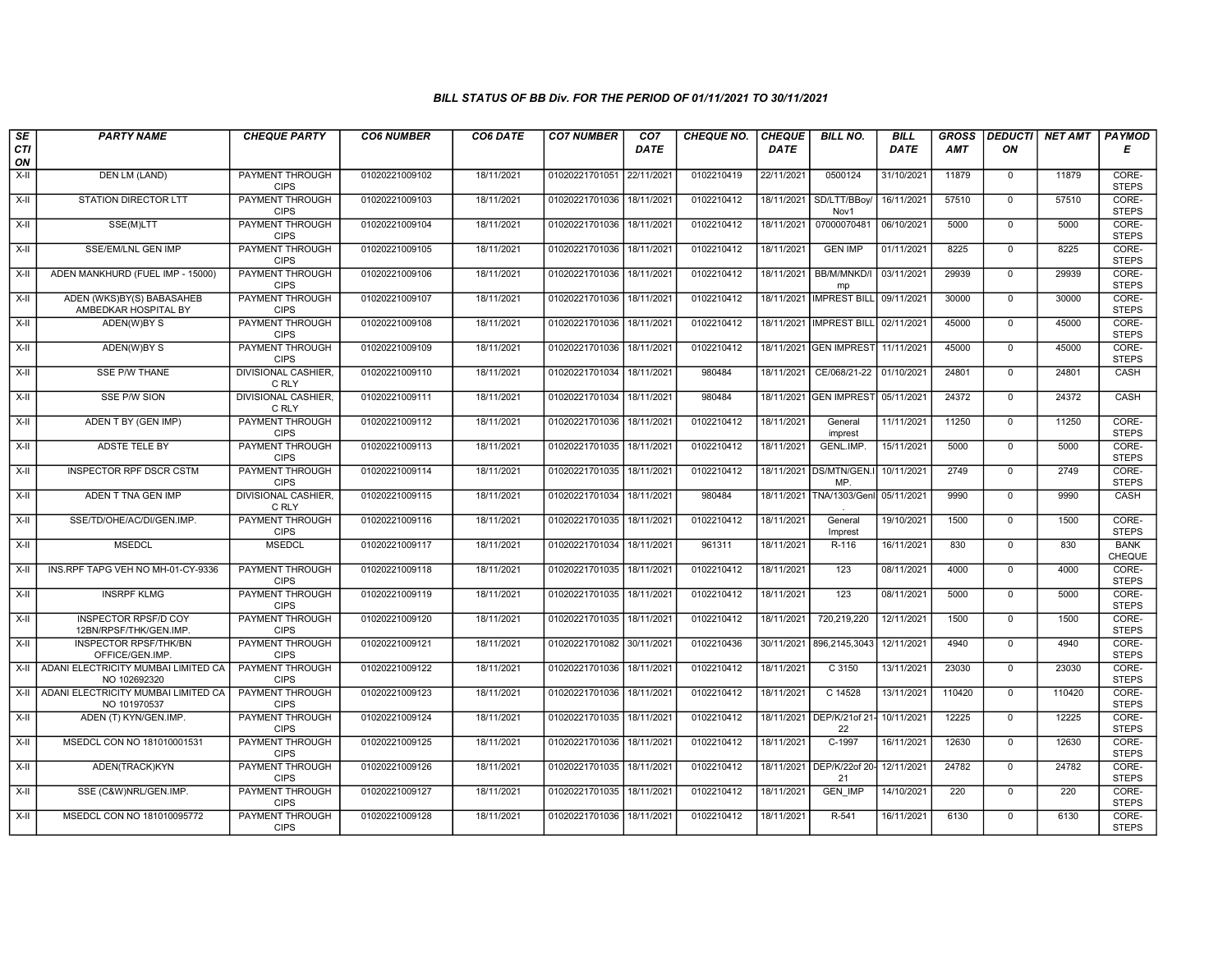| SE        | <b>PARTY NAME</b>                                     | <b>CHEQUE PARTY</b>                                      | <b>CO6 NUMBER</b> | CO6 DATE   | <b>CO7 NUMBER</b>         | CO <sub>7</sub> | <b>CHEQUE NO.</b> | <b>CHEQUE</b> | <b>BILL NO.</b>                      | <b>BILL</b> | <b>GROSS</b> | <b>DEDUCTI</b>                 | <b>NET AMT</b> | <b>PAYMOD</b>                |
|-----------|-------------------------------------------------------|----------------------------------------------------------|-------------------|------------|---------------------------|-----------------|-------------------|---------------|--------------------------------------|-------------|--------------|--------------------------------|----------------|------------------------------|
| CTI<br>ON |                                                       |                                                          |                   |            |                           | <b>DATE</b>     |                   | <b>DATE</b>   |                                      | <b>DATE</b> | <b>AMT</b>   | ON                             |                | Е                            |
| $X-H$     | <b>DEN LM (LAND)</b>                                  | <b>PAYMENT THROUGH</b><br><b>CIPS</b>                    | 01020221009102    | 18/11/2021 | 01020221701051            | 22/11/2021      | 0102210419        | 22/11/2021    | 0500124                              | 31/10/2021  | 11879        | $\overline{0}$                 | 11879          | CORE-<br><b>STEPS</b>        |
| $X-H$     | <b>STATION DIRECTOR LTT</b>                           | <b>PAYMENT THROUGH</b><br><b>CIPS</b>                    | 01020221009103    | 18/11/2021 | 01020221701036 18/11/2021 |                 | 0102210412        | 18/11/2021    | SD/LTT/BBov/<br>Nov1                 | 16/11/2021  | 57510        | $\overline{0}$                 | 57510          | CORE-<br><b>STEPS</b>        |
| X-II      | SSE(M)LTT                                             | <b>PAYMENT THROUGH</b><br><b>CIPS</b>                    | 01020221009104    | 18/11/2021 | 01020221701036            | 18/11/2021      | 0102210412        | 18/11/2021    | 07000070481                          | 06/10/2021  | 5000         | $\mathbf{0}$                   | 5000           | CORE-<br><b>STEPS</b>        |
| $X-II$    | SSE/EM/LNL GEN IMP                                    | PAYMENT THROUGH<br><b>CIPS</b>                           | 01020221009105    | 18/11/2021 | 01020221701036            | 18/11/2021      | 0102210412        | 18/11/2021    | <b>GEN IMP</b>                       | 01/11/2021  | 8225         | $\mathbf 0$                    | 8225           | CORE-<br><b>STEPS</b>        |
| $X-H$     | ADEN MANKHURD (FUEL IMP - 15000)                      | <b>PAYMENT THROUGH</b><br><b>CIPS</b>                    | 01020221009106    | 18/11/2021 | 01020221701036            | 18/11/2021      | 0102210412        | 18/11/2021    | BB/M/MNKD/I<br>mp                    | 03/11/2021  | 29939        | $\mathbf 0$                    | 29939          | CORE-<br><b>STEPS</b>        |
| X-II      | ADEN (WKS)BY(S) BABASAHEB<br>AMBEDKAR HOSPITAL BY     | <b>PAYMENT THROUGH</b><br><b>CIPS</b>                    | 01020221009107    | 18/11/2021 | 01020221701036            | 18/11/2021      | 0102210412        | 18/11/2021    | <b>IMPREST BILL</b>                  | 09/11/2021  | 30000        | $\overline{0}$                 | 30000          | CORE-<br><b>STEPS</b>        |
| X-II      | ADEN(W)BY S                                           | PAYMENT THROUGH<br><b>CIPS</b>                           | 01020221009108    | 18/11/2021 | 01020221701036 18/11/2021 |                 | 0102210412        |               | 18/11/2021 IMPREST BILL              | 02/11/2021  | 45000        | $\mathbf{0}$                   | 45000          | CORE-<br><b>STEPS</b>        |
| $X-H$     | ADEN(W)BY S                                           | <b>PAYMENT THROUGH</b><br><b>CIPS</b>                    | 01020221009109    | 18/11/2021 | 01020221701036            | 18/11/2021      | 0102210412        |               | 18/11/2021 GEN IMPREST               | 11/11/2021  | 45000        | $\overline{0}$                 | 45000          | CORE-<br><b>STEPS</b>        |
| $X-H$     | <b>SSE P/W THANE</b>                                  | <b>DIVISIONAL CASHIER,</b><br>C RLY                      | 01020221009110    | 18/11/2021 | 01020221701034            | 18/11/2021      | 980484            | 18/11/2021    | CE/068/21-22                         | 01/10/2021  | 24801        | $\mathbf 0$                    | 24801          | <b>CASH</b>                  |
| $X-H$     | <b>SSE P/W SION</b>                                   | <b>DIVISIONAL CASHIER</b><br>C RLY                       | 01020221009111    | 18/11/2021 | 01020221701034 18/11/2021 |                 | 980484            |               | 18/11/2021 GEN IMPREST 05/11/2021    |             | 24372        | $\mathbf{0}$                   | 24372          | CASH                         |
| X-II      | ADEN T BY (GEN IMP)                                   | PAYMENT THROUGH<br><b>CIPS</b>                           | 01020221009112    | 18/11/2021 | 01020221701036            | 18/11/2021      | 0102210412        | 18/11/2021    | General<br>imprest                   | 11/11/2021  | 11250        | $\mathbf 0$                    | 11250          | CORE-<br><b>STEPS</b>        |
| X-II      | <b>ADSTE TELE BY</b>                                  | PAYMENT THROUGH<br><b>CIPS</b><br><b>PAYMENT THROUGH</b> | 01020221009113    | 18/11/2021 | 01020221701035            | 18/11/2021      | 0102210412        | 18/11/2021    | GENL.IMP.                            | 15/11/2021  | 5000         | $\mathbf{0}$<br>$\overline{0}$ | 5000           | CORE-<br><b>STEPS</b>        |
| $X-II$    | <b>INSPECTOR RPF DSCR CSTM</b>                        | <b>CIPS</b>                                              | 01020221009114    | 18/11/2021 | 01020221701035 18/11/2021 |                 | 0102210412        |               | 18/11/2021 DS/MTN/GEN.I<br><b>MP</b> | 10/11/2021  | 2749         |                                | 2749           | CORE-<br><b>STEPS</b>        |
| $X-H$     | ADEN T TNA GEN IMP                                    | <b>DIVISIONAL CASHIER,</b><br>C RLY                      | 01020221009115    | 18/11/2021 | 01020221701034 18/11/2021 |                 | 980484            | 18/11/2021    | TNA/1303/Genl                        | 05/11/2021  | 9990         | $\overline{0}$                 | 9990           | CASH                         |
| X-II      | SSE/TD/OHE/AC/DI/GEN.IMP.                             | PAYMENT THROUGH<br><b>CIPS</b>                           | 01020221009116    | 18/11/2021 | 01020221701035            | 18/11/2021      | 0102210412        | 18/11/2021    | General<br>Imprest                   | 19/10/2021  | 1500         | $\Omega$                       | 1500           | CORE-<br><b>STEPS</b>        |
| X-II      | <b>MSEDCL</b>                                         | <b>MSEDCL</b>                                            | 01020221009117    | 18/11/2021 | 01020221701034            | 18/11/2021      | 961311            | 18/11/2021    | R-116                                | 16/11/2021  | 830          | $\mathbf 0$                    | 830            | <b>BANK</b><br><b>CHEQUE</b> |
| X-II      | INS.RPF TAPG VEH NO MH-01-CY-9336                     | <b>PAYMENT THROUGH</b><br><b>CIPS</b>                    | 01020221009118    | 18/11/2021 | 01020221701035            | 18/11/2021      | 0102210412        | 18/11/2021    | 123                                  | 08/11/2021  | 4000         | $\overline{0}$                 | 4000           | CORE-<br><b>STEPS</b>        |
| $X-H$     | <b>INSRPF KLMG</b>                                    | <b>PAYMENT THROUGH</b><br><b>CIPS</b>                    | 01020221009119    | 18/11/2021 | 01020221701035            | 18/11/2021      | 0102210412        | 18/11/2021    | 123                                  | 08/11/2021  | 5000         | $\overline{0}$                 | 5000           | CORE-<br><b>STEPS</b>        |
| X-II      | <b>INSPECTOR RPSF/D COY</b><br>12BN/RPSF/THK/GEN.IMP. | PAYMENT THROUGH<br><b>CIPS</b>                           | 01020221009120    | 18/11/2021 | 01020221701035            | 18/11/2021      | 0102210412        | 18/11/2021    | 720,219,220                          | 12/11/2021  | 1500         | $\mathbf 0$                    | 1500           | CORE-<br><b>STEPS</b>        |
| X-II      | <b>INSPECTOR RPSF/THK/BN</b><br>OFFICE/GEN.IMP.       | PAYMENT THROUGH<br><b>CIPS</b>                           | 01020221009121    | 18/11/2021 | 01020221701082 30/11/2021 |                 | 0102210436        | 30/11/2021    | 896,2145,3043                        | 12/11/2021  | 4940         | $\overline{0}$                 | 4940           | CORE-<br><b>STEPS</b>        |
| X-II      | ADANI ELECTRICITY MUMBAI LIMITED CA<br>NO 102692320   | PAYMENT THROUGH<br><b>CIPS</b>                           | 01020221009122    | 18/11/2021 | 01020221701036            | 18/11/2021      | 0102210412        | 18/11/2021    | C 3150                               | 13/11/2021  | 23030        | $\mathbf 0$                    | 23030          | CORE-<br><b>STEPS</b>        |
| $X-H$     | ADANI ELECTRICITY MUMBAI LIMITED CA<br>NO 101970537   | <b>PAYMENT THROUGH</b><br><b>CIPS</b>                    | 01020221009123    | 18/11/2021 | 01020221701036 18/11/2021 |                 | 0102210412        | 18/11/2021    | C 14528                              | 13/11/2021  | 110420       | $\mathbf 0$                    | 110420         | CORE-<br><b>STEPS</b>        |
| X-II      | ADEN (T) KYN/GEN.IMP.                                 | PAYMENT THROUGH<br><b>CIPS</b>                           | 01020221009124    | 18/11/2021 | 01020221701035            | 18/11/202       | 0102210412        | 18/11/2021    | DEP/K/21of 21- 10/11/2021<br>22      |             | 12225        | $\mathbf 0$                    | 12225          | CORE-<br><b>STEPS</b>        |
| $X-II$    | MSEDCL CON NO 181010001531                            | PAYMENT THROUGH<br><b>CIPS</b>                           | 01020221009125    | 18/11/2021 | 01020221701036            | 18/11/2021      | 0102210412        | 18/11/2021    | $C-1997$                             | 16/11/2021  | 12630        | $\Omega$                       | 12630          | CORE-<br><b>STEPS</b>        |
| X-II      | ADEN(TRACK)KYN                                        | PAYMENT THROUGH<br><b>CIPS</b>                           | 01020221009126    | 18/11/2021 | 01020221701035            | 18/11/2021      | 0102210412        | 18/11/2021    | DEP/K/22of 20- 12/11/2021<br>21      |             | 24782        | $\Omega$                       | 24782          | CORE-<br><b>STEPS</b>        |
| $X-H$     | SSE (C&W)NRL/GEN.IMP.                                 | <b>PAYMENT THROUGH</b><br><b>CIPS</b>                    | 01020221009127    | 18/11/2021 | 01020221701035 18/11/2021 |                 | 0102210412        | 18/11/2021    | <b>GEN IMP</b>                       | 14/10/2021  | 220          | $\overline{0}$                 | 220            | CORE-<br><b>STEPS</b>        |
| X-II      | MSEDCL CON NO 181010095772                            | <b>PAYMENT THROUGH</b><br><b>CIPS</b>                    | 01020221009128    | 18/11/2021 | 01020221701036 18/11/2021 |                 | 0102210412        | 18/11/2021    | $R-541$                              | 16/11/2021  | 6130         | $\mathbf 0$                    | 6130           | CORE-<br><b>STEPS</b>        |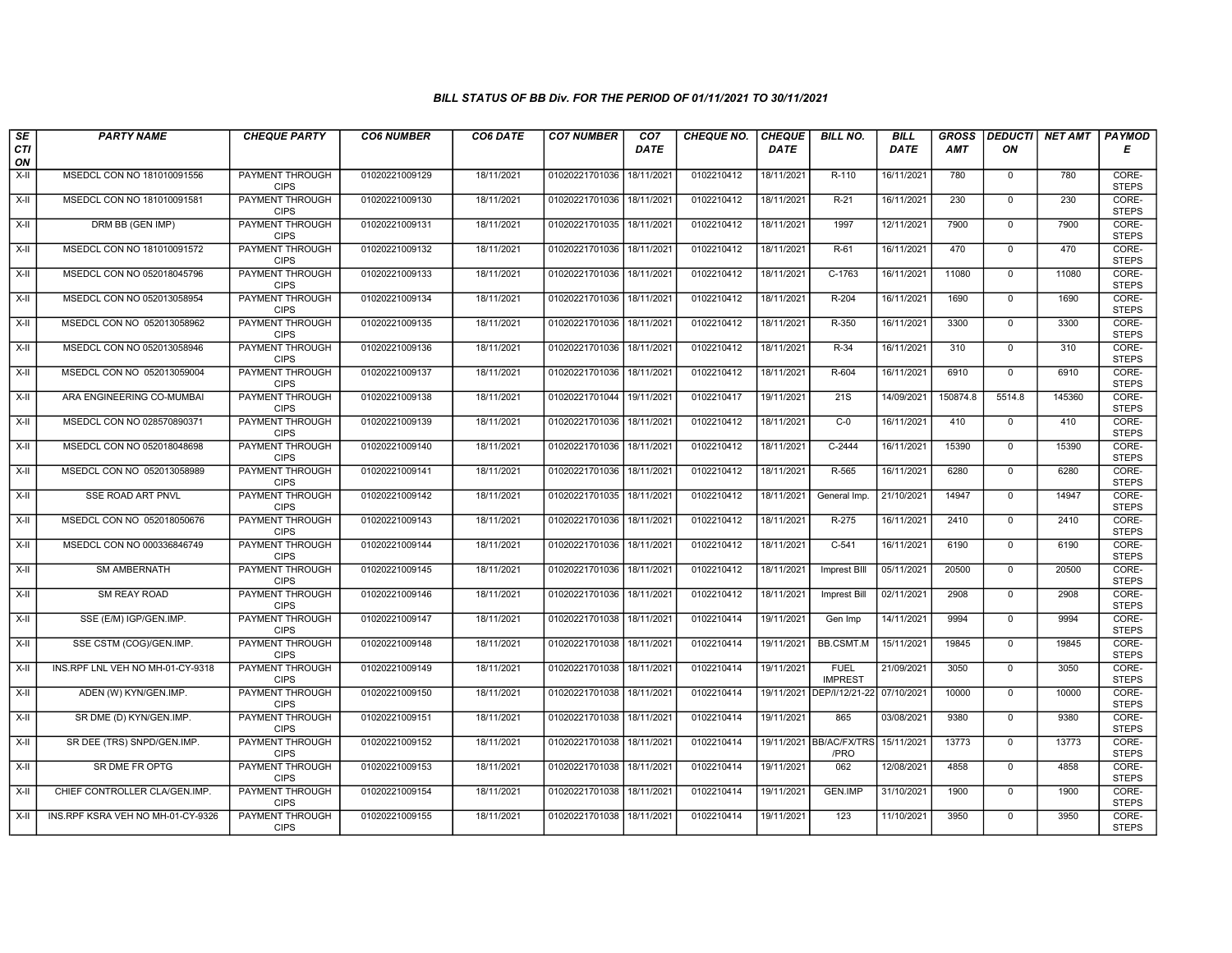| $\sqrt{SE}$ | <b>PARTY NAME</b>                 | <b>CHEQUE PARTY</b>                   | <b>CO6 NUMBER</b> | CO6 DATE   | <b>CO7 NUMBER</b>         | CO <sub>7</sub> | CHEQUE NO. | <b>CHEQUE</b> | <b>BILL NO.</b>                 | <b>BILL</b> | <b>GROSS</b> | <b>DEDUCTI</b> | <b>NET AMT</b> | <b>PAYMOD</b>         |
|-------------|-----------------------------------|---------------------------------------|-------------------|------------|---------------------------|-----------------|------------|---------------|---------------------------------|-------------|--------------|----------------|----------------|-----------------------|
| CTI<br>ON   |                                   |                                       |                   |            |                           | <b>DATE</b>     |            | <b>DATE</b>   |                                 | DATE        | <b>AMT</b>   | ΟN             |                | Е                     |
| $X-H$       | MSEDCL CON NO 181010091556        | PAYMENT THROUGH<br><b>CIPS</b>        | 01020221009129    | 18/11/2021 | 01020221701036            | 18/11/2021      | 0102210412 | 18/11/2021    | R-110                           | 16/11/2021  | 780          | $\overline{0}$ | 780            | CORE-<br><b>STEPS</b> |
| $X-H$       | MSEDCL CON NO 181010091581        | PAYMENT THROUGH<br><b>CIPS</b>        | 01020221009130    | 18/11/2021 | 01020221701036 18/11/2021 |                 | 0102210412 | 18/11/2021    | $R-21$                          | 16/11/2021  | 230          | $\overline{0}$ | 230            | CORE-<br><b>STEPS</b> |
| X-II        | DRM BB (GEN IMP)                  | PAYMENT THROUGH<br><b>CIPS</b>        | 01020221009131    | 18/11/2021 | 01020221701035 18/11/2021 |                 | 0102210412 | 18/11/2021    | 1997                            | 12/11/2021  | 7900         | $\mathbf 0$    | 7900           | CORE-<br><b>STEPS</b> |
| X-II        | MSEDCL CON NO 181010091572        | <b>PAYMENT THROUGH</b><br><b>CIPS</b> | 01020221009132    | 18/11/2021 | 01020221701036            | 18/11/2021      | 0102210412 | 18/11/2021    | $R-61$                          | 16/11/2021  | 470          | $\overline{0}$ | 470            | CORE-<br><b>STEPS</b> |
| X-II        | MSEDCL CON NO 052018045796        | <b>PAYMENT THROUGH</b><br><b>CIPS</b> | 01020221009133    | 18/11/2021 | 01020221701036            | 18/11/2021      | 0102210412 | 18/11/2021    | $C-1763$                        | 16/11/2021  | 11080        | $\mathbf 0$    | 11080          | CORE-<br><b>STEPS</b> |
| X-II        | MSEDCL CON NO 052013058954        | PAYMENT THROUGH<br><b>CIPS</b>        | 01020221009134    | 18/11/2021 | 01020221701036            | 18/11/2021      | 0102210412 | 18/11/2021    | $R-204$                         | 16/11/2021  | 1690         | $\overline{0}$ | 1690           | CORE-<br><b>STEPS</b> |
| X-II        | MSEDCL CON NO 052013058962        | PAYMENT THROUGH<br><b>CIPS</b>        | 01020221009135    | 18/11/2021 | 01020221701036            | 18/11/2021      | 0102210412 | 18/11/2021    | R-350                           | 16/11/2021  | 3300         | $\mathbf{0}$   | 3300           | CORE-<br><b>STEPS</b> |
| $X-H$       | MSEDCL CON NO 052013058946        | PAYMENT THROUGH<br><b>CIPS</b>        | 01020221009136    | 18/11/2021 | 01020221701036            | 18/11/2021      | 0102210412 | 18/11/2021    | R-34                            | 16/11/2021  | 310          | $\overline{0}$ | 310            | CORE-<br><b>STEPS</b> |
| X-II        | MSEDCL CON NO 052013059004        | PAYMENT THROUGH<br><b>CIPS</b>        | 01020221009137    | 18/11/2021 | 01020221701036            | 18/11/2021      | 0102210412 | 18/11/2021    | R-604                           | 16/11/2021  | 6910         | $\mathbf 0$    | 6910           | CORE-<br><b>STEPS</b> |
| $X-H$       | ARA ENGINEERING CO-MUMBAI         | <b>PAYMENT THROUGH</b><br><b>CIPS</b> | 01020221009138    | 18/11/2021 | 01020221701044 19/11/2021 |                 | 0102210417 | 19/11/2021    | $\overline{21S}$                | 14/09/2021  | 150874.8     | 5514.8         | 145360         | CORE-<br><b>STEPS</b> |
| X-II        | MSEDCL CON NO 028570890371        | PAYMENT THROUGH<br><b>CIPS</b>        | 01020221009139    | 18/11/2021 | 01020221701036            | 18/11/2021      | 0102210412 | 18/11/2021    | $C-0$                           | 16/11/2021  | 410          | $\mathbf{0}$   | 410            | CORE-<br><b>STEPS</b> |
| X-II        | MSEDCL CON NO 052018048698        | PAYMENT THROUGH<br><b>CIPS</b>        | 01020221009140    | 18/11/2021 | 01020221701036            | 18/11/2021      | 0102210412 | 18/11/2021    | C-2444                          | 16/11/2021  | 15390        | $\mathbf 0$    | 15390          | CORE-<br><b>STEPS</b> |
| $X-H$       | MSEDCL CON NO 052013058989        | <b>PAYMENT THROUGH</b><br><b>CIPS</b> | 01020221009141    | 18/11/2021 | 01020221701036            | 18/11/2021      | 0102210412 | 18/11/2021    | R-565                           | 16/11/2021  | 6280         | $\overline{0}$ | 6280           | CORE-<br><b>STEPS</b> |
| X-II        | SSE ROAD ART PNVL                 | <b>PAYMENT THROUGH</b><br><b>CIPS</b> | 01020221009142    | 18/11/2021 | 01020221701035            | 18/11/2021      | 0102210412 | 18/11/2021    | General Imp.                    | 21/10/2021  | 14947        | $\mathbf{0}$   | 14947          | CORE-<br><b>STEPS</b> |
| X-II        | MSEDCL CON NO 052018050676        | PAYMENT THROUGH<br><b>CIPS</b>        | 01020221009143    | 18/11/2021 | 01020221701036            | 18/11/2021      | 0102210412 | 18/11/2021    | $R-275$                         | 16/11/2021  | 2410         | $\Omega$       | 2410           | CORE-<br><b>STEPS</b> |
| X-II        | MSEDCL CON NO 000336846749        | PAYMENT THROUGH<br><b>CIPS</b>        | 01020221009144    | 18/11/2021 | 01020221701036            | 18/11/2021      | 0102210412 | 18/11/2021    | $C-541$                         | 16/11/2021  | 6190         | $\mathbf{0}$   | 6190           | CORE-<br><b>STEPS</b> |
| X-II        | SM AMBERNATH                      | PAYMENT THROUGH<br><b>CIPS</b>        | 01020221009145    | 18/11/2021 | 01020221701036            | 18/11/2021      | 0102210412 | 18/11/2021    | Imprest BIII                    | 05/11/2021  | 20500        | $\overline{0}$ | 20500          | CORE-<br><b>STEPS</b> |
| X-II        | <b>SM REAY ROAD</b>               | <b>PAYMENT THROUGH</b><br><b>CIPS</b> | 01020221009146    | 18/11/2021 | 01020221701036            | 18/11/2021      | 0102210412 | 18/11/2021    | Imprest Bill                    | 02/11/2021  | 2908         | $\overline{0}$ | 2908           | CORE-<br><b>STEPS</b> |
| X-II        | SSE (E/M) IGP/GEN.IMP.            | PAYMENT THROUGH<br><b>CIPS</b>        | 01020221009147    | 18/11/2021 | 01020221701038            | 18/11/2021      | 0102210414 | 19/11/2021    | Gen Imp                         | 14/11/2021  | 9994         | $\overline{0}$ | 9994           | CORE-<br><b>STEPS</b> |
| X-II        | SSE CSTM (COG)/GEN.IMP.           | PAYMENT THROUGH<br><b>CIPS</b>        | 01020221009148    | 18/11/2021 | 01020221701038            | 18/11/2021      | 0102210414 | 19/11/2021    | <b>BB.CSMT.M</b>                | 15/11/2021  | 19845        | $\Omega$       | 19845          | CORE-<br><b>STEPS</b> |
| X-II        | INS.RPF LNL VEH NO MH-01-CY-9318  | <b>PAYMENT THROUGH</b><br><b>CIPS</b> | 01020221009149    | 18/11/2021 | 01020221701038            | 18/11/2021      | 0102210414 | 19/11/2021    | <b>FUEL</b><br><b>IMPREST</b>   | 21/09/2021  | 3050         | $\mathbf{0}$   | 3050           | CORE-<br><b>STEPS</b> |
| X-II        | ADEN (W) KYN/GEN.IMP.             | PAYMENT THROUGH<br><b>CIPS</b>        | 01020221009150    | 18/11/2021 | 01020221701038 18/11/2021 |                 | 0102210414 | 19/11/2021    | DEP/I/12/21-22                  | 07/10/2021  | 10000        | $\Omega$       | 10000          | CORE-<br><b>STEPS</b> |
| X-II        | SR DME (D) KYN/GEN.IMP.           | PAYMENT THROUGH<br><b>CIPS</b>        | 01020221009151    | 18/11/2021 | 01020221701038            | 18/11/2021      | 0102210414 | 19/11/2021    | 865                             | 03/08/2021  | 9380         | $\mathbf 0$    | 9380           | CORE-<br><b>STEPS</b> |
| X-II        | SR DEE (TRS) SNPD/GEN.IMP.        | PAYMENT THROUGH<br><b>CIPS</b>        | 01020221009152    | 18/11/2021 | 01020221701038            | 18/11/2021      | 0102210414 |               | 19/11/2021 BB/AC/FX/TRS<br>/PRO | 15/11/2021  | 13773        | $\mathbf{0}$   | 13773          | CORE-<br><b>STEPS</b> |
| X-II        | SR DME FR OPTG                    | PAYMENT THROUGH<br><b>CIPS</b>        | 01020221009153    | 18/11/2021 | 01020221701038            | 18/11/2021      | 0102210414 | 19/11/2021    | 062                             | 12/08/2021  | 4858         | $\Omega$       | 4858           | CORE-<br><b>STEPS</b> |
| X-II        | CHIEF CONTROLLER CLA/GEN.IMP.     | <b>PAYMENT THROUGH</b><br><b>CIPS</b> | 01020221009154    | 18/11/2021 | 01020221701038            | 18/11/2021      | 0102210414 | 19/11/2021    | <b>GEN.IMP</b>                  | 31/10/2021  | 1900         | $\overline{0}$ | 1900           | CORE-<br><b>STEPS</b> |
| X-II        | INS.RPF KSRA VEH NO MH-01-CY-9326 | PAYMENT THROUGH<br><b>CIPS</b>        | 01020221009155    | 18/11/2021 | 01020221701038 18/11/2021 |                 | 0102210414 | 19/11/2021    | 123                             | 11/10/2021  | 3950         | $\mathbf{0}$   | 3950           | CORE-<br><b>STEPS</b> |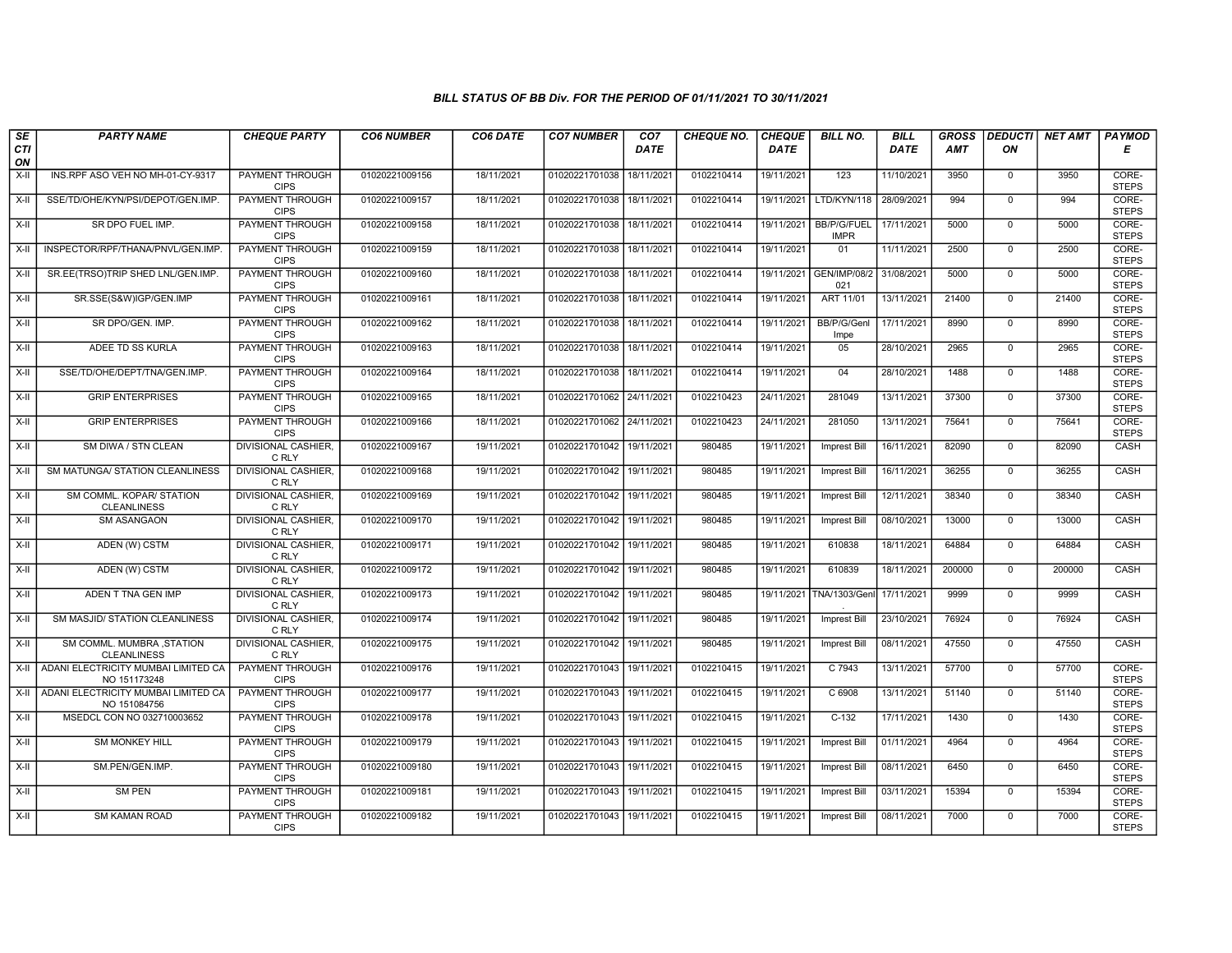| SE               | <b>PARTY NAME</b>                                   | <b>CHEQUE PARTY</b>                   | <b>CO6 NUMBER</b> | CO6 DATE   | <b>CO7 NUMBER</b>         | CO <sub>7</sub> | <b>CHEQUE NO.</b> | <b>CHEQUE</b> | <b>BILL NO.</b>                   | <b>BILL</b> | <b>GROSS</b> |                | DEDUCTI NET AMT | <b>PAYMOD</b>         |
|------------------|-----------------------------------------------------|---------------------------------------|-------------------|------------|---------------------------|-----------------|-------------------|---------------|-----------------------------------|-------------|--------------|----------------|-----------------|-----------------------|
| <b>CTI</b><br>ON |                                                     |                                       |                   |            |                           | <b>DATE</b>     |                   | <b>DATE</b>   |                                   | <b>DATE</b> | AMT          | ON             |                 | Е                     |
| X-II             | INS.RPF ASO VEH NO MH-01-CY-9317                    | <b>PAYMENT THROUGH</b><br><b>CIPS</b> | 01020221009156    | 18/11/2021 | 01020221701038            | 18/11/2021      | 0102210414        | 19/11/2021    | 123                               | 11/10/2021  | 3950         | $\mathbf 0$    | 3950            | CORE-<br><b>STEPS</b> |
| $X-H$            | SSE/TD/OHE/KYN/PSI/DEPOT/GEN.IMP.                   | PAYMENT THROUGH<br><b>CIPS</b>        | 01020221009157    | 18/11/2021 | 01020221701038 18/11/2021 |                 | 0102210414        | 19/11/2021    | LTD/KYN/118                       | 28/09/2021  | 994          | $\overline{0}$ | 994             | CORE-<br><b>STEPS</b> |
| $X-II$           | SR DPO FUEL IMP.                                    | PAYMENT THROUGH<br><b>CIPS</b>        | 01020221009158    | 18/11/2021 | 01020221701038            | 18/11/2021      | 0102210414        | 19/11/2021    | <b>BB/P/G/FUEL</b><br><b>IMPR</b> | 17/11/2021  | 5000         | $\mathbf 0$    | 5000            | CORE-<br><b>STEPS</b> |
| X-II             | INSPECTOR/RPF/THANA/PNVL/GEN.IMP.                   | PAYMENT THROUGH<br><b>CIPS</b>        | 01020221009159    | 18/11/2021 | 01020221701038            | 18/11/2021      | 0102210414        | 19/11/2021    | 01                                | 11/11/2021  | 2500         | $\mathsf{O}$   | 2500            | CORE-<br><b>STEPS</b> |
| $X-H$            | SR.EE(TRSO)TRIP SHED LNL/GEN.IMP.                   | <b>PAYMENT THROUGH</b><br><b>CIPS</b> | 01020221009160    | 18/11/2021 | 01020221701038            | 18/11/2021      | 0102210414        | 19/11/2021    | <b>GEN/IMP/08/2</b><br>021        | 31/08/2021  | 5000         | $\overline{0}$ | 5000            | CORE-<br><b>STEPS</b> |
| $X-H$            | SR.SSE(S&W)IGP/GEN.IMP                              | <b>PAYMENT THROUGH</b><br><b>CIPS</b> | 01020221009161    | 18/11/2021 | 01020221701038            | 18/11/2021      | 0102210414        | 19/11/2021    | ART 11/01                         | 13/11/2021  | 21400        | $\overline{0}$ | 21400           | CORE-<br><b>STEPS</b> |
| $X-II$           | SR DPO/GEN, IMP.                                    | <b>PAYMENT THROUGH</b><br><b>CIPS</b> | 01020221009162    | 18/11/2021 | 01020221701038            | 18/11/2021      | 0102210414        | 19/11/2021    | BB/P/G/Genl<br>Impe               | 17/11/2021  | 8990         | $\mathbf{0}$   | 8990            | CORE-<br><b>STEPS</b> |
| X-II             | ADEE TD SS KURLA                                    | <b>PAYMENT THROUGH</b><br><b>CIPS</b> | 01020221009163    | 18/11/2021 | 01020221701038 18/11/2021 |                 | 0102210414        | 19/11/2021    | 05                                | 28/10/2021  | 2965         | $\mathbf 0$    | 2965            | CORE-<br><b>STEPS</b> |
| X-II             | SSE/TD/OHE/DEPT/TNA/GEN.IMP.                        | <b>PAYMENT THROUGH</b><br><b>CIPS</b> | 01020221009164    | 18/11/2021 | 01020221701038            | 18/11/2021      | 0102210414        | 19/11/2021    | 04                                | 28/10/2021  | 1488         | $\mathbf 0$    | 1488            | CORE-<br><b>STEPS</b> |
| $X-H$            | <b>GRIP ENTERPRISES</b>                             | <b>PAYMENT THROUGH</b><br><b>CIPS</b> | 01020221009165    | 18/11/2021 | 01020221701062 24/11/2021 |                 | 0102210423        | 24/11/2021    | 281049                            | 13/11/2021  | 37300        | $\mathbf 0$    | 37300           | CORE-<br><b>STEPS</b> |
| X-II             | <b>GRIP ENTERPRISES</b>                             | PAYMENT THROUGH<br><b>CIPS</b>        | 01020221009166    | 18/11/2021 | 01020221701062            | 24/11/2021      | 0102210423        | 24/11/2021    | 281050                            | 13/11/2021  | 75641        | $\mathsf 0$    | 75641           | CORE-<br><b>STEPS</b> |
| $X-H$            | SM DIWA / STN CLEAN                                 | <b>DIVISIONAL CASHIER.</b><br>C RLY   | 01020221009167    | 19/11/2021 | 01020221701042            | 19/11/2021      | 980485            | 19/11/2021    | <b>Imprest Bill</b>               | 16/11/2021  | 82090        | $\mathbf{0}$   | 82090           | CASH                  |
| X-II             | SM MATUNGA/ STATION CLEANLINESS                     | <b>DIVISIONAL CASHIER,</b><br>C RLY   | 01020221009168    | 19/11/2021 | 01020221701042 19/11/2021 |                 | 980485            | 19/11/2021    | <b>Imprest Bill</b>               | 16/11/2021  | 36255        | $\mathbf 0$    | 36255           | CASH                  |
| $X-H$            | SM COMML. KOPAR/ STATION<br><b>CLEANLINESS</b>      | <b>DIVISIONAL CASHIER,</b><br>C RLY   | 01020221009169    | 19/11/2021 | 01020221701042            | 19/11/2021      | 980485            | 19/11/2021    | Imprest Bill                      | 12/11/2021  | 38340        | $\mathbf{0}$   | 38340           | <b>CASH</b>           |
| $X-H$            | <b>SM ASANGAON</b>                                  | <b>DIVISIONAL CASHIER,</b><br>C RLY   | 01020221009170    | 19/11/2021 | 01020221701042 19/11/2021 |                 | 980485            | 19/11/2021    | <b>Imprest Bill</b>               | 08/10/2021  | 13000        | $\mathbf{0}$   | 13000           | CASH                  |
| X-II             | ADEN (W) CSTM                                       | <b>DIVISIONAL CASHIER,</b><br>C RLY   | 01020221009171    | 19/11/2021 | 01020221701042            | 19/11/2021      | 980485            | 19/11/2021    | 610838                            | 18/11/2021  | 64884        | $\overline{0}$ | 64884           | CASH                  |
| $X-H$            | ADEN (W) CSTM                                       | <b>DIVISIONAL CASHIER.</b><br>C RLY   | 01020221009172    | 19/11/2021 | 01020221701042            | 19/11/2021      | 980485            | 19/11/2021    | 610839                            | 18/11/2021  | 200000       | $\mathbf 0$    | 200000          | CASH                  |
| X-II             | ADEN T TNA GEN IMP                                  | <b>DIVISIONAL CASHIER,</b><br>C RLY   | 01020221009173    | 19/11/2021 | 01020221701042 19/11/2021 |                 | 980485            | 19/11/2021    | TNA/1303/Genl                     | 17/11/2021  | 9999         | $\mathbf 0$    | 9999            | CASH                  |
| $X-II$           | SM MASJID/ STATION CLEANLINESS                      | <b>DIVISIONAL CASHIER.</b><br>C RLY   | 01020221009174    | 19/11/2021 | 01020221701042 19/11/2021 |                 | 980485            | 19/11/2021    | Imprest Bill                      | 23/10/2021  | 76924        | $\mathbf{0}$   | 76924           | CASH                  |
| $X-II$           | SM COMML. MUMBRA, STATION<br><b>CLEANLINESS</b>     | DIVISIONAL CASHIER,<br>C RLY          | 01020221009175    | 19/11/2021 | 01020221701042 19/11/2021 |                 | 980485            | 19/11/2021    | Imprest Bill                      | 08/11/2021  | 47550        | $\mathbf 0$    | 47550           | CASH                  |
| X-II             | ADANI ELECTRICITY MUMBAI LIMITED CA<br>NO 151173248 | <b>PAYMENT THROUGH</b><br><b>CIPS</b> | 01020221009176    | 19/11/2021 | 01020221701043            | 19/11/2021      | 0102210415        | 19/11/2021    | C 7943                            | 13/11/2021  | 57700        | $\overline{0}$ | 57700           | CORE-<br><b>STEPS</b> |
| X-II             | ADANI ELECTRICITY MUMBAI LIMITED CA<br>NO 151084756 | <b>PAYMENT THROUGH</b><br><b>CIPS</b> | 01020221009177    | 19/11/2021 | 01020221701043            | 19/11/2021      | 0102210415        | 19/11/2021    | C 6908                            | 13/11/2021  | 51140        | $\mathbf 0$    | 51140           | CORE-<br><b>STEPS</b> |
| X-II             | MSEDCL CON NO 032710003652                          | PAYMENT THROUGH<br><b>CIPS</b>        | 01020221009178    | 19/11/2021 | 01020221701043            | 19/11/2021      | 0102210415        | 19/11/2021    | $C-132$                           | 17/11/2021  | 1430         | $\mathbf 0$    | 1430            | CORE-<br><b>STEPS</b> |
| $X-H$            | <b>SM MONKEY HILL</b>                               | PAYMENT THROUGH<br><b>CIPS</b>        | 01020221009179    | 19/11/2021 | 01020221701043            | 19/11/2021      | 0102210415        | 19/11/2021    | <b>Imprest Bill</b>               | 01/11/2021  | 4964         | $\mathbf{0}$   | 4964            | CORE-<br><b>STEPS</b> |
| $X-H$            | SM.PEN/GEN.IMP.                                     | PAYMENT THROUGH<br><b>CIPS</b>        | 01020221009180    | 19/11/2021 | 01020221701043 19/11/2021 |                 | 0102210415        | 19/11/2021    | Imprest Bill                      | 08/11/2021  | 6450         | $\mathbf 0$    | 6450            | CORE-<br><b>STEPS</b> |
| X-II             | <b>SM PEN</b>                                       | <b>PAYMENT THROUGH</b><br><b>CIPS</b> | 01020221009181    | 19/11/2021 | 01020221701043            | 19/11/2021      | 0102210415        | 19/11/2021    | Imprest Bill                      | 03/11/2021  | 15394        | $\mathbf 0$    | 15394           | CORE-<br><b>STEPS</b> |
| $X-H$            | <b>SM KAMAN ROAD</b>                                | <b>PAYMENT THROUGH</b><br><b>CIPS</b> | 01020221009182    | 19/11/2021 | 01020221701043 19/11/2021 |                 | 0102210415        | 19/11/2021    | <b>Imprest Bill</b>               | 08/11/2021  | 7000         | $\mathbf 0$    | 7000            | CORE-<br><b>STEPS</b> |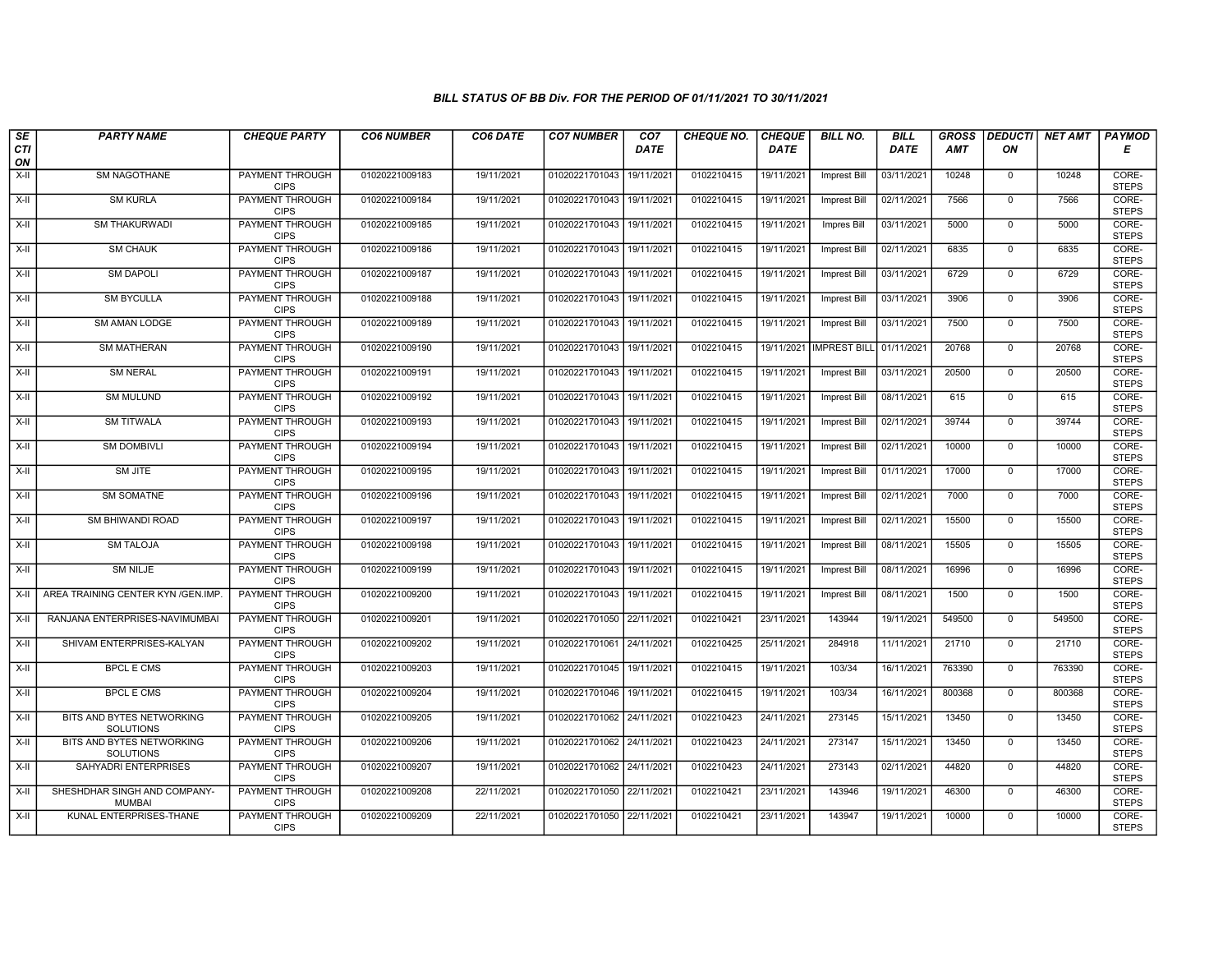| SE        | <b>PARTY NAME</b>                             | <b>CHEQUE PARTY</b>                   | <b>CO6 NUMBER</b> | CO6 DATE   | <b>CO7 NUMBER</b>         | CO <sub>7</sub> | <b>CHEQUE NO.</b> | <b>CHEQUE</b> | <b>BILL NO.</b>         | <b>BILL</b> | <b>GROSS</b> |                | DEDUCTI NET AMT | <b>PAYMOD</b>         |
|-----------|-----------------------------------------------|---------------------------------------|-------------------|------------|---------------------------|-----------------|-------------------|---------------|-------------------------|-------------|--------------|----------------|-----------------|-----------------------|
| CTI<br>ON |                                               |                                       |                   |            |                           | <b>DATE</b>     |                   | <b>DATE</b>   |                         | <b>DATE</b> | AMT          | ON             |                 | Е                     |
| $X-H$     | <b>SM NAGOTHANE</b>                           | <b>PAYMENT THROUGH</b><br><b>CIPS</b> | 01020221009183    | 19/11/2021 | 01020221701043            | 19/11/2021      | 0102210415        | 19/11/2021    | <b>Imprest Bill</b>     | 03/11/2021  | 10248        | $\mathbf 0$    | 10248           | CORE-<br><b>STEPS</b> |
| $X-H$     | <b>SM KURLA</b>                               | <b>PAYMENT THROUGH</b><br><b>CIPS</b> | 01020221009184    | 19/11/2021 | 01020221701043 19/11/2021 |                 | 0102210415        | 19/11/2021    | <b>Imprest Bill</b>     | 02/11/2021  | 7566         | $\mathbf{0}$   | 7566            | CORE-<br><b>STEPS</b> |
| X-II      | <b>SM THAKURWADI</b>                          | PAYMENT THROUGH<br><b>CIPS</b>        | 01020221009185    | 19/11/2021 | 01020221701043 19/11/2021 |                 | 0102210415        | 19/11/2021    | Impres Bill             | 03/11/2021  | 5000         | $\mathbf 0$    | 5000            | CORE-<br><b>STEPS</b> |
| $X-II$    | <b>SM CHAUK</b>                               | PAYMENT THROUGH<br><b>CIPS</b>        | 01020221009186    | 19/11/2021 | 01020221701043 19/11/2021 |                 | 0102210415        | 19/11/2021    | Imprest Bill            | 02/11/2021  | 6835         | $\mathbf{0}$   | 6835            | CORE-<br><b>STEPS</b> |
| $X-H$     | <b>SM DAPOLI</b>                              | <b>PAYMENT THROUGH</b><br><b>CIPS</b> | 01020221009187    | 19/11/2021 | 01020221701043 19/11/2021 |                 | 0102210415        | 19/11/2021    | <b>Imprest Bill</b>     | 03/11/2021  | 6729         | $\mathbf 0$    | 6729            | CORE-<br><b>STEPS</b> |
| $X-H$     | <b>SM BYCULLA</b>                             | <b>PAYMENT THROUGH</b><br><b>CIPS</b> | 01020221009188    | 19/11/2021 | 01020221701043            | 19/11/2021      | 0102210415        | 19/11/2021    | <b>Imprest Bill</b>     | 03/11/2021  | 3906         | $\Omega$       | 3906            | CORE-<br><b>STEPS</b> |
| X-II      | SM AMAN LODGE                                 | PAYMENT THROUGH<br><b>CIPS</b>        | 01020221009189    | 19/11/2021 | 01020221701043 19/11/2021 |                 | 0102210415        | 19/11/2021    | <b>Imprest Bill</b>     | 03/11/2021  | 7500         | $\mathbf{0}$   | 7500            | CORE-<br><b>STEPS</b> |
| $X-H$     | <b>SM MATHERAN</b>                            | PAYMENT THROUGH<br><b>CIPS</b>        | 01020221009190    | 19/11/2021 | 01020221701043 19/11/2021 |                 | 0102210415        | 19/11/2021    | IMPREST BILL 01/11/2021 |             | 20768        | $\overline{0}$ | 20768           | CORE-<br><b>STEPS</b> |
| $X-H$     | <b>SM NERAL</b>                               | <b>PAYMENT THROUGH</b><br><b>CIPS</b> | 01020221009191    | 19/11/2021 | 01020221701043 19/11/2021 |                 | 0102210415        | 19/11/2021    | <b>Imprest Bill</b>     | 03/11/2021  | 20500        | $\mathbf{0}$   | 20500           | CORE-<br><b>STEPS</b> |
| $X-H$     | <b>SM MULUND</b>                              | <b>PAYMENT THROUGH</b><br><b>CIPS</b> | 01020221009192    | 19/11/2021 | 01020221701043 19/11/2021 |                 | 0102210415        | 19/11/2021    | Imprest Bill            | 08/11/2021  | 615          | $\mathbf 0$    | 615             | CORE-<br><b>STEPS</b> |
| X-II      | <b>SM TITWALA</b>                             | PAYMENT THROUGH<br><b>CIPS</b>        | 01020221009193    | 19/11/2021 | 01020221701043            | 19/11/2021      | 0102210415        | 19/11/2021    | <b>Imprest Bill</b>     | 02/11/2021  | 39744        | $\mathbf 0$    | 39744           | CORE-<br><b>STEPS</b> |
| X-II      | <b>SM DOMBIVLI</b>                            | PAYMENT THROUGH<br><b>CIPS</b>        | 01020221009194    | 19/11/2021 | 01020221701043 19/11/2021 |                 | 0102210415        | 19/11/2021    | <b>Imprest Bill</b>     | 02/11/2021  | 10000        | $\mathbf 0$    | 10000           | CORE-<br><b>STEPS</b> |
| $X-H$     | <b>SM JITE</b>                                | <b>PAYMENT THROUGH</b><br><b>CIPS</b> | 01020221009195    | 19/11/2021 | 01020221701043 19/11/2021 |                 | 0102210415        | 19/11/2021    | <b>Imprest Bill</b>     | 01/11/2021  | 17000        | $\mathbf 0$    | 17000           | CORE-<br><b>STEPS</b> |
| $X-H$     | <b>SM SOMATNE</b>                             | <b>PAYMENT THROUGH</b><br><b>CIPS</b> | 01020221009196    | 19/11/2021 | 01020221701043 19/11/2021 |                 | 0102210415        | 19/11/2021    | <b>Imprest Bill</b>     | 02/11/2021  | 7000         | $\mathbf{0}$   | 7000            | CORE-<br><b>STEPS</b> |
| X-II      | SM BHIWANDI ROAD                              | <b>PAYMENT THROUGH</b><br><b>CIPS</b> | 01020221009197    | 19/11/2021 | 01020221701043            | 19/11/2021      | 0102210415        | 19/11/2021    | <b>Imprest Bill</b>     | 02/11/2021  | 15500        | $\mathbf 0$    | 15500           | CORE-<br><b>STEPS</b> |
| X-II      | <b>SM TALOJA</b>                              | PAYMENT THROUGH<br><b>CIPS</b>        | 01020221009198    | 19/11/2021 | 01020221701043 19/11/2021 |                 | 0102210415        | 19/11/2021    | Imprest Bill            | 08/11/2021  | 15505        | $\mathbf 0$    | 15505           | CORE-<br><b>STEPS</b> |
| X-II      | <b>SM NILJE</b>                               | <b>PAYMENT THROUGH</b><br><b>CIPS</b> | 01020221009199    | 19/11/2021 | 01020221701043 19/11/2021 |                 | 0102210415        | 19/11/2021    | Imprest Bill            | 08/11/2021  | 16996        | 0              | 16996           | CORE-<br><b>STEPS</b> |
| X-II      | AREA TRAINING CENTER KYN /GEN.IMP             | <b>PAYMENT THROUGH</b><br><b>CIPS</b> | 01020221009200    | 19/11/2021 | 01020221701043            | 19/11/2021      | 0102210415        | 19/11/2021    | Imprest Bill            | 08/11/2021  | 1500         | $\mathbf 0$    | 1500            | CORE-<br><b>STEPS</b> |
| X-II      | RANJANA ENTERPRISES-NAVIMUMBAI                | <b>PAYMENT THROUGH</b><br><b>CIPS</b> | 01020221009201    | 19/11/2021 | 01020221701050 22/11/2021 |                 | 0102210421        | 23/11/2021    | 143944                  | 19/11/2021  | 549500       | $\mathbf 0$    | 549500          | CORE-<br><b>STEPS</b> |
| X-II      | SHIVAM ENTERPRISES-KALYAN                     | PAYMENT THROUGH<br><b>CIPS</b>        | 01020221009202    | 19/11/2021 | 01020221701061 24/11/2021 |                 | 0102210425        | 25/11/2021    | 284918                  | 11/11/2021  | 21710        | $\overline{0}$ | 21710           | CORE-<br><b>STEPS</b> |
| X-II      | <b>BPCL E CMS</b>                             | <b>PAYMENT THROUGH</b><br><b>CIPS</b> | 01020221009203    | 19/11/2021 | 01020221701045 19/11/2021 |                 | 0102210415        | 19/11/2021    | 103/34                  | 16/11/2021  | 763390       | $\mathbf 0$    | 763390          | CORE-<br><b>STEPS</b> |
| X-II      | <b>BPCL E CMS</b>                             | <b>PAYMENT THROUGH</b><br><b>CIPS</b> | 01020221009204    | 19/11/2021 | 01020221701046 19/11/2021 |                 | 0102210415        | 19/11/2021    | 103/34                  | 16/11/2021  | 800368       | $\mathbf{0}$   | 800368          | CORE-<br><b>STEPS</b> |
| $X-H$     | BITS AND BYTES NETWORKING<br><b>SOLUTIONS</b> | PAYMENT THROUGH<br><b>CIPS</b>        | 01020221009205    | 19/11/2021 | 01020221701062 24/11/2021 |                 | 0102210423        | 24/11/2021    | 273145                  | 15/11/2021  | 13450        | $\mathbf 0$    | 13450           | CORE-<br><b>STEPS</b> |
| X-II      | BITS AND BYTES NETWORKING<br><b>SOLUTIONS</b> | PAYMENT THROUGH<br><b>CIPS</b>        | 01020221009206    | 19/11/2021 | 01020221701062 24/11/2021 |                 | 0102210423        | 24/11/2021    | 273147                  | 15/11/2021  | 13450        | $\Omega$       | 13450           | CORE-<br><b>STEPS</b> |
| $X-H$     | SAHYADRI ENTERPRISES                          | PAYMENT THROUGH<br><b>CIPS</b>        | 01020221009207    | 19/11/2021 | 01020221701062 24/11/2021 |                 | 0102210423        | 24/11/2021    | 273143                  | 02/11/2021  | 44820        | $\mathbf 0$    | 44820           | CORE-<br><b>STEPS</b> |
| $X-H$     | SHESHDHAR SINGH AND COMPANY-<br><b>MUMBAI</b> | PAYMENT THROUGH<br><b>CIPS</b>        | 01020221009208    | 22/11/2021 | 01020221701050 22/11/2021 |                 | 0102210421        | 23/11/2021    | 143946                  | 19/11/2021  | 46300        | 0              | 46300           | CORE-<br><b>STEPS</b> |
| X-II      | KUNAL ENTERPRISES-THANE                       | PAYMENT THROUGH<br><b>CIPS</b>        | 01020221009209    | 22/11/2021 | 01020221701050 22/11/2021 |                 | 0102210421        | 23/11/2021    | 143947                  | 19/11/2021  | 10000        | $\mathbf 0$    | 10000           | CORE-<br><b>STEPS</b> |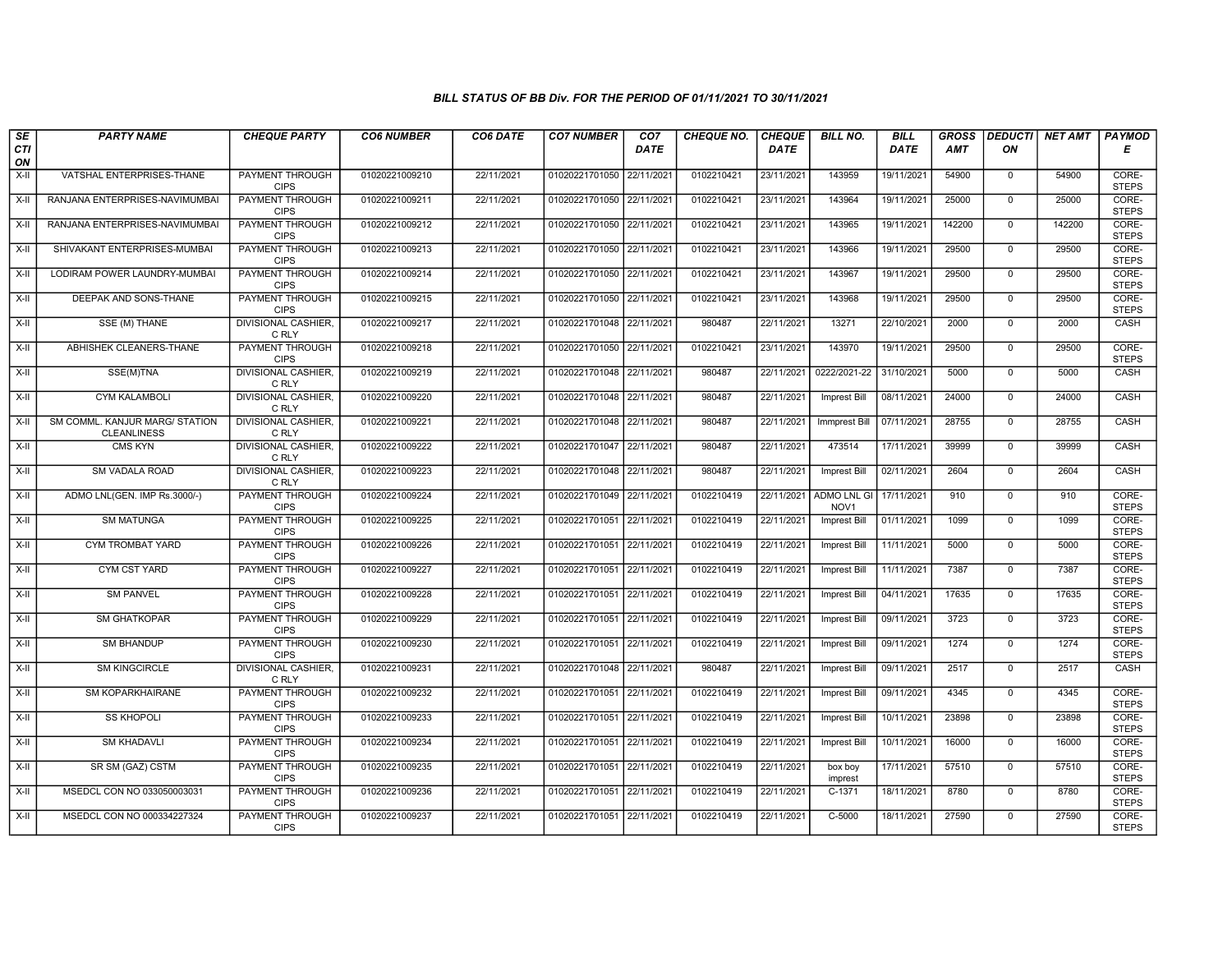| SE                 | <b>PARTY NAME</b>                                    | <b>CHEQUE PARTY</b>                   | <b>CO6 NUMBER</b> | CO6 DATE   | <b>CO7 NUMBER</b>         | CO <sub>7</sub> | <b>CHEQUE NO.</b> | <b>CHEQUE</b> | <b>BILL NO.</b>                        | <b>BILL</b> | <b>GROSS</b> |                | DEDUCTI NET AMT | <b>PAYMOD</b>         |
|--------------------|------------------------------------------------------|---------------------------------------|-------------------|------------|---------------------------|-----------------|-------------------|---------------|----------------------------------------|-------------|--------------|----------------|-----------------|-----------------------|
| <b>CTI</b><br>ON   |                                                      |                                       |                   |            |                           | <b>DATE</b>     |                   | <b>DATE</b>   |                                        | <b>DATE</b> | AMT          | ON             |                 | Е                     |
| $X-H$              | VATSHAL ENTERPRISES-THANE                            | <b>PAYMENT THROUGH</b><br><b>CIPS</b> | 01020221009210    | 22/11/2021 | 01020221701050 22/11/2021 |                 | 0102210421        | 23/11/2021    | 143959                                 | 19/11/2021  | 54900        | $\mathbf{0}$   | 54900           | CORE-<br><b>STEPS</b> |
| $X-H$              | RANJANA ENTERPRISES-NAVIMUMBAI                       | <b>PAYMENT THROUGH</b><br><b>CIPS</b> | 01020221009211    | 22/11/2021 | 01020221701050 22/11/2021 |                 | 0102210421        | 23/11/2021    | 143964                                 | 19/11/2021  | 25000        | $\mathbf{0}$   | 25000           | CORE-<br><b>STEPS</b> |
| X-II               | RANJANA ENTERPRISES-NAVIMUMBAI                       | PAYMENT THROUGH<br><b>CIPS</b>        | 01020221009212    | 22/11/2021 | 01020221701050 22/11/2021 |                 | 0102210421        | 23/11/2021    | 143965                                 | 19/11/2021  | 142200       | $\mathbf 0$    | 142200          | CORE-<br><b>STEPS</b> |
| X-II               | SHIVAKANT ENTERPRISES-MUMBAI                         | <b>PAYMENT THROUGH</b><br><b>CIPS</b> | 01020221009213    | 22/11/2021 | 01020221701050            | 22/11/2021      | 0102210421        | 23/11/2021    | 143966                                 | 19/11/2021  | 29500        | $\mathbf 0$    | 29500           | CORE-<br><b>STEPS</b> |
| $X-H$              | LODIRAM POWER LAUNDRY-MUMBAI                         | <b>PAYMENT THROUGH</b><br><b>CIPS</b> | 01020221009214    | 22/11/2021 | 01020221701050 22/11/2021 |                 | 0102210421        | 23/11/2021    | 143967                                 | 19/11/2021  | 29500        | $\mathbf 0$    | 29500           | CORE-<br><b>STEPS</b> |
| $X-H$              | DEEPAK AND SONS-THANE                                | <b>PAYMENT THROUGH</b><br><b>CIPS</b> | 01020221009215    | 22/11/2021 | 01020221701050 22/11/2021 |                 | 0102210421        | 23/11/2021    | 143968                                 | 19/11/2021  | 29500        | $\Omega$       | 29500           | CORE-<br><b>STEPS</b> |
| X-II               | SSE (M) THANE                                        | <b>DIVISIONAL CASHIER,</b><br>C RLY   | 01020221009217    | 22/11/2021 | 01020221701048 22/11/2021 |                 | 980487            | 22/11/2021    | 13271                                  | 22/10/2021  | 2000         | $\mathbf 0$    | 2000            | CASH                  |
| $X-H$              | ABHISHEK CLEANERS-THANE                              | PAYMENT THROUGH<br><b>CIPS</b>        | 01020221009218    | 22/11/2021 | 01020221701050 22/11/2021 |                 | 0102210421        | 23/11/2021    | 143970                                 | 19/11/2021  | 29500        | $\overline{0}$ | 29500           | CORE-<br><b>STEPS</b> |
| X-II               | SSE(M)TNA                                            | <b>DIVISIONAL CASHIER,</b><br>C RLY   | 01020221009219    | 22/11/2021 | 01020221701048 22/11/2021 |                 | 980487            | 22/11/2021    | 0222/2021-22                           | 31/10/2021  | 5000         | $\mathbf{0}$   | 5000            | CASH                  |
| $\overline{x}$ -II | <b>CYM KALAMBOLI</b>                                 | <b>DIVISIONAL CASHIER,</b><br>C RLY   | 01020221009220    | 22/11/2021 | 01020221701048 22/11/2021 |                 | 980487            | 22/11/2021    | <b>Imprest Bill</b>                    | 08/11/2021  | 24000        | $\overline{0}$ | 24000           | CASH                  |
| X-II               | SM COMML. KANJUR MARG/ STATION<br><b>CLEANLINESS</b> | <b>DIVISIONAL CASHIER,</b><br>C RLY   | 01020221009221    | 22/11/2021 | 01020221701048 22/11/2021 |                 | 980487            | 22/11/2021    | <b>Immprest Bill</b>                   | 07/11/2021  | 28755        | $\mathbf 0$    | 28755           | CASH                  |
| X-II               | <b>CMS KYN</b>                                       | <b>DIVISIONAL CASHIER,</b><br>C RLY   | 01020221009222    | 22/11/2021 | 01020221701047 22/11/2021 |                 | 980487            | 22/11/2021    | 473514                                 | 17/11/2021  | 39999        | $\mathbf 0$    | 39999           | CASH                  |
| $X-H$              | SM VADALA ROAD                                       | <b>DIVISIONAL CASHIER,</b><br>C RLY   | 01020221009223    | 22/11/2021 | 01020221701048 22/11/2021 |                 | 980487            | 22/11/2021    | <b>Imprest Bill</b>                    | 02/11/2021  | 2604         | $\overline{0}$ | 2604            | CASH                  |
| X-II               | ADMO LNL(GEN. IMP Rs.3000/-)                         | <b>PAYMENT THROUGH</b><br><b>CIPS</b> | 01020221009224    | 22/11/2021 | 01020221701049            | 22/11/2021      | 0102210419        | 22/11/2021    | <b>ADMO LNL GI</b><br>NOV <sub>1</sub> | 17/11/2021  | 910          | $\mathbf{0}$   | 910             | CORE-<br><b>STEPS</b> |
| $X-H$              | <b>SM MATUNGA</b>                                    | PAYMENT THROUGH<br><b>CIPS</b>        | 01020221009225    | 22/11/2021 | 01020221701051 22/11/2021 |                 | 0102210419        | 22/11/2021    | Imprest Bill                           | 01/11/2021  | 1099         | $\Omega$       | 1099            | CORE-<br><b>STEPS</b> |
| X-II               | CYM TROMBAT YARD                                     | <b>PAYMENT THROUGH</b><br><b>CIPS</b> | 01020221009226    | 22/11/2021 | 01020221701051 22/11/2021 |                 | 0102210419        | 22/11/2021    | Imprest Bill                           | 11/11/2021  | 5000         | $\mathbf{0}$   | 5000            | CORE-<br><b>STEPS</b> |
| X-II               | <b>CYM CST YARD</b>                                  | PAYMENT THROUGH<br><b>CIPS</b>        | 01020221009227    | 22/11/2021 | 01020221701051 22/11/2021 |                 | 0102210419        | 22/11/2021    | <b>Imprest Bill</b>                    | 11/11/2021  | 7387         | $\mathbf 0$    | 7387            | CORE-<br><b>STEPS</b> |
| $X-H$              | <b>SM PANVEL</b>                                     | <b>PAYMENT THROUGH</b><br><b>CIPS</b> | 01020221009228    | 22/11/2021 | 01020221701051 22/11/2021 |                 | 0102210419        | 22/11/2021    | <b>Imprest Bill</b>                    | 04/11/2021  | 17635        | $\mathbf 0$    | 17635           | CORE-<br><b>STEPS</b> |
| $X-II$             | <b>SM GHATKOPAR</b>                                  | PAYMENT THROUGH<br><b>CIPS</b>        | 01020221009229    | 22/11/2021 | 01020221701051 22/11/2021 |                 | 0102210419        | 22/11/2021    | Imprest Bill                           | 09/11/2021  | 3723         | $\mathbf 0$    | 3723            | CORE-<br><b>STEPS</b> |
| X-II               | <b>SM BHANDUP</b>                                    | PAYMENT THROUGH<br><b>CIPS</b>        | 01020221009230    | 22/11/2021 | 01020221701051 22/11/2021 |                 | 0102210419        | 22/11/2021    | <b>Imprest Bill</b>                    | 09/11/2021  | 1274         | $\overline{0}$ | 1274            | CORE-<br><b>STEPS</b> |
| $X-II$             | <b>SM KINGCIRCLE</b>                                 | <b>DIVISIONAL CASHIER,</b><br>C RLY   | 01020221009231    | 22/11/2021 | 01020221701048 22/11/2021 |                 | 980487            | 22/11/2021    | Imprest Bill                           | 09/11/2021  | 2517         | $\mathbf 0$    | 2517            | CASH                  |
| X-II               | <b>SM KOPARKHAIRANE</b>                              | PAYMENT THROUGH<br><b>CIPS</b>        | 01020221009232    | 22/11/2021 | 01020221701051 22/11/2021 |                 | 0102210419        | 22/11/2021    | <b>Imprest Bill</b>                    | 09/11/2021  | 4345         | $\Omega$       | 4345            | CORE-<br><b>STEPS</b> |
| $X-II$             | <b>SS KHOPOLI</b>                                    | PAYMENT THROUGH<br><b>CIPS</b>        | 01020221009233    | 22/11/2021 | 01020221701051            | 22/11/2021      | 0102210419        | 22/11/2021    | <b>Imprest Bill</b>                    | 10/11/2021  | 23898        | $\mathbf 0$    | 23898           | CORE-<br><b>STEPS</b> |
| $X-II$             | <b>SM KHADAVLI</b>                                   | PAYMENT THROUGH<br><b>CIPS</b>        | 01020221009234    | 22/11/2021 | 01020221701051 22/11/2021 |                 | 0102210419        | 22/11/2021    | Imprest Bill                           | 10/11/2021  | 16000        | $\Omega$       | 16000           | CORE-<br><b>STEPS</b> |
| X-II               | SR SM (GAZ) CSTM                                     | PAYMENT THROUGH<br><b>CIPS</b>        | 01020221009235    | 22/11/2021 | 01020221701051 22/11/2021 |                 | 0102210419        | 22/11/2021    | box boy<br>imprest                     | 17/11/2021  | 57510        | $\mathbf 0$    | 57510           | CORE-<br><b>STEPS</b> |
| $X-H$              | MSEDCL CON NO 033050003031                           | PAYMENT THROUGH<br><b>CIPS</b>        | 01020221009236    | 22/11/2021 | 01020221701051 22/11/2021 |                 | 0102210419        | 22/11/2021    | $C-1371$                               | 18/11/2021  | 8780         | $\mathsf{O}$   | 8780            | CORE-<br><b>STEPS</b> |
| X-II               | MSEDCL CON NO 000334227324                           | <b>PAYMENT THROUGH</b><br><b>CIPS</b> | 01020221009237    | 22/11/2021 | 01020221701051 22/11/2021 |                 | 0102210419        | 22/11/2021    | $C-5000$                               | 18/11/2021  | 27590        | $\mathbf 0$    | 27590           | CORE-<br><b>STEPS</b> |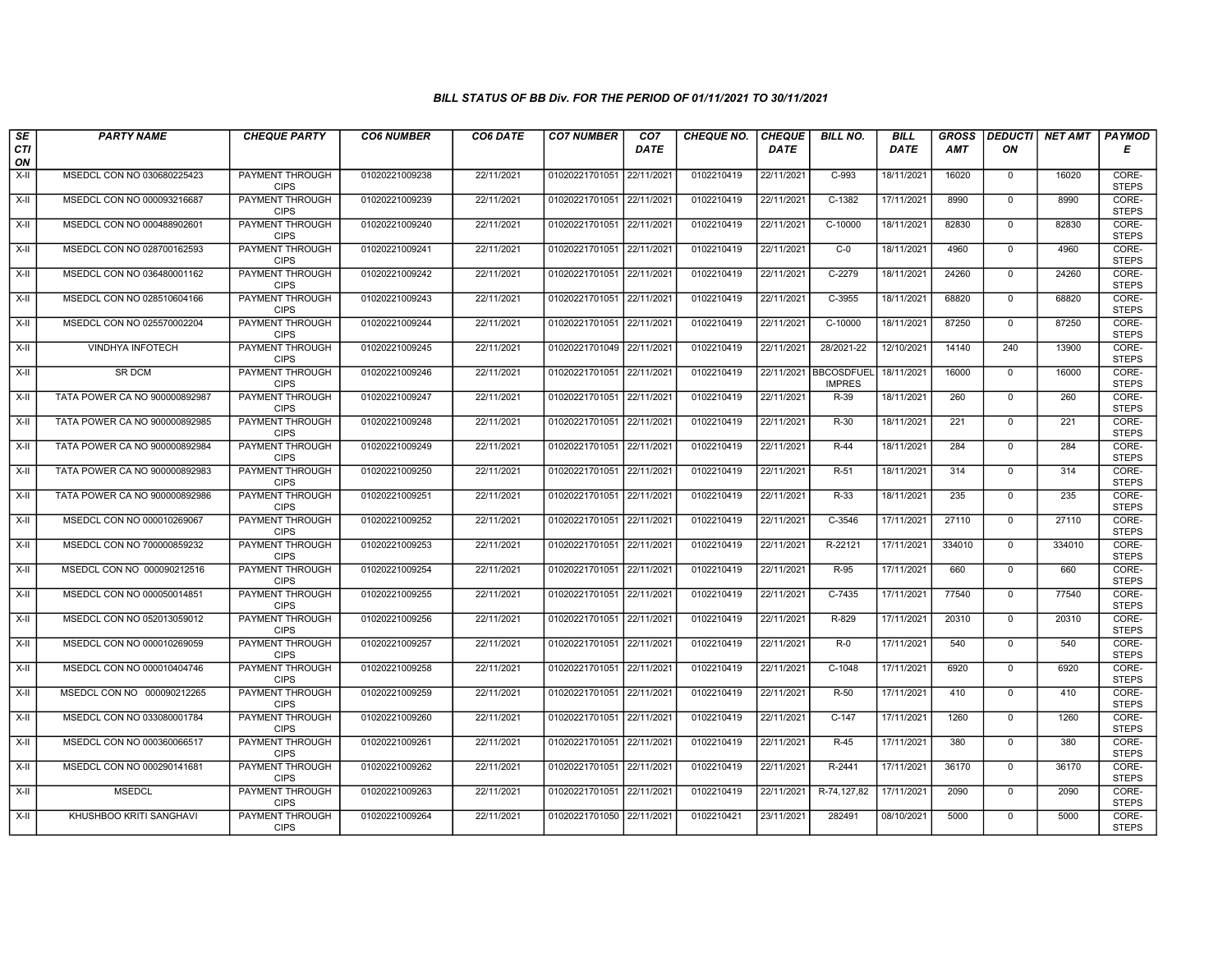| SE        | <b>PARTY NAME</b>             | <b>CHEQUE PARTY</b>                   | <b>CO6 NUMBER</b> | CO6 DATE   | <b>CO7 NUMBER</b>         | CO <sub>7</sub> | <b>CHEQUE NO.</b> | <b>CHEQUE</b> | <b>BILL NO.</b>                    | <b>BILL</b> | <b>GROSS</b> | <b>DEDUCTI</b> | NET AMT | <b>PAYMOD</b>         |
|-----------|-------------------------------|---------------------------------------|-------------------|------------|---------------------------|-----------------|-------------------|---------------|------------------------------------|-------------|--------------|----------------|---------|-----------------------|
| CTI<br>ON |                               |                                       |                   |            |                           | <b>DATE</b>     |                   | <b>DATE</b>   |                                    | <b>DATE</b> | AMT          | ON             |         | Е                     |
| $X-H$     | MSEDCL CON NO 030680225423    | <b>PAYMENT THROUGH</b><br><b>CIPS</b> | 01020221009238    | 22/11/2021 | 01020221701051 22/11/2021 |                 | 0102210419        | 22/11/2021    | $C-993$                            | 18/11/2021  | 16020        | $\mathbf{0}$   | 16020   | CORE-<br><b>STEPS</b> |
| X-II      | MSEDCL CON NO 000093216687    | PAYMENT THROUGH<br><b>CIPS</b>        | 01020221009239    | 22/11/2021 | 01020221701051 22/11/2021 |                 | 0102210419        | 22/11/2021    | $C-1382$                           | 17/11/2021  | 8990         | $\mathbf{0}$   | 8990    | CORE-<br><b>STEPS</b> |
| X-II      | MSEDCL CON NO 000488902601    | PAYMENT THROUGH<br><b>CIPS</b>        | 01020221009240    | 22/11/2021 | 01020221701051            | 22/11/2021      | 0102210419        | 22/11/2021    | C-10000                            | 18/11/2021  | 82830        | $\mathbf 0$    | 82830   | CORE-<br><b>STEPS</b> |
| $X-H$     | MSEDCL CON NO 028700162593    | PAYMENT THROUGH<br><b>CIPS</b>        | 01020221009241    | 22/11/2021 | 01020221701051 22/11/2021 |                 | 0102210419        | 22/11/2021    | $C-0$                              | 18/11/2021  | 4960         | $\overline{0}$ | 4960    | CORE-<br><b>STEPS</b> |
| X-II      | MSEDCL CON NO 036480001162    | <b>PAYMENT THROUGH</b><br><b>CIPS</b> | 01020221009242    | 22/11/2021 | 01020221701051 22/11/2021 |                 | 0102210419        | 22/11/2021    | $C-2279$                           | 18/11/2021  | 24260        | $\mathbf 0$    | 24260   | CORE-<br><b>STEPS</b> |
| X-II      | MSEDCL CON NO 028510604166    | <b>PAYMENT THROUGH</b><br><b>CIPS</b> | 01020221009243    | 22/11/2021 | 01020221701051 22/11/2021 |                 | 0102210419        | 22/11/2021    | $C-3955$                           | 18/11/2021  | 68820        | $\Omega$       | 68820   | CORE-<br><b>STEPS</b> |
| X-II      | MSEDCL CON NO 025570002204    | PAYMENT THROUGH<br><b>CIPS</b>        | 01020221009244    | 22/11/2021 | 01020221701051 22/11/2021 |                 | 0102210419        | 22/11/2021    | C-10000                            | 18/11/2021  | 87250        | $\mathbf{0}$   | 87250   | CORE-<br><b>STEPS</b> |
| X-II      | <b>VINDHYA INFOTECH</b>       | <b>PAYMENT THROUGH</b><br><b>CIPS</b> | 01020221009245    | 22/11/2021 | 01020221701049 22/11/2021 |                 | 0102210419        | 22/11/2021    | 28/2021-22                         | 12/10/2021  | 14140        | 240            | 13900   | CORE-<br><b>STEPS</b> |
| X-II      | <b>SR DCM</b>                 | PAYMENT THROUGH<br><b>CIPS</b>        | 01020221009246    | 22/11/2021 | 01020221701051 22/11/2021 |                 | 0102210419        | 22/11/2021    | <b>BBCOSDFUEL</b><br><b>IMPRES</b> | 18/11/2021  | 16000        | $\mathbf 0$    | 16000   | CORE-<br><b>STEPS</b> |
| X-II      | TATA POWER CA NO 900000892987 | <b>PAYMENT THROUGH</b><br><b>CIPS</b> | 01020221009247    | 22/11/2021 | 01020221701051 22/11/2021 |                 | 0102210419        | 22/11/2021    | $R-39$                             | 18/11/2021  | 260          | $\overline{0}$ | 260     | CORE-<br><b>STEPS</b> |
| X-II      | TATA POWER CA NO 900000892985 | PAYMENT THROUGH<br><b>CIPS</b>        | 01020221009248    | 22/11/2021 | 01020221701051 22/11/2021 |                 | 0102210419        | 22/11/2021    | R-30                               | 18/11/2021  | 221          | $\mathbf{0}$   | 221     | CORE-<br><b>STEPS</b> |
| X-II      | TATA POWER CA NO 900000892984 | <b>PAYMENT THROUGH</b><br><b>CIPS</b> | 01020221009249    | 22/11/2021 | 01020221701051 22/11/2021 |                 | 0102210419        | 22/11/2021    | $R-44$                             | 18/11/2021  | 284          | $\Omega$       | 284     | CORE-<br><b>STEPS</b> |
| X-II      | TATA POWER CA NO 900000892983 | <b>PAYMENT THROUGH</b><br><b>CIPS</b> | 01020221009250    | 22/11/2021 | 01020221701051 22/11/2021 |                 | 0102210419        | 22/11/2021    | $R-51$                             | 18/11/2021  | 314          | $\mathbf 0$    | 314     | CORE-<br><b>STEPS</b> |
| X-II      | TATA POWER CA NO 900000892986 | <b>PAYMENT THROUGH</b><br><b>CIPS</b> | 01020221009251    | 22/11/2021 | 01020221701051 22/11/2021 |                 | 0102210419        | 22/11/2021    | $R-33$                             | 18/11/2021  | 235          | $\overline{0}$ | 235     | CORE-<br><b>STEPS</b> |
| X-II      | MSEDCL CON NO 000010269067    | PAYMENT THROUGH<br><b>CIPS</b>        | 01020221009252    | 22/11/2021 | 01020221701051 22/11/2021 |                 | 0102210419        | 22/11/2021    | C-3546                             | 17/11/2021  | 27110        | $\mathbf{0}$   | 27110   | CORE-<br><b>STEPS</b> |
| X-II      | MSEDCL CON NO 700000859232    | PAYMENT THROUGH<br><b>CIPS</b>        | 01020221009253    | 22/11/2021 | 01020221701051 22/11/2021 |                 | 0102210419        | 22/11/2021    | R-22121                            | 17/11/2021  | 334010       | $\Omega$       | 334010  | CORE-<br><b>STEPS</b> |
| X-II      | MSEDCL CON NO 000090212516    | PAYMENT THROUGH<br><b>CIPS</b>        | 01020221009254    | 22/11/2021 | 01020221701051 22/11/2021 |                 | 0102210419        | 22/11/2021    | R-95                               | 17/11/2021  | 660          | $\mathbf{0}$   | 660     | CORE-<br><b>STEPS</b> |
| $X-H$     | MSEDCL CON NO 000050014851    | <b>PAYMENT THROUGH</b><br><b>CIPS</b> | 01020221009255    | 22/11/2021 | 01020221701051 22/11/2021 |                 | 0102210419        | 22/11/2021    | $C-7435$                           | 17/11/2021  | 77540        | $\overline{0}$ | 77540   | CORE-<br><b>STEPS</b> |
| X-II      | MSEDCL CON NO 052013059012    | PAYMENT THROUGH<br><b>CIPS</b>        | 01020221009256    | 22/11/2021 | 01020221701051 22/11/2021 |                 | 0102210419        | 22/11/2021    | R-829                              | 17/11/2021  | 20310        | $\mathbf{0}$   | 20310   | CORE-<br><b>STEPS</b> |
| X-II      | MSEDCL CON NO 000010269059    | PAYMENT THROUGH<br><b>CIPS</b>        | 01020221009257    | 22/11/2021 | 01020221701051 22/11/2021 |                 | 0102210419        | 22/11/2021    | $R-0$                              | 17/11/2021  | 540          | $\Omega$       | 540     | CORE-<br><b>STEPS</b> |
| X-II      | MSEDCL CON NO 000010404746    | PAYMENT THROUGH<br><b>CIPS</b>        | 01020221009258    | 22/11/2021 | 01020221701051 22/11/2021 |                 | 0102210419        | 22/11/2021    | $C-1048$                           | 17/11/2021  | 6920         | $\mathbf{0}$   | 6920    | CORE-<br><b>STEPS</b> |
| X-II      | MSEDCL CON NO 000090212265    | PAYMENT THROUGH<br><b>CIPS</b>        | 01020221009259    | 22/11/2021 | 01020221701051 22/11/2021 |                 | 0102210419        | 22/11/2021    | $R-50$                             | 17/11/2021  | 410          | $\mathbf{0}$   | 410     | CORE-<br><b>STEPS</b> |
| X-II      | MSEDCL CON NO 033080001784    | PAYMENT THROUGH<br><b>CIPS</b>        | 01020221009260    | 22/11/2021 | 01020221701051            | 22/11/2021      | 0102210419        | 22/11/2021    | $C-147$                            | 17/11/2021  | 1260         | $\mathbf{0}$   | 1260    | CORE-<br><b>STEPS</b> |
| $X-H$     | MSEDCL CON NO 000360066517    | PAYMENT THROUGH<br><b>CIPS</b>        | 01020221009261    | 22/11/2021 | 01020221701051 22/11/2021 |                 | 0102210419        | 22/11/2021    | $R-45$                             | 17/11/2021  | 380          | $\mathbf{0}$   | 380     | CORE-<br><b>STEPS</b> |
| X-II      | MSEDCL CON NO 000290141681    | PAYMENT THROUGH<br><b>CIPS</b>        | 01020221009262    | 22/11/2021 | 01020221701051 22/11/2021 |                 | 0102210419        | 22/11/2021    | R-2441                             | 17/11/2021  | 36170        | $\Omega$       | 36170   | CORE-<br><b>STEPS</b> |
| X-II      | <b>MSEDCL</b>                 | <b>PAYMENT THROUGH</b><br><b>CIPS</b> | 01020221009263    | 22/11/2021 | 01020221701051 22/11/2021 |                 | 0102210419        | 22/11/2021    | R-74,127,82                        | 17/11/2021  | 2090         | $\overline{0}$ | 2090    | CORE-<br><b>STEPS</b> |
| X-II      | KHUSHBOO KRITI SANGHAVI       | PAYMENT THROUGH<br><b>CIPS</b>        | 01020221009264    | 22/11/2021 | 01020221701050 22/11/2021 |                 | 0102210421        | 23/11/2021    | 282491                             | 08/10/2021  | 5000         | $\mathbf{0}$   | 5000    | CORE-<br><b>STEPS</b> |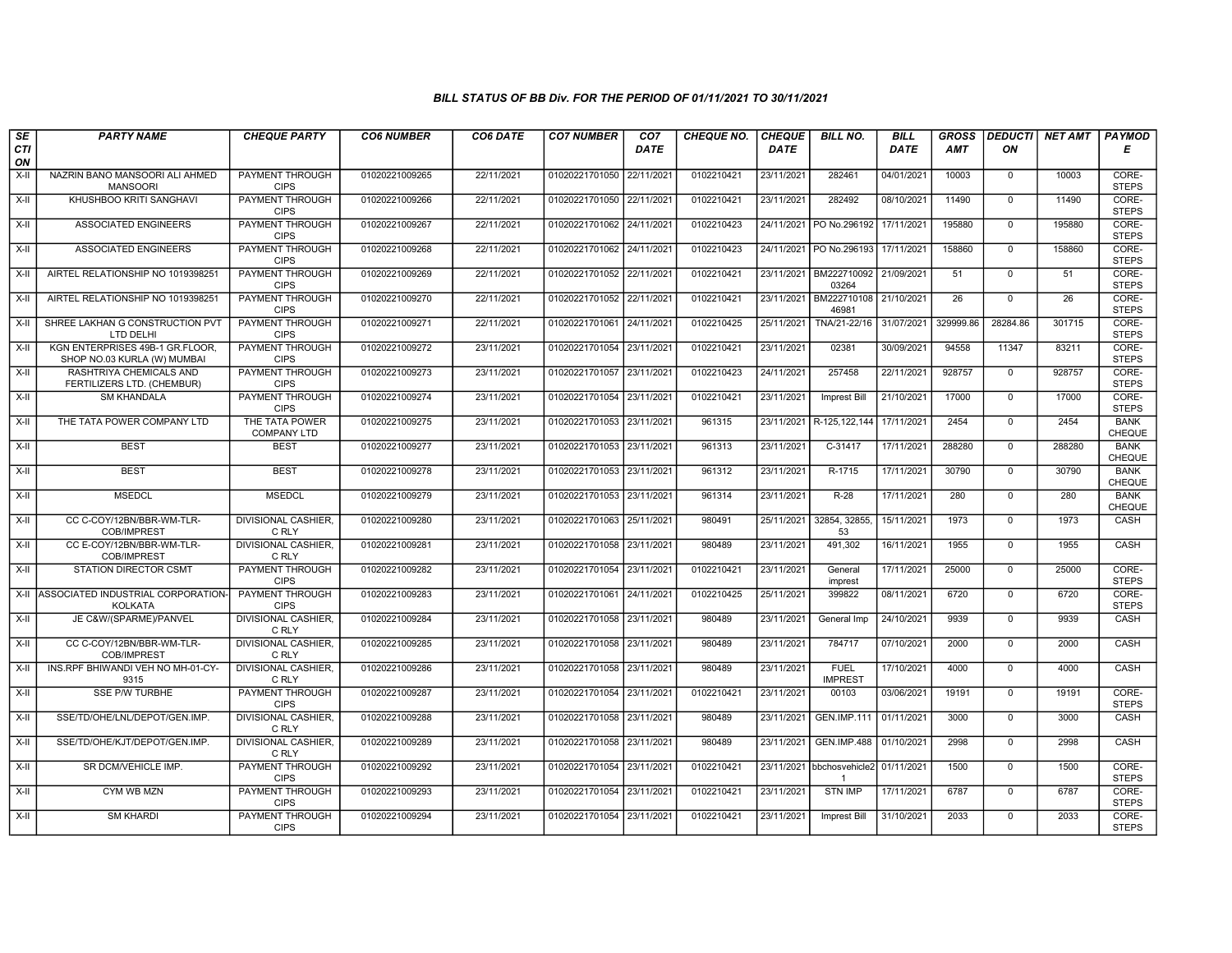| SE        | <b>PARTY NAME</b>                                              | <b>CHEQUE PARTY</b>                   | <b>CO6 NUMBER</b> | CO6 DATE   | <b>CO7 NUMBER</b>         | CO <sub>7</sub> | <b>CHEQUE NO.</b> | <b>CHEQUE</b> | <b>BILL NO.</b>                            | <b>BILL</b> | <b>GROSS</b>    | <b>DEDUCTI</b> | <b>NET AMT</b>  | <b>PAYMOD</b>         |
|-----------|----------------------------------------------------------------|---------------------------------------|-------------------|------------|---------------------------|-----------------|-------------------|---------------|--------------------------------------------|-------------|-----------------|----------------|-----------------|-----------------------|
| CTI<br>ON |                                                                |                                       |                   |            |                           | <b>DATE</b>     |                   | <b>DATE</b>   |                                            | <b>DATE</b> | <b>AMT</b>      | ON             |                 | Е                     |
| $X-H$     | NAZRIN BANO MANSOORI ALI AHMED<br><b>MANSOORI</b>              | <b>PAYMENT THROUGH</b><br><b>CIPS</b> | 01020221009265    | 22/11/2021 | 01020221701050            | 22/11/2021      | 0102210421        | 23/11/2021    | 282461                                     | 04/01/2021  | 10003           | $\overline{0}$ | 10003           | CORE-<br><b>STEPS</b> |
| $X-H$     | KHUSHBOO KRITI SANGHAVI                                        | <b>PAYMENT THROUGH</b><br><b>CIPS</b> | 01020221009266    | 22/11/2021 | 01020221701050 22/11/2021 |                 | 0102210421        | 23/11/2021    | 282492                                     | 08/10/2021  | 11490           | $\overline{0}$ | 11490           | CORE-<br><b>STEPS</b> |
| X-II      | ASSOCIATED ENGINEERS                                           | <b>PAYMENT THROUGH</b><br><b>CIPS</b> | 01020221009267    | 22/11/2021 | 01020221701062            | 24/11/2021      | 0102210423        | 24/11/2021    | PO No.296192                               | 17/11/2021  | 195880          | $\mathbf{0}$   | 195880          | CORE-<br><b>STEPS</b> |
| $X-II$    | <b>ASSOCIATED ENGINEERS</b>                                    | PAYMENT THROUGH<br><b>CIPS</b>        | 01020221009268    | 22/11/2021 | 01020221701062 24/11/2021 |                 | 0102210423        | 24/11/2021    | PO No.296193                               | 17/11/2021  | 158860          | $\overline{0}$ | 158860          | CORE-<br><b>STEPS</b> |
| $X-H$     | AIRTEL RELATIONSHIP NO 1019398251                              | <b>PAYMENT THROUGH</b><br><b>CIPS</b> | 01020221009269    | 22/11/2021 | 01020221701052 22/11/2021 |                 | 0102210421        |               | 23/11/2021 BM222710092 21/09/2021<br>03264 |             | 51              | $\mathbf 0$    | 51              | CORE-<br><b>STEPS</b> |
| $X-II$    | AIRTEL RELATIONSHIP NO 1019398251                              | <b>PAYMENT THROUGH</b><br><b>CIPS</b> | 01020221009270    | 22/11/2021 | 01020221701052 22/11/2021 |                 | 0102210421        | 23/11/2021    | BM222710108 21/10/2021<br>46981            |             | $\overline{26}$ | $\overline{0}$ | $\overline{26}$ | CORE-<br><b>STEPS</b> |
| $X-II$    | SHREE LAKHAN G CONSTRUCTION PVT<br>LTD DELHI                   | PAYMENT THROUGH<br><b>CIPS</b>        | 01020221009271    | 22/11/2021 | 01020221701061 24/11/2021 |                 | 0102210425        | 25/11/2021    | TNA/21-22/16                               | 31/07/2021  | 329999.86       | 28284.86       | 301715          | CORE-<br><b>STEPS</b> |
| $X-II$    | KGN ENTERPRISES 49B-1 GR.FLOOR,<br>SHOP NO.03 KURLA (W) MUMBAI | <b>PAYMENT THROUGH</b><br><b>CIPS</b> | 01020221009272    | 23/11/2021 | 01020221701054 23/11/2021 |                 | 0102210421        | 23/11/2021    | 02381                                      | 30/09/2021  | 94558           | 11347          | 83211           | CORE-<br><b>STEPS</b> |
| $X-H$     | RASHTRIYA CHEMICALS AND<br>FERTILIZERS LTD. (CHEMBUR)          | <b>PAYMENT THROUGH</b><br><b>CIPS</b> | 01020221009273    | 23/11/2021 | 01020221701057            | 23/11/2021      | 0102210423        | 24/11/2021    | 257458                                     | 22/11/2021  | 928757          | $\mathbf 0$    | 928757          | CORE-<br><b>STEPS</b> |
| $X-H$     | <b>SM KHANDALA</b>                                             | <b>PAYMENT THROUGH</b><br><b>CIPS</b> | 01020221009274    | 23/11/2021 | 01020221701054 23/11/2021 |                 | 0102210421        | 23/11/2021    | <b>Imprest Bill</b>                        | 21/10/2021  | 17000           | $\mathbf{0}$   | 17000           | CORE-<br><b>STEPS</b> |
| X-II      | THE TATA POWER COMPANY LTD                                     | THE TATA POWER<br><b>COMPANY LTD</b>  | 01020221009275    | 23/11/2021 | 01020221701053 23/11/2021 |                 | 961315            | 23/11/2021    | R-125, 122, 144                            | 17/11/2021  | 2454            | $\mathbf 0$    | 2454            | <b>BANK</b><br>CHEQUE |
| $X-H$     | <b>BEST</b>                                                    | <b>BEST</b>                           | 01020221009277    | 23/11/2021 | 01020221701053 23/11/2021 |                 | 961313            | 23/11/2021    | C-31417                                    | 17/11/2021  | 288280          | $\mathbf{0}$   | 288280          | <b>BANK</b><br>CHEQUE |
| $X-H$     | <b>BEST</b>                                                    | <b>BEST</b>                           | 01020221009278    | 23/11/2021 | 01020221701053 23/11/2021 |                 | 961312            | 23/11/2021    | R-1715                                     | 17/11/2021  | 30790           | $\overline{0}$ | 30790           | <b>BANK</b><br>CHEQUE |
| $X-H$     | <b>MSEDCL</b>                                                  | <b>MSEDCL</b>                         | 01020221009279    | 23/11/2021 | 01020221701053 23/11/2021 |                 | 961314            | 23/11/2021    | $R-28$                                     | 17/11/2021  | 280             | $\overline{0}$ | 280             | <b>BANK</b><br>CHEQUE |
| X-II      | CC C-COY/12BN/BBR-WM-TLR-<br><b>COB/IMPREST</b>                | <b>DIVISIONAL CASHIER.</b><br>C RLY   | 01020221009280    | 23/11/2021 | 01020221701063 25/11/2021 |                 | 980491            | 25/11/2021    | 32854, 32855,<br>53                        | 15/11/2021  | 1973            | $\Omega$       | 1973            | CASH                  |
| X-II      | CC E-COY/12BN/BBR-WM-TLR-<br>COB/IMPREST                       | DIVISIONAL CASHIER,<br>C RLY          | 01020221009281    | 23/11/2021 | 01020221701058 23/11/2021 |                 | 980489            | 23/11/2021    | 491,302                                    | 16/11/2021  | 1955            | $\mathbf 0$    | 1955            | CASH                  |
| X-II      | <b>STATION DIRECTOR CSMT</b>                                   | <b>PAYMENT THROUGH</b><br><b>CIPS</b> | 01020221009282    | 23/11/2021 | 01020221701054 23/11/2021 |                 | 0102210421        | 23/11/2021    | General<br>imprest                         | 17/11/2021  | 25000           | $\mathbf 0$    | 25000           | CORE-<br><b>STEPS</b> |
| $X-H$     | ASSOCIATED INDUSTRIAL CORPORATION<br><b>KOLKATA</b>            | PAYMENT THROUGH<br><b>CIPS</b>        | 01020221009283    | 23/11/2021 | 01020221701061            | 24/11/2021      | 0102210425        | 25/11/2021    | 399822                                     | 08/11/2021  | 6720            | $\overline{0}$ | 6720            | CORE-<br><b>STEPS</b> |
| $X-H$     | JE C&W/(SPARME)/PANVEL                                         | <b>DIVISIONAL CASHIER,</b><br>C RLY   | 01020221009284    | 23/11/2021 | 01020221701058 23/11/2021 |                 | 980489            | 23/11/2021    | General Imp                                | 24/10/2021  | 9939            | $\mathbf 0$    | 9939            | CASH                  |
| X-II      | CC C-COY/12BN/BBR-WM-TLR-<br>COB/IMPREST                       | <b>DIVISIONAL CASHIER.</b><br>C RLY   | 01020221009285    | 23/11/2021 | 01020221701058 23/11/2021 |                 | 980489            | 23/11/2021    | 784717                                     | 07/10/2021  | 2000            | $\overline{0}$ | 2000            | CASH                  |
| X-II      | INS.RPF BHIWANDI VEH NO MH-01-CY-<br>9315                      | DIVISIONAL CASHIER,<br>C RLY          | 01020221009286    | 23/11/2021 | 01020221701058 23/11/2021 |                 | 980489            | 23/11/2021    | <b>FUEL</b><br><b>IMPREST</b>              | 17/10/2021  | 4000            | $\mathbf 0$    | 4000            | CASH                  |
| $X-H$     | <b>SSE P/W TURBHE</b>                                          | <b>PAYMENT THROUGH</b><br><b>CIPS</b> | 01020221009287    | 23/11/2021 | 01020221701054 23/11/2021 |                 | 0102210421        | 23/11/2021    | 00103                                      | 03/06/2021  | 19191           | $\Omega$       | 19191           | CORE-<br><b>STEPS</b> |
| X-II      | SSE/TD/OHE/LNL/DEPOT/GEN.IMP.                                  | <b>DIVISIONAL CASHIER</b><br>C RLY    | 01020221009288    | 23/11/2021 | 01020221701058 23/11/2021 |                 | 980489            | 23/11/2021    | <b>GEN.IMP.111</b>                         | 01/11/2021  | 3000            | $\mathbf{0}$   | 3000            | CASH                  |
| $X-H$     | SSE/TD/OHE/KJT/DEPOT/GEN.IMP.                                  | <b>DIVISIONAL CASHIER.</b><br>C RLY   | 01020221009289    | 23/11/2021 | 01020221701058 23/11/2021 |                 | 980489            | 23/11/2021    | <b>GEN.IMP.488</b>                         | 01/10/2021  | 2998            | $\Omega$       | 2998            | CASH                  |
| $X-II$    | SR DCM/VEHICLE IMP.                                            | PAYMENT THROUGH<br><b>CIPS</b>        | 01020221009292    | 23/11/2021 | 01020221701054 23/11/2021 |                 | 0102210421        | 23/11/2021    | bbchosvehicle2<br>$\overline{1}$           | 01/11/2021  | 1500            | $\Omega$       | 1500            | CORE-<br><b>STEPS</b> |
| $X-H$     | <b>CYM WB MZN</b>                                              | <b>PAYMENT THROUGH</b><br><b>CIPS</b> | 01020221009293    | 23/11/2021 | 01020221701054 23/11/2021 |                 | 0102210421        | 23/11/2021    | <b>STN IMP</b>                             | 17/11/2021  | 6787            | $\overline{0}$ | 6787            | CORE-<br><b>STEPS</b> |
| X-II      | <b>SM KHARDI</b>                                               | <b>PAYMENT THROUGH</b><br><b>CIPS</b> | 01020221009294    | 23/11/2021 | 01020221701054 23/11/2021 |                 | 0102210421        | 23/11/2021    | <b>Imprest Bill</b>                        | 31/10/2021  | 2033            | $\Omega$       | 2033            | CORE-<br><b>STEPS</b> |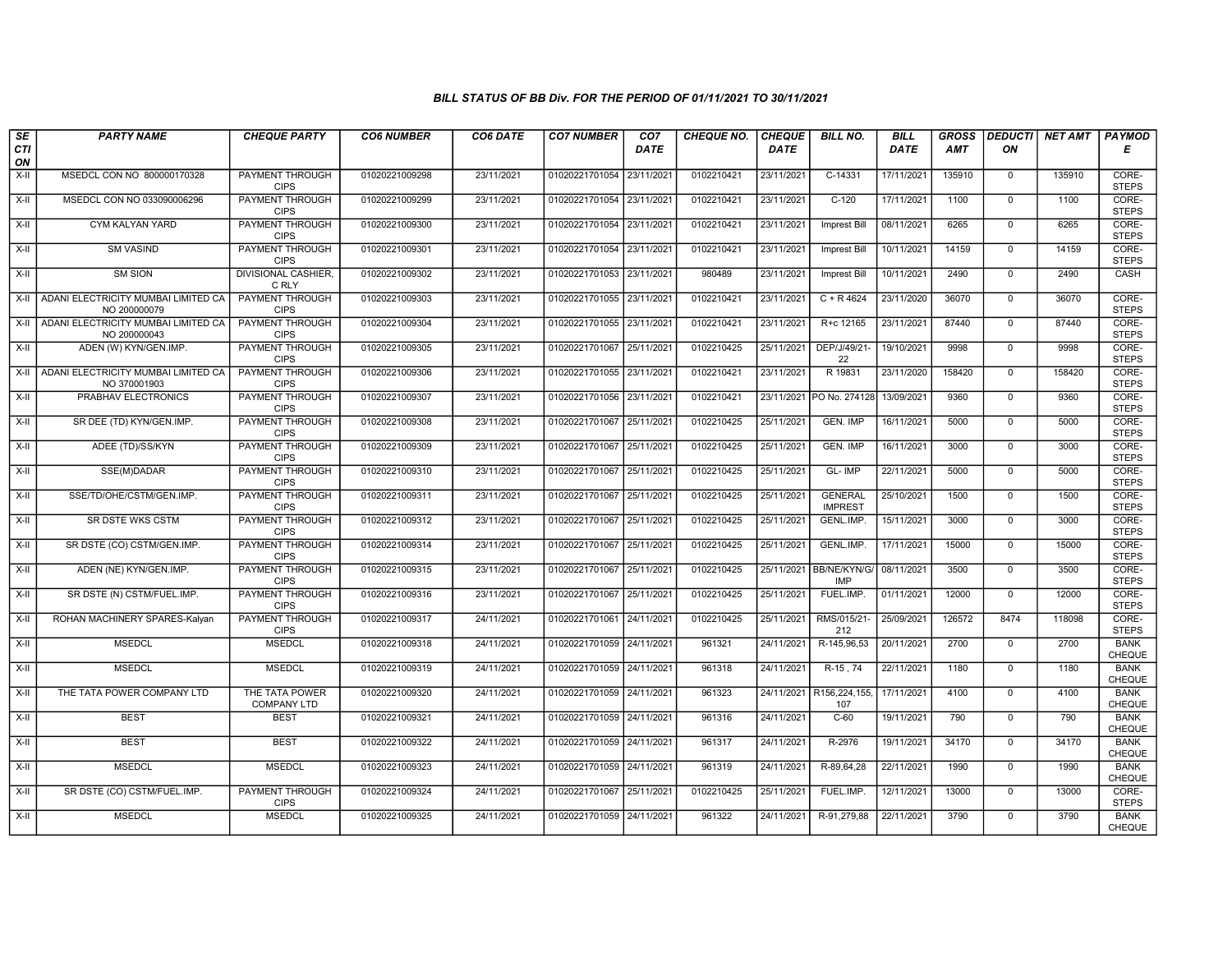| SE        | <b>PARTY NAME</b>                                        | <b>CHEQUE PARTY</b>                   | <b>CO6 NUMBER</b> | CO6 DATE   | <b>CO7 NUMBER</b>         | CO <sub>7</sub> | <b>CHEQUE NO.</b> | <b>CHEQUE</b> | <b>BILL NO.</b>                  | <b>BILL</b> | <b>GROSS</b> | <b>DEDUCTI</b> | NET AMT | <b>PAYMOD</b>                |
|-----------|----------------------------------------------------------|---------------------------------------|-------------------|------------|---------------------------|-----------------|-------------------|---------------|----------------------------------|-------------|--------------|----------------|---------|------------------------------|
| CTI<br>ON |                                                          |                                       |                   |            |                           | <b>DATE</b>     |                   | <b>DATE</b>   |                                  | <b>DATE</b> | <b>AMT</b>   | ON             |         | Е                            |
| $X-H$     | MSEDCL CON NO 800000170328                               | <b>PAYMENT THROUGH</b><br><b>CIPS</b> | 01020221009298    | 23/11/2021 | 01020221701054 23/11/2021 |                 | 0102210421        | 23/11/2021    | C-14331                          | 17/11/2021  | 135910       | $\overline{0}$ | 135910  | CORE-<br><b>STEPS</b>        |
| X-II      | MSEDCL CON NO 033090006296                               | PAYMENT THROUGH<br><b>CIPS</b>        | 01020221009299    | 23/11/2021 | 01020221701054 23/11/2021 |                 | 0102210421        | 23/11/2021    | $C-120$                          | 17/11/2021  | 1100         | $\mathbf 0$    | 1100    | CORE-<br><b>STEPS</b>        |
| X-II      | <b>CYM KALYAN YARD</b>                                   | PAYMENT THROUGH<br><b>CIPS</b>        | 01020221009300    | 23/11/2021 | 01020221701054 23/11/2021 |                 | 0102210421        | 23/11/2021    | <b>Imprest Bill</b>              | 08/11/2021  | 6265         | $\mathbf 0$    | 6265    | CORE-<br><b>STEPS</b>        |
| $X-H$     | <b>SM VASIND</b>                                         | PAYMENT THROUGH<br><b>CIPS</b>        | 01020221009301    | 23/11/2021 | 01020221701054 23/11/2021 |                 | 0102210421        | 23/11/2021    | Imprest Bill                     | 10/11/2021  | 14159        | $\overline{0}$ | 14159   | CORE-<br><b>STEPS</b>        |
| $X-H$     | <b>SM SION</b>                                           | <b>DIVISIONAL CASHIER,</b><br>C RLY   | 01020221009302    | 23/11/2021 | 01020221701053 23/11/2021 |                 | 980489            | 23/11/2021    | Imprest Bill                     | 10/11/2021  | 2490         | $\overline{0}$ | 2490    | CASH                         |
|           | X-II ADANI ELECTRICITY MUMBAI LIMITED CA<br>NO 200000079 | <b>PAYMENT THROUGH</b><br><b>CIPS</b> | 01020221009303    | 23/11/2021 | 01020221701055 23/11/2021 |                 | 0102210421        | 23/11/2021    | $C + R 4624$                     | 23/11/2020  | 36070        | $\overline{0}$ | 36070   | CORE-<br><b>STEPS</b>        |
| X-II      | ADANI ELECTRICITY MUMBAI LIMITED CA<br>NO 200000043      | PAYMENT THROUGH<br><b>CIPS</b>        | 01020221009304    | 23/11/2021 | 01020221701055 23/11/2021 |                 | 0102210421        | 23/11/2021    | R+c 12165                        | 23/11/2021  | 87440        | $\mathbf 0$    | 87440   | CORE-<br><b>STEPS</b>        |
| X-II      | ADEN (W) KYN/GEN.IMP.                                    | <b>PAYMENT THROUGH</b><br><b>CIPS</b> | 01020221009305    | 23/11/2021 | 01020221701067 25/11/2021 |                 | 0102210425        | 25/11/2021    | DEP/J/49/21-<br>22               | 19/10/2021  | 9998         | $\overline{0}$ | 9998    | CORE-<br><b>STEPS</b>        |
| X-II      | ADANI ELECTRICITY MUMBAI LIMITED CA<br>NO 370001903      | PAYMENT THROUGH<br><b>CIPS</b>        | 01020221009306    | 23/11/2021 | 01020221701055 23/11/2021 |                 | 0102210421        | 23/11/2021    | R 19831                          | 23/11/2020  | 158420       | $\mathbf 0$    | 158420  | CORE-<br><b>STEPS</b>        |
| $X-H$     | PRABHAV ELECTRONICS                                      | <b>PAYMENT THROUGH</b><br><b>CIPS</b> | 01020221009307    | 23/11/2021 | 01020221701056 23/11/2021 |                 | 0102210421        |               | 23/11/2021 PO No. 274128         | 13/09/2021  | 9360         | $\overline{0}$ | 9360    | CORE-<br><b>STEPS</b>        |
| X-II      | SR DEE (TD) KYN/GEN.IMP.                                 | PAYMENT THROUGH<br><b>CIPS</b>        | 01020221009308    | 23/11/2021 | 01020221701067 25/11/2021 |                 | 0102210425        | 25/11/2021    | <b>GEN. IMP</b>                  | 16/11/2021  | 5000         | $\mathbf 0$    | 5000    | CORE-<br><b>STEPS</b>        |
| $X-H$     | ADEE (TD)/SS/KYN                                         | PAYMENT THROUGH<br><b>CIPS</b>        | 01020221009309    | 23/11/2021 | 01020221701067 25/11/2021 |                 | 0102210425        | 25/11/2021    | GEN. IMP                         | 16/11/2021  | 3000         | $\overline{0}$ | 3000    | CORE-<br><b>STEPS</b>        |
| X-II      | SSE(M)DADAR                                              | <b>PAYMENT THROUGH</b><br><b>CIPS</b> | 01020221009310    | 23/11/2021 | 01020221701067 25/11/2021 |                 | 0102210425        | 25/11/2021    | GL-IMP                           | 22/11/2021  | 5000         | $\mathbf{0}$   | 5000    | CORE-<br><b>STEPS</b>        |
| $X-H$     | SSE/TD/OHE/CSTM/GEN.IMP.                                 | <b>PAYMENT THROUGH</b><br><b>CIPS</b> | 01020221009311    | 23/11/2021 | 01020221701067 25/11/2021 |                 | 0102210425        | 25/11/2021    | <b>GENERAL</b><br><b>IMPREST</b> | 25/10/2021  | 1500         | $\overline{0}$ | 1500    | CORE-<br><b>STEPS</b>        |
| X-II      | SR DSTE WKS CSTM                                         | PAYMENT THROUGH<br><b>CIPS</b>        | 01020221009312    | 23/11/2021 | 01020221701067 25/11/2021 |                 | 0102210425        | 25/11/2021    | GENL.IMP.                        | 15/11/2021  | 3000         | $\mathbf 0$    | 3000    | CORE-<br><b>STEPS</b>        |
| X-II      | SR DSTE (CO) CSTM/GEN.IMP.                               | <b>PAYMENT THROUGH</b><br><b>CIPS</b> | 01020221009314    | 23/11/2021 | 01020221701067 25/11/2021 |                 | 0102210425        | 25/11/2021    | GENL.IMP.                        | 17/11/2021  | 15000        | $\overline{0}$ | 15000   | CORE-<br><b>STEPS</b>        |
| X-II      | ADEN (NE) KYN/GEN.IMP.                                   | <b>PAYMENT THROUGH</b><br><b>CIPS</b> | 01020221009315    | 23/11/2021 | 01020221701067 25/11/2021 |                 | 0102210425        | 25/11/2021    | BB/NE/KYN/G/<br><b>IMP</b>       | 08/11/2021  | 3500         | $\overline{0}$ | 3500    | CORE-<br><b>STEPS</b>        |
| $X-H$     | SR DSTE (N) CSTM/FUEL.IMP.                               | <b>PAYMENT THROUGH</b><br><b>CIPS</b> | 01020221009316    | 23/11/2021 | 01020221701067 25/11/2021 |                 | 0102210425        | 25/11/2021    | FUEL.IMP.                        | 01/11/2021  | 12000        | $\overline{0}$ | 12000   | CORE-<br><b>STEPS</b>        |
| X-II      | ROHAN MACHINERY SPARES-Kalyan                            | PAYMENT THROUGH<br><b>CIPS</b>        | 01020221009317    | 24/11/2021 | 01020221701061 24/11/2021 |                 | 0102210425        | 25/11/2021    | RMS/015/21-<br>212               | 25/09/2021  | 126572       | 8474           | 118098  | CORE-<br><b>STEPS</b>        |
| X-II      | <b>MSEDCL</b>                                            | <b>MSEDCL</b>                         | 01020221009318    | 24/11/2021 | 01020221701059 24/11/2021 |                 | 961321            | 24/11/2021    | R-145,96,53                      | 20/11/2021  | 2700         | $\Omega$       | 2700    | <b>BANK</b><br>CHEQUE        |
| X-II      | <b>MSEDCL</b>                                            | <b>MSEDCL</b>                         | 01020221009319    | 24/11/2021 | 01020221701059 24/11/2021 |                 | 961318            | 24/11/2021    | R-15, 74                         | 22/11/2021  | 1180         | $\overline{0}$ | 1180    | <b>BANK</b><br>CHEQUE        |
| X-II      | THE TATA POWER COMPANY LTD                               | THE TATA POWER<br><b>COMPANY LTD</b>  | 01020221009320    | 24/11/2021 | 01020221701059 24/11/2021 |                 | 961323            |               | 24/11/2021 R156,224,155,<br>107  | 17/11/2021  | 4100         | $\overline{0}$ | 4100    | <b>BANK</b><br>CHEQUE        |
| X-II      | <b>BEST</b>                                              | <b>BEST</b>                           | 01020221009321    | 24/11/2021 | 01020221701059 24/11/2021 |                 | 961316            | 24/11/2021    | $C-60$                           | 19/11/2021  | 790          | $\mathbf 0$    | 790     | <b>BANK</b><br>CHEQUE        |
| X-II      | <b>BEST</b>                                              | <b>BEST</b>                           | 01020221009322    | 24/11/2021 | 01020221701059 24/11/2021 |                 | 961317            | 24/11/2021    | R-2976                           | 19/11/2021  | 34170        | $\mathbf{0}$   | 34170   | <b>BANK</b><br>CHEQUE        |
| X-II      | <b>MSEDCL</b>                                            | <b>MSEDCL</b>                         | 01020221009323    | 24/11/2021 | 01020221701059 24/11/2021 |                 | 961319            | 24/11/2021    | R-89,64,28                       | 22/11/2021  | 1990         | $\overline{0}$ | 1990    | <b>BANK</b><br>CHEQUE        |
| $X-H$     | SR DSTE (CO) CSTM/FUEL.IMP.                              | <b>PAYMENT THROUGH</b><br><b>CIPS</b> | 01020221009324    | 24/11/2021 | 01020221701067 25/11/2021 |                 | 0102210425        | 25/11/2021    | FUEL.IMP.                        | 12/11/2021  | 13000        | $\overline{0}$ | 13000   | CORE-<br><b>STEPS</b>        |
| X-II      | <b>MSEDCL</b>                                            | <b>MSEDCL</b>                         | 01020221009325    | 24/11/2021 | 01020221701059 24/11/2021 |                 | 961322            | 24/11/2021    | R-91,279,88                      | 22/11/2021  | 3790         | $\mathbf{0}$   | 3790    | <b>BANK</b><br><b>CHEQUE</b> |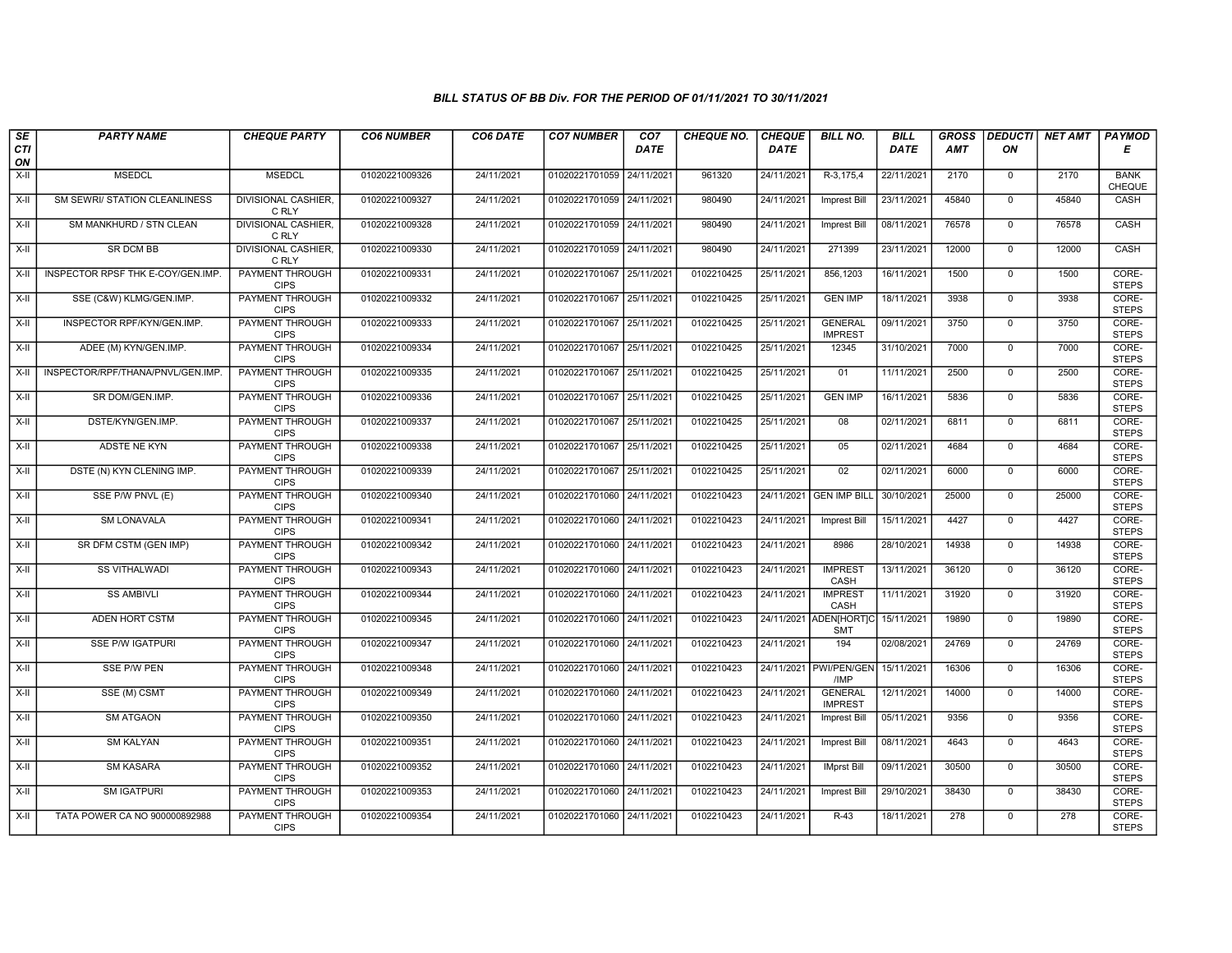| SE        | <b>PARTY NAME</b>                 | <b>CHEQUE PARTY</b>                   | <b>CO6 NUMBER</b> | CO6 DATE   | <b>CO7 NUMBER</b>         | CO <sub>7</sub> | <b>CHEQUE NO.</b> | <b>CHEQUE</b> | <b>BILL NO.</b>                      | <b>BILL</b> | <b>GROSS</b> | <b>DEDUCTI</b> | NET AMT | <b>PAYMOD</b>         |
|-----------|-----------------------------------|---------------------------------------|-------------------|------------|---------------------------|-----------------|-------------------|---------------|--------------------------------------|-------------|--------------|----------------|---------|-----------------------|
| CTI<br>ON |                                   |                                       |                   |            |                           | <b>DATE</b>     |                   | DATE          |                                      | <b>DATE</b> | AMT          | ON             |         | Е                     |
| $X-H$     | <b>MSEDCL</b>                     | <b>MSEDCL</b>                         | 01020221009326    | 24/11/2021 | 01020221701059            | 24/11/2021      | 961320            | 24/11/2021    | R-3,175,4                            | 22/11/2021  | 2170         | $\overline{0}$ | 2170    | <b>BANK</b><br>CHEQUE |
| $X-H$     | SM SEWRI/ STATION CLEANLINESS     | <b>DIVISIONAL CASHIER,</b><br>C RLY   | 01020221009327    | 24/11/2021 | 01020221701059 24/11/2021 |                 | 980490            | 24/11/2021    | <b>Imprest Bill</b>                  | 23/11/2021  | 45840        | $\overline{0}$ | 45840   | CASH                  |
| X-II      | SM MANKHURD / STN CLEAN           | DIVISIONAL CASHIER<br>C RLY           | 01020221009328    | 24/11/2021 | 01020221701059            | 24/11/2021      | 980490            | 24/11/2021    | <b>Imprest Bill</b>                  | 08/11/2021  | 76578        | $\mathbf 0$    | 76578   | CASH                  |
| $X-II$    | SR DCM BB                         | DIVISIONAL CASHIER,<br>C RLY          | 01020221009330    | 24/11/2021 | 01020221701059 24/11/2021 |                 | 980490            | 24/11/2021    | 271399                               | 23/11/2021  | 12000        | $\mathbf 0$    | 12000   | CASH                  |
| $X-H$     | INSPECTOR RPSF THK E-COY/GEN.IMP. | <b>PAYMENT THROUGH</b><br><b>CIPS</b> | 01020221009331    | 24/11/2021 | 01020221701067 25/11/2021 |                 | 0102210425        | 25/11/2021    | 856,1203                             | 16/11/2021  | 1500         | $\overline{0}$ | 1500    | CORE-<br><b>STEPS</b> |
| $X-H$     | SSE (C&W) KLMG/GEN.IMP.           | <b>PAYMENT THROUGH</b><br><b>CIPS</b> | 01020221009332    | 24/11/2021 | 01020221701067 25/11/2021 |                 | 0102210425        | 25/11/2021    | <b>GEN IMP</b>                       | 18/11/2021  | 3938         | $\overline{0}$ | 3938    | CORE-<br><b>STEPS</b> |
| X-II      | INSPECTOR RPF/KYN/GEN.IMP.        | <b>PAYMENT THROUGH</b><br><b>CIPS</b> | 01020221009333    | 24/11/2021 | 01020221701067 25/11/2021 |                 | 0102210425        | 25/11/2021    | <b>GENERAL</b><br><b>IMPREST</b>     | 09/11/2021  | 3750         | $\mathbf{0}$   | 3750    | CORE-<br><b>STEPS</b> |
| $X-H$     | ADEE (M) KYN/GEN.IMP.             | <b>PAYMENT THROUGH</b><br><b>CIPS</b> | 01020221009334    | 24/11/2021 | 01020221701067            | 25/11/2021      | 0102210425        | 25/11/2021    | 12345                                | 31/10/2021  | 7000         | $\overline{0}$ | 7000    | CORE-<br><b>STEPS</b> |
| X-II      | INSPECTOR/RPF/THANA/PNVL/GEN.IMP. | <b>PAYMENT THROUGH</b><br><b>CIPS</b> | 01020221009335    | 24/11/2021 | 01020221701067            | 25/11/2021      | 0102210425        | 25/11/2021    | 01                                   | 11/11/2021  | 2500         | $\overline{0}$ | 2500    | CORE-<br><b>STEPS</b> |
| $X-H$     | SR DOM/GEN.IMP.                   | <b>PAYMENT THROUGH</b><br><b>CIPS</b> | 01020221009336    | 24/11/2021 | 01020221701067 25/11/2021 |                 | 0102210425        | 25/11/2021    | <b>GEN IMP</b>                       | 16/11/2021  | 5836         | $\overline{0}$ | 5836    | CORE-<br><b>STEPS</b> |
| X-II      | DSTE/KYN/GEN.IMP.                 | PAYMENT THROUGH<br><b>CIPS</b>        | 01020221009337    | 24/11/2021 | 01020221701067 25/11/2021 |                 | 0102210425        | 25/11/2021    | 08                                   | 02/11/2021  | 6811         | $\mathbf{0}$   | 6811    | CORE-<br><b>STEPS</b> |
| X-II      | ADSTE NE KYN                      | <b>PAYMENT THROUGH</b><br><b>CIPS</b> | 01020221009338    | 24/11/2021 | 01020221701067 25/11/2021 |                 | 0102210425        | 25/11/2021    | 05                                   | 02/11/2021  | 4684         | $\mathbf 0$    | 4684    | CORE-<br><b>STEPS</b> |
| $X-H$     | DSTE (N) KYN CLENING IMP.         | <b>PAYMENT THROUGH</b><br><b>CIPS</b> | 01020221009339    | 24/11/2021 | 01020221701067 25/11/2021 |                 | 0102210425        | 25/11/2021    | 02                                   | 02/11/2021  | 6000         | $\overline{0}$ | 6000    | CORE-<br><b>STEPS</b> |
| $X-H$     | SSE P/W PNVL (E)                  | <b>PAYMENT THROUGH</b><br><b>CIPS</b> | 01020221009340    | 24/11/2021 | 01020221701060 24/11/2021 |                 | 0102210423        | 24/11/2021    | <b>GEN IMP BILL</b>                  | 30/10/2021  | 25000        | $\overline{0}$ | 25000   | CORE-<br><b>STEPS</b> |
| X-II      | <b>SM LONAVALA</b>                | PAYMENT THROUGH<br><b>CIPS</b>        | 01020221009341    | 24/11/2021 | 01020221701060 24/11/2021 |                 | 0102210423        | 24/11/2021    | <b>Imprest Bill</b>                  | 15/11/2021  | 4427         | $\Omega$       | 4427    | CORE-<br><b>STEPS</b> |
| X-II      | SR DFM CSTM (GEN IMP)             | <b>PAYMENT THROUGH</b><br><b>CIPS</b> | 01020221009342    | 24/11/2021 | 01020221701060 24/11/2021 |                 | 0102210423        | 24/11/2021    | 8986                                 | 28/10/2021  | 14938        | $\mathbf{0}$   | 14938   | CORE-<br><b>STEPS</b> |
| $X-H$     | <b>SS VITHALWADI</b>              | <b>PAYMENT THROUGH</b><br><b>CIPS</b> | 01020221009343    | 24/11/2021 | 01020221701060 24/11/2021 |                 | 0102210423        | 24/11/2021    | <b>IMPREST</b><br>CASH               | 13/11/2021  | 36120        | $\overline{0}$ | 36120   | CORE-<br><b>STEPS</b> |
| $X-H$     | <b>SS AMBIVLI</b>                 | <b>PAYMENT THROUGH</b><br><b>CIPS</b> | 01020221009344    | 24/11/2021 | 01020221701060 24/11/2021 |                 | 0102210423        | 24/11/2021    | <b>IMPREST</b><br>CASH               | 11/11/2021  | 31920        | $\overline{0}$ | 31920   | CORE-<br><b>STEPS</b> |
| $X-H$     | ADEN HORT CSTM                    | PAYMENT THROUGH<br><b>CIPS</b>        | 01020221009345    | 24/11/2021 | 01020221701060 24/11/2021 |                 | 0102210423        |               | 24/11/2021 ADEN[HORT]C<br><b>SMT</b> | 15/11/2021  | 19890        | $\mathbf 0$    | 19890   | CORE-<br><b>STEPS</b> |
| X-II      | SSE P/W IGATPURI                  | PAYMENT THROUGH<br><b>CIPS</b>        | 01020221009347    | 24/11/2021 | 01020221701060 24/11/2021 |                 | 0102210423        | 24/11/2021    | 194                                  | 02/08/2021  | 24769        | $\overline{0}$ | 24769   | CORE-<br><b>STEPS</b> |
| $X-H$     | SSE P/W PEN                       | <b>PAYMENT THROUGH</b><br><b>CIPS</b> | 01020221009348    | 24/11/2021 | 01020221701060 24/11/2021 |                 | 0102210423        | 24/11/2021    | PWI/PEN/GEN<br>/IMP                  | 15/11/2021  | 16306        | $\mathbf 0$    | 16306   | CORE-<br><b>STEPS</b> |
| X-II      | SSE (M) CSMT                      | <b>PAYMENT THROUGH</b><br><b>CIPS</b> | 01020221009349    | 24/11/2021 | 01020221701060 24/11/2021 |                 | 0102210423        | 24/11/2021    | <b>GENERAL</b><br><b>IMPREST</b>     | 12/11/2021  | 14000        | $\mathbf{0}$   | 14000   | CORE-<br><b>STEPS</b> |
| X-II      | <b>SM ATGAON</b>                  | PAYMENT THROUGH<br><b>CIPS</b>        | 01020221009350    | 24/11/2021 | 01020221701060 24/11/2021 |                 | 0102210423        | 24/11/2021    | Imprest Bill                         | 05/11/2021  | 9356         | $\mathbf 0$    | 9356    | CORE-<br><b>STEPS</b> |
| $X-H$     | <b>SM KALYAN</b>                  | PAYMENT THROUGH<br><b>CIPS</b>        | 01020221009351    | 24/11/2021 | 01020221701060            | 24/11/2021      | 0102210423        | 24/11/2021    | <b>Imprest Bill</b>                  | 08/11/2021  | 4643         | $\mathbf{0}$   | 4643    | CORE-<br><b>STEPS</b> |
| $X-H$     | <b>SM KASARA</b>                  | <b>PAYMENT THROUGH</b><br><b>CIPS</b> | 01020221009352    | 24/11/2021 | 01020221701060 24/11/2021 |                 | 0102210423        | 24/11/2021    | <b>IMprst Bill</b>                   | 09/11/2021  | 30500        | $\mathbf 0$    | 30500   | CORE-<br><b>STEPS</b> |
| $X-H$     | <b>SM IGATPURI</b>                | <b>PAYMENT THROUGH</b><br><b>CIPS</b> | 01020221009353    | 24/11/2021 | 01020221701060 24/11/2021 |                 | 0102210423        | 24/11/2021    | <b>Imprest Bill</b>                  | 29/10/2021  | 38430        | $\overline{0}$ | 38430   | CORE-<br><b>STEPS</b> |
| X-II      | TATA POWER CA NO 900000892988     | <b>PAYMENT THROUGH</b><br><b>CIPS</b> | 01020221009354    | 24/11/2021 | 01020221701060 24/11/2021 |                 | 0102210423        | 24/11/2021    | $R-43$                               | 18/11/2021  | 278          | $\mathbf{0}$   | 278     | CORE-<br><b>STEPS</b> |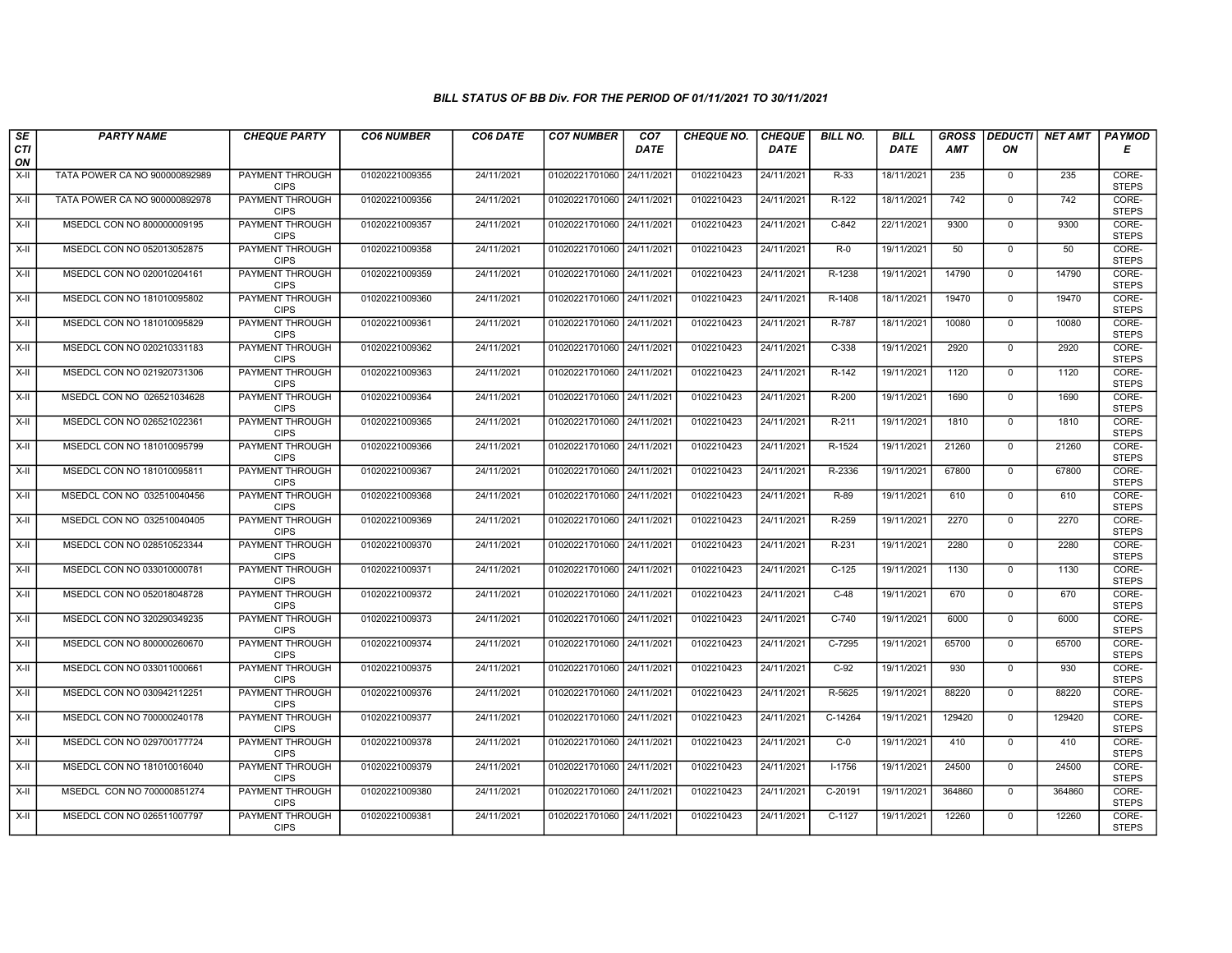| $\sqrt{SE}$ | <b>PARTY NAME</b>             | <b>CHEQUE PARTY</b>                   | <b>CO6 NUMBER</b> | CO6 DATE   | <b>CO7 NUMBER</b>         | CO <sub>7</sub> | <b>CHEQUE NO.</b> | <b>CHEQUE</b> | <b>BILL NO.</b> | <b>BILL</b> | <b>GROSS</b> | <b>DEDUCTI</b> | <b>NET AMT</b> | <b>PAYMOD</b>         |
|-------------|-------------------------------|---------------------------------------|-------------------|------------|---------------------------|-----------------|-------------------|---------------|-----------------|-------------|--------------|----------------|----------------|-----------------------|
| CTI<br>ON   |                               |                                       |                   |            |                           | <b>DATE</b>     |                   | <b>DATE</b>   |                 | <b>DATE</b> | <b>AMT</b>   | ΟN             |                | Е                     |
| $X-H$       | TATA POWER CA NO 900000892989 | PAYMENT THROUGH<br><b>CIPS</b>        | 01020221009355    | 24/11/2021 | 01020221701060 24/11/2021 |                 | 0102210423        | 24/11/2021    | $R-33$          | 18/11/2021  | 235          | $\overline{0}$ | 235            | CORE-<br><b>STEPS</b> |
| X-II        | TATA POWER CA NO 900000892978 | PAYMENT THROUGH<br><b>CIPS</b>        | 01020221009356    | 24/11/2021 | 01020221701060 24/11/2021 |                 | 0102210423        | 24/11/2021    | $R-122$         | 18/11/2021  | 742          | $\overline{0}$ | 742            | CORE-<br><b>STEPS</b> |
| X-II        | MSEDCL CON NO 800000009195    | PAYMENT THROUGH<br><b>CIPS</b>        | 01020221009357    | 24/11/2021 | 01020221701060 24/11/2021 |                 | 0102210423        | 24/11/2021    | $C-842$         | 22/11/2021  | 9300         | $\mathbf{0}$   | 9300           | CORE-<br><b>STEPS</b> |
| X-II        | MSEDCL CON NO 052013052875    | PAYMENT THROUGH<br><b>CIPS</b>        | 01020221009358    | 24/11/2021 | 01020221701060 24/11/2021 |                 | 0102210423        | 24/11/2021    | $R-0$           | 19/11/2021  | 50           | $\mathbf{0}$   | 50             | CORE-<br><b>STEPS</b> |
| X-II        | MSEDCL CON NO 020010204161    | PAYMENT THROUGH<br><b>CIPS</b>        | 01020221009359    | 24/11/2021 | 01020221701060 24/11/2021 |                 | 0102210423        | 24/11/2021    | R-1238          | 19/11/2021  | 14790        | $\mathbf{0}$   | 14790          | CORE-<br><b>STEPS</b> |
| X-II        | MSEDCL CON NO 181010095802    | <b>PAYMENT THROUGH</b><br><b>CIPS</b> | 01020221009360    | 24/11/2021 | 01020221701060 24/11/2021 |                 | 0102210423        | 24/11/2021    | R-1408          | 18/11/2021  | 19470        | $\Omega$       | 19470          | CORE-<br><b>STEPS</b> |
| X-II        | MSEDCL CON NO 181010095829    | PAYMENT THROUGH<br><b>CIPS</b>        | 01020221009361    | 24/11/2021 | 01020221701060 24/11/2021 |                 | 0102210423        | 24/11/2021    | R-787           | 18/11/2021  | 10080        | $\mathbf{0}$   | 10080          | CORE-<br><b>STEPS</b> |
| $X-H$       | MSEDCL CON NO 020210331183    | PAYMENT THROUGH<br><b>CIPS</b>        | 01020221009362    | 24/11/2021 | 01020221701060 24/11/2021 |                 | 0102210423        | 24/11/2021    | $C-338$         | 19/11/2021  | 2920         | $\overline{0}$ | 2920           | CORE-<br><b>STEPS</b> |
| X-II        | MSEDCL CON NO 021920731306    | <b>PAYMENT THROUGH</b><br><b>CIPS</b> | 01020221009363    | 24/11/2021 | 01020221701060 24/11/2021 |                 | 0102210423        | 24/11/2021    | $R-142$         | 19/11/2021  | 1120         | $\mathbf{0}$   | 1120           | CORE-<br><b>STEPS</b> |
| $X-H$       | MSEDCL CON NO 026521034628    | PAYMENT THROUGH<br><b>CIPS</b>        | 01020221009364    | 24/11/2021 | 01020221701060 24/11/2021 |                 | 0102210423        | 24/11/2021    | R-200           | 19/11/2021  | 1690         | $\overline{0}$ | 1690           | CORE-<br><b>STEPS</b> |
| X-II        | MSEDCL CON NO 026521022361    | PAYMENT THROUGH<br><b>CIPS</b>        | 01020221009365    | 24/11/2021 | 01020221701060            | 24/11/2021      | 0102210423        | 24/11/2021    | R-211           | 19/11/2021  | 1810         | $\mathbf{0}$   | 1810           | CORE-<br><b>STEPS</b> |
| X-II        | MSEDCL CON NO 181010095799    | PAYMENT THROUGH<br><b>CIPS</b>        | 01020221009366    | 24/11/2021 | 01020221701060 24/11/2021 |                 | 0102210423        | 24/11/2021    | R-1524          | 19/11/2021  | 21260        | $\mathbf 0$    | 21260          | CORE-<br><b>STEPS</b> |
| $X-H$       | MSEDCL CON NO 181010095811    | <b>PAYMENT THROUGH</b><br><b>CIPS</b> | 01020221009367    | 24/11/2021 | 01020221701060 24/11/2021 |                 | 0102210423        | 24/11/2021    | R-2336          | 19/11/2021  | 67800        | $\overline{0}$ | 67800          | CORE-<br><b>STEPS</b> |
| X-II        | MSEDCL CON NO 032510040456    | <b>PAYMENT THROUGH</b><br><b>CIPS</b> | 01020221009368    | 24/11/2021 | 01020221701060 24/11/2021 |                 | 0102210423        | 24/11/2021    | $R-89$          | 19/11/2021  | 610          | $\mathbf{0}$   | 610            | CORE-<br><b>STEPS</b> |
| X-II        | MSEDCL CON NO 032510040405    | PAYMENT THROUGH<br><b>CIPS</b>        | 01020221009369    | 24/11/2021 | 01020221701060 24/11/2021 |                 | 0102210423        | 24/11/2021    | R-259           | 19/11/2021  | 2270         | $\Omega$       | 2270           | CORE-<br><b>STEPS</b> |
| X-II        | MSEDCL CON NO 028510523344    | PAYMENT THROUGH<br><b>CIPS</b>        | 01020221009370    | 24/11/2021 | 01020221701060 24/11/2021 |                 | 0102210423        | 24/11/2021    | R-231           | 19/11/2021  | 2280         | $\mathbf{0}$   | 2280           | CORE-<br><b>STEPS</b> |
| X-II        | MSEDCL CON NO 033010000781    | PAYMENT THROUGH<br><b>CIPS</b>        | 01020221009371    | 24/11/2021 | 01020221701060 24/11/2021 |                 | 0102210423        | 24/11/2021    | $C-125$         | 19/11/2021  | 1130         | $\mathbf{0}$   | 1130           | CORE-<br><b>STEPS</b> |
| X-II        | MSEDCL CON NO 052018048728    | PAYMENT THROUGH<br><b>CIPS</b>        | 01020221009372    | 24/11/2021 | 01020221701060 24/11/2021 |                 | 0102210423        | 24/11/2021    | $C-48$          | 19/11/2021  | 670          | $\overline{0}$ | 670            | CORE-<br><b>STEPS</b> |
| X-II        | MSEDCL CON NO 320290349235    | PAYMENT THROUGH<br><b>CIPS</b>        | 01020221009373    | 24/11/2021 | 01020221701060 24/11/2021 |                 | 0102210423        | 24/11/2021    | $C-740$         | 19/11/2021  | 6000         | $\mathbf{0}$   | 6000           | CORE-<br><b>STEPS</b> |
| X-II        | MSEDCL CON NO 800000260670    | PAYMENT THROUGH<br><b>CIPS</b>        | 01020221009374    | 24/11/2021 | 01020221701060 24/11/2021 |                 | 0102210423        | 24/11/2021    | C-7295          | 19/11/2021  | 65700        | $\overline{0}$ | 65700          | CORE-<br><b>STEPS</b> |
| X-II        | MSEDCL CON NO 033011000661    | PAYMENT THROUGH<br><b>CIPS</b>        | 01020221009375    | 24/11/2021 | 01020221701060 24/11/2021 |                 | 0102210423        | 24/11/2021    | $C-92$          | 19/11/2021  | 930          | $\mathbf{0}$   | 930            | CORE-<br><b>STEPS</b> |
| X-II        | MSEDCL CON NO 030942112251    | PAYMENT THROUGH<br><b>CIPS</b>        | 01020221009376    | 24/11/2021 | 01020221701060 24/11/2021 |                 | 0102210423        | 24/11/2021    | R-5625          | 19/11/2021  | 88220        | $\Omega$       | 88220          | CORE-<br><b>STEPS</b> |
| X-II        | MSEDCL CON NO 700000240178    | PAYMENT THROUGH<br><b>CIPS</b>        | 01020221009377    | 24/11/2021 | 01020221701060            | 24/11/2021      | 0102210423        | 24/11/2021    | C-14264         | 19/11/2021  | 129420       | $\mathbf{0}$   | 129420         | CORE-<br><b>STEPS</b> |
| X-II        | MSEDCL CON NO 029700177724    | PAYMENT THROUGH<br><b>CIPS</b>        | 01020221009378    | 24/11/2021 | 01020221701060            | 24/11/2021      | 0102210423        | 24/11/2021    | $C-0$           | 19/11/2021  | 410          | $\Omega$       | 410            | CORE-<br><b>STEPS</b> |
| X-II        | MSEDCL CON NO 181010016040    | PAYMENT THROUGH<br><b>CIPS</b>        | 01020221009379    | 24/11/2021 | 01020221701060 24/11/2021 |                 | 0102210423        | 24/11/2021    | $I-1756$        | 19/11/2021  | 24500        | $\Omega$       | 24500          | CORE-<br><b>STEPS</b> |
| X-II        | MSEDCL CON NO 700000851274    | <b>PAYMENT THROUGH</b><br><b>CIPS</b> | 01020221009380    | 24/11/2021 | 01020221701060 24/11/2021 |                 | 0102210423        | 24/11/2021    | $C-20191$       | 19/11/2021  | 364860       | $\overline{0}$ | 364860         | CORE-<br><b>STEPS</b> |
| X-II        | MSEDCL CON NO 026511007797    | PAYMENT THROUGH<br><b>CIPS</b>        | 01020221009381    | 24/11/2021 | 01020221701060 24/11/2021 |                 | 0102210423        | 24/11/2021    | $C-1127$        | 19/11/2021  | 12260        | $\mathbf{0}$   | 12260          | CORE-<br><b>STEPS</b> |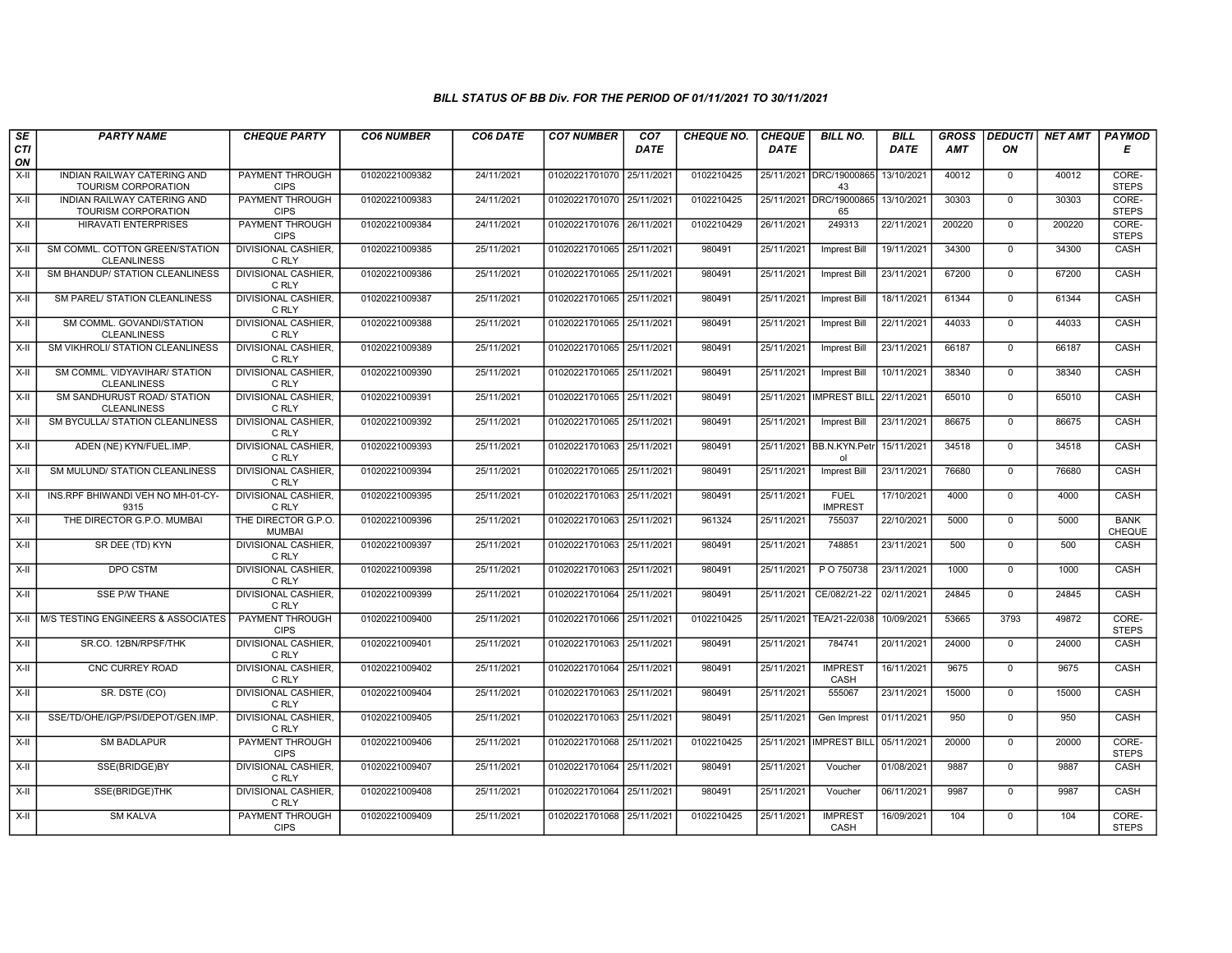| SE<br>CTI | <b>PARTY NAME</b>                                    | <b>CHEQUE PARTY</b>                   | <b>CO6 NUMBER</b> | CO6 DATE   | <b>CO7 NUMBER</b>         | CO <sub>7</sub><br><b>DATE</b> | <b>CHEQUE NO.</b> | <b>CHEQUE</b><br><b>DATE</b> | <b>BILL NO.</b>                | <b>BILL</b><br><b>DATE</b> | <b>GROSS</b><br><b>AMT</b> | <b>DEDUCTI</b><br>ON | <b>NET AMT</b> | <b>PAYMOD</b><br>Е           |
|-----------|------------------------------------------------------|---------------------------------------|-------------------|------------|---------------------------|--------------------------------|-------------------|------------------------------|--------------------------------|----------------------------|----------------------------|----------------------|----------------|------------------------------|
| ON        |                                                      |                                       |                   |            |                           |                                |                   |                              |                                |                            |                            |                      |                |                              |
| $X-H$     | INDIAN RAILWAY CATERING AND<br>TOURISM CORPORATION   | <b>PAYMENT THROUGH</b><br><b>CIPS</b> | 01020221009382    | 24/11/2021 | 01020221701070 25/11/2021 |                                | 0102210425        |                              | 25/11/2021 DRC/19000865<br>43  | 13/10/2021                 | 40012                      | $\mathbf 0$          | 40012          | CORE-<br><b>STEPS</b>        |
| X-II      | INDIAN RAILWAY CATERING AND<br>TOURISM CORPORATION   | PAYMENT THROUGH<br><b>CIPS</b>        | 01020221009383    | 24/11/2021 | 01020221701070 25/11/2021 |                                | 0102210425        |                              | 25/11/2021 DRC/19000865<br>65  | 13/10/2021                 | 30303                      | $\overline{0}$       | 30303          | CORE-<br><b>STEPS</b>        |
| X-II      | <b>HIRAVATI ENTERPRISES</b>                          | PAYMENT THROUGH<br><b>CIPS</b>        | 01020221009384    | 24/11/2021 | 01020221701076 26/11/2021 |                                | 0102210429        | 26/11/2021                   | 249313                         | 22/11/2021                 | 200220                     | $\mathbf 0$          | 200220         | CORE-<br><b>STEPS</b>        |
| $X-II$    | SM COMML. COTTON GREEN/STATION<br><b>CLEANLINESS</b> | DIVISIONAL CASHIER.<br>C RLY          | 01020221009385    | 25/11/2021 | 01020221701065 25/11/2021 |                                | 980491            | 25/11/2021                   | Imprest Bill                   | 19/11/2021                 | 34300                      | $\overline{0}$       | 34300          | CASH                         |
| $X-H$     | SM BHANDUP/ STATION CLEANLINESS                      | <b>DIVISIONAL CASHIER.</b><br>C RLY   | 01020221009386    | 25/11/2021 | 01020221701065 25/11/2021 |                                | 980491            | 25/11/2021                   | Imprest Bill                   | 23/11/2021                 | 67200                      | $\overline{0}$       | 67200          | <b>CASH</b>                  |
| X-II      | SM PAREL/ STATION CLEANLINESS                        | <b>DIVISIONAL CASHIER.</b><br>C RLY   | 01020221009387    | 25/11/2021 | 01020221701065 25/11/2021 |                                | 980491            | 25/11/2021                   | <b>Imprest Bill</b>            | 18/11/2021                 | 61344                      | $\overline{0}$       | 61344          | <b>CASH</b>                  |
| $X-H$     | SM COMML. GOVANDI/STATION<br><b>CLEANLINESS</b>      | <b>DIVISIONAL CASHIER.</b><br>C RLY   | 01020221009388    | 25/11/2021 | 01020221701065 25/11/2021 |                                | 980491            | 25/11/2021                   | <b>Imprest Bill</b>            | 22/11/2021                 | 44033                      | $\mathbf{0}$         | 44033          | CASH                         |
| X-II      | SM VIKHROLI/ STATION CLEANLINESS                     | DIVISIONAL CASHIER.<br>C RLY          | 01020221009389    | 25/11/2021 | 01020221701065 25/11/2021 |                                | 980491            | 25/11/2021                   | Imprest Bill                   | 23/11/2021                 | 66187                      | $\mathbf 0$          | 66187          | CASH                         |
| $X-II$    | SM COMML, VIDYAVIHAR/ STATION<br><b>CLEANLINESS</b>  | <b>DIVISIONAL CASHIER.</b><br>C RLY   | 01020221009390    | 25/11/2021 | 01020221701065 25/11/2021 |                                | 980491            | 25/11/2021                   | Imprest Bill                   | 10/11/2021                 | 38340                      | $\overline{0}$       | 38340          | CASH                         |
| X-II      | SM SANDHURUST ROAD/ STATION<br><b>CLEANLINESS</b>    | <b>DIVISIONAL CASHIER.</b><br>C RLY   | 01020221009391    | 25/11/2021 | 01020221701065 25/11/2021 |                                | 980491            |                              | 25/11/2021 IMPREST BILL        | 22/11/2021                 | 65010                      | $\mathbf 0$          | 65010          | CASH                         |
| X-II      | SM BYCULLA/ STATION CLEANLINESS                      | <b>DIVISIONAL CASHIER,</b><br>C RLY   | 01020221009392    | 25/11/2021 | 01020221701065 25/11/2021 |                                | 980491            | 25/11/2021                   | Imprest Bill                   | 23/11/2021                 | 86675                      | $\mathsf 0$          | 86675          | CASH                         |
| X-II      | ADEN (NE) KYN/FUEL.IMP.                              | <b>DIVISIONAL CASHIER.</b><br>C RLY   | 01020221009393    | 25/11/2021 | 01020221701063 25/11/2021 |                                | 980491            |                              | 25/11/2021 BB.N.KYN.Petr<br>ol | 15/11/2021                 | 34518                      | $\overline{0}$       | 34518          | CASH                         |
| X-II      | SM MULUND/ STATION CLEANLINESS                       | <b>DIVISIONAL CASHIER.</b><br>C RLY   | 01020221009394    | 25/11/2021 | 01020221701065 25/11/2021 |                                | 980491            | 25/11/2021                   | <b>Imprest Bill</b>            | 23/11/2021                 | 76680                      | $\mathbf 0$          | 76680          | CASH                         |
| X-II      | INS.RPF BHIWANDI VEH NO MH-01-CY-<br>9315            | <b>DIVISIONAL CASHIER.</b><br>C RLY   | 01020221009395    | 25/11/2021 | 01020221701063 25/11/2021 |                                | 980491            | 25/11/2021                   | <b>FUEL</b><br><b>IMPREST</b>  | 17/10/2021                 | 4000                       | $\overline{0}$       | 4000           | <b>CASH</b>                  |
| X-II      | THE DIRECTOR G.P.O. MUMBAI                           | THE DIRECTOR G.P.O.<br><b>MUMBAI</b>  | 01020221009396    | 25/11/2021 | 01020221701063 25/11/2021 |                                | 961324            | 25/11/2021                   | 755037                         | 22/10/2021                 | 5000                       | $\mathbf 0$          | 5000           | <b>BANK</b><br><b>CHEQUE</b> |
| X-II      | SR DEE (TD) KYN                                      | <b>DIVISIONAL CASHIER.</b><br>C RLY   | 01020221009397    | 25/11/2021 | 01020221701063 25/11/2021 |                                | 980491            | 25/11/2021                   | 748851                         | 23/11/2021                 | 500                        | $\overline{0}$       | 500            | CASH                         |
| X-II      | <b>DPO CSTM</b>                                      | <b>DIVISIONAL CASHIER.</b><br>C RLY   | 01020221009398    | 25/11/2021 | 01020221701063 25/11/2021 |                                | 980491            | 25/11/2021                   | P O 750738                     | 23/11/2021                 | 1000                       | $\mathbf 0$          | 1000           | CASH                         |
| X-II      | <b>SSE P/W THANE</b>                                 | <b>DIVISIONAL CASHIER.</b><br>C RLY   | 01020221009399    | 25/11/2021 | 01020221701064 25/11/2021 |                                | 980491            | 25/11/2021                   | CE/082/21-22                   | 02/11/2021                 | 24845                      | $\mathbf 0$          | 24845          | CASH                         |
| X-II      | <b>M/S TESTING ENGINEERS &amp; ASSOCIATES</b>        | PAYMENT THROUGH<br><b>CIPS</b>        | 01020221009400    | 25/11/2021 | 01020221701066 25/11/2021 |                                | 0102210425        | 25/11/2021                   | TEA/21-22/038                  | 10/09/2021                 | 53665                      | 3793                 | 49872          | CORE-<br><b>STEPS</b>        |
| X-II      | SR.CO. 12BN/RPSF/THK                                 | <b>DIVISIONAL CASHIER.</b><br>C RLY   | 01020221009401    | 25/11/2021 | 01020221701063 25/11/2021 |                                | 980491            | 25/11/2021                   | 784741                         | 20/11/2021                 | 24000                      | $\mathbf 0$          | 24000          | CASH                         |
| X-II      | CNC CURREY ROAD                                      | <b>DIVISIONAL CASHIER.</b><br>C RLY   | 01020221009402    | 25/11/2021 | 01020221701064 25/11/2021 |                                | 980491            | 25/11/2021                   | <b>IMPREST</b><br>CASH         | 16/11/2021                 | 9675                       | $\overline{0}$       | 9675           | <b>CASH</b>                  |
| X-II      | SR. DSTE (CO)                                        | <b>DIVISIONAL CASHIER.</b><br>C RLY   | 01020221009404    | 25/11/2021 | 01020221701063 25/11/2021 |                                | 980491            | 25/11/2021                   | 555067                         | 23/11/2021                 | 15000                      | $\mathbf 0$          | 15000          | CASH                         |
| X-II      | SSE/TD/OHE/IGP/PSI/DEPOT/GEN.IMP                     | DIVISIONAL CASHIER.<br>C RLY          | 01020221009405    | 25/11/2021 | 01020221701063 25/11/2021 |                                | 980491            | 25/11/2021                   | Gen Imprest                    | 01/11/2021                 | 950                        | $\mathbf 0$          | 950            | CASH                         |
| X-II      | <b>SM BADLAPUR</b>                                   | PAYMENT THROUGH<br><b>CIPS</b>        | 01020221009406    | 25/11/2021 | 01020221701068 25/11/2021 |                                | 0102210425        |                              | 25/11/2021 IMPREST BILI        | 05/11/2021                 | 20000                      | $\mathbf{0}$         | 20000          | CORE-<br><b>STEPS</b>        |
| X-II      | SSE(BRIDGE)BY                                        | <b>DIVISIONAL CASHIER,</b><br>C RLY   | 01020221009407    | 25/11/2021 | 01020221701064 25/11/2021 |                                | 980491            | 25/11/2021                   | Voucher                        | 01/08/2021                 | 9887                       | $\mathbf{0}$         | 9887           | CASH                         |
| X-II      | SSE(BRIDGE)THK                                       | <b>DIVISIONAL CASHIER.</b><br>C RLY   | 01020221009408    | 25/11/2021 | 01020221701064 25/11/2021 |                                | 980491            | 25/11/2021                   | Voucher                        | 06/11/2021                 | 9987                       | $\overline{0}$       | 9987           | CASH                         |
| X-II      | <b>SM KALVA</b>                                      | PAYMENT THROUGH<br><b>CIPS</b>        | 01020221009409    | 25/11/2021 | 01020221701068 25/11/2021 |                                | 0102210425        | 25/11/2021                   | <b>IMPREST</b><br>CASH         | 16/09/2021                 | 104                        | $\mathbf{0}$         | 104            | CORE-<br><b>STEPS</b>        |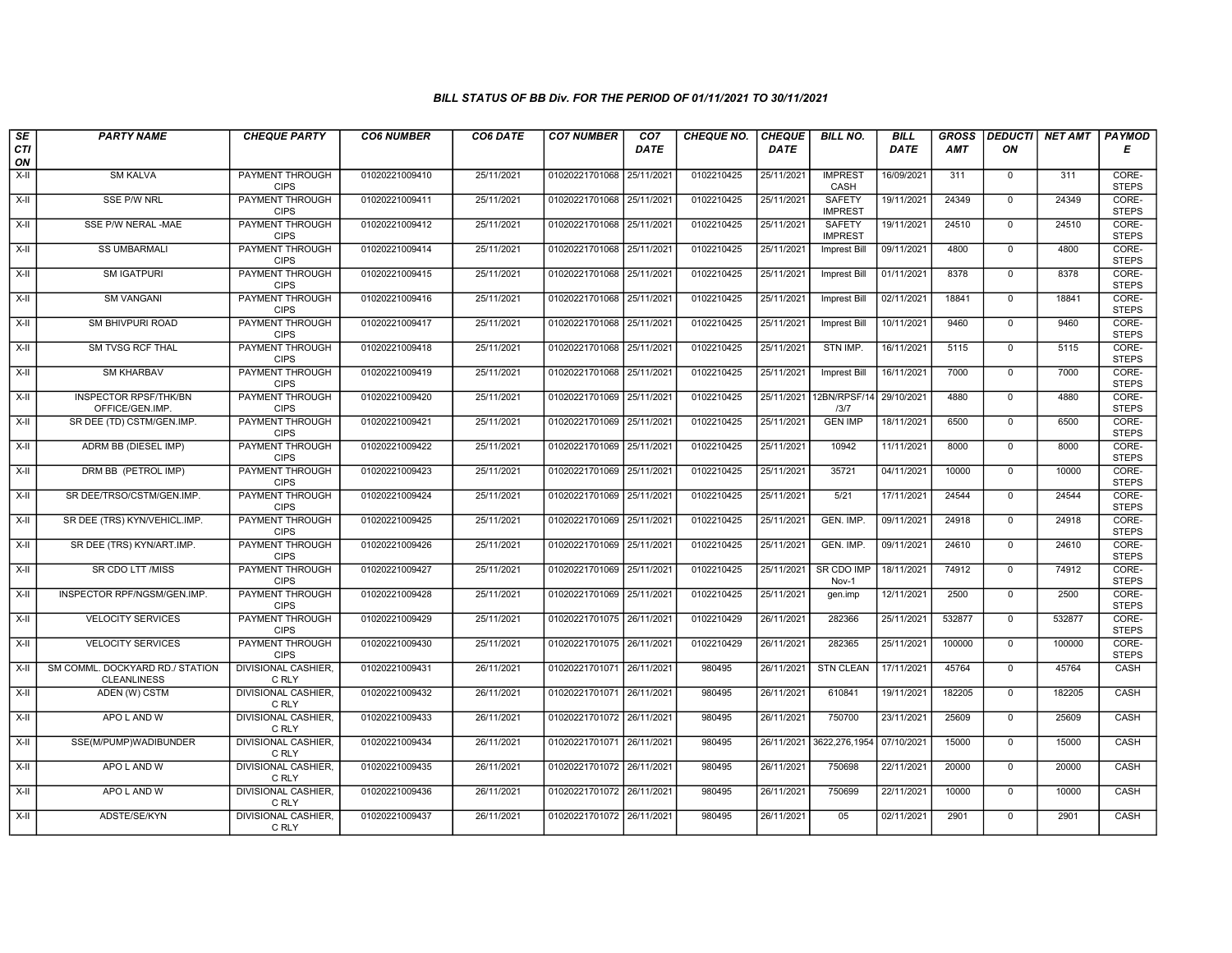| SE        | <b>PARTY NAME</b>                                     | <b>CHEQUE PARTY</b>                   | <b>CO6 NUMBER</b> | CO6 DATE   | <b>CO7 NUMBER</b>         | CO <sub>7</sub> | CHEQUE NO. | <b>CHEQUE</b> | <b>BILL NO.</b>                 | <b>BILL</b> | <b>GROSS</b> |                | DEDUCTI NET AMT | <b>PAYMOD</b>         |
|-----------|-------------------------------------------------------|---------------------------------------|-------------------|------------|---------------------------|-----------------|------------|---------------|---------------------------------|-------------|--------------|----------------|-----------------|-----------------------|
| CTI<br>ON |                                                       |                                       |                   |            |                           | <b>DATE</b>     |            | DATE          |                                 | DATE        | AMT          | ON             |                 | Е                     |
| $X-H$     | <b>SM KALVA</b>                                       | <b>PAYMENT THROUGH</b><br><b>CIPS</b> | 01020221009410    | 25/11/2021 | 01020221701068 25/11/2021 |                 | 0102210425 | 25/11/2021    | <b>IMPREST</b><br>CASH          | 16/09/2021  | 311          | $\overline{0}$ | 311             | CORE-<br><b>STEPS</b> |
| X-II      | <b>SSE P/W NRL</b>                                    | <b>PAYMENT THROUGH</b><br><b>CIPS</b> | 01020221009411    | 25/11/2021 | 01020221701068 25/11/2021 |                 | 0102210425 | 25/11/2021    | <b>SAFETY</b><br><b>IMPREST</b> | 19/11/2021  | 24349        | $\mathbf{0}$   | 24349           | CORE-<br><b>STEPS</b> |
| X-II      | SSE P/W NERAL -MAE                                    | <b>PAYMENT THROUGH</b><br><b>CIPS</b> | 01020221009412    | 25/11/2021 | 01020221701068 25/11/2021 |                 | 0102210425 | 25/11/2021    | <b>SAFETY</b><br><b>IMPREST</b> | 19/11/2021  | 24510        | $\mathsf 0$    | 24510           | CORE-<br><b>STEPS</b> |
| $X-II$    | <b>SS UMBARMALI</b>                                   | PAYMENT THROUGH<br><b>CIPS</b>        | 01020221009414    | 25/11/2021 | 01020221701068 25/11/2021 |                 | 0102210425 | 25/11/2021    | <b>Imprest Bill</b>             | 09/11/2021  | 4800         | $\overline{0}$ | 4800            | CORE-<br><b>STEPS</b> |
| $X-H$     | <b>SM IGATPURI</b>                                    | <b>PAYMENT THROUGH</b><br><b>CIPS</b> | 01020221009415    | 25/11/2021 | 01020221701068 25/11/2021 |                 | 0102210425 | 25/11/2021    | Imprest Bill                    | 01/11/2021  | 8378         | $\mathbf 0$    | 8378            | CORE-<br><b>STEPS</b> |
| $X-H$     | <b>SM VANGANI</b>                                     | <b>PAYMENT THROUGH</b><br><b>CIPS</b> | 01020221009416    | 25/11/2021 | 01020221701068 25/11/2021 |                 | 0102210425 | 25/11/2021    | Imprest Bill                    | 02/11/2021  | 18841        | $\mathbf{0}$   | 18841           | CORE-<br><b>STEPS</b> |
| X-II      | SM BHIVPURI ROAD                                      | PAYMENT THROUGH<br><b>CIPS</b>        | 01020221009417    | 25/11/2021 | 01020221701068 25/11/2021 |                 | 0102210425 | 25/11/2021    | Imprest Bill                    | 10/11/2021  | 9460         | $\mathbf{0}$   | 9460            | CORE-<br><b>STEPS</b> |
| X-II      | SM TVSG RCF THAL                                      | <b>PAYMENT THROUGH</b><br><b>CIPS</b> | 01020221009418    | 25/11/2021 | 01020221701068 25/11/2021 |                 | 0102210425 | 25/11/2021    | STN IMP.                        | 16/11/2021  | 5115         | $\overline{0}$ | 5115            | CORE-<br><b>STEPS</b> |
| X-II      | <b>SM KHARBAV</b>                                     | <b>PAYMENT THROUGH</b><br><b>CIPS</b> | 01020221009419    | 25/11/2021 | 01020221701068 25/11/2021 |                 | 0102210425 | 25/11/2021    | Imprest Bill                    | 16/11/2021  | 7000         | $\mathbf{0}$   | 7000            | CORE-<br><b>STEPS</b> |
| $X-H$     | <b>INSPECTOR RPSF/THK/BN</b><br>OFFICE/GEN.IMP.       | <b>PAYMENT THROUGH</b><br><b>CIPS</b> | 01020221009420    | 25/11/2021 | 01020221701069 25/11/2021 |                 | 0102210425 | 25/11/2021    | 12BN/RPSF/14<br>13/7            | 29/10/2021  | 4880         | $\overline{0}$ | 4880            | CORE-<br><b>STEPS</b> |
| X-II      | SR DEE (TD) CSTM/GEN.IMP.                             | PAYMENT THROUGH<br><b>CIPS</b>        | 01020221009421    | 25/11/2021 | 01020221701069 25/11/2021 |                 | 0102210425 | 25/11/2021    | <b>GEN IMP</b>                  | 18/11/2021  | 6500         | $\mathbf 0$    | 6500            | CORE-<br><b>STEPS</b> |
| $X-II$    | ADRM BB (DIESEL IMP)                                  | PAYMENT THROUGH<br><b>CIPS</b>        | 01020221009422    | 25/11/2021 | 01020221701069 25/11/2021 |                 | 0102210425 | 25/11/2021    | 10942                           | 11/11/2021  | 8000         | $\overline{0}$ | 8000            | CORE-<br><b>STEPS</b> |
| $X-H$     | DRM BB (PETROL IMP)                                   | <b>PAYMENT THROUGH</b><br><b>CIPS</b> | 01020221009423    | 25/11/2021 | 01020221701069 25/11/2021 |                 | 0102210425 | 25/11/2021    | 35721                           | 04/11/2021  | 10000        | $\mathbf 0$    | 10000           | CORE-<br><b>STEPS</b> |
| $X-H$     | SR DEE/TRSO/CSTM/GEN.IMP.                             | <b>PAYMENT THROUGH</b><br><b>CIPS</b> | 01020221009424    | 25/11/2021 | 01020221701069 25/11/2021 |                 | 0102210425 | 25/11/2021    | 5/21                            | 17/11/2021  | 24544        | $\overline{0}$ | 24544           | CORE-<br><b>STEPS</b> |
| X-II      | SR DEE (TRS) KYN/VEHICL.IMP.                          | PAYMENT THROUGH<br><b>CIPS</b>        | 01020221009425    | 25/11/2021 | 01020221701069 25/11/2021 |                 | 0102210425 | 25/11/2021    | GEN. IMP.                       | 09/11/2021  | 24918        | $\mathbf{0}$   | 24918           | CORE-<br><b>STEPS</b> |
| X-II      | SR DEE (TRS) KYN/ART.IMP.                             | <b>PAYMENT THROUGH</b><br><b>CIPS</b> | 01020221009426    | 25/11/2021 | 01020221701069 25/11/2021 |                 | 0102210425 | 25/11/2021    | GEN. IMP.                       | 09/11/2021  | 24610        | $\overline{0}$ | 24610           | CORE-<br><b>STEPS</b> |
| $X-II$    | SR CDO LTT /MISS                                      | <b>PAYMENT THROUGH</b><br><b>CIPS</b> | 01020221009427    | 25/11/2021 | 01020221701069 25/11/2021 |                 | 0102210425 | 25/11/2021    | <b>SR CDO IMP</b><br>Nov-1      | 18/11/2021  | 74912        | $\overline{0}$ | 74912           | CORE-<br><b>STEPS</b> |
| $X-H$     | INSPECTOR RPF/NGSM/GEN.IMP.                           | <b>PAYMENT THROUGH</b><br><b>CIPS</b> | 01020221009428    | 25/11/2021 | 01020221701069 25/11/2021 |                 | 0102210425 | 25/11/2021    | gen.imp                         | 12/11/2021  | 2500         | $\overline{0}$ | 2500            | CORE-<br><b>STEPS</b> |
| X-II      | <b>VELOCITY SERVICES</b>                              | PAYMENT THROUGH<br><b>CIPS</b>        | 01020221009429    | 25/11/2021 | 01020221701075 26/11/2021 |                 | 0102210429 | 26/11/2021    | 282366                          | 25/11/2021  | 532877       | $\mathbf{0}$   | 532877          | CORE-<br><b>STEPS</b> |
| X-II      | <b>VELOCITY SERVICES</b>                              | PAYMENT THROUGH<br><b>CIPS</b>        | 01020221009430    | 25/11/2021 | 01020221701075 26/11/2021 |                 | 0102210429 | 26/11/2021    | 282365                          | 25/11/2021  | 100000       | $\mathsf 0$    | 100000          | CORE-<br><b>STEPS</b> |
| X-II      | SM COMML. DOCKYARD RD./ STATION<br><b>CLEANLINESS</b> | <b>DIVISIONAL CASHIER,</b><br>C RLY   | 01020221009431    | 26/11/2021 | 01020221701071 26/11/2021 |                 | 980495     | 26/11/2021    | <b>STN CLEAN</b>                | 17/11/2021  | 45764        | $\mathbf{0}$   | 45764           | CASH                  |
| X-II      | ADEN (W) CSTM                                         | <b>DIVISIONAL CASHIER,</b><br>C RLY   | 01020221009432    | 26/11/2021 | 01020221701071 26/11/2021 |                 | 980495     | 26/11/2021    | 610841                          | 19/11/2021  | 182205       | $\mathbf 0$    | 182205          | <b>CASH</b>           |
| X-II      | APO L AND W                                           | <b>DIVISIONAL CASHIER</b><br>C RLY    | 01020221009433    | 26/11/2021 | 01020221701072 26/11/2021 |                 | 980495     | 26/11/2021    | 750700                          | 23/11/2021  | 25609        | $\mathbf 0$    | 25609           | CASH                  |
| $X-H$     | SSE(M/PUMP)WADIBUNDER                                 | DIVISIONAL CASHIER,<br>C RLY          | 01020221009434    | 26/11/2021 | 01020221701071            | 26/11/2021      | 980495     | 26/11/2021    | 3622,276,1954                   | 07/10/2021  | 15000        | $\mathbf{0}$   | 15000           | CASH                  |
| $X-H$     | APO L AND W                                           | <b>DIVISIONAL CASHIER,</b><br>C RLY   | 01020221009435    | 26/11/2021 | 01020221701072 26/11/2021 |                 | 980495     | 26/11/2021    | 750698                          | 22/11/2021  | 20000        | $\overline{0}$ | 20000           | CASH                  |
| $X-H$     | APO L AND W                                           | <b>DIVISIONAL CASHIER,</b><br>C RLY   | 01020221009436    | 26/11/2021 | 01020221701072 26/11/2021 |                 | 980495     | 26/11/2021    | 750699                          | 22/11/2021  | 10000        | $\overline{0}$ | 10000           | CASH                  |
| X-II      | ADSTE/SE/KYN                                          | DIVISIONAL CASHIER,<br>C RLY          | 01020221009437    | 26/11/2021 | 01020221701072 26/11/2021 |                 | 980495     | 26/11/2021    | 05                              | 02/11/2021  | 2901         | $\mathbf{0}$   | 2901            | CASH                  |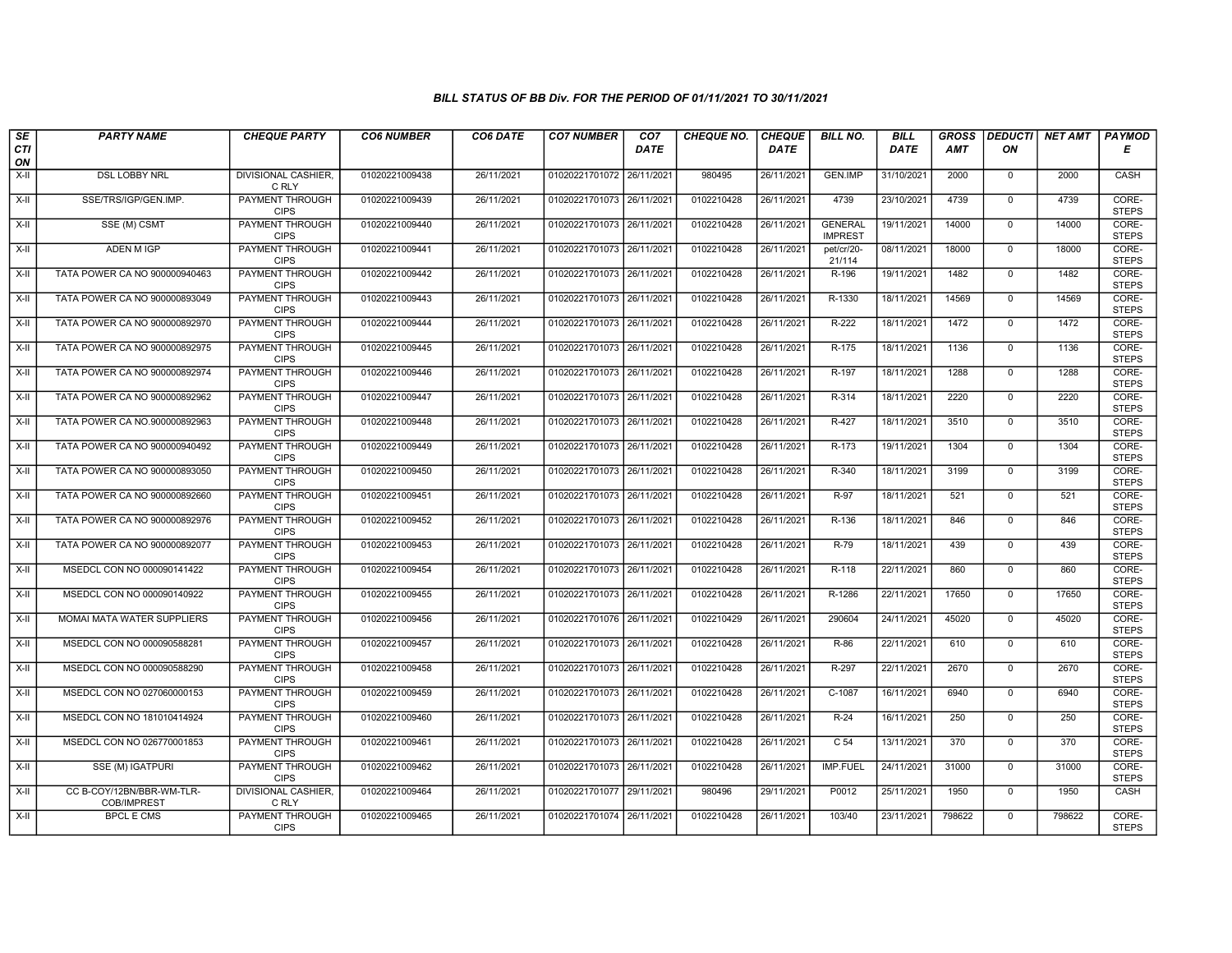| SE               | <b>PARTY NAME</b>                        | <b>CHEQUE PARTY</b>                   | <b>CO6 NUMBER</b> | CO6 DATE   | <b>CO7 NUMBER</b>         | CO <sub>7</sub> | <b>CHEQUE NO.</b> | <b>CHEQUE</b> | <b>BILL NO.</b>                  | <b>BILL</b> | <b>GROSS</b> | <b>DEDUCTI</b> | NET AMT | <b>PAYMOD</b>         |
|------------------|------------------------------------------|---------------------------------------|-------------------|------------|---------------------------|-----------------|-------------------|---------------|----------------------------------|-------------|--------------|----------------|---------|-----------------------|
| <b>CTI</b><br>ON |                                          |                                       |                   |            |                           | <b>DATE</b>     |                   | <b>DATE</b>   |                                  | <b>DATE</b> | <b>AMT</b>   | ΟN             |         | Е                     |
| $X-H$            | <b>DSL LOBBY NRL</b>                     | <b>DIVISIONAL CASHIER,</b><br>C RLY   | 01020221009438    | 26/11/2021 | 01020221701072 26/11/2021 |                 | 980495            | 26/11/2021    | <b>GEN.IMP</b>                   | 31/10/2021  | 2000         | $\mathbf 0$    | 2000    | CASH                  |
| $X-H$            | SSE/TRS/IGP/GEN.IMP.                     | <b>PAYMENT THROUGH</b><br><b>CIPS</b> | 01020221009439    | 26/11/2021 | 01020221701073 26/11/2021 |                 | 0102210428        | 26/11/2021    | 4739                             | 23/10/2021  | 4739         | $\mathbf{0}$   | 4739    | CORE-<br><b>STEPS</b> |
| $X-II$           | SSE (M) CSMT                             | PAYMENT THROUGH<br><b>CIPS</b>        | 01020221009440    | 26/11/2021 | 01020221701073 26/11/2021 |                 | 0102210428        | 26/11/2021    | <b>GENERAL</b><br><b>IMPREST</b> | 19/11/2021  | 14000        | $\mathbf 0$    | 14000   | CORE-<br><b>STEPS</b> |
| X-II             | ADEN M IGP                               | PAYMENT THROUGH<br><b>CIPS</b>        | 01020221009441    | 26/11/2021 | 01020221701073 26/11/2021 |                 | 0102210428        | 26/11/2021    | pet/cr/20-<br>21/114             | 08/11/2021  | 18000        | $\Omega$       | 18000   | CORE-<br><b>STEPS</b> |
| $X-H$            | TATA POWER CA NO 900000940463            | <b>PAYMENT THROUGH</b><br><b>CIPS</b> | 01020221009442    | 26/11/2021 | 01020221701073 26/11/2021 |                 | 0102210428        | 26/11/2021    | R-196                            | 19/11/2021  | 1482         | $\overline{0}$ | 1482    | CORE-<br><b>STEPS</b> |
| X-II             | TATA POWER CA NO 900000893049            | <b>PAYMENT THROUGH</b><br><b>CIPS</b> | 01020221009443    | 26/11/2021 | 01020221701073 26/11/2021 |                 | 0102210428        | 26/11/2021    | R-1330                           | 18/11/2021  | 14569        | $\mathbf{0}$   | 14569   | CORE-<br><b>STEPS</b> |
| X-II             | TATA POWER CA NO 900000892970            | PAYMENT THROUGH<br><b>CIPS</b>        | 01020221009444    | 26/11/2021 | 01020221701073 26/11/2021 |                 | 0102210428        | 26/11/2021    | R-222                            | 18/11/2021  | 1472         | $\mathbf{0}$   | 1472    | CORE-<br><b>STEPS</b> |
| $X-H$            | TATA POWER CA NO 900000892975            | <b>PAYMENT THROUGH</b><br><b>CIPS</b> | 01020221009445    | 26/11/2021 | 01020221701073 26/11/2021 |                 | 0102210428        | 26/11/2021    | $R-175$                          | 18/11/2021  | 1136         | $\mathbf 0$    | 1136    | CORE-<br><b>STEPS</b> |
| X-II             | TATA POWER CA NO 900000892974            | <b>PAYMENT THROUGH</b><br><b>CIPS</b> | 01020221009446    | 26/11/2021 | 01020221701073 26/11/2021 |                 | 0102210428        | 26/11/2021    | R-197                            | 18/11/2021  | 1288         | $\mathbf 0$    | 1288    | CORE-<br><b>STEPS</b> |
| $X-H$            | TATA POWER CA NO 900000892962            | <b>PAYMENT THROUGH</b><br><b>CIPS</b> | 01020221009447    | 26/11/2021 | 01020221701073 26/11/2021 |                 | 0102210428        | 26/11/2021    | R-314                            | 18/11/2021  | 2220         | $\overline{0}$ | 2220    | CORE-<br><b>STEPS</b> |
| X-II             | TATA POWER CA NO.900000892963            | PAYMENT THROUGH<br><b>CIPS</b>        | 01020221009448    | 26/11/2021 | 01020221701073 26/11/2021 |                 | 0102210428        | 26/11/2021    | R-427                            | 18/11/2021  | 3510         | $\mathbf{0}$   | 3510    | CORE-<br><b>STEPS</b> |
| $X-H$            | TATA POWER CA NO 900000940492            | PAYMENT THROUGH<br><b>CIPS</b>        | 01020221009449    | 26/11/2021 | 01020221701073 26/11/2021 |                 | 0102210428        | 26/11/2021    | $R-173$                          | 19/11/2021  | 1304         | $\overline{0}$ | 1304    | CORE-<br><b>STEPS</b> |
| X-II             | TATA POWER CA NO 900000893050            | <b>PAYMENT THROUGH</b><br><b>CIPS</b> | 01020221009450    | 26/11/2021 | 01020221701073 26/11/2021 |                 | 0102210428        | 26/11/2021    | R-340                            | 18/11/2021  | 3199         | $\mathbf 0$    | 3199    | CORE-<br><b>STEPS</b> |
| X-II             | TATA POWER CA NO 900000892660            | <b>PAYMENT THROUGH</b><br><b>CIPS</b> | 01020221009451    | 26/11/2021 | 01020221701073 26/11/2021 |                 | 0102210428        | 26/11/2021    | $R-97$                           | 18/11/2021  | 521          | $\overline{0}$ | 521     | CORE-<br><b>STEPS</b> |
| $X-H$            | TATA POWER CA NO 900000892976            | PAYMENT THROUGH<br><b>CIPS</b>        | 01020221009452    | 26/11/2021 | 01020221701073 26/11/2021 |                 | 0102210428        | 26/11/2021    | R-136                            | 18/11/2021  | 846          | $\mathbf{0}$   | 846     | CORE-<br><b>STEPS</b> |
| X-II             | TATA POWER CA NO 900000892077            | <b>PAYMENT THROUGH</b><br><b>CIPS</b> | 01020221009453    | 26/11/2021 | 01020221701073 26/11/2021 |                 | 0102210428        | 26/11/2021    | R-79                             | 18/11/2021  | 439          | $\overline{0}$ | 439     | CORE-<br><b>STEPS</b> |
| X-II             | MSEDCL CON NO 000090141422               | <b>PAYMENT THROUGH</b><br><b>CIPS</b> | 01020221009454    | 26/11/2021 | 01020221701073 26/11/2021 |                 | 0102210428        | 26/11/2021    | R-118                            | 22/11/2021  | 860          | $\mathbf{0}$   | 860     | CORE-<br><b>STEPS</b> |
| $X-H$            | MSEDCL CON NO 000090140922               | <b>PAYMENT THROUGH</b><br><b>CIPS</b> | 01020221009455    | 26/11/2021 | 01020221701073 26/11/2021 |                 | 0102210428        | 26/11/2021    | R-1286                           | 22/11/2021  | 17650        | $\overline{0}$ | 17650   | CORE-<br><b>STEPS</b> |
| X-II             | MOMAI MATA WATER SUPPLIERS               | PAYMENT THROUGH<br><b>CIPS</b>        | 01020221009456    | 26/11/2021 | 01020221701076 26/11/2021 |                 | 0102210429        | 26/11/2021    | 290604                           | 24/11/2021  | 45020        | $\mathbf 0$    | 45020   | CORE-<br><b>STEPS</b> |
| X-II             | MSEDCL CON NO 000090588281               | PAYMENT THROUGH<br><b>CIPS</b>        | 01020221009457    | 26/11/2021 | 01020221701073 26/11/2021 |                 | 0102210428        | 26/11/2021    | R-86                             | 22/11/2021  | 610          | $\Omega$       | 610     | CORE-<br><b>STEPS</b> |
| $X-H$            | MSEDCL CON NO 000090588290               | PAYMENT THROUGH<br><b>CIPS</b>        | 01020221009458    | 26/11/2021 | 01020221701073 26/11/2021 |                 | 0102210428        | 26/11/2021    | R-297                            | 22/11/2021  | 2670         | $\mathbf{0}$   | 2670    | CORE-<br><b>STEPS</b> |
| X-II             | MSEDCL CON NO 027060000153               | <b>PAYMENT THROUGH</b><br><b>CIPS</b> | 01020221009459    | 26/11/2021 | 01020221701073 26/11/2021 |                 | 0102210428        | 26/11/2021    | $C-1087$                         | 16/11/2021  | 6940         | $\mathbf{0}$   | 6940    | CORE-<br><b>STEPS</b> |
| X-II             | MSEDCL CON NO 181010414924               | PAYMENT THROUGH<br><b>CIPS</b>        | 01020221009460    | 26/11/2021 | 01020221701073 26/11/2021 |                 | 0102210428        | 26/11/2021    | $R-24$                           | 16/11/2021  | 250          | $\mathbf 0$    | 250     | CORE-<br><b>STEPS</b> |
| $X-II$           | MSEDCL CON NO 026770001853               | PAYMENT THROUGH<br><b>CIPS</b>        | 01020221009461    | 26/11/2021 | 01020221701073 26/11/2021 |                 | 0102210428        | 26/11/2021    | C <sub>54</sub>                  | 13/11/2021  | 370          | $\mathbf{0}$   | 370     | CORE-<br><b>STEPS</b> |
| $X-H$            | SSE (M) IGATPURI                         | PAYMENT THROUGH<br><b>CIPS</b>        | 01020221009462    | 26/11/2021 | 01020221701073 26/11/2021 |                 | 0102210428        | 26/11/2021    | <b>IMP.FUEL</b>                  | 24/11/2021  | 31000        | $\Omega$       | 31000   | CORE-<br><b>STEPS</b> |
| $X-H$            | CC B-COY/12BN/BBR-WM-TLR-<br>COB/IMPREST | <b>DIVISIONAL CASHIER,</b><br>C RLY   | 01020221009464    | 26/11/2021 | 01020221701077 29/11/2021 |                 | 980496            | 29/11/2021    | P0012                            | 25/11/2021  | 1950         | $\overline{0}$ | 1950    | CASH                  |
| $X-H$            | <b>BPCL E CMS</b>                        | <b>PAYMENT THROUGH</b><br><b>CIPS</b> | 01020221009465    | 26/11/2021 | 01020221701074 26/11/2021 |                 | 0102210428        | 26/11/2021    | 103/40                           | 23/11/2021  | 798622       | $\mathbf{0}$   | 798622  | CORE-<br><b>STEPS</b> |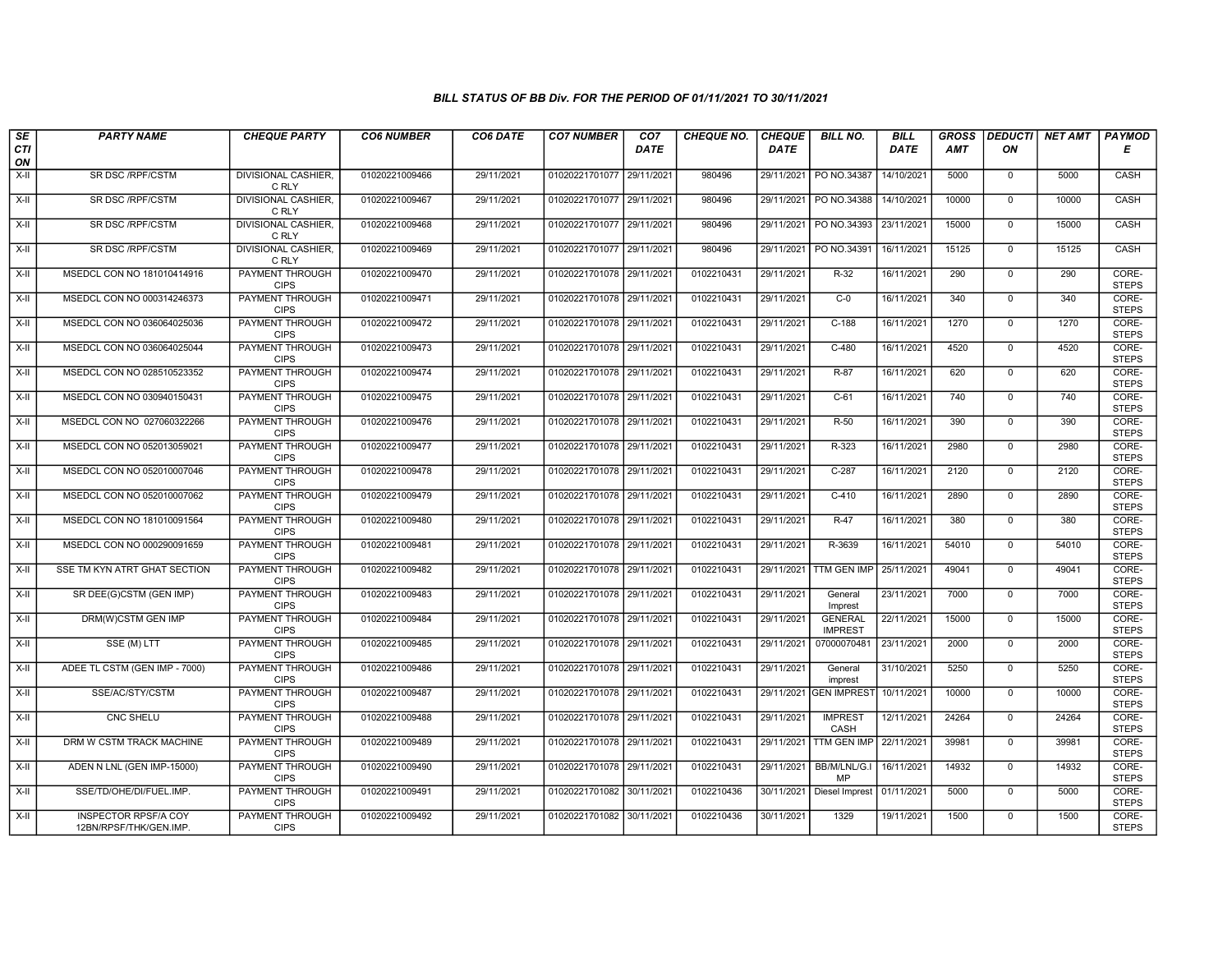| SE<br><b>CTI</b> | <b>PARTY NAME</b>                                     | <b>CHEQUE PARTY</b>                   | <b>CO6 NUMBER</b> | CO6 DATE   | <b>CO7 NUMBER</b>         | CO <sub>7</sub><br><b>DATE</b> | <b>CHEQUE NO.</b> | <b>CHEQUE</b><br><b>DATE</b> | <b>BILL NO.</b>                  | <b>BILL</b><br>DATE | <b>GROSS</b><br><b>AMT</b> | <b>DEDUCTI</b><br>ON | NET AMT | PAYMOD<br>Е           |
|------------------|-------------------------------------------------------|---------------------------------------|-------------------|------------|---------------------------|--------------------------------|-------------------|------------------------------|----------------------------------|---------------------|----------------------------|----------------------|---------|-----------------------|
| ON               |                                                       |                                       |                   |            |                           |                                |                   |                              |                                  |                     |                            |                      |         |                       |
| $X-H$            | SR DSC /RPF/CSTM                                      | DIVISIONAL CASHIER,<br>C RLY          | 01020221009466    | 29/11/2021 | 01020221701077            | 29/11/2021                     | 980496            | 29/11/2021                   | PO NO.34387                      | 14/10/2021          | 5000                       | $\mathbf 0$          | 5000    | CASH                  |
| $X-H$            | <b>SR DSC /RPF/CSTM</b>                               | <b>DIVISIONAL CASHIER,</b><br>C RLY   | 01020221009467    | 29/11/2021 | 01020221701077 29/11/2021 |                                | 980496            | 29/11/2021                   | PO NO.34388                      | 14/10/2021          | 10000                      | $\overline{0}$       | 10000   | CASH                  |
| $X-II$           | SR DSC /RPF/CSTM                                      | DIVISIONAL CASHIER,<br>C RLY          | 01020221009468    | 29/11/2021 | 01020221701077 29/11/2021 |                                | 980496            | 29/11/2021                   | PO NO.34393                      | 23/11/2021          | 15000                      | $\mathbf 0$          | 15000   | CASH                  |
| $X-H$            | SR DSC /RPF/CSTM                                      | DIVISIONAL CASHIER,<br>C RLY          | 01020221009469    | 29/11/2021 | 01020221701077 29/11/2021 |                                | 980496            | 29/11/2021                   | PO NO.34391                      | 16/11/2021          | 15125                      | $\overline{0}$       | 15125   | CASH                  |
| $X-H$            | MSEDCL CON NO 181010414916                            | <b>PAYMENT THROUGH</b><br><b>CIPS</b> | 01020221009470    | 29/11/2021 | 01020221701078 29/11/2021 |                                | 0102210431        | 29/11/2021                   | $R-32$                           | 16/11/2021          | 290                        | $\overline{0}$       | 290     | CORE-<br><b>STEPS</b> |
| $X-H$            | MSEDCL CON NO 000314246373                            | <b>PAYMENT THROUGH</b><br><b>CIPS</b> | 01020221009471    | 29/11/2021 | 01020221701078 29/11/2021 |                                | 0102210431        | 29/11/2021                   | $C-0$                            | 16/11/2021          | 340                        | $\overline{0}$       | 340     | CORE-<br><b>STEPS</b> |
| X-II             | MSEDCL CON NO 036064025036                            | PAYMENT THROUGH<br><b>CIPS</b>        | 01020221009472    | 29/11/2021 | 01020221701078 29/11/2021 |                                | 0102210431        | 29/11/2021                   | $C-188$                          | 16/11/2021          | 1270                       | $\mathbf{0}$         | 1270    | CORE-<br><b>STEPS</b> |
| X-II             | MSEDCL CON NO 036064025044                            | <b>PAYMENT THROUGH</b><br><b>CIPS</b> | 01020221009473    | 29/11/2021 | 01020221701078 29/11/2021 |                                | 0102210431        | 29/11/2021                   | $C-480$                          | 16/11/2021          | 4520                       | $\mathbf 0$          | 4520    | CORE-<br><b>STEPS</b> |
| $X-H$            | MSEDCL CON NO 028510523352                            | <b>PAYMENT THROUGH</b><br><b>CIPS</b> | 01020221009474    | 29/11/2021 | 01020221701078 29/11/2021 |                                | 0102210431        | 29/11/2021                   | $R-87$                           | 16/11/2021          | 620                        | $\mathbf 0$          | 620     | CORE-<br><b>STEPS</b> |
| $X-H$            | MSEDCL CON NO 030940150431                            | <b>PAYMENT THROUGH</b><br><b>CIPS</b> | 01020221009475    | 29/11/2021 | 01020221701078 29/11/2021 |                                | 0102210431        | 29/11/2021                   | $C-61$                           | 16/11/2021          | 740                        | $\overline{0}$       | 740     | CORE-<br><b>STEPS</b> |
| X-II             | MSEDCL CON NO 027060322266                            | PAYMENT THROUGH<br><b>CIPS</b>        | 01020221009476    | 29/11/2021 | 01020221701078 29/11/2021 |                                | 0102210431        | 29/11/2021                   | $R-50$                           | 16/11/2021          | 390                        | $\mathsf 0$          | 390     | CORE-<br><b>STEPS</b> |
| $X-H$            | MSEDCL CON NO 052013059021                            | PAYMENT THROUGH<br><b>CIPS</b>        | 01020221009477    | 29/11/2021 | 01020221701078 29/11/2021 |                                | 0102210431        | 29/11/2021                   | R-323                            | 16/11/2021          | 2980                       | $\overline{0}$       | 2980    | CORE-<br><b>STEPS</b> |
| X-II             | MSEDCL CON NO 052010007046                            | <b>PAYMENT THROUGH</b><br><b>CIPS</b> | 01020221009478    | 29/11/2021 | 01020221701078 29/11/2021 |                                | 0102210431        | 29/11/2021                   | $C-287$                          | 16/11/2021          | 2120                       | $\mathbf 0$          | 2120    | CORE-<br><b>STEPS</b> |
| $X-H$            | MSEDCL CON NO 052010007062                            | <b>PAYMENT THROUGH</b><br><b>CIPS</b> | 01020221009479    | 29/11/2021 | 01020221701078 29/11/2021 |                                | 0102210431        | 29/11/2021                   | $C-410$                          | 16/11/2021          | 2890                       | $\overline{0}$       | 2890    | CORE-<br><b>STEPS</b> |
| X-II             | MSEDCL CON NO 181010091564                            | PAYMENT THROUGH<br><b>CIPS</b>        | 01020221009480    | 29/11/2021 | 01020221701078 29/11/2021 |                                | 0102210431        | 29/11/2021                   | $R-47$                           | 16/11/2021          | 380                        | $\mathbf 0$          | 380     | CORE-<br><b>STEPS</b> |
| X-II             | MSEDCL CON NO 000290091659                            | PAYMENT THROUGH<br><b>CIPS</b>        | 01020221009481    | 29/11/2021 | 01020221701078 29/11/2021 |                                | 0102210431        | 29/11/2021                   | R-3639                           | 16/11/2021          | 54010                      | $\overline{0}$       | 54010   | CORE-<br><b>STEPS</b> |
| $X-H$            | SSE TM KYN ATRT GHAT SECTION                          | <b>PAYMENT THROUGH</b><br><b>CIPS</b> | 01020221009482    | 29/11/2021 | 01020221701078 29/11/2021 |                                | 0102210431        | 29/11/2021                   | <b>TTM GEN IMP</b>               | 25/11/2021          | 49041                      | $\overline{0}$       | 49041   | CORE-<br><b>STEPS</b> |
| X-II             | SR DEE(G)CSTM (GEN IMP)                               | PAYMENT THROUGH<br><b>CIPS</b>        | 01020221009483    | 29/11/2021 | 01020221701078 29/11/2021 |                                | 0102210431        | 29/11/2021                   | General<br>Imprest               | 23/11/2021          | 7000                       | $\mathbf 0$          | 7000    | CORE-<br><b>STEPS</b> |
| X-II             | DRM(W)CSTM GEN IMP                                    | <b>PAYMENT THROUGH</b><br><b>CIPS</b> | 01020221009484    | 29/11/2021 | 01020221701078 29/11/2021 |                                | 0102210431        | 29/11/2021                   | <b>GENERAL</b><br><b>IMPREST</b> | 22/11/2021          | 15000                      | $\mathbf 0$          | 15000   | CORE-<br><b>STEPS</b> |
| $X-H$            | SSE (M) LTT                                           | PAYMENT THROUGH<br><b>CIPS</b>        | 01020221009485    | 29/11/2021 | 01020221701078 29/11/2021 |                                | 0102210431        | 29/11/2021                   | 07000070481                      | 23/11/2021          | 2000                       | $\mathbf 0$          | 2000    | CORE-<br><b>STEPS</b> |
| $X-H$            | ADEE TL CSTM (GEN IMP - 7000)                         | <b>PAYMENT THROUGH</b><br><b>CIPS</b> | 01020221009486    | 29/11/2021 | 01020221701078 29/11/2021 |                                | 0102210431        | 29/11/2021                   | General<br>imprest               | 31/10/2021          | 5250                       | $\overline{0}$       | 5250    | CORE-<br><b>STEPS</b> |
| $X-H$            | SSE/AC/STY/CSTM                                       | <b>PAYMENT THROUGH</b><br><b>CIPS</b> | 01020221009487    | 29/11/2021 | 01020221701078 29/11/2021 |                                | 0102210431        | 29/11/2021                   | <b>GEN IMPREST</b>               | 10/11/2021          | 10000                      | $\mathbf 0$          | 10000   | CORE-<br><b>STEPS</b> |
| X-II             | CNC SHELU                                             | PAYMENT THROUGH<br><b>CIPS</b>        | 01020221009488    | 29/11/2021 | 01020221701078 29/11/2021 |                                | 0102210431        | 29/11/2021                   | <b>IMPREST</b><br>CASH           | 12/11/2021          | 24264                      | $\mathbf 0$          | 24264   | CORE-<br><b>STEPS</b> |
| $X-H$            | DRM W CSTM TRACK MACHINE                              | <b>PAYMENT THROUGH</b><br><b>CIPS</b> | 01020221009489    | 29/11/2021 | 01020221701078 29/11/2021 |                                | 0102210431        | 29/11/2021                   | <b>TTM GEN IMP</b>               | 22/11/2021          | 39981                      | $\mathbf{0}$         | 39981   | CORE-<br><b>STEPS</b> |
| $X-H$            | ADEN N LNL (GEN IMP-15000)                            | <b>PAYMENT THROUGH</b><br><b>CIPS</b> | 01020221009490    | 29/11/2021 | 01020221701078 29/11/2021 |                                | 0102210431        | 29/11/2021                   | BB/M/LNL/G.I<br>MP               | 16/11/2021          | 14932                      | $\mathbf 0$          | 14932   | CORE-<br><b>STEPS</b> |
| $X-H$            | SSE/TD/OHE/DI/FUEL.IMP.                               | <b>PAYMENT THROUGH</b><br><b>CIPS</b> | 01020221009491    | 29/11/2021 | 01020221701082 30/11/2021 |                                | 0102210436        | 30/11/2021                   | Diesel Imprest                   | 01/11/2021          | 5000                       | $\mathbf{0}$         | 5000    | CORE-<br><b>STEPS</b> |
| X-II             | <b>INSPECTOR RPSF/A COY</b><br>12BN/RPSF/THK/GEN.IMP. | <b>PAYMENT THROUGH</b><br><b>CIPS</b> | 01020221009492    | 29/11/2021 | 01020221701082 30/11/2021 |                                | 0102210436        | 30/11/2021                   | 1329                             | 19/11/2021          | 1500                       | $\mathbf 0$          | 1500    | CORE-<br><b>STEPS</b> |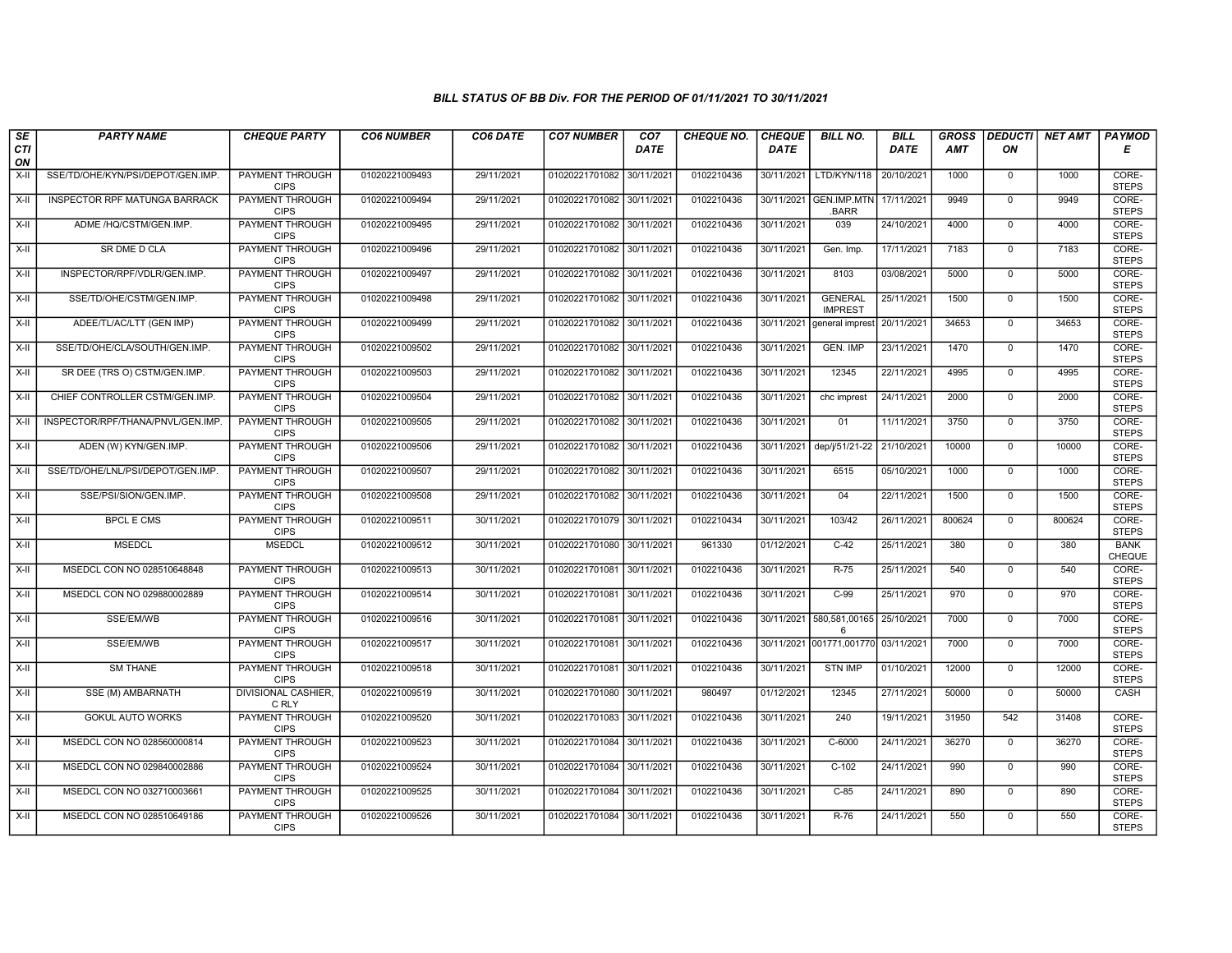| SE        | <b>PARTY NAME</b>                 | <b>CHEQUE PARTY</b>                   | <b>CO6 NUMBER</b> | CO6 DATE   | <b>CO7 NUMBER</b>         | CO <sub>7</sub> | <b>CHEQUE NO.</b> | <b>CHEQUE</b> | <b>BILL NO.</b>                  | <b>BILL</b> | <b>GROSS</b> |              | DEDUCTI NET AMT | <b>PAYMOD</b>                |
|-----------|-----------------------------------|---------------------------------------|-------------------|------------|---------------------------|-----------------|-------------------|---------------|----------------------------------|-------------|--------------|--------------|-----------------|------------------------------|
| CTI<br>ON |                                   |                                       |                   |            |                           | DATE            |                   | <b>DATE</b>   |                                  | DATE        | <b>AMT</b>   | ON           |                 | Е                            |
| $X-H$     | SSE/TD/OHE/KYN/PSI/DEPOT/GEN.IMP. | <b>PAYMENT THROUGH</b><br><b>CIPS</b> | 01020221009493    | 29/11/2021 | 01020221701082 30/11/2021 |                 | 0102210436        | 30/11/2021    | LTD/KYN/118                      | 20/10/2021  | 1000         | $\mathsf{O}$ | 1000            | CORE-<br><b>STEPS</b>        |
| X-II      | INSPECTOR RPF MATUNGA BARRACK     | <b>PAYMENT THROUGH</b><br><b>CIPS</b> | 01020221009494    | 29/11/2021 | 01020221701082 30/11/2021 |                 | 0102210436        |               | 30/11/2021 GEN.IMP.MTN<br>.BARR  | 17/11/2021  | 9949         | $\mathbf 0$  | 9949            | CORE-<br><b>STEPS</b>        |
| X-II      | ADME /HQ/CSTM/GEN.IMP.            | <b>PAYMENT THROUGH</b><br><b>CIPS</b> | 01020221009495    | 29/11/2021 | 01020221701082 30/11/2021 |                 | 0102210436        | 30/11/2021    | 039                              | 24/10/2021  | 4000         | $\Omega$     | 4000            | CORE-<br><b>STEPS</b>        |
| X-II      | SR DME D CLA                      | PAYMENT THROUGH<br><b>CIPS</b>        | 01020221009496    | 29/11/2021 | 01020221701082 30/11/202  |                 | 0102210436        | 30/11/2021    | Gen. Imp.                        | 17/11/2021  | 7183         | $\mathbf 0$  | 7183            | CORE-<br><b>STEPS</b>        |
| X-II      | INSPECTOR/RPF/VDLR/GEN.IMP.       | <b>PAYMENT THROUGH</b><br><b>CIPS</b> | 01020221009497    | 29/11/2021 | 01020221701082 30/11/2021 |                 | 0102210436        | 30/11/2021    | 8103                             | 03/08/2021  | 5000         | $\Omega$     | 5000            | CORE-<br><b>STEPS</b>        |
| X-II      | SSE/TD/OHE/CSTM/GEN.IMP.          | <b>PAYMENT THROUGH</b><br><b>CIPS</b> | 01020221009498    | 29/11/2021 | 01020221701082 30/11/2021 |                 | 0102210436        | 30/11/2021    | <b>GENERAL</b><br><b>IMPREST</b> | 25/11/2021  | 1500         | $\mathbf 0$  | 1500            | CORE-<br><b>STEPS</b>        |
| $X-H$     | ADEE/TL/AC/LTT (GEN IMP)          | PAYMENT THROUGH<br><b>CIPS</b>        | 01020221009499    | 29/11/2021 | 01020221701082            | 30/11/202       | 0102210436        | 30/11/2021    | general imprest                  | 20/11/2021  | 34653        | $\mathbf 0$  | 34653           | CORE-<br><b>STEPS</b>        |
| X-II      | SSE/TD/OHE/CLA/SOUTH/GEN.IMP.     | <b>PAYMENT THROUGH</b><br><b>CIPS</b> | 01020221009502    | 29/11/2021 | 01020221701082            | 30/11/2021      | 0102210436        | 30/11/2021    | <b>GEN. IMP</b>                  | 23/11/2021  | 1470         | $\mathbf 0$  | 1470            | CORE-<br><b>STEPS</b>        |
| X-II      | SR DEE (TRS O) CSTM/GEN.IMP.      | PAYMENT THROUGH<br><b>CIPS</b>        | 01020221009503    | 29/11/2021 | 01020221701082 30/11/2021 |                 | 0102210436        | 30/11/2021    | 12345                            | 22/11/2021  | 4995         | $\Omega$     | 4995            | CORE-<br><b>STEPS</b>        |
| X-II      | CHIEF CONTROLLER CSTM/GEN.IMP.    | <b>PAYMENT THROUGH</b><br><b>CIPS</b> | 01020221009504    | 29/11/2021 | 01020221701082 30/11/2021 |                 | 0102210436        | 30/11/2021    | chc imprest                      | 24/11/2021  | 2000         | $\mathbf 0$  | 2000            | CORE-<br><b>STEPS</b>        |
| X-II      | INSPECTOR/RPF/THANA/PNVL/GEN.IMP. | PAYMENT THROUGH<br><b>CIPS</b>        | 01020221009505    | 29/11/2021 | 01020221701082 30/11/2021 |                 | 0102210436        | 30/11/2021    | 01                               | 11/11/2021  | 3750         | $\Omega$     | 3750            | CORE-<br><b>STEPS</b>        |
| X-II      | ADEN (W) KYN/GEN.IMP.             | PAYMENT THROUGH<br><b>CIPS</b>        | 01020221009506    | 29/11/2021 | 01020221701082 30/11/2021 |                 | 0102210436        | 30/11/2021    | dep/j/51/21-22                   | 21/10/2021  | 10000        | $\mathbf{0}$ | 10000           | CORE-<br><b>STEPS</b>        |
| X-II      | SSE/TD/OHE/LNL/PSI/DEPOT/GEN.IMP. | <b>PAYMENT THROUGH</b><br><b>CIPS</b> | 01020221009507    | 29/11/2021 | 01020221701082 30/11/2021 |                 | 0102210436        | 30/11/2021    | 6515                             | 05/10/2021  | 1000         | $\Omega$     | 1000            | CORE-<br><b>STEPS</b>        |
| X-II      | SSE/PSI/SION/GEN.IMP.             | <b>PAYMENT THROUGH</b><br><b>CIPS</b> | 01020221009508    | 29/11/2021 | 01020221701082            | 30/11/202       | 0102210436        | 30/11/2021    | 04                               | 22/11/2021  | 1500         | $\mathbf 0$  | 1500            | CORE-<br><b>STEPS</b>        |
| X-II      | <b>BPCL E CMS</b>                 | PAYMENT THROUGH<br><b>CIPS</b>        | 01020221009511    | 30/11/2021 | 01020221701079 30/11/2021 |                 | 0102210434        | 30/11/2021    | 103/42                           | 26/11/2021  | 800624       | $\Omega$     | 800624          | CORE-<br><b>STEPS</b>        |
| X-II      | <b>MSEDCL</b>                     | <b>MSEDCL</b>                         | 01020221009512    | 30/11/2021 | 01020221701080 30/11/2021 |                 | 961330            | 01/12/2021    | $C-42$                           | 25/11/2021  | 380          | $\mathbf 0$  | 380             | <b>BANK</b><br><b>CHEQUE</b> |
| X-II      | MSEDCL CON NO 028510648848        | <b>PAYMENT THROUGH</b><br><b>CIPS</b> | 01020221009513    | 30/11/2021 | 01020221701081 30/11/2021 |                 | 0102210436        | 30/11/2021    | $R-75$                           | 25/11/2021  | 540          | $\mathbf{0}$ | 540             | CORE-<br><b>STEPS</b>        |
| X-II      | MSEDCL CON NO 029880002889        | <b>PAYMENT THROUGH</b><br><b>CIPS</b> | 01020221009514    | 30/11/2021 | 01020221701081 30/11/2021 |                 | 0102210436        | 30/11/2021    | $C-99$                           | 25/11/2021  | 970          | $\mathbf 0$  | 970             | CORE-<br><b>STEPS</b>        |
| X-II      | SSE/EM/WB                         | PAYMENT THROUGH<br><b>CIPS</b>        | 01020221009516    | 30/11/2021 | 01020221701081 30/11/2021 |                 | 0102210436        | 30/11/2021    | 580,581,00165<br>6               | 25/10/2021  | 7000         | $\mathbf{0}$ | 7000            | CORE-<br><b>STEPS</b>        |
| X-II      | SSE/EM/WB                         | PAYMENT THROUGH<br><b>CIPS</b>        | 01020221009517    | 30/11/2021 | 01020221701081 30/11/202  |                 | 0102210436        | 30/11/2021    | 001771,001770                    | 03/11/2021  | 7000         | $\mathbf{0}$ | 7000            | CORE-<br><b>STEPS</b>        |
| X-II      | <b>SM THANE</b>                   | <b>PAYMENT THROUGH</b><br><b>CIPS</b> | 01020221009518    | 30/11/2021 | 01020221701081 30/11/2021 |                 | 0102210436        | 30/11/2021    | <b>STN IMP</b>                   | 01/10/2021  | 12000        | $\mathbf{0}$ | 12000           | CORE-<br><b>STEPS</b>        |
| X-II      | SSE (M) AMBARNATH                 | <b>DIVISIONAL CASHIER,</b><br>C RLY   | 01020221009519    | 30/11/2021 | 01020221701080 30/11/2021 |                 | 980497            | 01/12/2021    | 12345                            | 27/11/2021  | 50000        | $\mathbf{0}$ | 50000           | CASH                         |
| X-II      | <b>GOKUL AUTO WORKS</b>           | PAYMENT THROUGH<br><b>CIPS</b>        | 01020221009520    | 30/11/2021 | 01020221701083 30/11/2021 |                 | 0102210436        | 30/11/2021    | 240                              | 19/11/2021  | 31950        | 542          | 31408           | CORE-<br><b>STEPS</b>        |
| X-II      | MSEDCL CON NO 028560000814        | PAYMENT THROUGH<br><b>CIPS</b>        | 01020221009523    | 30/11/2021 | 01020221701084            | 30/11/2021      | 0102210436        | 30/11/2021    | C-6000                           | 24/11/2021  | 36270        | $\mathbf{0}$ | 36270           | CORE-<br><b>STEPS</b>        |
| X-II      | MSEDCL CON NO 029840002886        | PAYMENT THROUGH<br><b>CIPS</b>        | 01020221009524    | 30/11/2021 | 01020221701084 30/11/2021 |                 | 0102210436        | 30/11/2021    | $C-102$                          | 24/11/2021  | 990          | $\Omega$     | 990             | CORE-<br><b>STEPS</b>        |
| X-II      | MSEDCL CON NO 032710003661        | <b>PAYMENT THROUGH</b><br><b>CIPS</b> | 01020221009525    | 30/11/2021 | 01020221701084 30/11/2021 |                 | 0102210436        | 30/11/2021    | $C-85$                           | 24/11/2021  | 890          | $\mathbf{0}$ | 890             | CORE-<br><b>STEPS</b>        |
| X-II      | MSEDCL CON NO 028510649186        | <b>PAYMENT THROUGH</b><br><b>CIPS</b> | 01020221009526    | 30/11/2021 | 01020221701084 30/11/2021 |                 | 0102210436        | 30/11/2021    | $R-76$                           | 24/11/2021  | 550          | $\mathbf 0$  | 550             | CORE-<br><b>STEPS</b>        |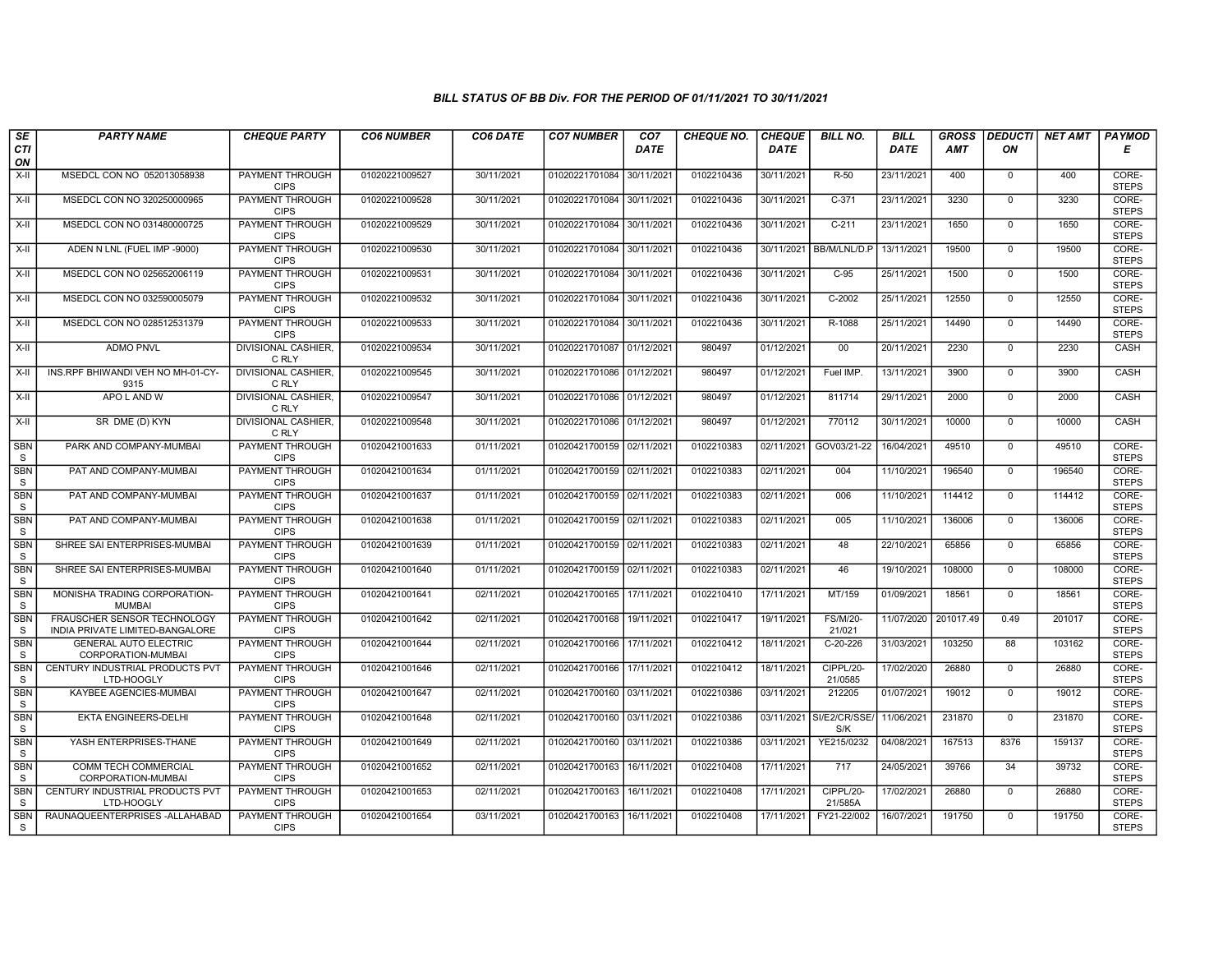| SE                         | <b>PARTY NAME</b>                                              | <b>CHEQUE PARTY</b>                   | <b>CO6 NUMBER</b> | CO6 DATE   | <b>CO7 NUMBER</b>         | CO <sub>7</sub> | <b>CHEQUE NO.</b> | <b>CHEQUE</b> | <b>BILL NO.</b>           | <b>BILL</b> | <b>GROSS</b> |              | <b>DEDUCTI NET AMT</b> | <b>PAYMOD</b>         |
|----------------------------|----------------------------------------------------------------|---------------------------------------|-------------------|------------|---------------------------|-----------------|-------------------|---------------|---------------------------|-------------|--------------|--------------|------------------------|-----------------------|
| <b>CTI</b><br>ON           |                                                                |                                       |                   |            |                           | <b>DATE</b>     |                   | <b>DATE</b>   |                           | <b>DATE</b> | <b>AMT</b>   | ON           |                        | Е                     |
| $X-H$                      | MSEDCL CON NO 052013058938                                     | PAYMENT THROUGH<br><b>CIPS</b>        | 01020221009527    | 30/11/2021 | 01020221701084 30/11/2021 |                 | 0102210436        | 30/11/2021    | $R-50$                    | 23/11/2021  | 400          | $\mathbf 0$  | 400                    | CORE-<br><b>STEPS</b> |
| $X-H$                      | MSEDCL CON NO 320250000965                                     | <b>PAYMENT THROUGH</b><br><b>CIPS</b> | 01020221009528    | 30/11/2021 | 01020221701084 30/11/2021 |                 | 0102210436        | 30/11/2021    | $C-371$                   | 23/11/2021  | 3230         | $\mathbf 0$  | 3230                   | CORE-<br><b>STEPS</b> |
| X-II                       | MSEDCL CON NO 031480000725                                     | PAYMENT THROUGH<br><b>CIPS</b>        | 01020221009529    | 30/11/2021 | 01020221701084 30/11/2021 |                 | 0102210436        | 30/11/2021    | $C-211$                   | 23/11/2021  | 1650         | $\mathbf 0$  | 1650                   | CORE-<br><b>STEPS</b> |
| X-II                       | ADEN N LNL (FUEL IMP -9000)                                    | PAYMENT THROUGH<br><b>CIPS</b>        | 01020221009530    | 30/11/2021 | 01020221701084            | 30/11/2021      | 0102210436        | 30/11/2021    | BB/M/LNL/D.P              | 13/11/2021  | 19500        | $\mathbf{0}$ | 19500                  | CORE-<br><b>STEPS</b> |
| $X-H$                      | MSEDCL CON NO 025652006119                                     | <b>PAYMENT THROUGH</b><br><b>CIPS</b> | 01020221009531    | 30/11/2021 | 01020221701084 30/11/2021 |                 | 0102210436        | 30/11/2021    | $C-95$                    | 25/11/2021  | 1500         | $\mathbf 0$  | 1500                   | CORE-<br><b>STEPS</b> |
| X-II                       | MSEDCL CON NO 032590005079                                     | PAYMENT THROUGH<br><b>CIPS</b>        | 01020221009532    | 30/11/2021 | 01020221701084            | 30/11/2021      | 0102210436        | 30/11/2021    | C-2002                    | 25/11/2021  | 12550        | $\Omega$     | 12550                  | CORE-<br><b>STEPS</b> |
| X-II                       | MSEDCL CON NO 028512531379                                     | <b>PAYMENT THROUGH</b><br><b>CIPS</b> | 01020221009533    | 30/11/2021 | 01020221701084            | 30/11/2021      | 0102210436        | 30/11/2021    | R-1088                    | 25/11/2021  | 14490        | $\mathbf{0}$ | 14490                  | CORE-<br><b>STEPS</b> |
| $X-H$                      | <b>ADMO PNVL</b>                                               | <b>DIVISIONAL CASHIER.</b><br>C RLY   | 01020221009534    | 30/11/2021 | 01020221701087 01/12/2021 |                 | 980497            | 01/12/2021    | 00                        | 20/11/2021  | 2230         | $\mathbf 0$  | 2230                   | CASH                  |
| X-II                       | INS.RPF BHIWANDI VEH NO MH-01-CY-<br>9315                      | DIVISIONAL CASHIER,<br>C RLY          | 01020221009545    | 30/11/2021 | 01020221701086 01/12/2021 |                 | 980497            | 01/12/2021    | Fuel IMP.                 | 13/11/2021  | 3900         | $\mathbf{0}$ | 3900                   | CASH                  |
| $\overline{x}$ -II         | APO L AND W                                                    | <b>DIVISIONAL CASHIER.</b><br>C RLY   | 01020221009547    | 30/11/2021 | 01020221701086 01/12/2021 |                 | 980497            | 01/12/2021    | 811714                    | 29/11/2021  | 2000         | $\mathbf 0$  | 2000                   | CASH                  |
| X-II                       | SR DME (D) KYN                                                 | DIVISIONAL CASHIER,<br>C RLY          | 01020221009548    | 30/11/2021 | 01020221701086 01/12/2021 |                 | 980497            | 01/12/2021    | 770112                    | 30/11/2021  | 10000        | $\mathbf{0}$ | 10000                  | CASH                  |
| <b>SBN</b><br>S            | PARK AND COMPANY-MUMBAI                                        | PAYMENT THROUGH<br><b>CIPS</b>        | 01020421001633    | 01/11/2021 | 01020421700159 02/11/2021 |                 | 0102210383        | 02/11/2021    | GOV03/21-22               | 16/04/2021  | 49510        | $\Omega$     | 49510                  | CORE-<br><b>STEPS</b> |
| <b>SBN</b><br>S            | PAT AND COMPANY-MUMBAI                                         | <b>PAYMENT THROUGH</b><br><b>CIPS</b> | 01020421001634    | 01/11/2021 | 01020421700159 02/11/2021 |                 | 0102210383        | 02/11/2021    | 004                       | 11/10/2021  | 196540       | $\mathbf 0$  | 196540                 | CORE-<br><b>STEPS</b> |
| <b>SBN</b><br>$\mathsf S$  | PAT AND COMPANY-MUMBAI                                         | <b>PAYMENT THROUGH</b><br><b>CIPS</b> | 01020421001637    | 01/11/2021 | 01020421700159 02/11/2021 |                 | 0102210383        | 02/11/2021    | 006                       | 11/10/2021  | 114412       | $\Omega$     | 114412                 | CORE-<br><b>STEPS</b> |
| <b>SBN</b><br>S            | PAT AND COMPANY-MUMBAI                                         | PAYMENT THROUGH<br><b>CIPS</b>        | 01020421001638    | 01/11/2021 | 01020421700159 02/11/2021 |                 | 0102210383        | 02/11/2021    | 005                       | 11/10/2021  | 136006       | $\Omega$     | 136006                 | CORE-<br><b>STEPS</b> |
| <b>SBN</b><br>S            | SHREE SAI ENTERPRISES-MUMBAI                                   | <b>PAYMENT THROUGH</b><br><b>CIPS</b> | 01020421001639    | 01/11/2021 | 01020421700159 02/11/2021 |                 | 0102210383        | 02/11/2021    | 48                        | 22/10/2021  | 65856        | $\Omega$     | 65856                  | CORE-<br><b>STEPS</b> |
| <b>SBN</b><br>S            | SHREE SAI ENTERPRISES-MUMBAI                                   | PAYMENT THROUGH<br><b>CIPS</b>        | 01020421001640    | 01/11/2021 | 01020421700159 02/11/2021 |                 | 0102210383        | 02/11/2021    | 46                        | 19/10/2021  | 108000       | $\mathbf 0$  | 108000                 | CORE-<br><b>STEPS</b> |
| <b>SBN</b><br>S            | MONISHA TRADING CORPORATION-<br><b>MUMBAI</b>                  | <b>PAYMENT THROUGH</b><br><b>CIPS</b> | 01020421001641    | 02/11/2021 | 01020421700165 17/11/2021 |                 | 0102210410        | 17/11/2021    | MT/159                    | 01/09/2021  | 18561        | $\mathbf 0$  | 18561                  | CORE-<br><b>STEPS</b> |
| <b>SBN</b><br>S            | FRAUSCHER SENSOR TECHNOLOGY<br>INDIA PRIVATE LIMITED-BANGALORE | <b>PAYMENT THROUGH</b><br><b>CIPS</b> | 01020421001642    | 02/11/2021 | 01020421700168            | 19/11/2021      | 0102210417        | 19/11/2021    | <b>FS/M/20-</b><br>21/021 | 11/07/2020  | 201017.49    | 0.49         | 201017                 | CORE-<br><b>STEPS</b> |
| SBN<br>S                   | <b>GENERAL AUTO ELECTRIC</b><br>CORPORATION-MUMBAI             | PAYMENT THROUGH<br><b>CIPS</b>        | 01020421001644    | 02/11/2021 | 01020421700166            | 17/11/2021      | 0102210412        | 18/11/2021    | $C-20-226$                | 31/03/2021  | 103250       | 88           | 103162                 | CORE-<br><b>STEPS</b> |
| <b>SBN</b><br>S            | CENTURY INDUSTRIAL PRODUCTS PVT<br>LTD-HOOGLY                  | <b>PAYMENT THROUGH</b><br><b>CIPS</b> | 01020421001646    | 02/11/2021 | 01020421700166            | 17/11/2021      | 0102210412        | 18/11/2021    | CIPPL/20-<br>21/0585      | 17/02/2020  | 26880        | $\mathbf 0$  | 26880                  | CORE-<br><b>STEPS</b> |
| <b>SBN</b><br>S            | <b>KAYBEE AGENCIES-MUMBAI</b>                                  | PAYMENT THROUGH<br><b>CIPS</b>        | 01020421001647    | 02/11/2021 | 01020421700160 03/11/2021 |                 | 0102210386        | 03/11/2021    | 212205                    | 01/07/2021  | 19012        | $\mathbf 0$  | 19012                  | CORE-<br><b>STEPS</b> |
| <b>SBN</b><br>S            | EKTA ENGINEERS-DELHI                                           | PAYMENT THROUGH<br><b>CIPS</b>        | 01020421001648    | 02/11/2021 | 01020421700160            | 03/11/2021      | 0102210386        | 03/11/2021    | SI/E2/CR/SSE<br>S/K       | 11/06/2021  | 231870       | $\mathbf 0$  | 231870                 | CORE-<br><b>STEPS</b> |
| <b>SBN</b><br>S            | YASH ENTERPRISES-THANE                                         | PAYMENT THROUGH<br><b>CIPS</b>        | 01020421001649    | 02/11/2021 | 01020421700160 03/11/2021 |                 | 0102210386        | 03/11/2021    | YE215/0232                | 04/08/2021  | 167513       | 8376         | 159137                 | CORE-<br><b>STEPS</b> |
| <b>SBN</b><br>S            | <b>COMM TECH COMMERCIAL</b><br>CORPORATION-MUMBAI              | PAYMENT THROUGH<br><b>CIPS</b>        | 01020421001652    | 02/11/2021 | 01020421700163            | 16/11/2021      | 0102210408        | 17/11/2021    | 717                       | 24/05/2021  | 39766        | 34           | 39732                  | CORE-<br><b>STEPS</b> |
| <b>SBN</b><br><sub>S</sub> | CENTURY INDUSTRIAL PRODUCTS PVT<br>LTD-HOOGLY                  | <b>PAYMENT THROUGH</b><br><b>CIPS</b> | 01020421001653    | 02/11/2021 | 01020421700163            | 16/11/2021      | 0102210408        | 17/11/2021    | CIPPL/20-<br>21/585A      | 17/02/2021  | 26880        | $\mathbf 0$  | 26880                  | CORE-<br><b>STEPS</b> |
| <b>SBN</b><br>S            | RAUNAQUEENTERPRISES - ALLAHABAD                                | PAYMENT THROUGH<br><b>CIPS</b>        | 01020421001654    | 03/11/2021 | 01020421700163            | 16/11/2021      | 0102210408        | 17/11/2021    | FY21-22/002               | 16/07/2021  | 191750       | $\mathbf 0$  | 191750                 | CORE-<br><b>STEPS</b> |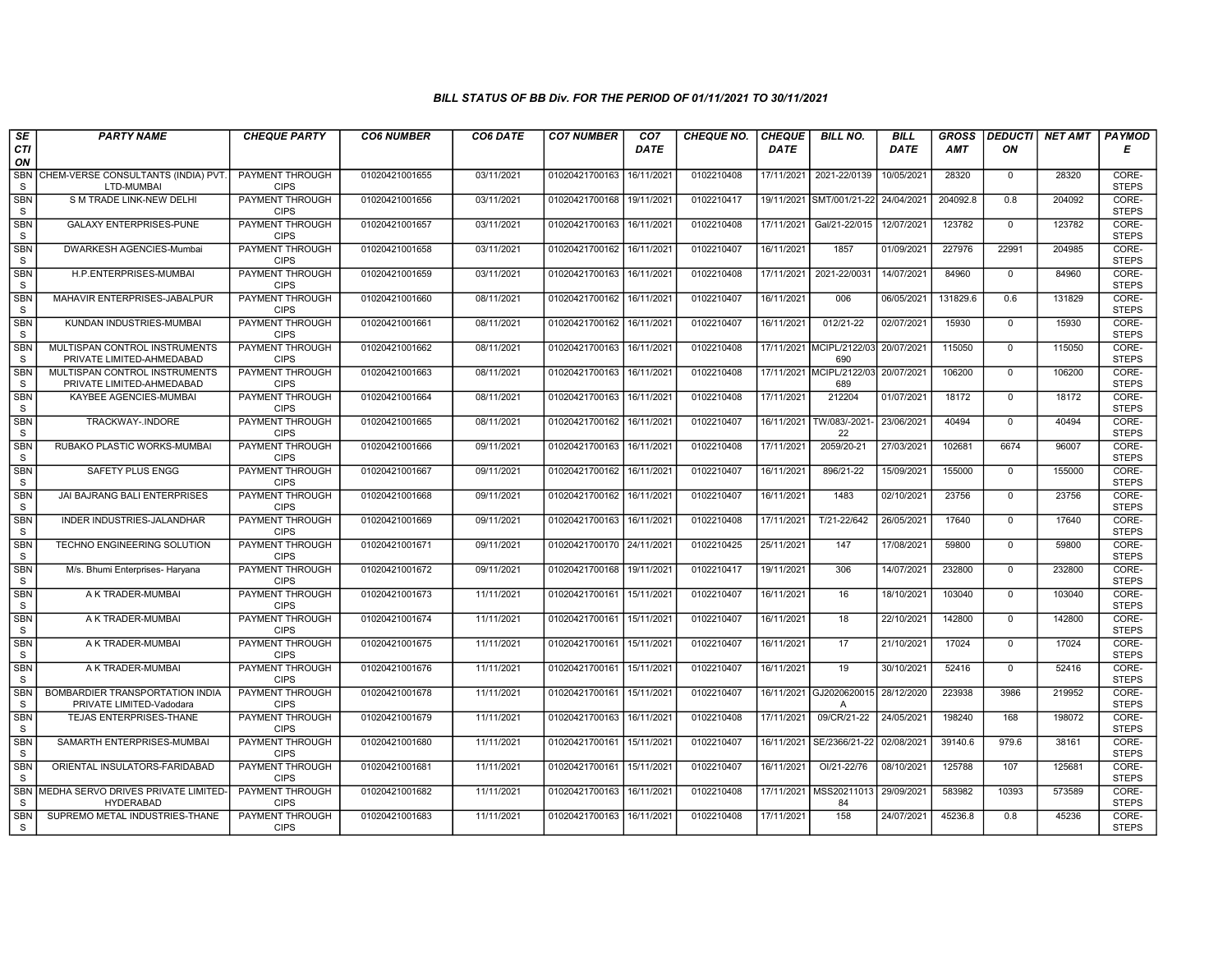| SE                         | <b>PARTY NAME</b>                                           | <b>CHEQUE PARTY</b>                   | <b>CO6 NUMBER</b> | CO6 DATE   | <b>CO7 NUMBER</b>         | CO <sub>7</sub> | <b>CHEQUE NO.</b> | <b>CHEQUE</b> | <b>BILL NO.</b>                 | <b>BILL</b> | <b>GROSS</b> |                | <b>DEDUCTI NET AMT</b> | <b>PAYMOD</b>         |
|----------------------------|-------------------------------------------------------------|---------------------------------------|-------------------|------------|---------------------------|-----------------|-------------------|---------------|---------------------------------|-------------|--------------|----------------|------------------------|-----------------------|
| CTI<br>ON                  |                                                             |                                       |                   |            |                           | <b>DATE</b>     |                   | <b>DATE</b>   |                                 | <b>DATE</b> | <b>AMT</b>   | ON             |                        | Е                     |
| <b>SBN</b><br>S            | CHEM-VERSE CONSULTANTS (INDIA) PVT.<br>LTD-MUMBAI           | <b>PAYMENT THROUGH</b><br><b>CIPS</b> | 01020421001655    | 03/11/2021 | 01020421700163            | 16/11/2021      | 0102210408        | 17/11/2021    | 2021-22/0139                    | 10/05/2021  | 28320        | $\mathbf{0}$   | 28320                  | CORE-<br><b>STEPS</b> |
| <b>SBN</b><br>$\mathbf S$  | S M TRADE LINK-NEW DELHI                                    | PAYMENT THROUGH<br><b>CIPS</b>        | 01020421001656    | 03/11/2021 | 01020421700168 19/11/2021 |                 | 0102210417        |               | 19/11/2021 SMT/001/21-22        | 24/04/2021  | 204092.8     | 0.8            | 204092                 | CORE-<br><b>STEPS</b> |
| SBN<br>S                   | <b>GALAXY ENTERPRISES-PUNE</b>                              | PAYMENT THROUGH<br><b>CIPS</b>        | 01020421001657    | 03/11/2021 | 01020421700163            | 16/11/2021      | 0102210408        | 17/11/2021    | Gal/21-22/015                   | 12/07/2021  | 123782       | $\mathbf 0$    | 123782                 | CORE-<br><b>STEPS</b> |
| <b>SBN</b><br>S            | DWARKESH AGENCIES-Mumbai                                    | <b>PAYMENT THROUGH</b><br><b>CIPS</b> | 01020421001658    | 03/11/2021 | 01020421700162            | 16/11/2021      | 0102210407        | 16/11/2021    | 1857                            | 01/09/2021  | 227976       | 22991          | 204985                 | CORE-<br><b>STEPS</b> |
| <b>SBN</b><br>S            | H.P.ENTERPRISES-MUMBAI                                      | <b>PAYMENT THROUGH</b><br><b>CIPS</b> | 01020421001659    | 03/11/2021 | 01020421700163 16/11/2021 |                 | 0102210408        | 17/11/2021    | 2021-22/0031                    | 14/07/2021  | 84960        | $\mathbf 0$    | 84960                  | CORE-<br><b>STEPS</b> |
| <b>SBN</b><br><sub>S</sub> | MAHAVIR ENTERPRISES-JABALPUR                                | <b>PAYMENT THROUGH</b><br><b>CIPS</b> | 01020421001660    | 08/11/2021 | 01020421700162            | 16/11/2021      | 0102210407        | 16/11/2021    | 006                             | 06/05/2021  | 131829.6     | 0.6            | 131829                 | CORE-<br><b>STEPS</b> |
| <b>SBN</b><br>S            | KUNDAN INDUSTRIES-MUMBAI                                    | PAYMENT THROUGH<br><b>CIPS</b>        | 01020421001661    | 08/11/2021 | 01020421700162 16/11/2021 |                 | 0102210407        | 16/11/2021    | 012/21-22                       | 02/07/2021  | 15930        | $\mathbf{0}$   | 15930                  | CORE-<br><b>STEPS</b> |
| <b>SBN</b><br>S            | MULTISPAN CONTROL INSTRUMENTS<br>PRIVATE LIMITED-AHMEDABAD  | <b>PAYMENT THROUGH</b><br><b>CIPS</b> | 01020421001662    | 08/11/2021 | 01020421700163 16/11/2021 |                 | 0102210408        |               | 17/11/2021 MCIPL/2122/03<br>690 | 20/07/2021  | 115050       | $\overline{0}$ | 115050                 | CORE-<br><b>STEPS</b> |
| <b>SBN</b><br><sub>S</sub> | MULTISPAN CONTROL INSTRUMENTS<br>PRIVATE LIMITED-AHMEDABAD  | <b>PAYMENT THROUGH</b><br><b>CIPS</b> | 01020421001663    | 08/11/2021 | 01020421700163 16/11/2021 |                 | 0102210408        |               | 17/11/2021 MCIPL/2122/03<br>689 | 20/07/2021  | 106200       | $\mathbf 0$    | 106200                 | CORE-<br><b>STEPS</b> |
| <b>SBN</b><br>S            | KAYBEE AGENCIES-MUMBAI                                      | <b>PAYMENT THROUGH</b><br><b>CIPS</b> | 01020421001664    | 08/11/2021 | 01020421700163 16/11/2021 |                 | 0102210408        | 17/11/2021    | 212204                          | 01/07/2021  | 18172        | $\mathbf 0$    | 18172                  | CORE-<br><b>STEPS</b> |
| <b>SBN</b><br>S            | TRACKWAY-.INDORE                                            | PAYMENT THROUGH<br><b>CIPS</b>        | 01020421001665    | 08/11/2021 | 01020421700162            | 16/11/2021      | 0102210407        | 16/11/2021    | TW/083/-2021<br>22              | 23/06/2021  | 40494        | $\mathbf{0}$   | 40494                  | CORE-<br><b>STEPS</b> |
| <b>SBN</b><br>S            | RUBAKO PLASTIC WORKS-MUMBAI                                 | <b>PAYMENT THROUGH</b><br><b>CIPS</b> | 01020421001666    | 09/11/2021 | 01020421700163            | 16/11/2021      | 0102210408        | 17/11/2021    | 2059/20-21                      | 27/03/2021  | 102681       | 6674           | 96007                  | CORE-<br><b>STEPS</b> |
| <b>SBN</b><br>${\tt S}$    | <b>SAFETY PLUS ENGG</b>                                     | <b>PAYMENT THROUGH</b><br><b>CIPS</b> | 01020421001667    | 09/11/2021 | 01020421700162            | 16/11/2021      | 0102210407        | 16/11/2021    | 896/21-22                       | 15/09/2021  | 155000       | $\mathbf 0$    | 155000                 | CORE-<br><b>STEPS</b> |
| <b>SBN</b><br>S            | JAI BAJRANG BALI ENTERPRISES                                | <b>PAYMENT THROUGH</b><br><b>CIPS</b> | 01020421001668    | 09/11/2021 | 01020421700162 16/11/2021 |                 | 0102210407        | 16/11/2021    | 1483                            | 02/10/2021  | 23756        | $\mathbf{0}$   | 23756                  | CORE-<br><b>STEPS</b> |
| SBN<br>S                   | <b>INDER INDUSTRIES-JALANDHAR</b>                           | PAYMENT THROUGH<br><b>CIPS</b>        | 01020421001669    | 09/11/2021 | 01020421700163            | 16/11/2021      | 0102210408        | 17/11/2021    | T/21-22/642                     | 26/05/2021  | 17640        | $\Omega$       | 17640                  | CORE-<br><b>STEPS</b> |
| <b>SBN</b><br>S            | TECHNO ENGINEERING SOLUTION                                 | PAYMENT THROUGH<br><b>CIPS</b>        | 01020421001671    | 09/11/2021 | 01020421700170 24/11/2021 |                 | 0102210425        | 25/11/2021    | 147                             | 17/08/2021  | 59800        | $\mathbf{0}$   | 59800                  | CORE-<br><b>STEPS</b> |
| <b>SBN</b><br>S            | M/s. Bhumi Enterprises- Haryana                             | <b>PAYMENT THROUGH</b><br><b>CIPS</b> | 01020421001672    | 09/11/2021 | 01020421700168            | 19/11/2021      | 0102210417        | 19/11/2021    | 306                             | 14/07/2021  | 232800       | $\mathbf 0$    | 232800                 | CORE-<br><b>STEPS</b> |
| <b>SBN</b><br>S            | A K TRADER-MUMBAI                                           | <b>PAYMENT THROUGH</b><br><b>CIPS</b> | 01020421001673    | 11/11/2021 | 01020421700161            | 15/11/2021      | 0102210407        | 16/11/2021    | 16                              | 18/10/2021  | 103040       | $\mathbf 0$    | 103040                 | CORE-<br><b>STEPS</b> |
| <b>SBN</b><br>S            | A K TRADER-MUMBAI                                           | <b>PAYMENT THROUGH</b><br><b>CIPS</b> | 01020421001674    | 11/11/2021 | 01020421700161 15/11/2021 |                 | 0102210407        | 16/11/2021    | 18                              | 22/10/2021  | 142800       | $\mathbf 0$    | 142800                 | CORE-<br><b>STEPS</b> |
| SBN<br>${\tt S}$           | A K TRADER-MUMBAI                                           | <b>PAYMENT THROUGH</b><br><b>CIPS</b> | 01020421001675    | 11/11/2021 | 01020421700161 15/11/2021 |                 | 0102210407        | 16/11/2021    | 17                              | 21/10/2021  | 17024        | $\mathbf 0$    | 17024                  | CORE-<br><b>STEPS</b> |
| <b>SBN</b><br><sub>S</sub> | A K TRADER-MUMBAI                                           | <b>PAYMENT THROUGH</b><br><b>CIPS</b> | 01020421001676    | 11/11/2021 | 01020421700161            | 15/11/2021      | 0102210407        | 16/11/2021    | 19                              | 30/10/2021  | 52416        | $\mathbf{0}$   | 52416                  | CORE-<br><b>STEPS</b> |
| <b>SBN</b><br>S            | BOMBARDIER TRANSPORTATION INDIA<br>PRIVATE LIMITED-Vadodara | <b>PAYMENT THROUGH</b><br><b>CIPS</b> | 01020421001678    | 11/11/2021 | 01020421700161 15/11/2021 |                 | 0102210407        | 16/11/2021    | GJ2020620015<br>Α               | 28/12/2020  | 223938       | 3986           | 219952                 | CORE-<br><b>STEPS</b> |
| <b>SBN</b><br><sub>S</sub> | TEJAS ENTERPRISES-THANE                                     | PAYMENT THROUGH<br><b>CIPS</b>        | 01020421001679    | 11/11/2021 | 01020421700163            | 16/11/2021      | 0102210408        | 17/11/2021    | 09/CR/21-22                     | 24/05/2021  | 198240       | 168            | 198072                 | CORE-<br><b>STEPS</b> |
| <b>SBN</b><br>S            | SAMARTH ENTERPRISES-MUMBAI                                  | <b>PAYMENT THROUGH</b><br><b>CIPS</b> | 01020421001680    | 11/11/2021 | 01020421700161            | 15/11/2021      | 0102210407        | 16/11/2021    | SE/2366/21-22                   | 02/08/2021  | 39140.6      | 979.6          | 38161                  | CORE-<br><b>STEPS</b> |
| <b>SBN</b><br><sub>S</sub> | ORIENTAL INSULATORS-FARIDABAD                               | <b>PAYMENT THROUGH</b><br><b>CIPS</b> | 01020421001681    | 11/11/2021 | 01020421700161 15/11/2021 |                 | 0102210407        | 16/11/2021    | OI/21-22/76                     | 08/10/2021  | 125788       | 107            | 125681                 | CORE-<br><b>STEPS</b> |
| <b>SBN</b><br><sub>S</sub> | MEDHA SERVO DRIVES PRIVATE LIMITED-<br><b>HYDERABAD</b>     | <b>PAYMENT THROUGH</b><br><b>CIPS</b> | 01020421001682    | 11/11/2021 | 01020421700163 16/11/2021 |                 | 0102210408        | 17/11/2021    | MSS20211013<br>84               | 29/09/2021  | 583982       | 10393          | 573589                 | CORE-<br><b>STEPS</b> |
| <b>SBN</b><br><sub>S</sub> | SUPREMO METAL INDUSTRIES-THANE                              | PAYMENT THROUGH<br><b>CIPS</b>        | 01020421001683    | 11/11/2021 | 01020421700163 16/11/2021 |                 | 0102210408        | 17/11/2021    | 158                             | 24/07/2021  | 45236.8      | 0.8            | 45236                  | CORE-<br><b>STEPS</b> |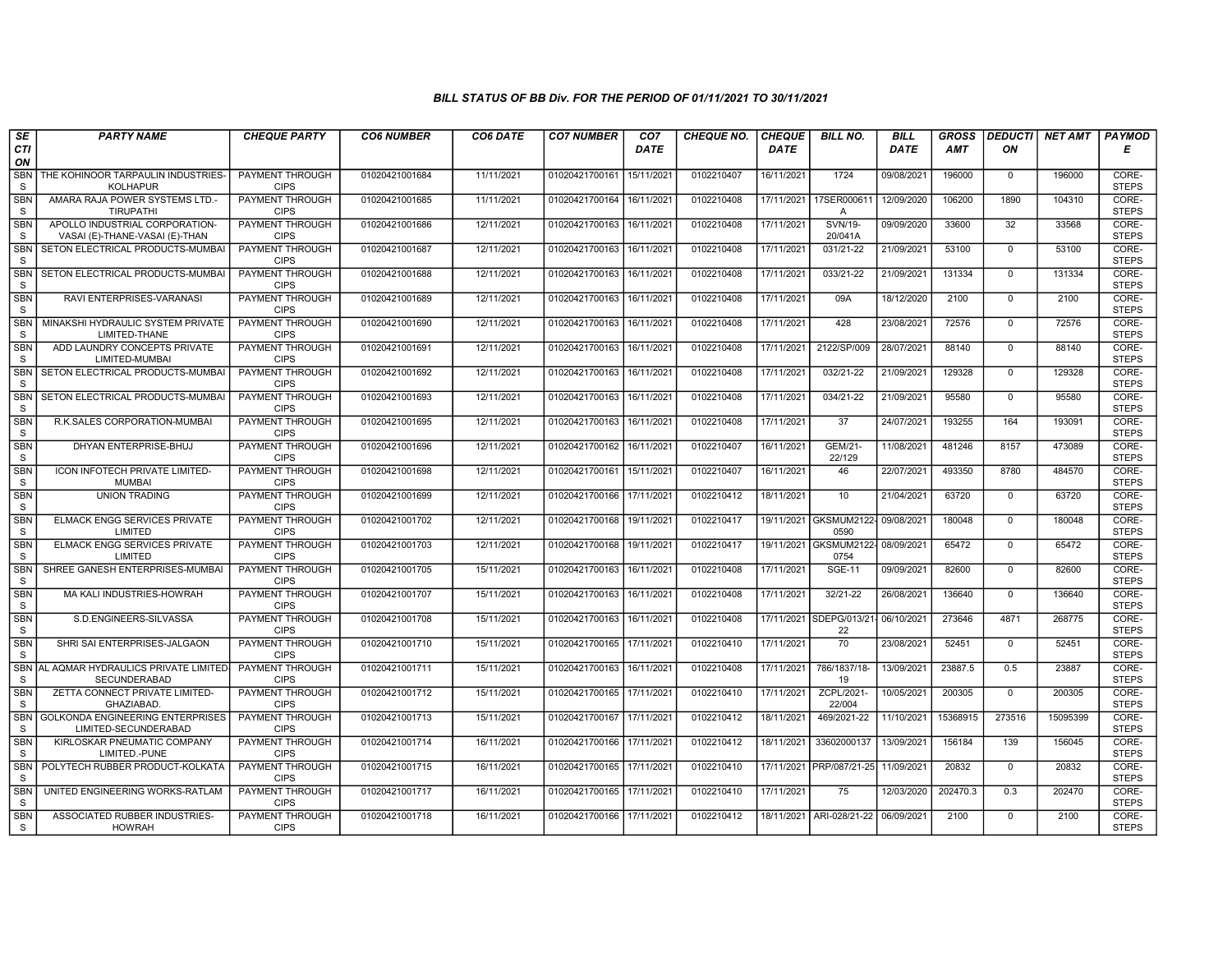| SE                         | <b>PARTY NAME</b>                                                | <b>CHEQUE PARTY</b>                   | <b>CO6 NUMBER</b> | CO6 DATE   | <b>CO7 NUMBER</b>           | CO <sub>7</sub>        | <b>CHEQUE NO.</b> | <b>CHEQUE</b> | <b>BILL NO.</b>                           | <b>BILL</b> | <b>GROSS</b> | <b>DEDUCTI</b> | <b>NET AMT</b> | <b>PAYMOD</b>         |
|----------------------------|------------------------------------------------------------------|---------------------------------------|-------------------|------------|-----------------------------|------------------------|-------------------|---------------|-------------------------------------------|-------------|--------------|----------------|----------------|-----------------------|
| CTI<br>ON                  |                                                                  |                                       |                   |            |                             | <b>DATE</b>            |                   | <b>DATE</b>   |                                           | <b>DATE</b> | <b>AMT</b>   | ON             |                | Е                     |
| <b>SBN</b><br>S            | THE KOHINOOR TARPAULIN INDUSTRIES-<br><b>KOLHAPUR</b>            | <b>PAYMENT THROUGH</b><br><b>CIPS</b> | 01020421001684    | 11/11/2021 | 01020421700161              | 15/11/2021             | 0102210407        | 16/11/2021    | 1724                                      | 09/08/2021  | 196000       | $\mathbf{0}$   | 196000         | CORE-<br><b>STEPS</b> |
| <b>SBN</b><br><sub>S</sub> | AMARA RAJA POWER SYSTEMS LTD.-<br><b>TIRUPATHI</b>               | <b>PAYMENT THROUGH</b><br><b>CIPS</b> | 01020421001685    | 11/11/2021 | 01020421700164              | 16/11/2021             | 0102210408        | 17/11/2021    | 17SER000611<br>$\overline{A}$             | 12/09/2020  | 106200       | 1890           | 104310         | CORE-<br><b>STEPS</b> |
| <b>SBN</b><br>S            | APOLLO INDUSTRIAL CORPORATION-<br>VASAI (E)-THANE-VASAI (E)-THAN | PAYMENT THROUGH<br><b>CIPS</b>        | 01020421001686    | 12/11/2021 | 01020421700163              | 16/11/202              | 0102210408        | 17/11/2021    | SVN/19-<br>20/041A                        | 09/09/2020  | 33600        | 32             | 33568          | CORE-<br><b>STEPS</b> |
| <b>SBN</b><br>S            | SETON ELECTRICAL PRODUCTS-MUMBAI                                 | PAYMENT THROUGH<br><b>CIPS</b>        | 01020421001687    | 12/11/2021 | 01020421700163              | 16/11/202              | 0102210408        | 17/11/2021    | 031/21-22                                 | 21/09/2021  | 53100        | $\mathbf 0$    | 53100          | CORE-<br><b>STEPS</b> |
| <b>SBN</b><br><sub>S</sub> | SETON ELECTRICAL PRODUCTS-MUMBAI                                 | <b>PAYMENT THROUGH</b><br><b>CIPS</b> | 01020421001688    | 12/11/2021 | 01020421700163              | 16/11/2021             | 0102210408        | 17/11/2021    | 033/21-22                                 | 21/09/2021  | 131334       | $\mathbf 0$    | 131334         | CORE-<br><b>STEPS</b> |
| <b>SBN</b><br>S            | RAVI ENTERPRISES-VARANASI                                        | <b>PAYMENT THROUGH</b><br><b>CIPS</b> | 01020421001689    | 12/11/2021 | 01020421700163              | 16/11/2021             | 0102210408        | 17/11/2021    | 09A                                       | 18/12/2020  | 2100         | $\Omega$       | 2100           | CORE-<br><b>STEPS</b> |
| <b>SBN</b><br>S            | MINAKSHI HYDRAULIC SYSTEM PRIVATE<br>LIMITED-THANE               | PAYMENT THROUGH<br><b>CIPS</b>        | 01020421001690    | 12/11/2021 | 01020421700163              | 16/11/2021             | 0102210408        | 17/11/2021    | 428                                       | 23/08/2021  | 72576        | $\mathbf 0$    | 72576          | CORE-<br><b>STEPS</b> |
| <b>SBN</b><br>S            | ADD LAUNDRY CONCEPTS PRIVATE<br>LIMITED-MUMBAI                   | PAYMENT THROUGH<br><b>CIPS</b>        | 01020421001691    | 12/11/2021 | 01020421700163              | 16/11/2021             | 0102210408        | 17/11/2021    | 2122/SP/009                               | 28/07/2021  | 88140        | $\overline{0}$ | 88140          | CORE-<br><b>STEPS</b> |
| <b>SBN</b><br><sub>S</sub> | SETON ELECTRICAL PRODUCTS-MUMBA                                  | <b>PAYMENT THROUGH</b><br><b>CIPS</b> | 01020421001692    | 12/11/2021 | 01020421700163              | 16/11/202              | 0102210408        | 17/11/2021    | 032/21-22                                 | 21/09/2021  | 129328       | $\mathbf 0$    | 129328         | CORE-<br><b>STEPS</b> |
| <b>SBN</b><br>S            | SETON ELECTRICAL PRODUCTS-MUMBAI                                 | <b>PAYMENT THROUGH</b><br><b>CIPS</b> | 01020421001693    | 12/11/2021 | 01020421700163   16/11/2021 |                        | 0102210408        | 17/11/2021    | 034/21-22                                 | 21/09/2021  | 95580        | 0              | 95580          | CORE-<br><b>STEPS</b> |
| SBN<br>S                   | R.K.SALES CORPORATION-MUMBAI                                     | PAYMENT THROUGH<br><b>CIPS</b>        | 01020421001695    | 12/11/2021 | 01020421700163              | 16/11/2021             | 0102210408        | 17/11/2021    | 37                                        | 24/07/2021  | 193255       | 164            | 193091         | CORE-<br><b>STEPS</b> |
| <b>SBN</b><br>S            | DHYAN ENTERPRISE-BHUJ                                            | PAYMENT THROUGH<br><b>CIPS</b>        | 01020421001696    | 12/11/2021 | 01020421700162              | 16/11/2021             | 0102210407        | 16/11/2021    | GEM/21<br>22/129                          | 11/08/2021  | 481246       | 8157           | 473089         | CORE-<br><b>STEPS</b> |
| <b>SBN</b><br>S            | <b>ICON INFOTECH PRIVATE LIMITED-</b><br><b>MUMBAI</b>           | PAYMENT THROUGH<br><b>CIPS</b>        | 01020421001698    | 12/11/2021 | 01020421700161              | 15/11/2021             | 0102210407        | 16/11/2021    | 46                                        | 22/07/2021  | 493350       | 8780           | 484570         | CORE-<br><b>STEPS</b> |
| <b>SBN</b><br>S            | <b>UNION TRADING</b>                                             | <b>PAYMENT THROUGH</b><br><b>CIPS</b> | 01020421001699    | 12/11/2021 | 01020421700166 17/11/2021   |                        | 0102210412        | 18/11/2021    | 10                                        | 21/04/2021  | 63720        | $\mathbf 0$    | 63720          | CORE-<br><b>STEPS</b> |
| SBN<br>S                   | <b>ELMACK ENGG SERVICES PRIVATE</b><br>LIMITED                   | PAYMENT THROUGH<br><b>CIPS</b>        | 01020421001702    | 12/11/2021 | 01020421700168              | 19/11/2021             | 0102210417        |               | 19/11/2021 GKSMUM2122-<br>0590            | 09/08/2021  | 180048       | $\Omega$       | 180048         | CORE-<br><b>STEPS</b> |
| <b>SBN</b><br><sub>S</sub> | ELMACK ENGG SERVICES PRIVATE<br>LIMITED                          | PAYMENT THROUGH<br><b>CIPS</b>        | 01020421001703    | 12/11/2021 | 01020421700168              | 19/11/2021             | 0102210417        | 19/11/2021    | GKSMUM2122- 08/09/2021<br>0754            |             | 65472        | $\mathbf 0$    | 65472          | CORE-<br><b>STEPS</b> |
| <b>SBN</b><br>S            | SHREE GANESH ENTERPRISES-MUMBAI                                  | <b>PAYMENT THROUGH</b><br><b>CIPS</b> | 01020421001705    | 15/11/2021 | 01020421700163              | 16/11/2021             | 0102210408        | 17/11/2021    | <b>SGE-11</b>                             | 09/09/2021  | 82600        | $\mathbf{0}$   | 82600          | CORE-<br><b>STEPS</b> |
| <b>SBN</b><br>S            | MA KALI INDUSTRIES-HOWRAH                                        | <b>PAYMENT THROUGH</b><br><b>CIPS</b> | 01020421001707    | 15/11/2021 | 01020421700163              | 16/11/2021             | 0102210408        | 17/11/2021    | 32/21-22                                  | 26/08/2021  | 136640       | $\mathbf{0}$   | 136640         | CORE-<br><b>STEPS</b> |
| <b>SBN</b><br>S            | S.D.ENGINEERS-SILVASSA                                           | PAYMENT THROUGH<br><b>CIPS</b>        | 01020421001708    | 15/11/2021 | 01020421700163              | 16/11/2021             | 0102210408        |               | 17/11/2021 SDEPG/013/21- 06/10/2021<br>22 |             | 273646       | 4871           | 268775         | CORE-<br><b>STEPS</b> |
| <b>SBN</b><br>$\mathsf S$  | SHRI SAI ENTERPRISES-JALGAON                                     | PAYMENT THROUGH<br><b>CIPS</b>        | 01020421001710    | 15/11/2021 | 01020421700165 17/11/2021   |                        | 0102210410        | 17/11/2021    | 70                                        | 23/08/2021  | 52451        | $\mathbf{0}$   | 52451          | CORE-<br><b>STEPS</b> |
| <b>SBN</b><br>S            | AL AQMAR HYDRAULICS PRIVATE LIMITED-<br>SECUNDERABAD             | <b>PAYMENT THROUGH</b><br><b>CIPS</b> | 01020421001711    | 15/11/2021 | 01020421700163              | 16/11/2021             | 0102210408        | 17/11/2021    | 786/1837/18-<br>19                        | 13/09/2021  | 23887.5      | 0.5            | 23887          | CORE-<br><b>STEPS</b> |
| <b>SBN</b><br>S            | ZETTA CONNECT PRIVATE LIMITED-<br><b>GHAZIABAD</b>               | <b>PAYMENT THROUGH</b><br><b>CIPS</b> | 01020421001712    | 15/11/2021 | 01020421700165 17/11/2021   |                        | 0102210410        | 17/11/2021    | ZCPL/2021-<br>22/004                      | 10/05/2021  | 200305       | $\Omega$       | 200305         | CORE-<br><b>STEPS</b> |
| <b>SBN</b><br><sub>S</sub> | <b>GOLKONDA ENGINEERING ENTERPRISES</b><br>LIMITED-SECUNDERABAD  | PAYMENT THROUGH<br><b>CIPS</b>        | 01020421001713    | 15/11/2021 | 01020421700167              | 17/11/202 <sup>-</sup> | 0102210412        | 18/11/2021    | 469/2021-22                               | 11/10/2021  | 15368915     | 273516         | 15095399       | CORE-<br><b>STEPS</b> |
| <b>SBN</b><br>S            | KIRLOSKAR PNEUMATIC COMPANY<br>LIMITED.-PUNE                     | <b>PAYMENT THROUGH</b><br><b>CIPS</b> | 01020421001714    | 16/11/2021 | 01020421700166              | 17/11/2021             | 0102210412        | 18/11/2021    | 33602000137                               | 13/09/2021  | 156184       | 139            | 156045         | CORE-<br><b>STEPS</b> |
| SBN<br>S                   | POLYTECH RUBBER PRODUCT-KOLKATA                                  | PAYMENT THROUGH<br><b>CIPS</b>        | 01020421001715    | 16/11/2021 | 01020421700165 17/11/202    |                        | 0102210410        |               | 17/11/2021 PRP/087/21-25                  | 11/09/2021  | 20832        | $\Omega$       | 20832          | CORE-<br><b>STEPS</b> |
| <b>SBN</b><br>S            | UNITED ENGINEERING WORKS-RATLAM                                  | <b>PAYMENT THROUGH</b><br><b>CIPS</b> | 01020421001717    | 16/11/2021 | 01020421700165 17/11/2021   |                        | 0102210410        | 17/11/2021    | 75                                        | 12/03/2020  | 202470.3     | 0.3            | 202470         | CORE-<br><b>STEPS</b> |
| <b>SBN</b><br>S            | ASSOCIATED RUBBER INDUSTRIES-<br><b>HOWRAH</b>                   | PAYMENT THROUGH<br><b>CIPS</b>        | 01020421001718    | 16/11/2021 | 01020421700166 17/11/2021   |                        | 0102210412        | 18/11/2021    | ARI-028/21-22                             | 06/09/2021  | 2100         | $\mathbf 0$    | 2100           | CORE-<br><b>STEPS</b> |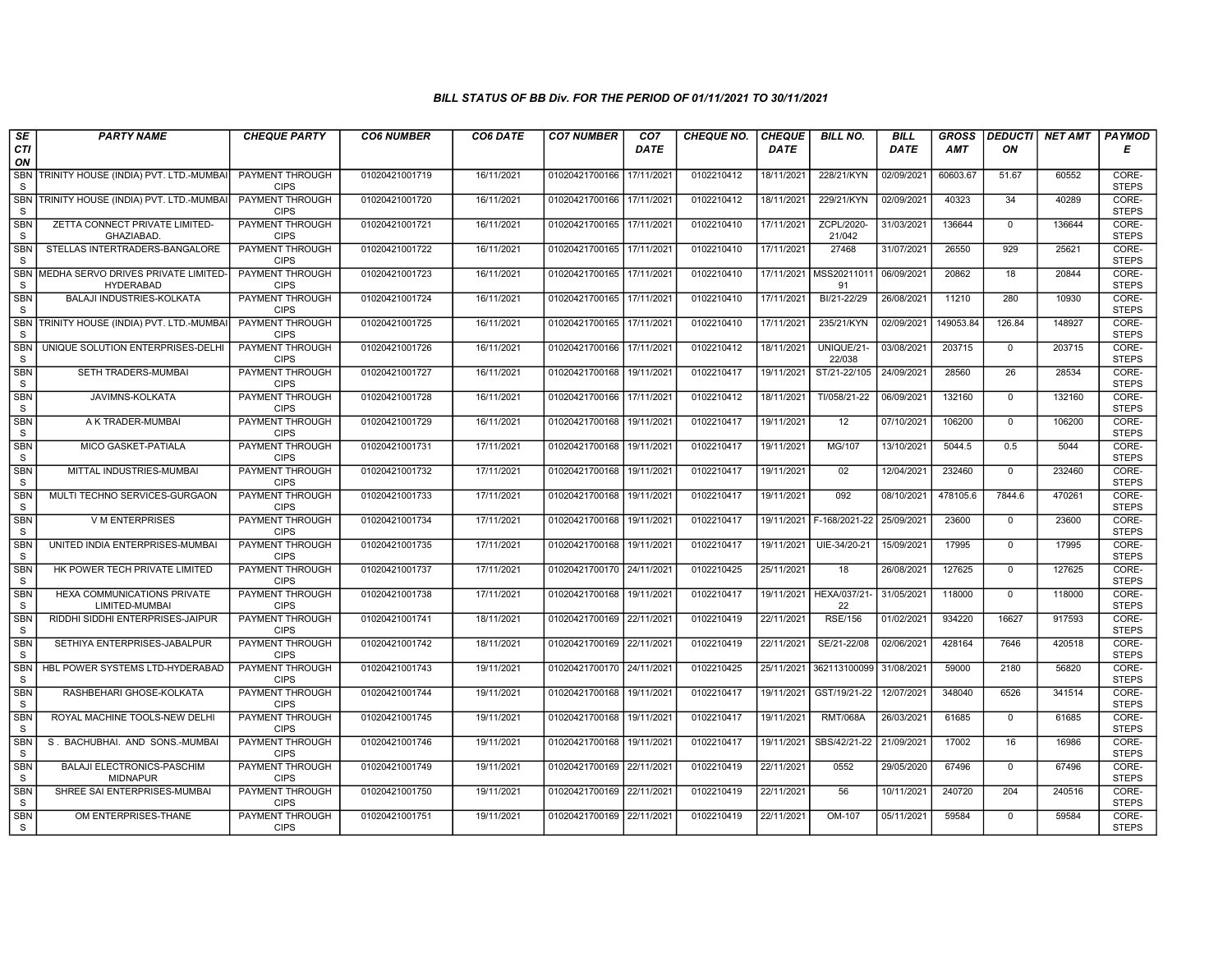| SE                         | <b>PARTY NAME</b>                                       | <b>CHEQUE PARTY</b>                   | <b>CO6 NUMBER</b> | CO6 DATE   | <b>CO7 NUMBER</b>         | CO <sub>7</sub> | CHEQUE NO. | <b>CHEQUE</b> | <b>BILL NO.</b>          | <b>BILL</b> | <b>GROSS</b> | <b>DEDUCTI</b> | NET AMT | <b>PAYMOD</b>         |
|----------------------------|---------------------------------------------------------|---------------------------------------|-------------------|------------|---------------------------|-----------------|------------|---------------|--------------------------|-------------|--------------|----------------|---------|-----------------------|
| CTI<br>ON                  |                                                         |                                       |                   |            |                           | <b>DATE</b>     |            | <b>DATE</b>   |                          | DATE        | AMT          | ON             |         | Е                     |
| <b>SBN</b><br>S            | TRINITY HOUSE (INDIA) PVT. LTD.-MUMBAI                  | <b>PAYMENT THROUGH</b><br><b>CIPS</b> | 01020421001719    | 16/11/2021 | 01020421700166            | 17/11/2021      | 0102210412 | 18/11/2021    | 228/21/KYN               | 02/09/2021  | 60603.67     | 51.67          | 60552   | CORE-<br><b>STEPS</b> |
| <b>SBN</b><br><sub>S</sub> | TRINITY HOUSE (INDIA) PVT. LTD.-MUMBAI                  | <b>PAYMENT THROUGH</b><br><b>CIPS</b> | 01020421001720    | 16/11/2021 | 01020421700166 17/11/2021 |                 | 0102210412 | 18/11/2021    | 229/21/KYN               | 02/09/2021  | 40323        | 34             | 40289   | CORE-<br><b>STEPS</b> |
| <b>SBN</b><br>S            | ZETTA CONNECT PRIVATE LIMITED-<br><b>GHAZIABAD</b>      | PAYMENT THROUGH<br><b>CIPS</b>        | 01020421001721    | 16/11/2021 | 01020421700165 17/11/2021 |                 | 0102210410 | 17/11/2021    | ZCPL/2020-<br>21/042     | 31/03/2021  | 136644       | $\mathbf 0$    | 136644  | CORE-<br><b>STEPS</b> |
| <b>SBN</b><br>S            | STELLAS INTERTRADERS-BANGALORE                          | PAYMENT THROUGH<br><b>CIPS</b>        | 01020421001722    | 16/11/2021 | 01020421700165 17/11/2021 |                 | 0102210410 | 17/11/2021    | 27468                    | 31/07/2021  | 26550        | 929            | 25621   | CORE-<br><b>STEPS</b> |
| <b>SBN</b><br><sub>S</sub> | MEDHA SERVO DRIVES PRIVATE LIMITED-<br><b>HYDERABAD</b> | <b>PAYMENT THROUGH</b><br><b>CIPS</b> | 01020421001723    | 16/11/2021 | 01020421700165 17/11/2021 |                 | 0102210410 | 17/11/2021    | MSS20211011<br>91        | 06/09/2021  | 20862        | 18             | 20844   | CORE-<br><b>STEPS</b> |
| <b>SBN</b><br>S            | <b>BALAJI INDUSTRIES-KOLKATA</b>                        | <b>PAYMENT THROUGH</b><br><b>CIPS</b> | 01020421001724    | 16/11/2021 | 01020421700165 17/11/2021 |                 | 0102210410 | 17/11/2021    | BI/21-22/29              | 26/08/2021  | 11210        | 280            | 10930   | CORE-<br><b>STEPS</b> |
| <b>SBN</b><br>S            | TRINITY HOUSE (INDIA) PVT. LTD.-MUMBA                   | PAYMENT THROUGH<br><b>CIPS</b>        | 01020421001725    | 16/11/2021 | 01020421700165 17/11/2021 |                 | 0102210410 | 17/11/2021    | 235/21/KYN               | 02/09/2021  | 149053.84    | 126.84         | 148927  | CORE-<br><b>STEPS</b> |
| <b>SBN</b><br>S            | UNIQUE SOLUTION ENTERPRISES-DELHI                       | <b>PAYMENT THROUGH</b><br><b>CIPS</b> | 01020421001726    | 16/11/2021 | 01020421700166 17/11/2021 |                 | 0102210412 | 18/11/2021    | UNIQUE/21-<br>22/038     | 03/08/2021  | 203715       | $\overline{0}$ | 203715  | CORE-<br><b>STEPS</b> |
| <b>SBN</b><br>S            | SETH TRADERS-MUMBAI                                     | <b>PAYMENT THROUGH</b><br><b>CIPS</b> | 01020421001727    | 16/11/2021 | 01020421700168            | 19/11/2021      | 0102210417 | 19/11/2021    | ST/21-22/105             | 24/09/2021  | 28560        | 26             | 28534   | CORE-<br><b>STEPS</b> |
| <b>SBN</b><br>S            | JAVIMNS-KOLKATA                                         | <b>PAYMENT THROUGH</b><br><b>CIPS</b> | 01020421001728    | 16/11/2021 | 01020421700166 17/11/2021 |                 | 0102210412 | 18/11/2021    | TI/058/21-22             | 06/09/2021  | 132160       | $\mathbf 0$    | 132160  | CORE-<br><b>STEPS</b> |
| <b>SBN</b><br>S            | A K TRADER-MUMBAI                                       | PAYMENT THROUGH<br><b>CIPS</b>        | 01020421001729    | 16/11/2021 | 01020421700168            | 19/11/2021      | 0102210417 | 19/11/2021    | 12                       | 07/10/2021  | 106200       | $\mathbf{0}$   | 106200  | CORE-<br><b>STEPS</b> |
| <b>SBN</b><br>S            | MICO GASKET-PATIALA                                     | PAYMENT THROUGH<br><b>CIPS</b>        | 01020421001731    | 17/11/2021 | 01020421700168            | 19/11/2021      | 0102210417 | 19/11/2021    | MG/107                   | 13/10/2021  | 5044.5       | 0.5            | 5044    | CORE-<br><b>STEPS</b> |
| <b>SBN</b><br>S            | MITTAL INDUSTRIES-MUMBAI                                | <b>PAYMENT THROUGH</b><br><b>CIPS</b> | 01020421001732    | 17/11/2021 | 01020421700168            | 19/11/2021      | 0102210417 | 19/11/2021    | 02                       | 12/04/2021  | 232460       | $\overline{0}$ | 232460  | CORE-<br><b>STEPS</b> |
| <b>SBN</b><br>S            | MULTI TECHNO SERVICES-GURGAON                           | <b>PAYMENT THROUGH</b><br><b>CIPS</b> | 01020421001733    | 17/11/2021 | 01020421700168            | 19/11/2021      | 0102210417 | 19/11/2021    | 092                      | 08/10/2021  | 478105.6     | 7844.6         | 470261  | CORE-<br><b>STEPS</b> |
| SBN<br>S                   | V M ENTERPRISES                                         | PAYMENT THROUGH<br><b>CIPS</b>        | 01020421001734    | 17/11/2021 | 01020421700168            | 19/11/2021      | 0102210417 |               | 19/11/2021 F-168/2021-22 | 25/09/2021  | 23600        | $\mathbf 0$    | 23600   | CORE-<br><b>STEPS</b> |
| <b>SBN</b><br>S            | UNITED INDIA ENTERPRISES-MUMBAI                         | PAYMENT THROUGH<br><b>CIPS</b>        | 01020421001735    | 17/11/2021 | 01020421700168            | 19/11/2021      | 0102210417 | 19/11/2021    | UIE-34/20-21             | 15/09/2021  | 17995        | $\mathbf{0}$   | 17995   | CORE-<br><b>STEPS</b> |
| <b>SBN</b><br>S            | HK POWER TECH PRIVATE LIMITED                           | <b>PAYMENT THROUGH</b><br><b>CIPS</b> | 01020421001737    | 17/11/2021 | 01020421700170 24/11/2021 |                 | 0102210425 | 25/11/2021    | 18                       | 26/08/2021  | 127625       | $\mathbf 0$    | 127625  | CORE-<br><b>STEPS</b> |
| <b>SBN</b><br>S            | HEXA COMMUNICATIONS PRIVATE<br>LIMITED-MUMBAI           | <b>PAYMENT THROUGH</b><br><b>CIPS</b> | 01020421001738    | 17/11/2021 | 01020421700168            | 19/11/2021      | 0102210417 | 19/11/2021    | <b>HEXA/037/21</b><br>22 | 31/05/2021  | 118000       | $\mathbf 0$    | 118000  | CORE-<br><b>STEPS</b> |
| <b>SBN</b><br>S            | RIDDHI SIDDHI ENTERPRISES-JAIPUR                        | PAYMENT THROUGH<br><b>CIPS</b>        | 01020421001741    | 18/11/2021 | 01020421700169 22/11/2021 |                 | 0102210419 | 22/11/2021    | <b>RSE/156</b>           | 01/02/2021  | 934220       | 16627          | 917593  | CORE-<br><b>STEPS</b> |
| <b>SBN</b><br>$\mathsf S$  | SETHIYA ENTERPRISES-JABALPUR                            | PAYMENT THROUGH<br><b>CIPS</b>        | 01020421001742    | 18/11/2021 | 01020421700169 22/11/2021 |                 | 0102210419 | 22/11/2021    | SE/21-22/08              | 02/06/2021  | 428164       | 7646           | 420518  | CORE-<br><b>STEPS</b> |
| <b>SBN</b><br>S            | HBL POWER SYSTEMS LTD-HYDERABAD                         | PAYMENT THROUGH<br><b>CIPS</b>        | 01020421001743    | 19/11/2021 | 01020421700170 24/11/2021 |                 | 0102210425 | 25/11/2021    | 362113100099             | 31/08/2021  | 59000        | 2180           | 56820   | CORE-<br><b>STEPS</b> |
| <b>SBN</b><br>S            | RASHBEHARI GHOSE-KOLKATA                                | <b>PAYMENT THROUGH</b><br><b>CIPS</b> | 01020421001744    | 19/11/2021 | 01020421700168 19/11/2021 |                 | 0102210417 | 19/11/2021    | GST/19/21-22             | 12/07/2021  | 348040       | 6526           | 341514  | CORE-<br><b>STEPS</b> |
| SBN<br>S                   | ROYAL MACHINE TOOLS-NEW DELHI                           | PAYMENT THROUGH<br><b>CIPS</b>        | 01020421001745    | 19/11/2021 | 01020421700168            | 19/11/2021      | 0102210417 | 19/11/2021    | <b>RMT/068A</b>          | 26/03/2021  | 61685        | $\mathbf 0$    | 61685   | CORE-<br><b>STEPS</b> |
| <b>SBN</b><br>S            | S. BACHUBHAI, AND SONS,-MUMBAI                          | PAYMENT THROUGH<br><b>CIPS</b>        | 01020421001746    | 19/11/2021 | 01020421700168            | 19/11/2021      | 0102210417 | 19/11/2021    | SBS/42/21-22             | 21/09/2021  | 17002        | 16             | 16986   | CORE-<br><b>STEPS</b> |
| SBN<br>S                   | <b>BALAJI ELECTRONICS-PASCHIM</b><br><b>MIDNAPUR</b>    | PAYMENT THROUGH<br><b>CIPS</b>        | 01020421001749    | 19/11/2021 | 01020421700169 22/11/2021 |                 | 0102210419 | 22/11/2021    | 0552                     | 29/05/2020  | 67496        | $\mathbf{0}$   | 67496   | CORE-<br><b>STEPS</b> |
| <b>SBN</b><br>S            | SHREE SAI ENTERPRISES-MUMBAI                            | <b>PAYMENT THROUGH</b><br><b>CIPS</b> | 01020421001750    | 19/11/2021 | 01020421700169 22/11/2021 |                 | 0102210419 | 22/11/2021    | 56                       | 10/11/2021  | 240720       | 204            | 240516  | CORE-<br><b>STEPS</b> |
| <b>SBN</b><br>S            | OM ENTERPRISES-THANE                                    | PAYMENT THROUGH<br><b>CIPS</b>        | 01020421001751    | 19/11/2021 | 01020421700169 22/11/2021 |                 | 0102210419 | 22/11/2021    | OM-107                   | 05/11/2021  | 59584        | $\mathbf 0$    | 59584   | CORE-<br><b>STEPS</b> |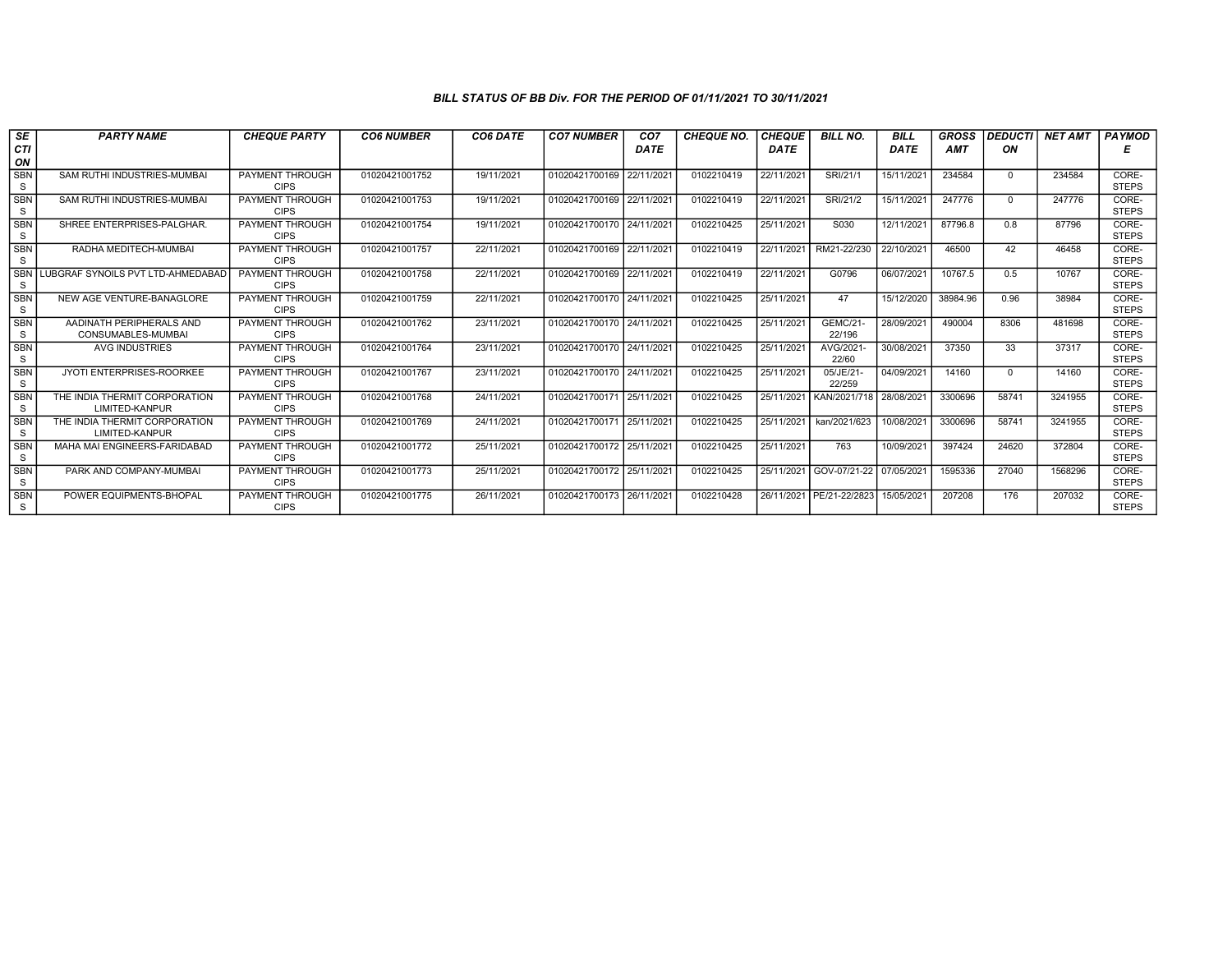| <b>CTI</b><br><b>DATE</b><br>DATE<br><b>DATE</b><br><b>AMT</b><br>ON<br>ON<br><b>SBN</b><br>15/11/2021<br>SAM RUTHI INDUSTRIES-MUMBAI<br>PAYMENT THROUGH<br>01020421001752<br>19/11/2021<br>01020421700169 22/11/2021<br>0102210419<br>22/11/2021<br>SRI/21/1<br>234584<br>$\Omega$<br>S<br><b>CIPS</b><br><b>SBN</b><br>SAM RUTHI INDUSTRIES-MUMBAI<br>PAYMENT THROUGH<br>01020421001753<br>01020421700169 22/11/2021<br>0102210419<br>22/11/2021<br>SRI/21/2<br>15/11/2021<br>247776<br>19/11/2021<br>$\Omega$<br>S<br><b>CIPS</b><br><b>SBN</b><br>SHREE ENTERPRISES-PALGHAR.<br>PAYMENT THROUGH<br>19/11/2021<br>01020421700170 24/11/202<br>25/11/2021<br>S030<br>12/11/2021<br>87796.8<br>01020421001754<br>0102210425<br>0.8<br>S<br><b>CIPS</b><br><b>SBN</b><br>RADHA MEDITECH-MUMBAI<br>22/11/2021<br>01020421700169 22/11/2021<br>RM21-22/230<br>22/10/2021<br>46500<br>42<br>PAYMENT THROUGH<br>01020421001757<br>0102210419<br>22/11/2021<br>S<br><b>CIPS</b><br><b>SBN</b><br>LUBGRAF SYNOILS PVT LTD-AHMEDABAD<br>01020421001758<br>22/11/2021<br>01020421700169 22/11/2021<br>22/11/2021<br>G0796<br>06/07/2021<br>10767.5<br>PAYMENT THROUGH<br>0102210419<br>0.5<br><sub>S</sub><br><b>CIPS</b><br><b>SBN</b><br>NEW AGE VENTURE-BANAGLORE<br>PAYMENT THROUGH<br>22/11/2021<br>01020421700170 24/11/2021<br>0102210425<br>25/11/2021<br>47<br>15/12/2020<br>38984.96<br>0.96<br>01020421001759<br>S<br><b>CIPS</b><br><b>SBN</b><br>AADINATH PERIPHERALS AND<br>PAYMENT THROUGH<br>23/11/2021<br>01020421700170 24/11/2021<br>25/11/2021<br><b>GEMC/21-</b><br>28/09/2021<br>490004<br>01020421001762<br>0102210425<br>8306<br>S<br>22/196<br><b>CIPS</b><br>CONSUMABLES-MUMBAI<br><b>SBN</b><br>01020421001764<br>01020421700170 24/11/2021<br>25/11/2021<br>AVG/2021<br>30/08/2021<br>37350<br>33<br>AVG INDUSTRIES<br>PAYMENT THROUGH<br>23/11/2021<br>0102210425<br>S<br><b>CIPS</b><br>22/60 |                                  |
|---------------------------------------------------------------------------------------------------------------------------------------------------------------------------------------------------------------------------------------------------------------------------------------------------------------------------------------------------------------------------------------------------------------------------------------------------------------------------------------------------------------------------------------------------------------------------------------------------------------------------------------------------------------------------------------------------------------------------------------------------------------------------------------------------------------------------------------------------------------------------------------------------------------------------------------------------------------------------------------------------------------------------------------------------------------------------------------------------------------------------------------------------------------------------------------------------------------------------------------------------------------------------------------------------------------------------------------------------------------------------------------------------------------------------------------------------------------------------------------------------------------------------------------------------------------------------------------------------------------------------------------------------------------------------------------------------------------------------------------------------------------------------------------------------------------------------------------------------------------------------------------------------------------------|----------------------------------|
|                                                                                                                                                                                                                                                                                                                                                                                                                                                                                                                                                                                                                                                                                                                                                                                                                                                                                                                                                                                                                                                                                                                                                                                                                                                                                                                                                                                                                                                                                                                                                                                                                                                                                                                                                                                                                                                                                                                     |                                  |
|                                                                                                                                                                                                                                                                                                                                                                                                                                                                                                                                                                                                                                                                                                                                                                                                                                                                                                                                                                                                                                                                                                                                                                                                                                                                                                                                                                                                                                                                                                                                                                                                                                                                                                                                                                                                                                                                                                                     |                                  |
|                                                                                                                                                                                                                                                                                                                                                                                                                                                                                                                                                                                                                                                                                                                                                                                                                                                                                                                                                                                                                                                                                                                                                                                                                                                                                                                                                                                                                                                                                                                                                                                                                                                                                                                                                                                                                                                                                                                     | CORE-<br>234584<br><b>STEPS</b>  |
|                                                                                                                                                                                                                                                                                                                                                                                                                                                                                                                                                                                                                                                                                                                                                                                                                                                                                                                                                                                                                                                                                                                                                                                                                                                                                                                                                                                                                                                                                                                                                                                                                                                                                                                                                                                                                                                                                                                     | CORE-<br>247776                  |
|                                                                                                                                                                                                                                                                                                                                                                                                                                                                                                                                                                                                                                                                                                                                                                                                                                                                                                                                                                                                                                                                                                                                                                                                                                                                                                                                                                                                                                                                                                                                                                                                                                                                                                                                                                                                                                                                                                                     | <b>STEPS</b>                     |
|                                                                                                                                                                                                                                                                                                                                                                                                                                                                                                                                                                                                                                                                                                                                                                                                                                                                                                                                                                                                                                                                                                                                                                                                                                                                                                                                                                                                                                                                                                                                                                                                                                                                                                                                                                                                                                                                                                                     | CORE-<br>87796                   |
|                                                                                                                                                                                                                                                                                                                                                                                                                                                                                                                                                                                                                                                                                                                                                                                                                                                                                                                                                                                                                                                                                                                                                                                                                                                                                                                                                                                                                                                                                                                                                                                                                                                                                                                                                                                                                                                                                                                     | <b>STEPS</b>                     |
|                                                                                                                                                                                                                                                                                                                                                                                                                                                                                                                                                                                                                                                                                                                                                                                                                                                                                                                                                                                                                                                                                                                                                                                                                                                                                                                                                                                                                                                                                                                                                                                                                                                                                                                                                                                                                                                                                                                     | CORE-<br>46458<br><b>STEPS</b>   |
|                                                                                                                                                                                                                                                                                                                                                                                                                                                                                                                                                                                                                                                                                                                                                                                                                                                                                                                                                                                                                                                                                                                                                                                                                                                                                                                                                                                                                                                                                                                                                                                                                                                                                                                                                                                                                                                                                                                     | 10767<br>CORE-                   |
|                                                                                                                                                                                                                                                                                                                                                                                                                                                                                                                                                                                                                                                                                                                                                                                                                                                                                                                                                                                                                                                                                                                                                                                                                                                                                                                                                                                                                                                                                                                                                                                                                                                                                                                                                                                                                                                                                                                     | <b>STEPS</b>                     |
|                                                                                                                                                                                                                                                                                                                                                                                                                                                                                                                                                                                                                                                                                                                                                                                                                                                                                                                                                                                                                                                                                                                                                                                                                                                                                                                                                                                                                                                                                                                                                                                                                                                                                                                                                                                                                                                                                                                     | CORE-<br>38984<br><b>STEPS</b>   |
|                                                                                                                                                                                                                                                                                                                                                                                                                                                                                                                                                                                                                                                                                                                                                                                                                                                                                                                                                                                                                                                                                                                                                                                                                                                                                                                                                                                                                                                                                                                                                                                                                                                                                                                                                                                                                                                                                                                     | CORE-<br>481698                  |
|                                                                                                                                                                                                                                                                                                                                                                                                                                                                                                                                                                                                                                                                                                                                                                                                                                                                                                                                                                                                                                                                                                                                                                                                                                                                                                                                                                                                                                                                                                                                                                                                                                                                                                                                                                                                                                                                                                                     | <b>STEPS</b>                     |
|                                                                                                                                                                                                                                                                                                                                                                                                                                                                                                                                                                                                                                                                                                                                                                                                                                                                                                                                                                                                                                                                                                                                                                                                                                                                                                                                                                                                                                                                                                                                                                                                                                                                                                                                                                                                                                                                                                                     | CORE-<br>37317<br><b>STEPS</b>   |
| <b>SBN</b><br>23/11/2021<br>25/11/2021<br>04/09/2021<br>14160<br>JYOTI ENTERPRISES-ROORKEE<br><b>PAYMENT THROUGH</b><br>01020421001767<br>01020421700170 24/11/2021<br>0102210425<br>05/JE/21-<br>$\Omega$                                                                                                                                                                                                                                                                                                                                                                                                                                                                                                                                                                                                                                                                                                                                                                                                                                                                                                                                                                                                                                                                                                                                                                                                                                                                                                                                                                                                                                                                                                                                                                                                                                                                                                          | CORE-<br>14160                   |
| S<br>22/259<br><b>CIPS</b>                                                                                                                                                                                                                                                                                                                                                                                                                                                                                                                                                                                                                                                                                                                                                                                                                                                                                                                                                                                                                                                                                                                                                                                                                                                                                                                                                                                                                                                                                                                                                                                                                                                                                                                                                                                                                                                                                          | <b>STEPS</b>                     |
| <b>SBN</b><br>THE INDIA THERMIT CORPORATION<br>PAYMENT THROUGH<br>01020421001768<br>01020421700171 25/11/2021<br>0102210425<br>25/11/2021<br>KAN/2021/718<br>28/08/2021<br>3300696<br>58741<br>24/11/2021<br>S<br>LIMITED-KANPUR<br><b>CIPS</b>                                                                                                                                                                                                                                                                                                                                                                                                                                                                                                                                                                                                                                                                                                                                                                                                                                                                                                                                                                                                                                                                                                                                                                                                                                                                                                                                                                                                                                                                                                                                                                                                                                                                     | CORE-<br>3241955<br><b>STEPS</b> |
| 10/08/2021<br><b>SBN</b><br>THE INDIA THERMIT CORPORATION<br>PAYMENT THROUGH<br>24/11/2021<br>01020421700171 25/11/2021<br>0102210425<br>25/11/2021<br>kan/2021/623<br>3300696<br>58741<br>01020421001769<br>S<br>LIMITED-KANPUR<br><b>CIPS</b>                                                                                                                                                                                                                                                                                                                                                                                                                                                                                                                                                                                                                                                                                                                                                                                                                                                                                                                                                                                                                                                                                                                                                                                                                                                                                                                                                                                                                                                                                                                                                                                                                                                                     | CORE-<br>3241955<br><b>STEPS</b> |
| <b>SBN</b><br>01020421700172 25/11/2021<br>25/11/2021<br>763<br>10/09/2021<br>397424<br>24620<br>MAHA MAI ENGINEERS-FARIDABAD<br><b>PAYMENT THROUGH</b><br>01020421001772<br>25/11/2021<br>0102210425<br>S<br><b>CIPS</b>                                                                                                                                                                                                                                                                                                                                                                                                                                                                                                                                                                                                                                                                                                                                                                                                                                                                                                                                                                                                                                                                                                                                                                                                                                                                                                                                                                                                                                                                                                                                                                                                                                                                                           | CORE-<br>372804<br><b>STEPS</b>  |
| <b>SBN</b><br>25/11/2021<br>GOV-07/21-22<br>07/05/2021<br>1595336<br>PARK AND COMPANY-MUMBAI<br>PAYMENT THROUGH<br>01020421001773<br>25/11/2021<br>01020421700172 25/11/2021<br>0102210425<br>27040                                                                                                                                                                                                                                                                                                                                                                                                                                                                                                                                                                                                                                                                                                                                                                                                                                                                                                                                                                                                                                                                                                                                                                                                                                                                                                                                                                                                                                                                                                                                                                                                                                                                                                                 | CORE-<br>1568296                 |
| S<br><b>CIPS</b>                                                                                                                                                                                                                                                                                                                                                                                                                                                                                                                                                                                                                                                                                                                                                                                                                                                                                                                                                                                                                                                                                                                                                                                                                                                                                                                                                                                                                                                                                                                                                                                                                                                                                                                                                                                                                                                                                                    | <b>STEPS</b>                     |
| <b>SBN</b><br>01020421700173 26/11/2021<br>PE/21-22/2823<br>15/05/2021<br>207208<br>176<br>POWER EQUIPMENTS-BHOPAL<br><b>PAYMENT THROUGH</b><br>01020421001775<br>26/11/2021<br>0102210428<br>26/11/2021<br>S<br><b>CIPS</b>                                                                                                                                                                                                                                                                                                                                                                                                                                                                                                                                                                                                                                                                                                                                                                                                                                                                                                                                                                                                                                                                                                                                                                                                                                                                                                                                                                                                                                                                                                                                                                                                                                                                                        | CORE-<br>207032<br><b>STEPS</b>  |